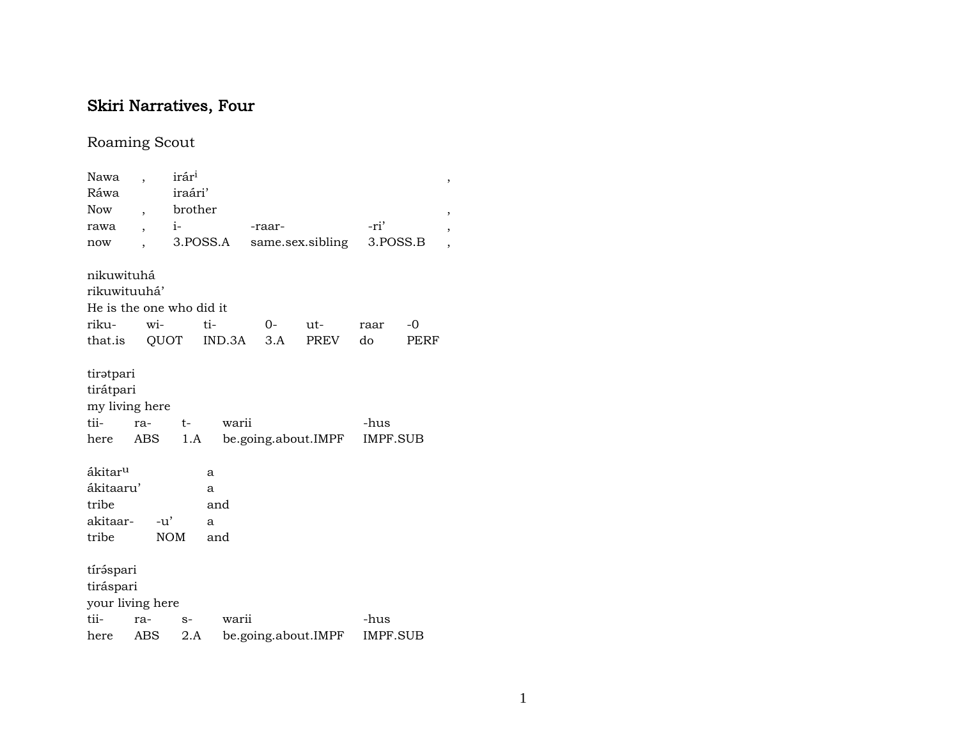## Skiri Narratives, Four

## Roaming Scout

| Nawa                                                     |                          | irári       |          |                     |      |                         |      | ,                        |
|----------------------------------------------------------|--------------------------|-------------|----------|---------------------|------|-------------------------|------|--------------------------|
| Ráwa                                                     |                          | iraári'     |          |                     |      |                         |      |                          |
| <b>Now</b>                                               | $\overline{\phantom{a}}$ | brother     |          |                     |      |                         |      | ,                        |
| rawa                                                     |                          | $i-$        |          | -raar-              |      | -ri'                    |      | $\overline{\phantom{a}}$ |
| now                                                      |                          |             | 3.POSS.A | same.sex.sibling    |      | 3.POSS.B                |      | ,                        |
| nikuwituhá                                               |                          |             |          |                     |      |                         |      |                          |
| rikuwituuhá'                                             |                          |             |          |                     |      |                         |      |                          |
| He is the one who did it                                 |                          |             |          |                     |      |                         |      |                          |
| riku-                                                    | wi-                      |             | ti-      | 0-                  | ut-  | raar                    | $-0$ |                          |
| that.is                                                  |                          | QUOT        | IND.3A   | 3.A                 | PREV | do                      | PERF |                          |
| tiratpari<br>tirátpari<br>my living here<br>tii-<br>here | ra-<br>ABS               | $t-$<br>1.A | warii    | be.going.about.IMPF |      | -hus<br><b>IMPF.SUB</b> |      |                          |
| ákitar <sup>u</sup>                                      |                          |             | a        |                     |      |                         |      |                          |
| ákitaaru'                                                |                          |             | a        |                     |      |                         |      |                          |
| tribe                                                    |                          |             | and      |                     |      |                         |      |                          |
| akitaar-                                                 | $-u'$                    |             | a        |                     |      |                         |      |                          |
| tribe                                                    |                          | <b>NOM</b>  | and      |                     |      |                         |      |                          |
| tíráspari<br>tiráspari<br>your living here               |                          |             |          |                     |      |                         |      |                          |
| tii-                                                     | ra-                      | $S-$        | warii    |                     |      | -hus                    |      |                          |
| here                                                     | ABS                      | 2.A         |          | be.going.about.IMPF |      | <b>IMPF.SUB</b>         |      |                          |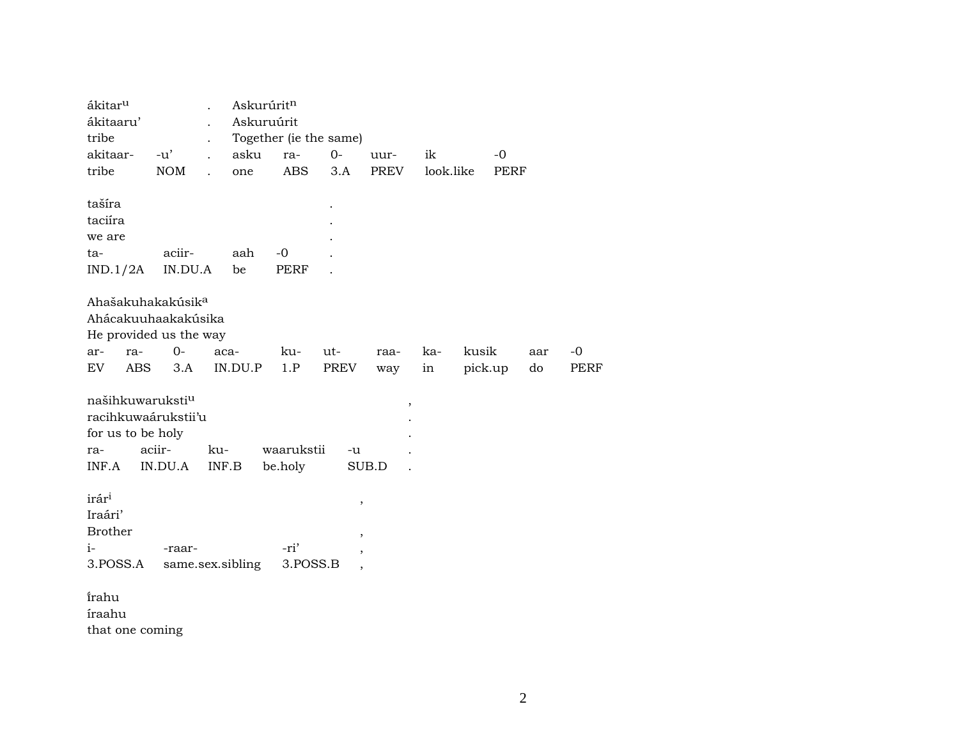| ákitar <sup>u</sup>           | $\ddot{\phantom{0}}$               | Askurúrit <sup>n</sup> |             |                          |             |           |         |             |     |      |
|-------------------------------|------------------------------------|------------------------|-------------|--------------------------|-------------|-----------|---------|-------------|-----|------|
| ákitaaru'                     |                                    | Askuruúrit             |             |                          |             |           |         |             |     |      |
| tribe                         |                                    |                        |             | Together (ie the same)   |             |           |         |             |     |      |
| akitaar-                      | $-u'$<br>$\ddot{\phantom{a}}$      | asku                   | ra-         | $0-$                     | uur-        | ik        |         | $-0$        |     |      |
| tribe                         | <b>NOM</b><br>$\ddot{\phantom{a}}$ | one                    | <b>ABS</b>  | 3.A                      | <b>PREV</b> | look.like |         | <b>PERF</b> |     |      |
|                               |                                    |                        |             |                          |             |           |         |             |     |      |
| tašíra                        |                                    |                        |             |                          |             |           |         |             |     |      |
| taciíra                       |                                    |                        |             |                          |             |           |         |             |     |      |
| we are                        |                                    |                        |             |                          |             |           |         |             |     |      |
| ta-                           | aciir-                             | aah                    | $-0$        |                          |             |           |         |             |     |      |
| IND.1/2A                      | IN.DU.A                            | be                     | <b>PERF</b> |                          |             |           |         |             |     |      |
| Ahašakuhakakúsik <sup>a</sup> |                                    |                        |             |                          |             |           |         |             |     |      |
|                               | Ahácakuuhaakakúsika                |                        |             |                          |             |           |         |             |     |      |
|                               | He provided us the way             |                        |             |                          |             |           |         |             |     |      |
| ra-<br>ar-                    | $0-$                               | aca-                   | ku-         | ut-                      | raa-        | ka-       | kusik   |             | aar | $-0$ |
| EV<br>ABS                     | 3.A                                | IN.DU.P                | 1.P         | <b>PREV</b>              | way         | in        | pick.up |             | do  | PERF |
|                               |                                    |                        |             |                          |             |           |         |             |     |      |
| našihkuwaruksti <sup>u</sup>  |                                    |                        |             |                          | $\, ,$      |           |         |             |     |      |
| racihkuwaárukstii'u           |                                    |                        |             |                          |             |           |         |             |     |      |
| for us to be holy             |                                    |                        |             |                          |             |           |         |             |     |      |
| ra-                           | aciir-                             | ku-                    | waarukstii  | $-u$                     |             |           |         |             |     |      |
| INF.A                         | IN.DU.A                            | INF.B                  | be.holy     |                          | SUB.D       |           |         |             |     |      |
|                               |                                    |                        |             |                          |             |           |         |             |     |      |
| irár <sup>i</sup>             |                                    |                        |             | $\, ,$                   |             |           |         |             |     |      |
| Iraári'                       |                                    |                        |             |                          |             |           |         |             |     |      |
| <b>Brother</b>                |                                    |                        |             | $^\mathrm{,}$            |             |           |         |             |     |      |
| $i-$                          | -raar-                             |                        | -ri'        | $\overline{\phantom{a}}$ |             |           |         |             |     |      |
| 3.POSS.A                      | same.sex.sibling                   |                        | 3.POSS.B    | $\overline{\phantom{a}}$ |             |           |         |             |     |      |
|                               |                                    |                        |             |                          |             |           |         |             |     |      |
| irahu                         |                                    |                        |             |                          |             |           |         |             |     |      |
| íraahu                        |                                    |                        |             |                          |             |           |         |             |     |      |
| that one coming               |                                    |                        |             |                          |             |           |         |             |     |      |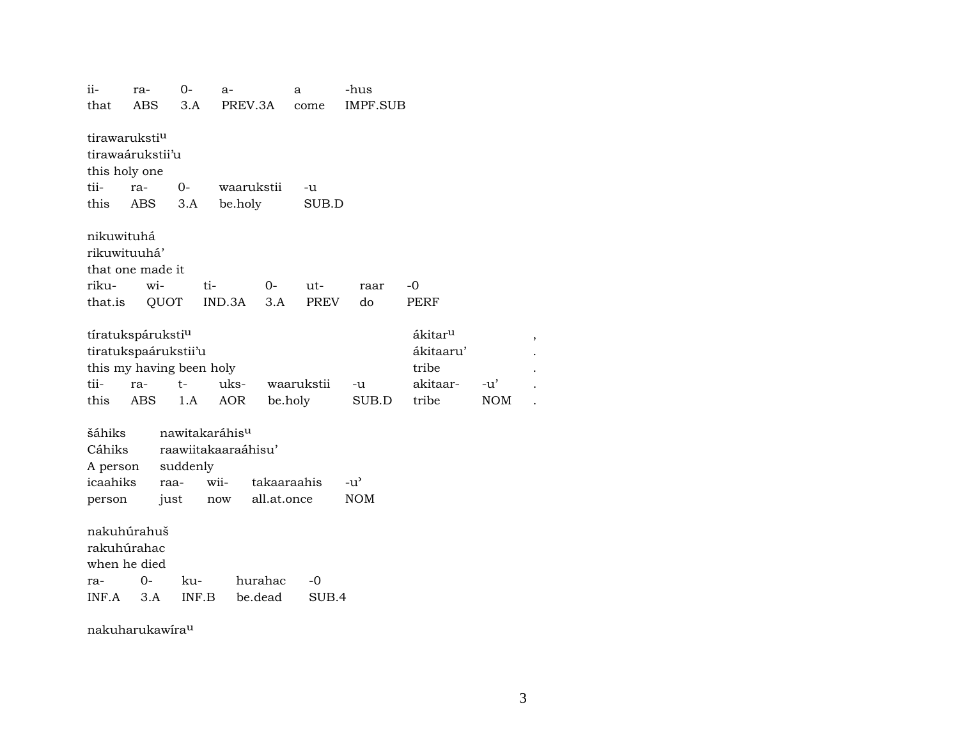ii- ra- 0- a- a -hus that ABS 3.A PREV.3A come IMPF.SUB tirawaruksti<sup>u</sup> tirawaárukstii'u this holy one tii- ra- 0- waarukstii -u this ABS 3.A be.holy SUB.D nikuwituhá rikuwituuhá' that one made it riku- wi- ti- 0- ut- raar -0 that.is QUOT IND.3A 3.A PREV do PERF tíratukspáruksti<sup>u</sup> katalog a sama a sakitar<sup>u</sup> a filosofott a sama a sakitar a sakitar a sakitar a sa tiratukspaárukstii'u ákitaaru' . this my having been holy tribe tribe tii- ra- t- uks- waarukstii -u akitaar- -u' . this ABS 1.A AOR be.holy SUB.D tribe NOM . šáhiks nawitakaráhis<sup>u</sup> Cáhiks raawiitakaaraáhisu' A person suddenly icaahiks raa- wii- takaaraahis -u" person just now all.at.once NOM nakuhúrahuš rakuhúrahac when he died ra- 0- ku- hurahac -0 INF.A 3.A INF.B be.dead SUB.4

nakuharukawíraµ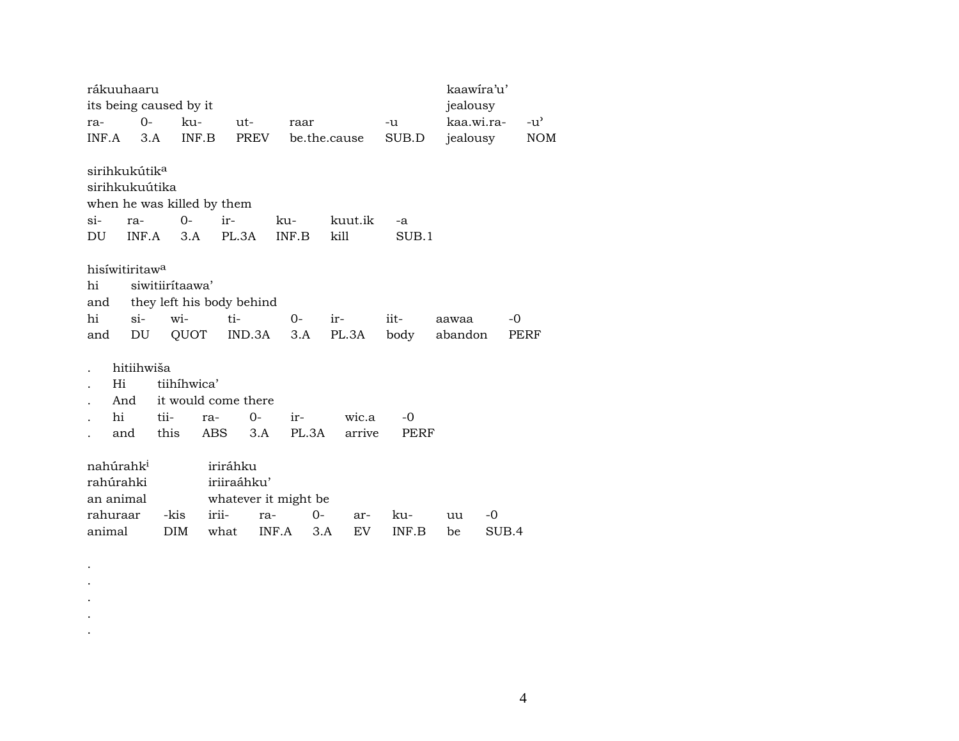| rákuuhaaru                                                         |                                           |                                                   |                       |                          |                     | kaawira'u'       |               |
|--------------------------------------------------------------------|-------------------------------------------|---------------------------------------------------|-----------------------|--------------------------|---------------------|------------------|---------------|
| its being caused by it                                             |                                           |                                                   |                       |                          |                     | jealousy         |               |
| ra-                                                                | $O -$                                     | ku-<br>ut-                                        | raar                  |                          | -u                  | kaa.wi.ra-       | $-u^{\prime}$ |
| INF.A                                                              | 3.A                                       | INF.B                                             | PREV                  | be.the.cause             | SUB.D               | jealousy         | <b>NOM</b>    |
| sirihkukútik <sup>a</sup><br>sirihkukuútika<br>$\sin$<br>ra-<br>DU | $0-$<br>INF.A                             | when he was killed by them<br>ir-<br>PL.3A<br>3.A | ku-<br>INF.B          | kuut.ik<br>kill          | -a<br>SUB.1         |                  |               |
| hisiwitiritawa<br>hi<br>and                                        | siwitiiritaawa'                           | they left his body behind                         |                       |                          |                     |                  |               |
| hi<br>$\sin$<br>and                                                | wi-<br>DU                                 | ti-<br>QUOT                                       | $0-$<br>IND.3A<br>3.A | ir-<br>PL.3A             | iit-<br>body        | aawaa<br>abandon | -0<br>PERF    |
| Hi<br>And<br>hi<br>and                                             | hitiihwiša<br>tiihíhwica'<br>tii-<br>this | it would come there<br>ra-<br>ABS                 | $0-$<br>ir-<br>3.A    | wic.a<br>PL.3A<br>arrive | $-0$<br><b>PERF</b> |                  |               |
| nahúrahk <sup>i</sup>                                              |                                           | iriráhku                                          |                       |                          |                     |                  |               |
| rahúrahki                                                          |                                           | iriiraáhku'                                       |                       |                          |                     |                  |               |
| an animal                                                          |                                           |                                                   | whatever it might be  |                          |                     |                  |               |
| rahuraar                                                           | -kis                                      | irii-                                             | ra-                   | 0-<br>ar-                | ku-                 | -0<br>uu         |               |
| animal                                                             | <b>DIM</b>                                | what                                              | INF.A                 | EV<br>3.A                | INF.B               | be               | SUB.4         |

. . .

. .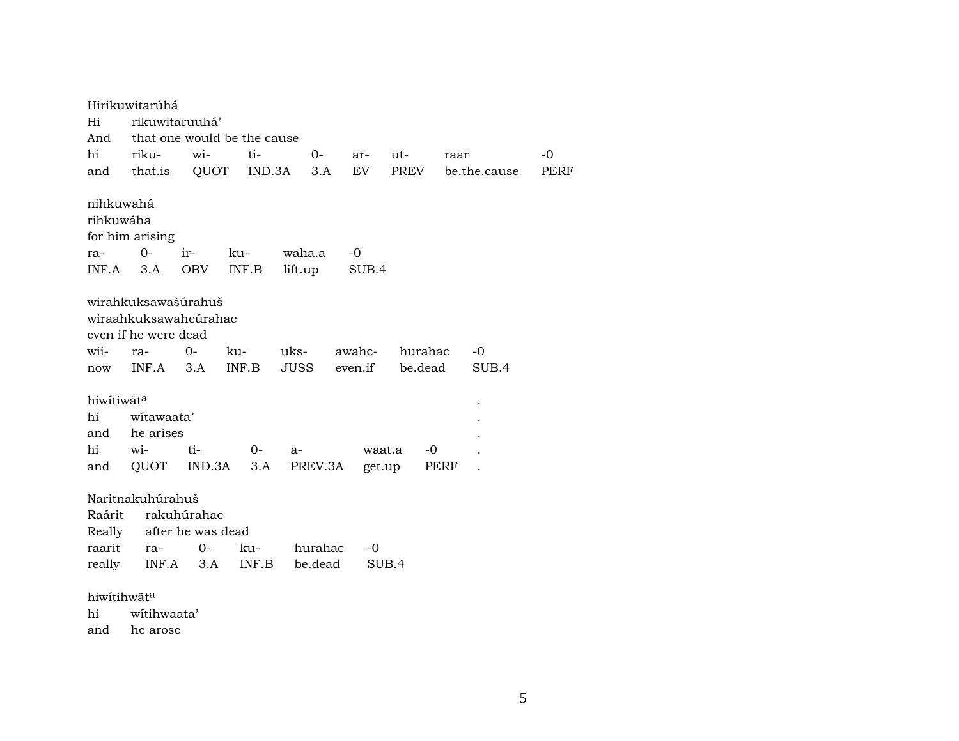|                                      | Hirikuwitarúhá                                                       |                                  |                             |               |                  |         |              |              |             |
|--------------------------------------|----------------------------------------------------------------------|----------------------------------|-----------------------------|---------------|------------------|---------|--------------|--------------|-------------|
| Hi                                   |                                                                      | rikuwitaruuhá'                   |                             |               |                  |         |              |              |             |
| And                                  |                                                                      |                                  | that one would be the cause |               |                  |         |              |              |             |
| hi                                   | riku-                                                                | wi-                              | ti-                         | $O -$         | ar-              | ut-     | raar         |              | $-0$        |
| and                                  | that.is                                                              | QUOT                             | IND.3A                      | 3.A           | EV               | PREV    |              | be.the.cause | <b>PERF</b> |
| nihkuwahá                            |                                                                      |                                  |                             |               |                  |         |              |              |             |
| rihkuwáha                            |                                                                      |                                  |                             |               |                  |         |              |              |             |
|                                      | for him arising                                                      |                                  |                             |               |                  |         |              |              |             |
| ra-                                  | $O -$                                                                | ir-                              | ku-                         | waha.a        | -0               |         |              |              |             |
| INF.A                                | 3.A                                                                  | <b>OBV</b>                       | INF.B                       | lift.up       | SUB.4            |         |              |              |             |
|                                      | wirahkuksawašúrahuš<br>wiraahkuksawahcúrahac<br>even if he were dead |                                  |                             |               |                  |         |              |              |             |
| wii-                                 | ra-                                                                  | $O -$                            | ku-                         | uks-          | awahc-           | hurahac |              | -0           |             |
| now                                  | INF.A                                                                | 3.A                              | INF.B                       | JUSS          | even.if          | be.dead |              | SUB.4        |             |
| hiwítiwãta<br>hi<br>and<br>hi<br>and | witawaata'<br>he arises<br>wi-<br>QUOT                               | ti-<br>IND.3A                    | $O -$<br>3.A                | a-<br>PREV.3A | waat.a<br>get.up |         | $-0$<br>PERF |              |             |
|                                      |                                                                      |                                  |                             |               |                  |         |              |              |             |
| Raárit<br>Really                     | Naritnakuhúrahuš                                                     | rakuhúrahac<br>after he was dead |                             |               |                  |         |              |              |             |
| raarit                               | ra-                                                                  | 0-                               | ku-                         | hurahac       | -0               |         |              |              |             |
| really                               |                                                                      | $INF.A$ 3.A                      | INF.B                       | be.dead       | SUB.4            |         |              |              |             |
|                                      | hiwitihwãta                                                          |                                  |                             |               |                  |         |              |              |             |
| hi                                   | witihwaata'                                                          |                                  |                             |               |                  |         |              |              |             |
|                                      |                                                                      |                                  |                             |               |                  |         |              |              |             |
| and                                  | he arose                                                             |                                  |                             |               |                  |         |              |              |             |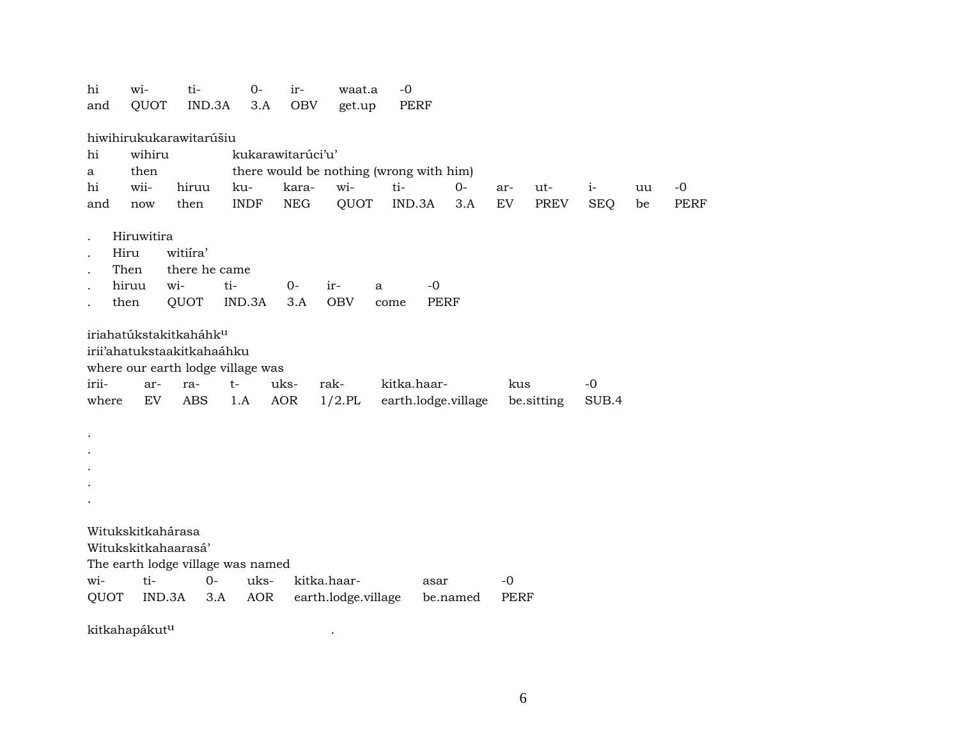| hi    | wi-                                | ti-                               | 0-                | ir-         | waat.a              | -0                                      |          |      |            |            |    |             |
|-------|------------------------------------|-----------------------------------|-------------------|-------------|---------------------|-----------------------------------------|----------|------|------------|------------|----|-------------|
| and   | QUOT                               | IND.3A                            | 3.A               | <b>OBV</b>  | get.up              | PERF                                    |          |      |            |            |    |             |
|       |                                    |                                   |                   |             |                     |                                         |          |      |            |            |    |             |
|       |                                    | hiwihirukukarawitarúšiu           |                   |             |                     |                                         |          |      |            |            |    |             |
| hi    | wihiru                             |                                   | kukarawitarúci'u' |             |                     |                                         |          |      |            |            |    |             |
| a     | then                               |                                   |                   |             |                     | there would be nothing (wrong with him) |          |      |            |            |    |             |
| hi    | wii-                               | hiruu                             | ku-               | kara-       | wi-                 | ti-                                     | $O -$    | ar-  | ut-        | $i-$       | uu | $-0$        |
| and   | now                                | then                              | <b>INDF</b>       | <b>NEG</b>  | QUOT                | IND.3A                                  | 3.A      | EV   | PREV       | <b>SEQ</b> | be | <b>PERF</b> |
|       | Hiruwitira                         |                                   |                   |             |                     |                                         |          |      |            |            |    |             |
|       | Hiru                               | witiíra'                          |                   |             |                     |                                         |          |      |            |            |    |             |
|       | Then                               | there he came                     |                   |             |                     |                                         |          |      |            |            |    |             |
|       | hiruu<br>wi-                       | ti-                               |                   | $0-$        | ir-<br>a            | $-0$                                    |          |      |            |            |    |             |
|       | then                               | QUOT                              | IND.3A            | 3.A         | <b>OBV</b>          | <b>PERF</b><br>come                     |          |      |            |            |    |             |
|       |                                    |                                   |                   |             |                     |                                         |          |      |            |            |    |             |
|       | iriahatúkstakitkaháhk <sup>u</sup> |                                   |                   |             |                     |                                         |          |      |            |            |    |             |
|       |                                    | irii'ahatukstaakitkahaáhku        |                   |             |                     |                                         |          |      |            |            |    |             |
|       |                                    | where our earth lodge village was |                   |             |                     |                                         |          |      |            |            |    |             |
| irii- | ar-                                | ra-                               | $t-$              | uks-        | rak-                | kitka.haar-                             |          | kus  |            | $-0$       |    |             |
| where | EV                                 | <b>ABS</b>                        | 1.A               | AOR         | $1/2$ .PL           | earth.lodge.village                     |          |      | be.sitting | SUB.4      |    |             |
|       |                                    |                                   |                   |             |                     |                                         |          |      |            |            |    |             |
|       |                                    |                                   |                   |             |                     |                                         |          |      |            |            |    |             |
|       |                                    |                                   |                   |             |                     |                                         |          |      |            |            |    |             |
|       |                                    |                                   |                   |             |                     |                                         |          |      |            |            |    |             |
|       |                                    |                                   |                   |             |                     |                                         |          |      |            |            |    |             |
|       |                                    |                                   |                   |             |                     |                                         |          |      |            |            |    |             |
|       |                                    |                                   |                   |             |                     |                                         |          |      |            |            |    |             |
|       | Witukskitkahárasa                  |                                   |                   |             |                     |                                         |          |      |            |            |    |             |
|       | Witukskitkahaarasá'                |                                   |                   |             |                     |                                         |          |      |            |            |    |             |
|       |                                    | The earth lodge village was named |                   |             |                     |                                         |          |      |            |            |    |             |
| wi-   | ti-                                | $0 -$                             | uks-              | kitka.haar- |                     | asar                                    |          | $-0$ |            |            |    |             |
| QUOT  | IND.3A                             | 3.A                               | AOR               |             | earth.lodge.village |                                         | be.named | PERF |            |            |    |             |
|       |                                    |                                   |                   |             |                     |                                         |          |      |            |            |    |             |

kitkahapákutµ .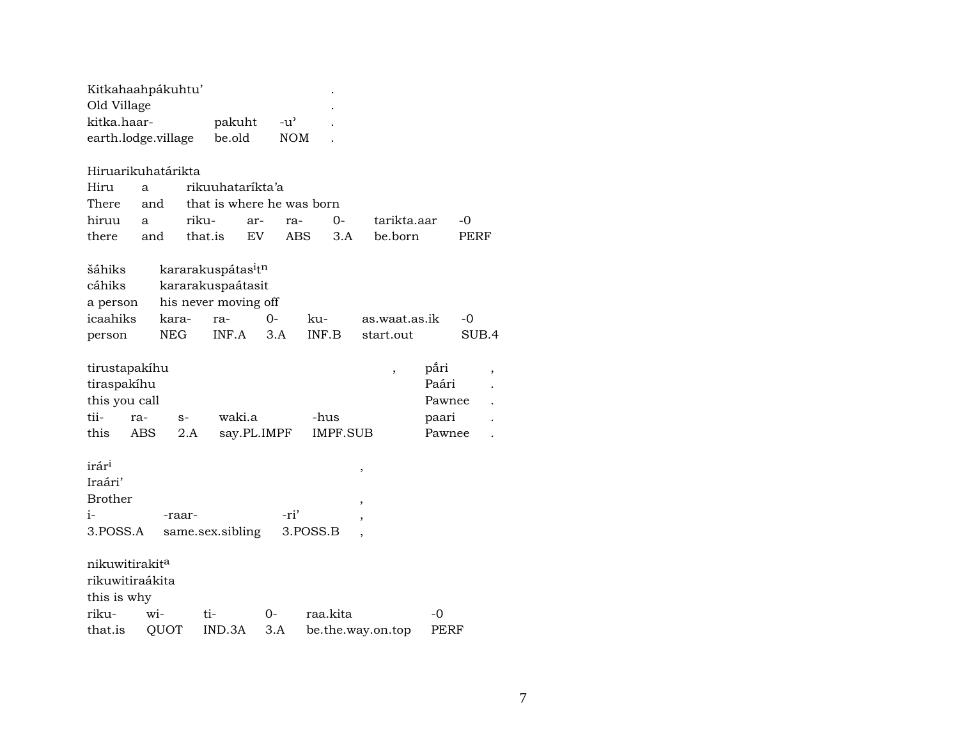| Kitkahaahpákuhtu'          |      |            |         |                                            |     |            |          |          |                   |                          |        |       |   |
|----------------------------|------|------------|---------|--------------------------------------------|-----|------------|----------|----------|-------------------|--------------------------|--------|-------|---|
| Old Village<br>kitka.haar- |      |            |         | pakuht                                     |     | -u'        |          |          |                   |                          |        |       |   |
| earth.lodge.village        |      |            |         | be.old                                     |     | <b>NOM</b> |          |          |                   |                          |        |       |   |
|                            |      |            |         |                                            |     |            |          |          |                   |                          |        |       |   |
| Hiruarikuhatárikta         |      |            |         |                                            |     |            |          |          |                   |                          |        |       |   |
| Hiru                       | a    |            |         | rikuuhataríkta'a                           |     |            |          |          |                   |                          |        |       |   |
| There                      | and  |            |         | that is where he was born                  |     |            |          |          |                   |                          |        |       |   |
| hiruu                      | a    |            | riku-   |                                            | ar- | ra-        |          | $O -$    |                   | tarikta.aar              |        | -0    |   |
| there                      | and  |            | that.is |                                            | EV. | <b>ABS</b> |          | 3.A      |                   | be.born                  |        | PERF  |   |
|                            |      |            |         |                                            |     |            |          |          |                   |                          |        |       |   |
| šáhiks                     |      |            |         | kararakuspátas <sup>i</sup> t <sup>n</sup> |     |            |          |          |                   |                          |        |       |   |
| cáhiks                     |      |            |         | kararakuspaátasit                          |     |            |          |          |                   |                          |        |       |   |
| a person                   |      |            |         | his never moving off                       |     |            |          |          |                   |                          |        |       |   |
| icaahiks                   |      | kara-      |         | ra-                                        | 0-  |            | ku-      |          |                   | as.waat.as.ik            |        | -0    |   |
| person                     |      | <b>NEG</b> |         | INF.A                                      | 3.A |            | INF.B    |          |                   | start.out                |        | SUB.4 |   |
|                            |      |            |         |                                            |     |            |          |          |                   |                          |        |       |   |
| tirustapakíhu              |      |            |         |                                            |     |            |          |          |                   | $\overline{\phantom{a}}$ | påri   |       | , |
| tiraspakíhu                |      |            |         |                                            |     |            |          |          |                   |                          | Paári  |       |   |
| this you call              |      |            |         |                                            |     |            |          |          |                   |                          | Pawnee |       |   |
| tii-                       | ra-  | $S-$       |         | waki.a                                     |     |            | -hus     |          |                   |                          | paari  |       |   |
| this                       | ABS. |            | 2.A     | say.PL.IMPF                                |     |            |          | IMPF.SUB |                   |                          | Pawnee |       |   |
|                            |      |            |         |                                            |     |            |          |          |                   |                          |        |       |   |
| irár <sup>i</sup>          |      |            |         |                                            |     |            |          |          | ,                 |                          |        |       |   |
| Iraári'                    |      |            |         |                                            |     |            |          |          |                   |                          |        |       |   |
| <b>Brother</b>             |      |            |         |                                            |     |            |          |          | ,                 |                          |        |       |   |
| i-                         |      | -raar-     |         |                                            |     | -ri'       |          |          |                   |                          |        |       |   |
| 3.POSS.A                   |      |            |         | same.sex.sibling                           |     |            | 3.POSS.B |          |                   |                          |        |       |   |
|                            |      |            |         |                                            |     |            |          |          |                   |                          |        |       |   |
| nikuwitirakit <sup>a</sup> |      |            |         |                                            |     |            |          |          |                   |                          |        |       |   |
| rikuwitiraákita            |      |            |         |                                            |     |            |          |          |                   |                          |        |       |   |
| this is why                |      |            |         |                                            |     |            |          |          |                   |                          |        |       |   |
| riku-                      |      | wi-        |         | ti-                                        | 0-  |            | raa.kita |          |                   |                          | -0     |       |   |
| that.is                    |      | QUOT       |         | IND.3A                                     | 3.A |            |          |          | be.the.way.on.top |                          | PERF   |       |   |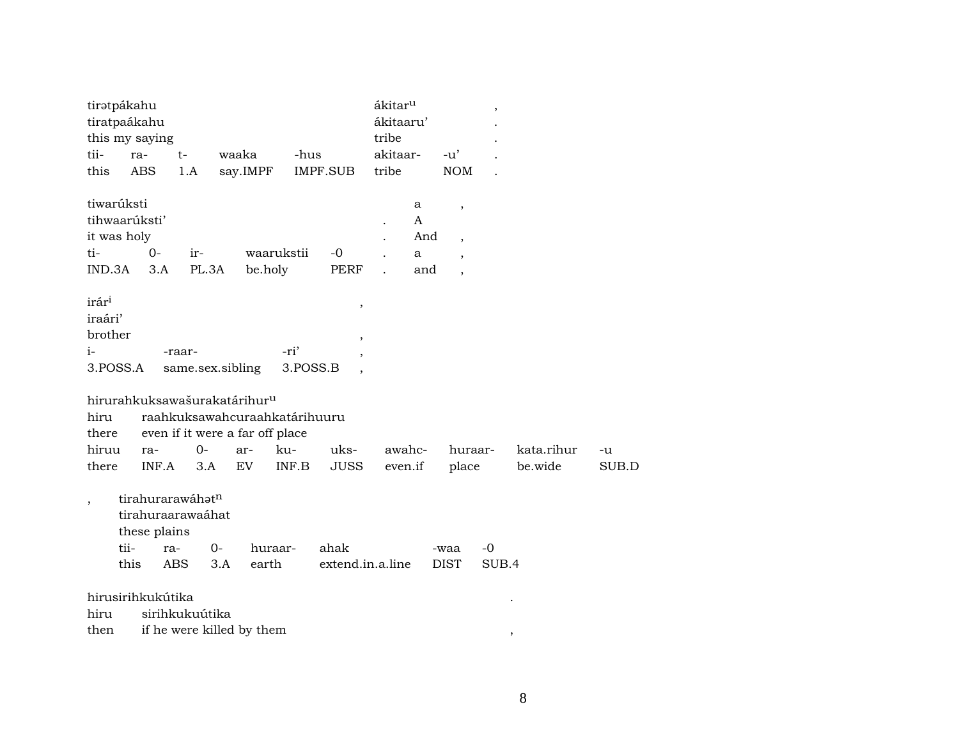|                                                 | tiratpákahu<br>tiratpaákahu<br>this my saying      |                                                                                                              |             |                       |                  |                          | ákitar <sup>u</sup><br>ákitaaru'<br>tribe |                           |                                                                                          | $\overline{\phantom{a}}$ |                       |             |
|-------------------------------------------------|----------------------------------------------------|--------------------------------------------------------------------------------------------------------------|-------------|-----------------------|------------------|--------------------------|-------------------------------------------|---------------------------|------------------------------------------------------------------------------------------|--------------------------|-----------------------|-------------|
| tii-                                            | ra-                                                | $t-$                                                                                                         | waaka       |                       | -hus             |                          | akitaar-                                  |                           | $-u'$                                                                                    |                          |                       |             |
| this                                            | ABS                                                | 1.A                                                                                                          |             | say.IMPF              |                  | IMPF.SUB                 | tribe                                     |                           | <b>NOM</b>                                                                               |                          |                       |             |
| ti-<br>IND.3A                                   | tiwarúksti<br>tihwaarúksti'<br>it was holy<br>$0-$ | ir-<br>3.A                                                                                                   | PL.3A       | waarukstii<br>be.holy |                  | $-0$<br>PERF             |                                           | a<br>A<br>And<br>a<br>and | $\,$<br>$\overline{\phantom{a}}$<br>$\overline{\phantom{a}}$<br>$\overline{\phantom{a}}$ |                          |                       |             |
| irár <sup>i</sup><br>iraári'<br>brother<br>$i-$ | 3.POSS.A                                           | -raar-<br>same.sex.sibling                                                                                   |             |                       | -ri'<br>3.POSS.B | $\, ,$<br>$\cdot$        |                                           |                           |                                                                                          |                          |                       |             |
| hiru<br>there                                   |                                                    | hirurahkuksawašurakatárihur <sup>u</sup><br>raahkuksawahcuraahkatárihuuru<br>even if it were a far off place |             |                       |                  |                          |                                           |                           |                                                                                          |                          |                       |             |
| hiruu<br>there                                  | ra-<br>INF.A                                       | $0 -$                                                                                                        | 3.A         | ar-<br><b>EV</b>      | ku-<br>INF.B     | uks-<br><b>JUSS</b>      | awahc-<br>even.if                         |                           | huraar-<br>place                                                                         |                          | kata.rihur<br>be.wide | -u<br>SUB.D |
| $\overline{\phantom{a}}$                        | these plains<br>tii-<br>this                       | tirahurarawáhatn<br>tirahuraarawaáhat<br>ra-<br>ABS                                                          | $0-$<br>3.A | huraar-<br>earth      |                  | ahak<br>extend.in.a.line |                                           |                           | -waa<br><b>DIST</b>                                                                      | $-0$<br>SUB.4            |                       |             |
| hiru                                            | hirusirihkukútika                                  | sirihkukuútika                                                                                               |             |                       |                  |                          |                                           |                           |                                                                                          |                          |                       |             |
| then                                            |                                                    | if he were killed by them                                                                                    |             |                       |                  |                          |                                           |                           |                                                                                          | $\overline{\phantom{a}}$ |                       |             |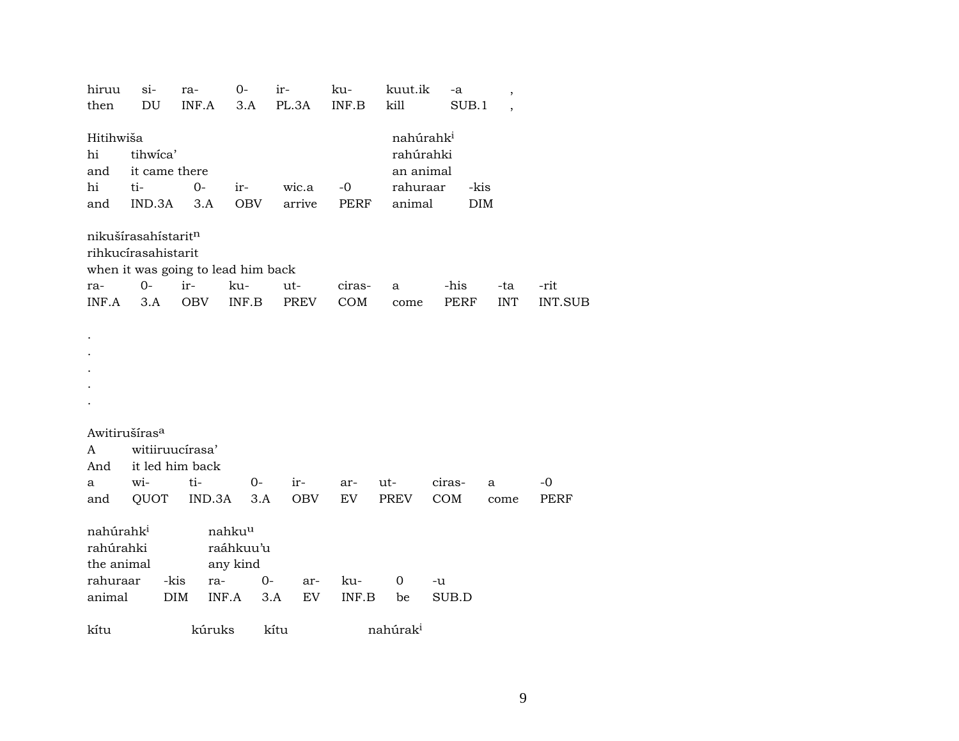| hiruu                                            | si-                                        | ra-        | 0-                                          | ir-               | ku-       | kuut.ik                                         | -a            | ,          |                |  |
|--------------------------------------------------|--------------------------------------------|------------|---------------------------------------------|-------------------|-----------|-------------------------------------------------|---------------|------------|----------------|--|
| then                                             | DU                                         | INF.A      | 3.A                                         | PL.3A             | INF.B     | kill                                            | SUB.1         |            |                |  |
| Hitihwiša<br>hi<br>and                           | tihwica'<br>it came there                  |            |                                             |                   |           | nahúrahk <sup>i</sup><br>rahúrahki<br>an animal |               |            |                |  |
| hi                                               | ti-                                        | $0-$       | ir-                                         | wic.a             | $-0$      | rahuraar                                        | -kis          |            |                |  |
| and                                              | IND.3A                                     | 3.A        | OBV                                         | arrive            | PERF      | animal                                          | <b>DIM</b>    |            |                |  |
|                                                  | nikušírasahístaritn<br>rihkucírasahistarit |            | when it was going to lead him back          |                   |           |                                                 |               |            |                |  |
| ra-                                              | $O -$                                      | ir-        | ku-                                         | ut-               | ciras-    | a                                               | -his          | -ta        | -rit           |  |
| INF.A                                            | 3.A                                        | OBV        | INF.B                                       | PREV              | COM       | come                                            | PERF          | <b>INT</b> | <b>INT.SUB</b> |  |
|                                                  |                                            |            |                                             |                   |           |                                                 |               |            |                |  |
| Awitirušíras <sup>a</sup>                        |                                            |            |                                             |                   |           |                                                 |               |            |                |  |
| A                                                | witiiruucírasa'                            |            |                                             |                   |           |                                                 |               |            |                |  |
| And                                              | it led him back                            | ti-        |                                             |                   |           |                                                 |               |            | $-0$           |  |
| a<br>and                                         | wi-<br>QUOT                                |            | 0-<br>IND.3A<br>3.A                         | ir-<br><b>OBV</b> | ar-<br>EV | ut-<br>PREV                                     | ciras-<br>COM | a<br>come  | PERF           |  |
|                                                  |                                            |            |                                             |                   |           |                                                 |               |            |                |  |
| nahúrahk <sup>i</sup><br>rahúrahki<br>the animal |                                            |            | nahku <sup>u</sup><br>raáhkuu'u<br>any kind |                   |           |                                                 |               |            |                |  |
| rahuraar                                         | -kis                                       |            | ra-                                         | $0-$<br>ar-       | ku-       | 0                                               | -u            |            |                |  |
| animal                                           |                                            | <b>DIM</b> | INF.A                                       | EV<br>3.A         | INF.B     | be                                              | SUB.D         |            |                |  |
| kítu                                             |                                            |            | kúruks                                      | kítu              |           | nahúrak <sup>i</sup>                            |               |            |                |  |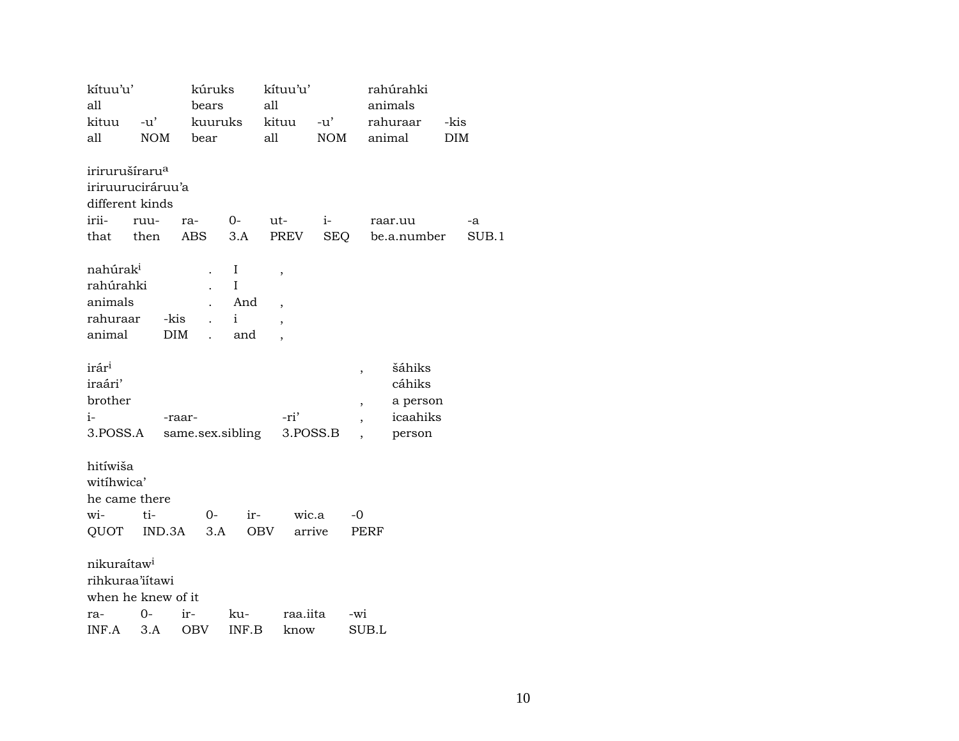| kítuu'u'<br>all            |            | kúruks           |              | kítuu'u'<br>all          |                   | rahúrahki                |             |                    |
|----------------------------|------------|------------------|--------------|--------------------------|-------------------|--------------------------|-------------|--------------------|
| kituu                      | $-u'$      | bears<br>kuuruks |              | kituu                    |                   | animals<br>rahuraar      |             |                    |
| all                        | <b>NOM</b> | bear             |              | all                      | -u'<br><b>NOM</b> | animal                   |             | -kis<br><b>DIM</b> |
|                            |            |                  |              |                          |                   |                          |             |                    |
| irirurušíraru <sup>a</sup> |            |                  |              |                          |                   |                          |             |                    |
| iriruuruciráruu'a          |            |                  |              |                          |                   |                          |             |                    |
| different kinds            |            |                  |              |                          |                   |                          |             |                    |
| irii-                      | ruu-       | ra-              | $O-$         | ut-                      | $i-$              | raar.uu                  |             | -a                 |
| that then                  |            | ABS              | 3.A          | PREV                     | SEQ               |                          | be.a.number | SUB.1              |
|                            |            |                  |              |                          |                   |                          |             |                    |
| nahúrak <sup>i</sup>       |            |                  | I            | ,                        |                   |                          |             |                    |
| rahúrahki                  |            |                  | I            |                          |                   |                          |             |                    |
| animals                    |            |                  | And          | $\overline{\phantom{a}}$ |                   |                          |             |                    |
| rahuraar                   |            | -kis             | $\mathbf{i}$ | $\overline{\phantom{a}}$ |                   |                          |             |                    |
| animal                     |            | <b>DIM</b>       | and          | $\overline{\phantom{a}}$ |                   |                          |             |                    |
|                            |            |                  |              |                          |                   |                          |             |                    |
| irár <sup>i</sup>          |            |                  |              |                          |                   | $\overline{\phantom{a}}$ | šáhiks      |                    |
| iraári'                    |            |                  |              |                          |                   |                          | cáhiks      |                    |
| brother                    |            |                  |              |                          |                   | $\overline{\phantom{a}}$ | a person    |                    |
| $i-$                       |            | -raar-           |              | -ri'                     |                   |                          | icaahiks    |                    |
| 3.POSS.A                   |            | same.sex.sibling |              | 3.POSS.B                 |                   |                          | person      |                    |
|                            |            |                  |              |                          |                   |                          |             |                    |
| hitíwiša                   |            |                  |              |                          |                   |                          |             |                    |
| witihwica'                 |            |                  |              |                          |                   |                          |             |                    |
| he came there              |            |                  |              |                          |                   |                          |             |                    |
| wi-                        | ti-        | 0-               | ir-          | wic.a                    |                   | -0                       |             |                    |
| QUOT                       | IND.3A     | 3.A              |              | arrive<br><b>OBV</b>     |                   | PERF                     |             |                    |
|                            |            |                  |              |                          |                   |                          |             |                    |
| nikuraítaw <sup>i</sup>    |            |                  |              |                          |                   |                          |             |                    |
| rihkuraa'iítawi            |            |                  |              |                          |                   |                          |             |                    |
| when he knew of it         |            |                  |              |                          |                   |                          |             |                    |
| ra-                        | $0-$       | ir-              | ku-          | raa.iita                 |                   | -wi                      |             |                    |
| INF.A                      | 3.A        | <b>OBV</b>       | INF.B        | know                     |                   | SUB.L                    |             |                    |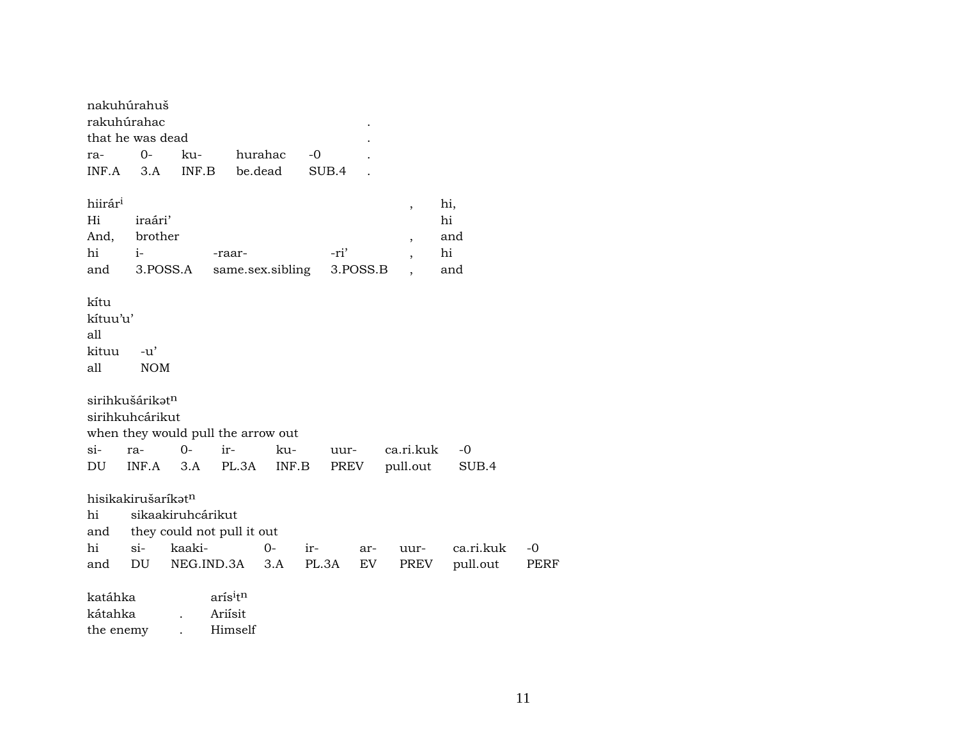| nakuhúrahuš<br>rakuhúrahac              |                     |                   |                                           |         |       |       |          |                          |           |             |
|-----------------------------------------|---------------------|-------------------|-------------------------------------------|---------|-------|-------|----------|--------------------------|-----------|-------------|
| that he was dead                        |                     |                   |                                           |         |       |       |          |                          |           |             |
| ra-                                     | $0-$                | ku-               |                                           | hurahac | $-0$  |       |          |                          |           |             |
| INF.A                                   | 3.A                 | INF.B             |                                           | be.dead |       | SUB.4 |          |                          |           |             |
| hiirár <sup>i</sup>                     |                     |                   |                                           |         |       |       |          | ,                        | hi,       |             |
| Hi                                      | iraári'             |                   |                                           |         |       |       |          |                          | hi        |             |
| And,                                    | brother             |                   |                                           |         |       |       |          | $\overline{\phantom{a}}$ | and       |             |
| hi                                      | $i-$                |                   | -raar-                                    |         |       | -ri'  |          | $\overline{\phantom{a}}$ | hi        |             |
| and                                     | 3.POSS.A            |                   | same.sex.sibling                          |         |       |       | 3.POSS.B | $\ddot{\phantom{0}}$     | and       |             |
| kítu<br>kítuu'u'<br>all<br>kituu<br>all | $-u'$<br><b>NOM</b> |                   |                                           |         |       |       |          |                          |           |             |
| sirihkušárikatn<br>sirihkuhcárikut      |                     |                   | when they would pull the arrow out        |         |       |       |          |                          |           |             |
| $si-$                                   | ra-                 | $0-$              | ir-                                       | ku-     |       | uur-  |          | ca.ri.kuk                | $-0$      |             |
| DU                                      | INF.A               | 3.A               | PL.3A                                     | INF.B   |       | PREV  |          | pull.out                 | SUB.4     |             |
| hisikakirušaríkatn<br>hi<br>and         |                     | sikaakiruhcárikut | they could not pull it out                |         |       |       |          |                          |           |             |
| hi                                      | si-                 | kaaki-            |                                           | $O -$   | ir-   |       | ar-      | uur-                     | ca.ri.kuk | $-0$        |
| and                                     | DU                  |                   | NEG.IND.3A                                | 3.A     | PL.3A |       | EV       | PREV                     | pull.out  | <b>PERF</b> |
| katáhka<br>kátahka<br>the enemy         |                     |                   | arís <sup>itn</sup><br>Ariisit<br>Himself |         |       |       |          |                          |           |             |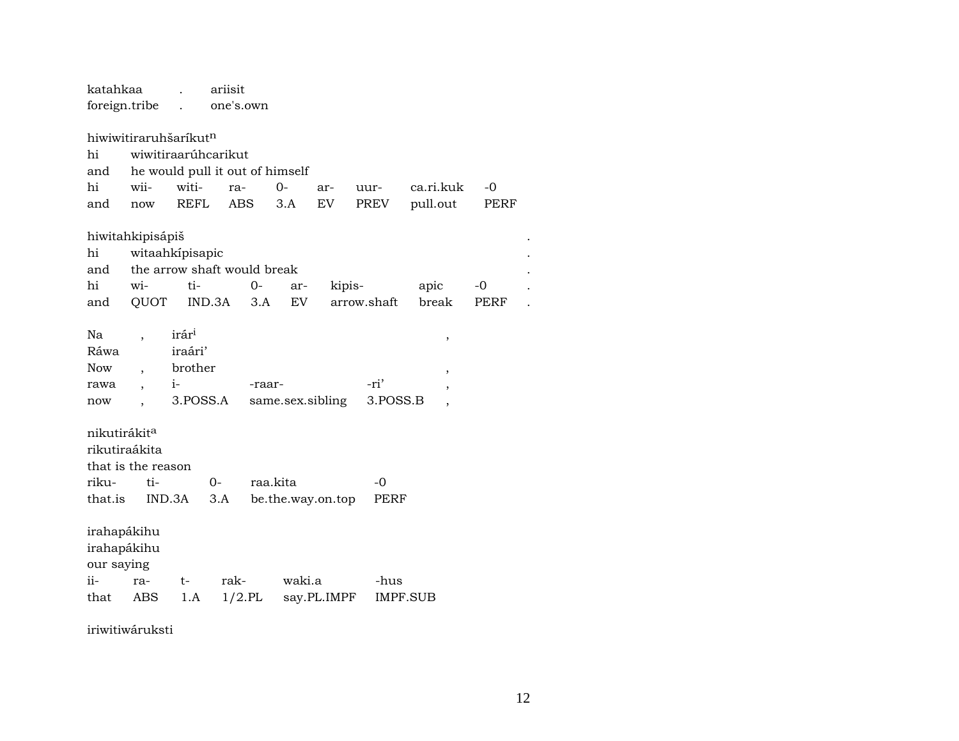| katahkaa                 | foreign.tribe         |                                 | ariisit<br>one's.own |          |           |                   |             |           |             |  |
|--------------------------|-----------------------|---------------------------------|----------------------|----------|-----------|-------------------|-------------|-----------|-------------|--|
|                          |                       |                                 |                      |          |           |                   |             |           |             |  |
|                          | hiwiwitiraruhšaríkutn |                                 |                      |          |           |                   |             |           |             |  |
| hi                       |                       | wiwitiraarúhcarikut             |                      |          |           |                   |             |           |             |  |
| and                      |                       | he would pull it out of himself |                      |          |           |                   |             |           |             |  |
| hi                       | wii-                  | witi-                           | ra-                  | $O-$     |           | ar-               | uur-        | ca.ri.kuk | -0          |  |
| and                      | now                   | <b>REFL</b>                     | <b>ABS</b>           | 3.A      |           | EV                | PREV        | pull.out  | <b>PERF</b> |  |
|                          | hiwitahkipisápiš      |                                 |                      |          |           |                   |             |           |             |  |
| hi                       |                       | witaahkipisapic                 |                      |          |           |                   |             |           |             |  |
| and                      |                       | the arrow shaft would break     |                      |          |           |                   |             |           |             |  |
| hi                       | wi-                   | ti-                             | $0-$                 |          | ar-       | kipis-            |             | apic      | -0          |  |
| and                      | QUOT                  | IND.3A                          |                      | 3.A      | <b>EV</b> |                   | arrow.shaft | break     | <b>PERF</b> |  |
|                          |                       |                                 |                      |          |           |                   |             |           |             |  |
| Na                       |                       | irár <sup>i</sup>               |                      |          |           |                   |             | ,         |             |  |
| Ráwa                     |                       | iraári'                         |                      |          |           |                   |             |           |             |  |
| <b>Now</b>               |                       | brother                         |                      |          |           |                   |             |           |             |  |
| rawa                     |                       | $i-$                            |                      | -raar-   |           |                   | -ri'        | ,         |             |  |
| now                      |                       | 3.POSS.A                        |                      |          |           | same.sex.sibling  | 3.POSS.B    |           |             |  |
|                          |                       |                                 |                      |          |           |                   |             |           |             |  |
| nikutirákit <sup>a</sup> |                       |                                 |                      |          |           |                   |             |           |             |  |
| rikutiraákita            |                       |                                 |                      |          |           |                   |             |           |             |  |
|                          | that is the reason    |                                 |                      |          |           |                   |             |           |             |  |
| riku-                    | ti-                   | $0-$                            |                      | raa.kita |           |                   | $-0$        |           |             |  |
| that.is                  |                       | IND.3A                          | 3.A                  |          |           | be.the.way.on.top | PERF        |           |             |  |
|                          |                       |                                 |                      |          |           |                   |             |           |             |  |
| irahapákihu              |                       |                                 |                      |          |           |                   |             |           |             |  |
| irahapákihu              |                       |                                 |                      |          |           |                   |             |           |             |  |
|                          |                       |                                 |                      |          |           |                   |             |           |             |  |
| our saying<br>ii-        |                       |                                 | rak-                 |          | waki.a    |                   |             |           |             |  |
|                          | ra-                   | t-                              |                      |          |           |                   | -hus        |           |             |  |
| that                     | ABS                   | 1.A                             | $1/2$ .PL            |          |           | say.PL.IMPF       |             | IMPF.SUB  |             |  |
|                          |                       |                                 |                      |          |           |                   |             |           |             |  |

iriwitiwáruksti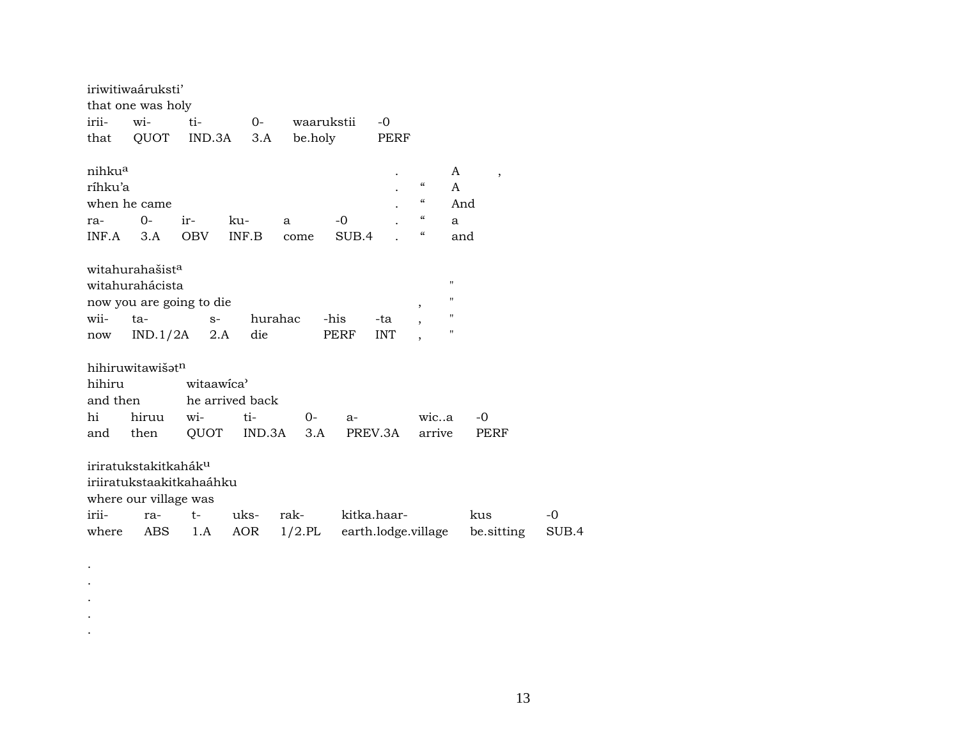|         | iriwitiwaáruksti'                |                          |        |                 |             |                     |                                        |                    |            |
|---------|----------------------------------|--------------------------|--------|-----------------|-------------|---------------------|----------------------------------------|--------------------|------------|
|         | that one was holy                |                          |        |                 |             |                     |                                        |                    |            |
| irii-   | $W1 -$                           | ti-                      |        | 0- waarukstii   |             | $-0$                |                                        |                    |            |
| that    | QUOT                             | $IND.3A$ $3.A$           |        | be.holy         |             | PERF                |                                        |                    |            |
|         |                                  |                          |        |                 |             |                     |                                        |                    |            |
| nihkua  |                                  |                          |        |                 |             |                     |                                        | A                  | $\, ,$     |
| ríhku'a |                                  |                          |        |                 |             |                     | $\epsilon$                             | A                  |            |
|         | when he came                     |                          |        |                 |             |                     | $\epsilon$                             | And                |            |
| ra-     | 0-                               | ir-                      | ku-    | a               | -0          |                     | $\boldsymbol{\zeta}\boldsymbol{\zeta}$ | a                  |            |
|         | $INF.A$ 3.A                      | OBV INF.B                |        | come            | SUB.4       |                     | $\epsilon$                             | and                |            |
|         |                                  |                          |        |                 |             |                     |                                        |                    |            |
|         | witahurahašist <sup>a</sup>      |                          |        |                 |             |                     |                                        |                    |            |
|         | witahurahácista                  |                          |        |                 |             |                     |                                        | "                  |            |
|         |                                  | now you are going to die |        |                 |             |                     | $\overline{\phantom{a}}$               | 11                 |            |
| wii-    | ta-                              | $S$ -                    |        | hurahac         | -his        | -ta                 |                                        | $\pmb{\mathsf{H}}$ |            |
| now     |                                  | $IND.1/2A$ 2.A           | die    |                 | PERF        | <b>INT</b>          |                                        | $\mathbf{H}$       |            |
|         |                                  |                          |        |                 |             |                     |                                        |                    |            |
|         | hihiruwitawišatn                 |                          |        |                 |             |                     |                                        |                    |            |
| hihiru  |                                  | witaawica'               |        |                 |             |                     |                                        |                    |            |
|         | and then                         | he arrived back          |        |                 |             |                     |                                        |                    |            |
| hi      | hiruu                            | wi-                      | $t$ i- | $0-$            | $a-$        |                     | wica                                   |                    | -0         |
| and     | then                             |                          |        | QUOT IND.3A 3.A |             | PREV.3A             | arrive                                 |                    | PERF       |
|         |                                  |                          |        |                 |             |                     |                                        |                    |            |
|         | iriratukstakitkahák <sup>u</sup> |                          |        |                 |             |                     |                                        |                    |            |
|         |                                  | iriiratukstaakitkahaáhku |        |                 |             |                     |                                        |                    |            |
|         | where our village was            |                          |        |                 |             |                     |                                        |                    |            |
| irii-   |                                  | ra- t- uks- rak-         |        |                 | kitka.haar- |                     |                                        |                    | kus        |
| where   | ABS                              | 1.A                      | AOR    | $1/2$ .PL       |             | earth.lodge.village |                                        |                    | be sitting |

 $\langle \cdot \rangle$  $\cdot$  $\cdot$  $\langle \cdot \rangle$  $\Delta$   $-0$ <br>SUB.4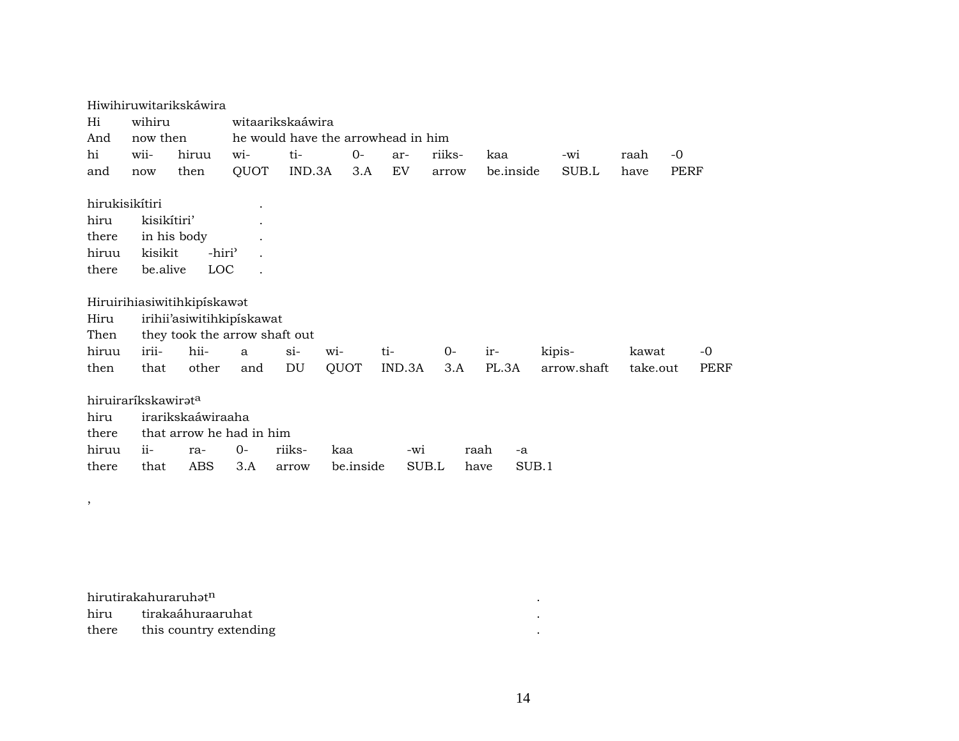|                |                                 | Hiwihiruwitarikskáwira        |                  |        |           |                                    |        |            |             |          |             |
|----------------|---------------------------------|-------------------------------|------------------|--------|-----------|------------------------------------|--------|------------|-------------|----------|-------------|
| Hi             | wihiru                          |                               | witaarikskaáwira |        |           |                                    |        |            |             |          |             |
| And            | now then                        |                               |                  |        |           | he would have the arrowhead in him |        |            |             |          |             |
| hi             | wii-                            | hiruu                         | wi-              | ti-    | $0-$      | ar-                                | riiks- | kaa        | $-wi$       | raah     | $-0$        |
| and            | now                             | then                          | QUOT             | IND.3A | 3.A       | EV                                 | arrow  | be.inside  | SUB.L       | have     | PERF        |
|                |                                 |                               |                  |        |           |                                    |        |            |             |          |             |
| hirukisikítiri |                                 |                               |                  |        |           |                                    |        |            |             |          |             |
| hiru           | kisikítiri'                     |                               |                  |        |           |                                    |        |            |             |          |             |
| there          |                                 | in his body                   |                  |        |           |                                    |        |            |             |          |             |
| hiruu          | kisikit                         | -hiri <sup>3</sup>            |                  |        |           |                                    |        |            |             |          |             |
| there          | be.alive                        | LOC                           |                  |        |           |                                    |        |            |             |          |             |
|                |                                 |                               |                  |        |           |                                    |        |            |             |          |             |
|                |                                 | Hiruirihiasiwitihkipiskawat   |                  |        |           |                                    |        |            |             |          |             |
| Hiru           |                                 | irihii'asiwitihkipiskawat     |                  |        |           |                                    |        |            |             |          |             |
| Then           |                                 | they took the arrow shaft out |                  |        |           |                                    |        |            |             |          |             |
| hiruu          | irii-                           | hii-                          | a                | $\sin$ | wi-       | ti-                                | 0-     | ir-        | kipis-      | kawat    | $-0$        |
| then           | that                            | other                         | and              | DU     | QUOT      | IND.3A                             | 3.A    | PL.3A      | arrow.shaft | take.out | <b>PERF</b> |
|                |                                 |                               |                  |        |           |                                    |        |            |             |          |             |
|                | hiruiraríkskawirat <sup>a</sup> |                               |                  |        |           |                                    |        |            |             |          |             |
| hiru           |                                 | irarikskaáwiraaha             |                  |        |           |                                    |        |            |             |          |             |
| there          |                                 | that arrow he had in him      |                  |        |           |                                    |        |            |             |          |             |
| hiruu          | $ii-$                           | ra-                           | $O -$            | riiks- | kaa       | -wi                                |        | raah<br>-a |             |          |             |
| there          | that                            | <b>ABS</b>                    | 3.A              | arrow  | be.inside | SUB.L                              |        | have       | SUB.1       |          |             |
|                |                                 |                               |                  |        |           |                                    |        |            |             |          |             |

| hirutirakahuraruhət <sup>n</sup> |  |
|----------------------------------|--|
| hiru tirakaáhuraaruhat           |  |
| there this country extending     |  |

, and the set of  $\mathcal{A}$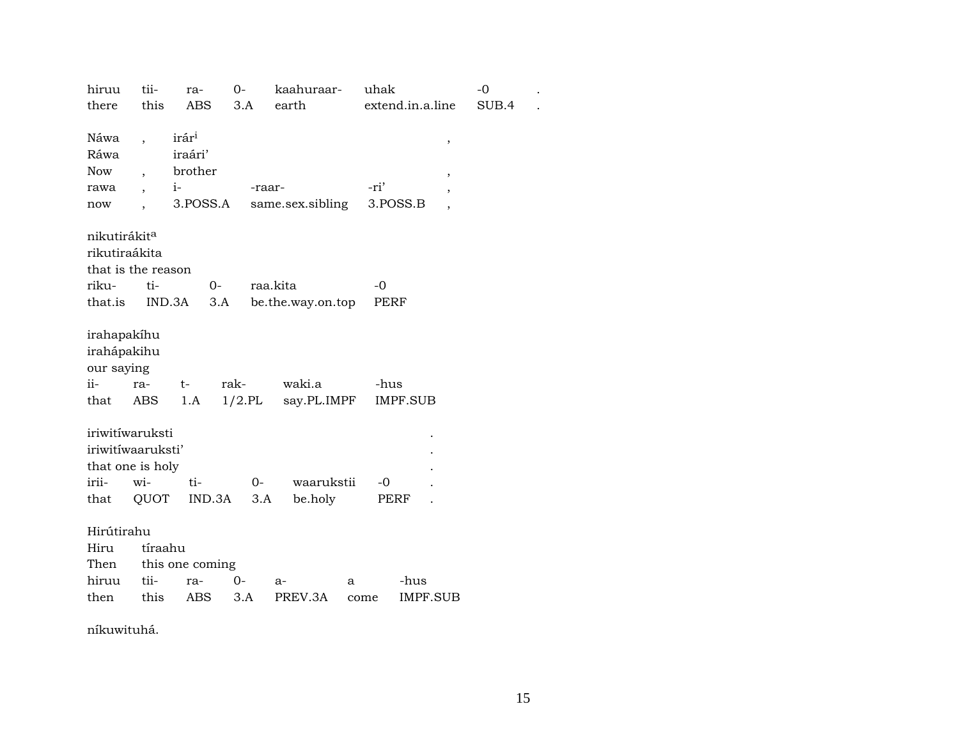| hiruu                    | tii-                     | ra-               | $O -$         | kaahuraar-         | uhak        |                  | $-0$  |  |
|--------------------------|--------------------------|-------------------|---------------|--------------------|-------------|------------------|-------|--|
| there                    | this                     | ABS               | 3.A           | earth              |             | extend.in.a.line | SUB.4 |  |
|                          |                          |                   |               |                    |             |                  |       |  |
| Náwa                     |                          | irár <sup>i</sup> |               |                    |             | $\,$             |       |  |
| Ráwa                     |                          | iraári'           |               |                    |             |                  |       |  |
| <b>Now</b>               | $\overline{\phantom{a}}$ | brother           |               |                    |             |                  |       |  |
| rawa                     |                          | $i$ -             | -raar-        |                    | -ri'        | ,                |       |  |
| now                      |                          | 3.POSS.A          |               | same.sex.sibling   |             | 3.POSS.B         |       |  |
|                          |                          |                   |               |                    |             |                  |       |  |
| nikutirákit <sup>a</sup> |                          |                   |               |                    |             |                  |       |  |
| rikutiraákita            |                          |                   |               |                    |             |                  |       |  |
|                          |                          |                   |               |                    |             |                  |       |  |
| that is the reason       |                          |                   |               |                    |             |                  |       |  |
| riku-                    | ti-                      |                   | $0-$          | raa.kita           | $-0$        |                  |       |  |
| that.is                  |                          | IND.3A            | 3.A           | be.the.way.on.top  | <b>PERF</b> |                  |       |  |
|                          |                          |                   |               |                    |             |                  |       |  |
| irahapakíhu              |                          |                   |               |                    |             |                  |       |  |
| irahápakihu              |                          |                   |               |                    |             |                  |       |  |
| our saying               |                          |                   |               |                    |             |                  |       |  |
| ii-                      | ra-                      | $t-$              | rak-          | waki.a             | -hus        |                  |       |  |
| that                     | ABS                      | 1.A               |               | 1/2.PL say.PL.IMPF |             | IMPF.SUB         |       |  |
|                          |                          |                   |               |                    |             |                  |       |  |
| iriwitíwaruksti          |                          |                   |               |                    |             |                  |       |  |
| iriwitíwaaruksti'        |                          |                   |               |                    |             |                  |       |  |
| that one is holy         |                          |                   |               |                    |             |                  |       |  |
| irii-                    | wi-                      | ti-               | $O -$         | waarukstii         | $-0$        |                  |       |  |
| that                     | QUOT                     |                   | IND.3A<br>3.A | be.holy            |             | PERF             |       |  |
|                          |                          |                   |               |                    |             |                  |       |  |
| Hirútirahu               |                          |                   |               |                    |             |                  |       |  |
| Hiru                     | tíraahu                  |                   |               |                    |             |                  |       |  |
|                          |                          |                   |               |                    |             |                  |       |  |
| Then                     |                          | this one coming   |               |                    |             |                  |       |  |
| hiruu                    | tii-                     | ra-               | $0-$          | $a-$               | a           | -hus             |       |  |
| then                     | this                     | ABS               | 3.A           | PREV.3A            | come        | IMPF.SUB         |       |  |

níkuwituhá.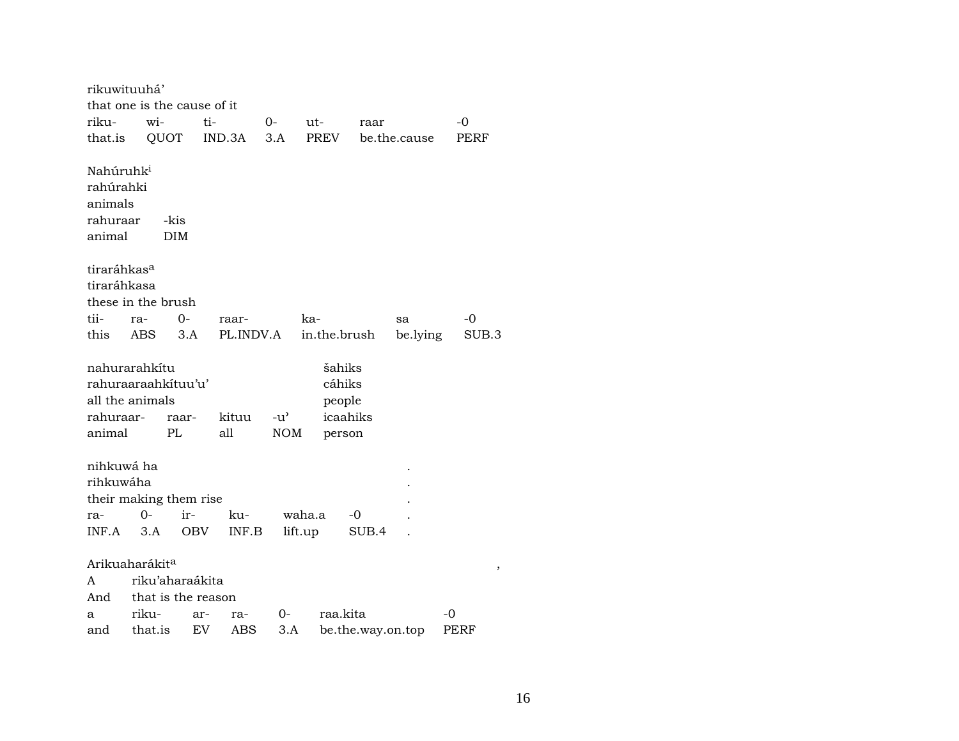| rikuwituuhá'<br>that one is the cause of it                                  |                   |                                    |                    |                             |                                                  |                   |                |             |  |  |  |  |
|------------------------------------------------------------------------------|-------------------|------------------------------------|--------------------|-----------------------------|--------------------------------------------------|-------------------|----------------|-------------|--|--|--|--|
|                                                                              |                   |                                    |                    |                             |                                                  |                   |                |             |  |  |  |  |
| riku-                                                                        | wi-               | ti-                                |                    | $0-$                        | ut-                                              | raar              |                | $-0$        |  |  |  |  |
| that.is                                                                      | QUOT              |                                    | IND.3A             | 3.A                         | <b>PREV</b>                                      |                   | be.the.cause   | PERF        |  |  |  |  |
| Nahúruhk <sup>i</sup><br>rahúrahki<br>animals<br>rahuraar                    |                   | -kis                               |                    |                             |                                                  |                   |                |             |  |  |  |  |
| animal                                                                       |                   | <b>DIM</b>                         |                    |                             |                                                  |                   |                |             |  |  |  |  |
| tiraráhkas <sup>a</sup><br>tiraráhkasa<br>these in the brush<br>tii-<br>this | ra-<br><b>ABS</b> | $O -$<br>3.A                       | raar-<br>PL.INDV.A |                             | ka-<br>in.the.brush                              |                   | sa<br>be.lying | -0<br>SUB.3 |  |  |  |  |
| nahurarahkítu<br>all the animals<br>rahuraar-<br>animal                      |                   | rahuraaraahkituu'u'<br>raar-<br>PL | kituu<br>all       | $-u^{\prime}$<br><b>NOM</b> | šahiks<br>cáhiks<br>people<br>icaahiks<br>person |                   |                |             |  |  |  |  |
| nihkuwá ha<br>rihkuwáha                                                      |                   |                                    |                    |                             |                                                  |                   |                |             |  |  |  |  |
| ra-                                                                          | 0-                | their making them rise<br>ir-      | ku-                | waha.a                      |                                                  | -0                |                |             |  |  |  |  |
| INF.A                                                                        | 3.A               | OBV                                | INF.B              | lift.up                     |                                                  | SUB.4             |                |             |  |  |  |  |
|                                                                              |                   |                                    |                    |                             |                                                  |                   |                |             |  |  |  |  |
| Arikuaharákit <sup>a</sup>                                                   |                   |                                    |                    |                             |                                                  |                   |                | $\, ,$      |  |  |  |  |
| A                                                                            |                   | riku'aharaákita                    |                    |                             |                                                  |                   |                |             |  |  |  |  |
| And                                                                          |                   | that is the reason                 |                    |                             |                                                  |                   |                |             |  |  |  |  |
| a                                                                            | riku-             | ar-                                | ra-                | 0-                          | raa.kita                                         |                   |                | -0          |  |  |  |  |
| and                                                                          | that.is           | EV                                 | ABS                | 3.A                         |                                                  | be.the.way.on.top |                | <b>PERF</b> |  |  |  |  |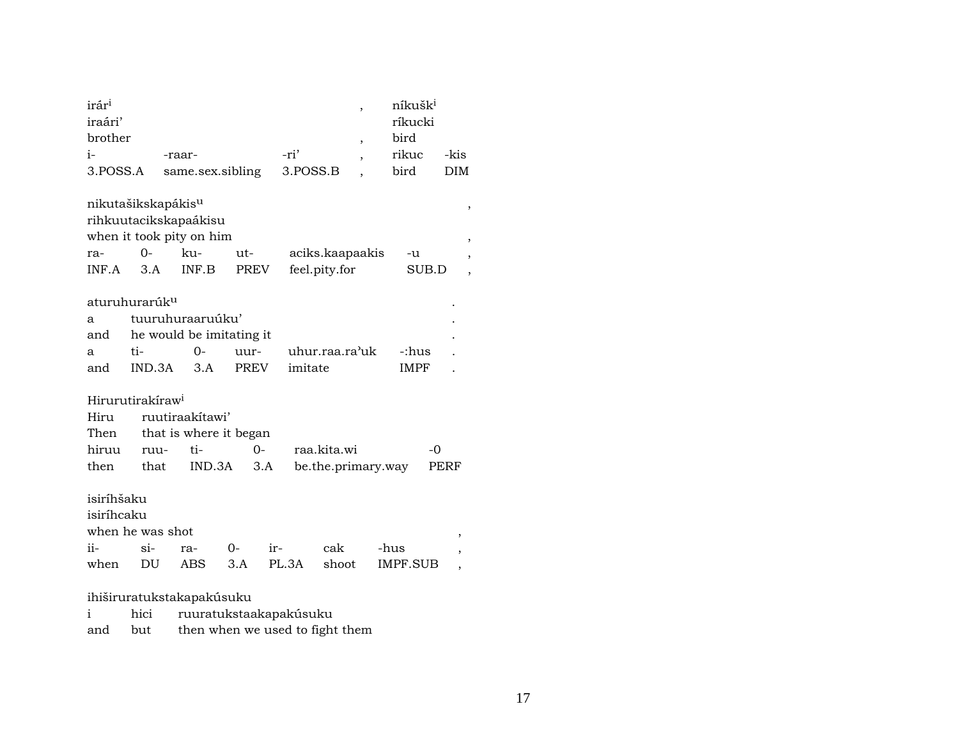| irár <sup>i</sup><br>iraári'   |                                                                   |        |                          |               |             |       |          |                    |                          |      | níkušk <sup>i</sup><br>ríkucki |      |                          |   |  |
|--------------------------------|-------------------------------------------------------------------|--------|--------------------------|---------------|-------------|-------|----------|--------------------|--------------------------|------|--------------------------------|------|--------------------------|---|--|
| brother                        |                                                                   |        |                          |               |             |       |          |                    | $\overline{\phantom{a}}$ |      | bird                           |      |                          |   |  |
| $i-$                           |                                                                   | -raar- |                          |               |             | -ri'  |          |                    | $\overline{\phantom{a}}$ |      | rikuc                          |      | -kis                     |   |  |
| 3.POSS.A                       |                                                                   |        | same.sex.sibling         |               |             |       | 3.POSS.B |                    |                          |      | bird                           |      | DIM                      |   |  |
|                                |                                                                   |        |                          |               |             |       |          |                    |                          |      |                                |      |                          |   |  |
| nikutašikskapákis <sup>u</sup> |                                                                   |        |                          |               |             |       |          |                    |                          |      |                                |      |                          | , |  |
| rihkuutacikskapaákisu          |                                                                   |        |                          |               |             |       |          |                    |                          |      |                                |      |                          |   |  |
|                                | when it took pity on him<br>$0-$<br>ku-<br>ut-<br>aciks.kaapaakis |        |                          |               |             |       |          |                    |                          |      |                                |      |                          |   |  |
| ra-                            |                                                                   |        | INF.B                    |               |             |       |          |                    |                          |      | -u                             |      |                          |   |  |
| INF.A                          | <b>PREV</b>                                                       |        |                          | feel.pity.for |             |       |          | SUB.D              |                          | ,    |                                |      |                          |   |  |
|                                |                                                                   |        |                          |               |             |       |          |                    |                          |      |                                |      |                          |   |  |
| aturuhurarúk <sup>u</sup>      |                                                                   |        |                          |               |             |       |          |                    |                          |      |                                |      |                          |   |  |
| a                              |                                                                   |        | tuuruhuraaruúku'         |               |             |       |          |                    |                          |      |                                |      |                          |   |  |
| and                            |                                                                   |        | he would be imitating it |               |             |       |          |                    |                          |      |                                |      |                          |   |  |
| a                              | ti-                                                               |        | $O -$                    | uur-          |             |       |          | uhur.raa.ra'uk     |                          |      | -:hus                          |      |                          |   |  |
| and                            | IND.3A                                                            |        | 3.A                      |               | <b>PREV</b> |       | imitate  |                    |                          |      | IMPF                           |      |                          |   |  |
| Hirurutirakíraw <sup>i</sup>   |                                                                   |        |                          |               |             |       |          |                    |                          |      |                                |      |                          |   |  |
| Hiru                           |                                                                   |        | ruutiraakitawi'          |               |             |       |          |                    |                          |      |                                |      |                          |   |  |
| Then                           |                                                                   |        | that is where it began   |               |             |       |          |                    |                          |      |                                |      |                          |   |  |
| hiruu                          | ruu-                                                              |        | ti-                      |               | $O -$       |       |          | raa.kita.wi        |                          |      |                                | $-0$ |                          |   |  |
| then                           | that                                                              |        | IND.3A                   |               | 3.A         |       |          | be.the.primary.way |                          |      |                                |      | PERF                     |   |  |
|                                |                                                                   |        |                          |               |             |       |          |                    |                          |      |                                |      |                          |   |  |
| isiríhšaku                     |                                                                   |        |                          |               |             |       |          |                    |                          |      |                                |      |                          |   |  |
| isiríhcaku                     |                                                                   |        |                          |               |             |       |          |                    |                          |      |                                |      |                          |   |  |
| when he was shot               |                                                                   |        |                          |               |             |       |          |                    |                          |      |                                |      | ,                        |   |  |
| ii-                            | $\sin$                                                            | ra-    |                          | 0-            | ir-         |       |          | cak                |                          | -hus |                                |      | ,                        |   |  |
| when                           | DU                                                                |        | ABS                      | 3.A           |             | PL.3A |          | shoot              |                          |      | IMPF.SUB                       |      | $\overline{\phantom{a}}$ |   |  |
| ihiširuratukstakapakúsuku      |                                                                   |        |                          |               |             |       |          |                    |                          |      |                                |      |                          |   |  |

|         | hici ruuratukstaakapakúsuku     |
|---------|---------------------------------|
| and but | then when we used to fight them |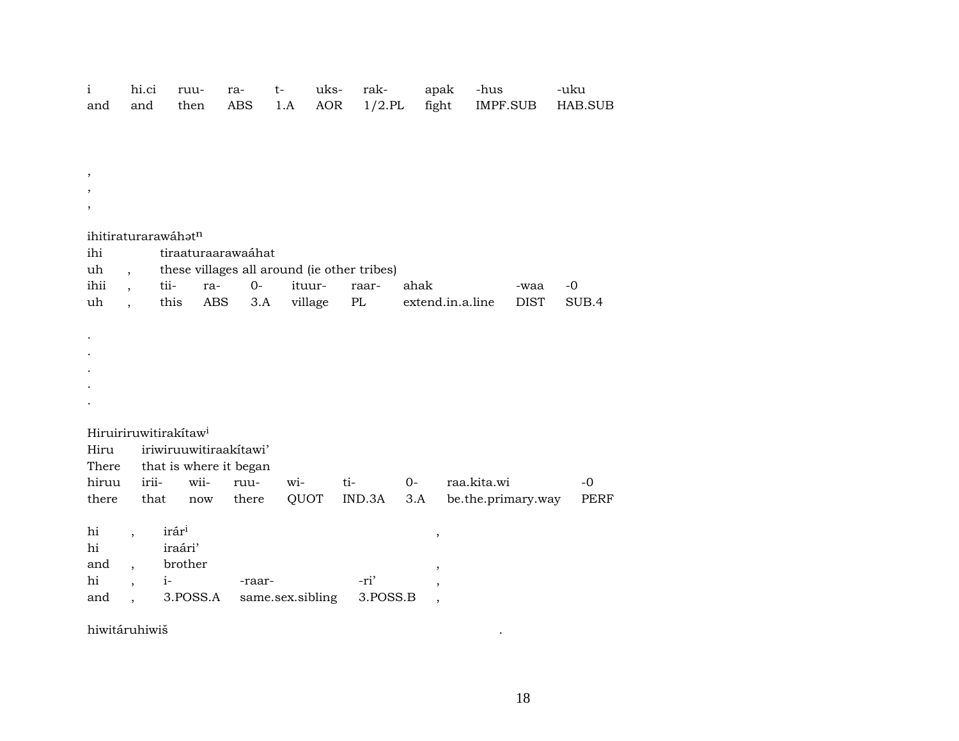| $\mathbf{i}$<br>and          | hi.ci<br>and                                                                                   | ruu-<br>then                                        | ra-<br><b>ABS</b> | uks-<br>$t-$<br>AOR<br>1.A | rak-<br>$1/2.$ PL                                    | apak                                                                | -hus<br>fight<br>IMPF.SUB         |             | -uku<br>HAB.SUB     |  |  |  |  |
|------------------------------|------------------------------------------------------------------------------------------------|-----------------------------------------------------|-------------------|----------------------------|------------------------------------------------------|---------------------------------------------------------------------|-----------------------------------|-------------|---------------------|--|--|--|--|
| ihi<br>uh<br>ihii            | ihitiraturarawáhatn<br>$\overline{\phantom{a}}$<br>$\ddot{\phantom{0}}$                        | tiraaturaarawaáhat<br>tii-<br>ra-                   | $O -$             | ituur-                     | these villages all around (ie other tribes)<br>raar- | ahak                                                                |                                   | -waa        | $-0$                |  |  |  |  |
| uh                           | $\ddot{\phantom{0}}$                                                                           | this<br>ABS                                         | 3.A               | village                    | $\rm PL$                                             |                                                                     | extend.in.a.line                  | <b>DIST</b> | SUB.4               |  |  |  |  |
|                              |                                                                                                |                                                     |                   |                            |                                                      |                                                                     |                                   |             |                     |  |  |  |  |
| Hiru                         | Hiruiriruwitirakítaw <sup>i</sup><br>iriwiruuwitiraakitawi'<br>that is where it began<br>There |                                                     |                   |                            |                                                      |                                                                     |                                   |             |                     |  |  |  |  |
| hiruu<br>there               | irii-<br>that                                                                                  | wii-<br>$\operatorname{now}$                        | ruu-<br>there     | wi-<br>QUOT                | ti-<br>IND.3A                                        | $0-$<br>3.A                                                         | raa.kita.wi<br>be.the.primary.way |             | $-0$<br><b>PERF</b> |  |  |  |  |
| hi<br>hi<br>and<br>hi<br>and | $\ddot{\phantom{0}}$<br>$\overline{\phantom{a}}$<br>$i-$<br>$\overline{\phantom{a}}$           | irár <sup>i</sup><br>iraári'<br>brother<br>3.POSS.A | -raar-            | same.sex.sibling           | -ri'<br>3.POSS.B                                     | $\, ,$<br>,<br>$\overline{\phantom{a}}$<br>$\overline{\phantom{a}}$ |                                   |             |                     |  |  |  |  |

hiwitáruhiwiš

 $\mathcal{A}$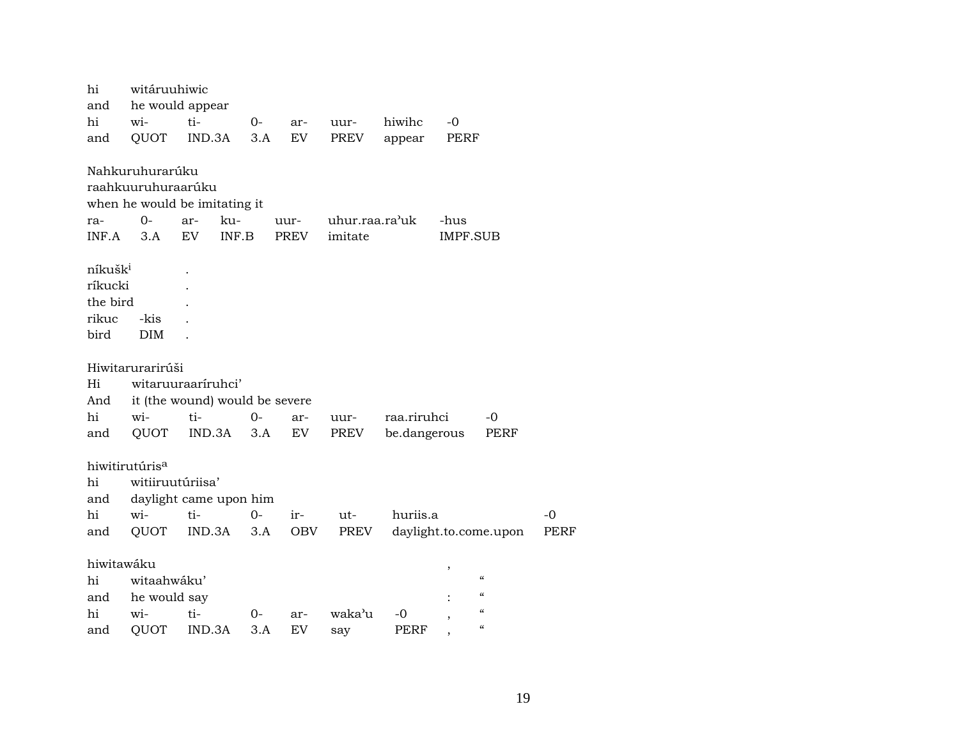| hi                  | witáruuhiwic               |                                |       |      |                |              |                 |                          |             |
|---------------------|----------------------------|--------------------------------|-------|------|----------------|--------------|-----------------|--------------------------|-------------|
| and                 |                            | he would appear                |       |      |                |              |                 |                          |             |
| hi                  | wi-                        | ti-                            | $0-$  | ar-  | uur-           | hiwihc       | $-0$            |                          |             |
| and                 | QUOT                       | IND.3A                         | 3.A   | EV   | PREV           | appear       | PERF            |                          |             |
|                     | Nahkuruhurarúku            |                                |       |      |                |              |                 |                          |             |
|                     | raahkuuruhuraarúku         |                                |       |      |                |              |                 |                          |             |
|                     |                            | when he would be imitating it  |       |      |                |              |                 |                          |             |
| ra-                 | 0-                         | ku-<br>ar-                     |       | uur- | uhur.raa.ra'uk |              | -hus            |                          |             |
| INF.A               | 3.A                        | EV                             | INF.B | PREV | imitate        |              | <b>IMPF.SUB</b> |                          |             |
| níkušk <sup>i</sup> |                            |                                |       |      |                |              |                 |                          |             |
| ríkucki             |                            |                                |       |      |                |              |                 |                          |             |
| the bird            |                            |                                |       |      |                |              |                 |                          |             |
| rikuc               | -kis                       |                                |       |      |                |              |                 |                          |             |
| bird                | <b>DIM</b>                 |                                |       |      |                |              |                 |                          |             |
|                     | Hiwitarurarirúši           |                                |       |      |                |              |                 |                          |             |
| Hi                  |                            | witaruuraariruhci'             |       |      |                |              |                 |                          |             |
| And                 |                            | it (the wound) would be severe |       |      |                |              |                 |                          |             |
| hi                  | wi-                        | ti-                            | $O -$ | ar-  | uur-           | raa.riruhci  |                 | -0                       |             |
| and                 | QUOT                       | IND.3A                         | 3.A   | EV   | PREV           | be.dangerous |                 | <b>PERF</b>              |             |
|                     |                            |                                |       |      |                |              |                 |                          |             |
|                     | hiwitirutúris <sup>a</sup> |                                |       |      |                |              |                 |                          |             |
| hi                  | witiiruutúriisa'           |                                |       |      |                |              |                 |                          |             |
| and                 |                            | daylight came upon him         |       |      |                |              |                 |                          |             |
| hi                  | wi-                        | ti-                            | 0-    | ir-  | $ut-$          | huriis.a     |                 |                          | $-0$        |
| and                 | QUOT                       | IND.3A                         | 3.A   | OBV  | PREV           |              |                 | daylight.to.come.upon    | <b>PERF</b> |
| hiwitawáku          |                            |                                |       |      |                |              | ,               |                          |             |
| hi                  | witaahwáku'                |                                |       |      |                |              |                 | $\mathcal{C}\mathcal{C}$ |             |
| and                 | he would say               |                                |       |      |                |              |                 | $\mathcal{C}$            |             |
| hi                  | wi-                        | ti-                            | $0-$  | ar-  | waka'u         | -0           |                 | $\mathcal{C}\mathcal{C}$ |             |
| and                 | QUOT                       | IND.3A                         | 3.A   | EV   | say            | PERF         |                 | $\epsilon\epsilon$       |             |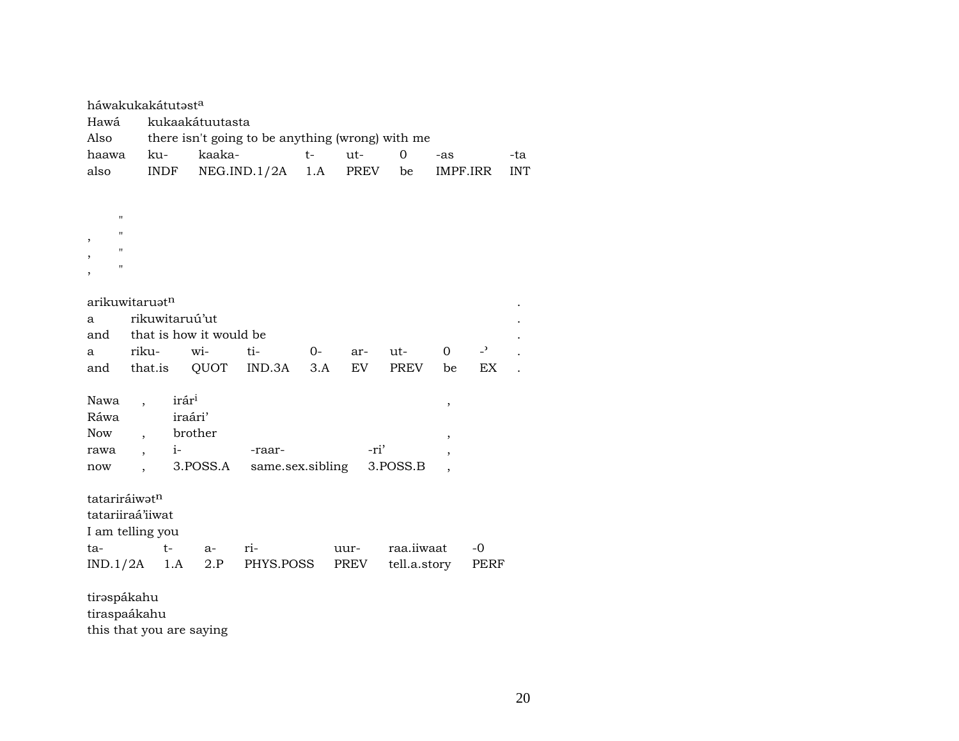|                                | háwakukakátutəst <sup>a</sup> |                   |                 |                                                  |      |       |              |                |                |            |
|--------------------------------|-------------------------------|-------------------|-----------------|--------------------------------------------------|------|-------|--------------|----------------|----------------|------------|
| Hawá                           |                               |                   | kukaakátuutasta |                                                  |      |       |              |                |                |            |
| Also                           |                               |                   |                 | there isn't going to be anything (wrong) with me |      |       |              |                |                |            |
| haawa                          | ku-                           |                   | kaaka-          |                                                  | $t-$ | $ut-$ | $\Omega$     | -as            |                | -ta        |
| also                           | INDF                          |                   |                 | NEG.ID.1/2A                                      | 1.A  | PREV  | be           |                | IMPF.IRR       | <b>INT</b> |
|                                |                               |                   |                 |                                                  |      |       |              |                |                |            |
|                                |                               |                   |                 |                                                  |      |       |              |                |                |            |
| $\pmb{\mathsf{H}}$             |                               |                   |                 |                                                  |      |       |              |                |                |            |
| 11<br>$\overline{\phantom{a}}$ |                               |                   |                 |                                                  |      |       |              |                |                |            |
| $\blacksquare$                 |                               |                   |                 |                                                  |      |       |              |                |                |            |
| 11<br>,                        |                               |                   |                 |                                                  |      |       |              |                |                |            |
|                                |                               |                   |                 |                                                  |      |       |              |                |                |            |
|                                | arikuwitaruət <sup>n</sup>    |                   |                 |                                                  |      |       |              |                |                |            |
| a                              | rikuwitaruú'ut                |                   |                 |                                                  |      |       |              |                |                |            |
| and                            | that is how it would be       |                   |                 |                                                  |      |       |              |                |                |            |
| a                              | riku-                         |                   | wi-             | ti-                                              | 0-   | ar-   | ut-          | $\overline{0}$ | $\overline{a}$ |            |
| and                            | that.is                       |                   | QUOT            | IND.3A                                           | 3.A  | EV    | PREV         | be             | EX             |            |
|                                |                               |                   |                 |                                                  |      |       |              |                |                |            |
| Nawa                           | $\ddot{\phantom{0}}$          | irár <sup>i</sup> |                 |                                                  |      |       |              | ,              |                |            |
| Ráwa                           |                               | iraári'           |                 |                                                  |      |       |              |                |                |            |
| <b>Now</b>                     | $\overline{\phantom{a}}$      | brother           |                 |                                                  |      |       |              | ,              |                |            |
| rawa                           | $\overline{ }$                | $i-$              |                 | -raar-                                           |      |       | -ri'         | $\overline{ }$ |                |            |
| now                            |                               |                   | 3.POSS.A        | same.sex.sibling                                 |      |       | 3.POSS.B     |                |                |            |
|                                |                               |                   |                 |                                                  |      |       |              |                |                |            |
| tatariráiwatn                  |                               |                   |                 |                                                  |      |       |              |                |                |            |
|                                | tatariiraá'iiwat              |                   |                 |                                                  |      |       |              |                |                |            |
|                                | I am telling you              |                   |                 |                                                  |      |       |              |                |                |            |
| ta-                            | $t-$                          |                   | a-              | ri-                                              |      | uur-  | raa.iiwaat   |                | -0             |            |
|                                | $IND.1/2A$ 1.A                |                   | 2.P             | PHYS.POSS                                        |      | PREV  | tell.a.story |                |                |            |
|                                |                               |                   |                 |                                                  |      |       |              |                | PERF           |            |
| tiraspákahu                    |                               |                   |                 |                                                  |      |       |              |                |                |            |

tiraspaákahu

this that you are saying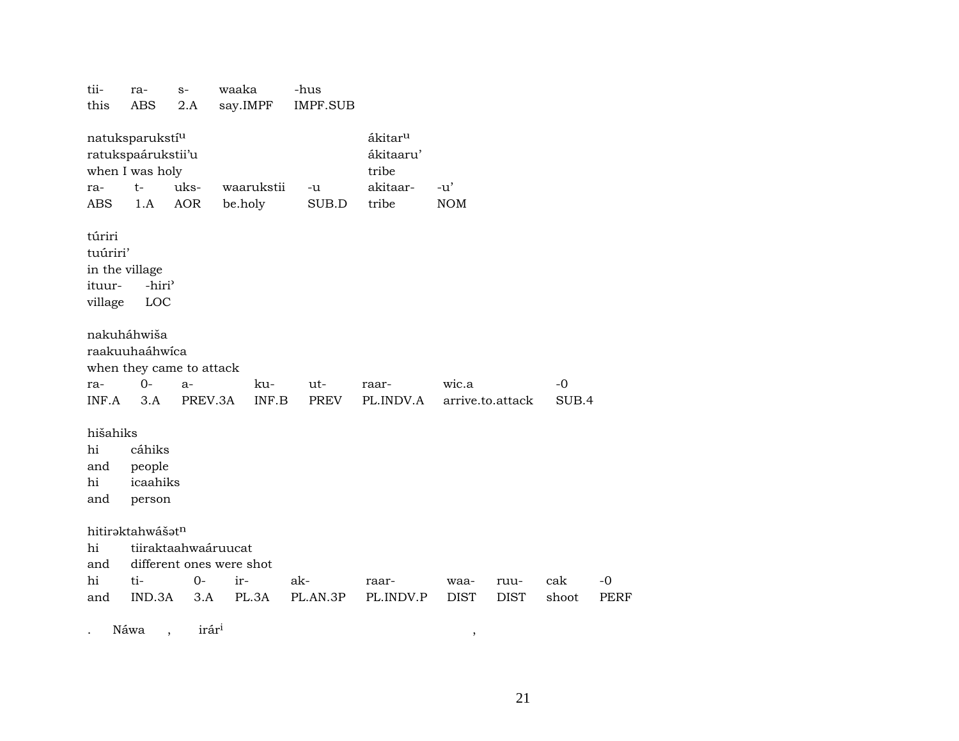| tii-<br>this                                              | ra-<br><b>ABS</b>                                                                   | $S-$<br>2.A        | waaka<br>say.IMPF        | -hus<br><b>IMPF.SUB</b> |                                                                |                     |                     |              |                     |
|-----------------------------------------------------------|-------------------------------------------------------------------------------------|--------------------|--------------------------|-------------------------|----------------------------------------------------------------|---------------------|---------------------|--------------|---------------------|
| ra-<br>ABS                                                | natuksparukstí <sup>u</sup><br>ratukspaárukstii'u<br>when I was holy<br>$t-$<br>1.A | uks-<br><b>AOR</b> | waarukstii<br>be.holy    | -u<br>SUB.D             | ákitar <sup>u</sup><br>ákitaaru'<br>tribe<br>akitaar-<br>tribe | $-u'$<br><b>NOM</b> |                     |              |                     |
| túriri<br>tuúriri'<br>in the village<br>ituur-<br>village | -hiri <sup>3</sup><br>LOC                                                           |                    |                          |                         |                                                                |                     |                     |              |                     |
|                                                           | nakuháhwiša<br>raakuuhaáhwíca<br>when they came to attack                           |                    |                          |                         |                                                                |                     |                     |              |                     |
| ra-<br>INF.A                                              | $O -$<br>3.A                                                                        | $a-$<br>PREV.3A    | ku-                      | ut-<br>INF.B<br>PREV    | raar-<br>PL.INDV.A                                             | wic.a               | arrive.to.attack    | -0<br>SUB.4  |                     |
|                                                           |                                                                                     |                    |                          |                         |                                                                |                     |                     |              |                     |
| hišahiks                                                  |                                                                                     |                    |                          |                         |                                                                |                     |                     |              |                     |
| hi<br>and                                                 | cáhiks<br>people                                                                    |                    |                          |                         |                                                                |                     |                     |              |                     |
| hi                                                        | icaahiks                                                                            |                    |                          |                         |                                                                |                     |                     |              |                     |
| and                                                       | person                                                                              |                    |                          |                         |                                                                |                     |                     |              |                     |
|                                                           | hitiraktahwášatn                                                                    |                    |                          |                         |                                                                |                     |                     |              |                     |
| hi                                                        | tiiraktaahwaáruucat                                                                 |                    |                          |                         |                                                                |                     |                     |              |                     |
| and                                                       |                                                                                     |                    | different ones were shot |                         |                                                                |                     |                     |              |                     |
| hi                                                        | ti-<br>IND.3A                                                                       | $0-$<br>3.A        | ir-<br>PL.3A             | ak-<br>PL.AN.3P         | raar-<br>PL.INDV.P                                             | waa-<br><b>DIST</b> | ruu-<br><b>DIST</b> | cak<br>shoot | $-0$<br><b>PERF</b> |
| and                                                       |                                                                                     |                    |                          |                         |                                                                |                     |                     |              |                     |
|                                                           | Náwa                                                                                | irár <sup>i</sup>  |                          |                         |                                                                | $\, ,$              |                     |              |                     |

21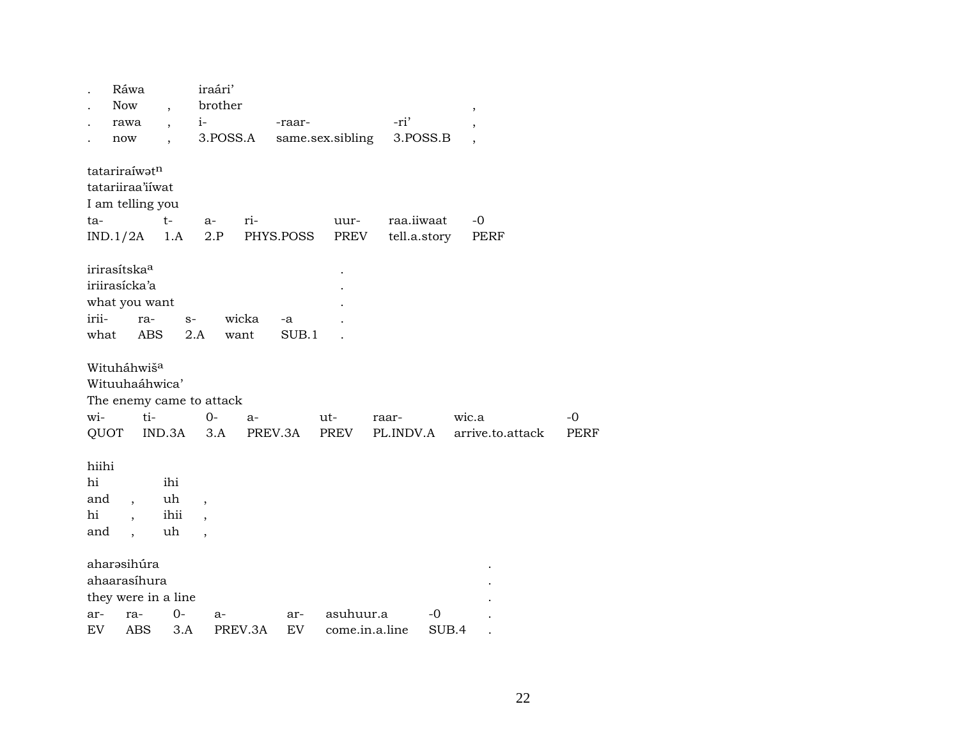|                          | Ráwa                     |                          | iraári'                  |           |        |                  |            |              |                          |             |
|--------------------------|--------------------------|--------------------------|--------------------------|-----------|--------|------------------|------------|--------------|--------------------------|-------------|
|                          | <b>Now</b>               | $\overline{\phantom{a}}$ | brother                  |           |        |                  | -ri'       |              | $\overline{\phantom{a}}$ |             |
|                          | rawa                     | $\overline{\phantom{a}}$ | $i-$<br>3.POSS.A         |           | -raar- | same.sex.sibling | 3.POSS.B   |              |                          |             |
|                          | now                      |                          |                          |           |        |                  |            |              |                          |             |
| tatariraíwatn            |                          |                          |                          |           |        |                  |            |              |                          |             |
| tatariiraa'iiwat         |                          |                          |                          |           |        |                  |            |              |                          |             |
| I am telling you         |                          |                          |                          |           |        |                  |            |              |                          |             |
| ta-                      |                          | $t-$                     | $a-$                     | ri-       |        | uur-             | raa.iiwaat |              | -0                       |             |
| $IND.1/2A$ 1.A           |                          |                          | 2.P                      | PHYS.POSS |        | PREV             |            | tell.a.story | PERF                     |             |
| irirasítska <sup>a</sup> |                          |                          |                          |           |        |                  |            |              |                          |             |
| iriirasícka'a            |                          |                          |                          |           |        |                  |            |              |                          |             |
| what you want            |                          |                          |                          |           |        |                  |            |              |                          |             |
| irii-                    | ra-                      | $S-$                     |                          | wicka     | -a     |                  |            |              |                          |             |
| what                     | ABS                      | 2.A                      |                          | want      | SUB.1  |                  |            |              |                          |             |
|                          |                          |                          |                          |           |        |                  |            |              |                          |             |
| Wituháhwiš <sup>a</sup>  |                          |                          |                          |           |        |                  |            |              |                          |             |
| Wituuhaáhwica'           |                          |                          |                          |           |        |                  |            |              |                          |             |
|                          |                          | The enemy came to attack |                          |           |        |                  |            |              |                          |             |
| wi-                      | ti-                      |                          | $0-$                     | a-        |        | ut-              | raar-      |              | wic.a                    | $-0$        |
| QUOT                     |                          | IND.3A                   | 3.A                      | PREV.3A   |        | PREV             | PL.INDV.A  |              | arrive.to.attack         | <b>PERF</b> |
|                          |                          |                          |                          |           |        |                  |            |              |                          |             |
| hiihi                    |                          |                          |                          |           |        |                  |            |              |                          |             |
| hi                       |                          | ihi                      |                          |           |        |                  |            |              |                          |             |
| and                      | $\overline{\phantom{a}}$ | uh                       | $\overline{\phantom{a}}$ |           |        |                  |            |              |                          |             |
| hi                       | $\overline{\phantom{a}}$ | ihii                     | $\overline{\phantom{a}}$ |           |        |                  |            |              |                          |             |
| and                      | $\cdot$                  | uh                       |                          |           |        |                  |            |              |                          |             |
| aharəsihúra              |                          |                          |                          |           |        |                  |            |              |                          |             |
|                          | ahaarasíhura             |                          |                          |           |        |                  |            |              |                          |             |
|                          |                          | they were in a line      |                          |           |        |                  |            |              |                          |             |
| ar-                      | ra-                      | $0-$                     | a-                       |           | ar-    | asuhuur.a        |            | $-0$         |                          |             |
| EV                       | <b>ABS</b>               | 3.A                      |                          | PREV.3A   | EV     | come.in.a.line   |            | SUB.4        |                          |             |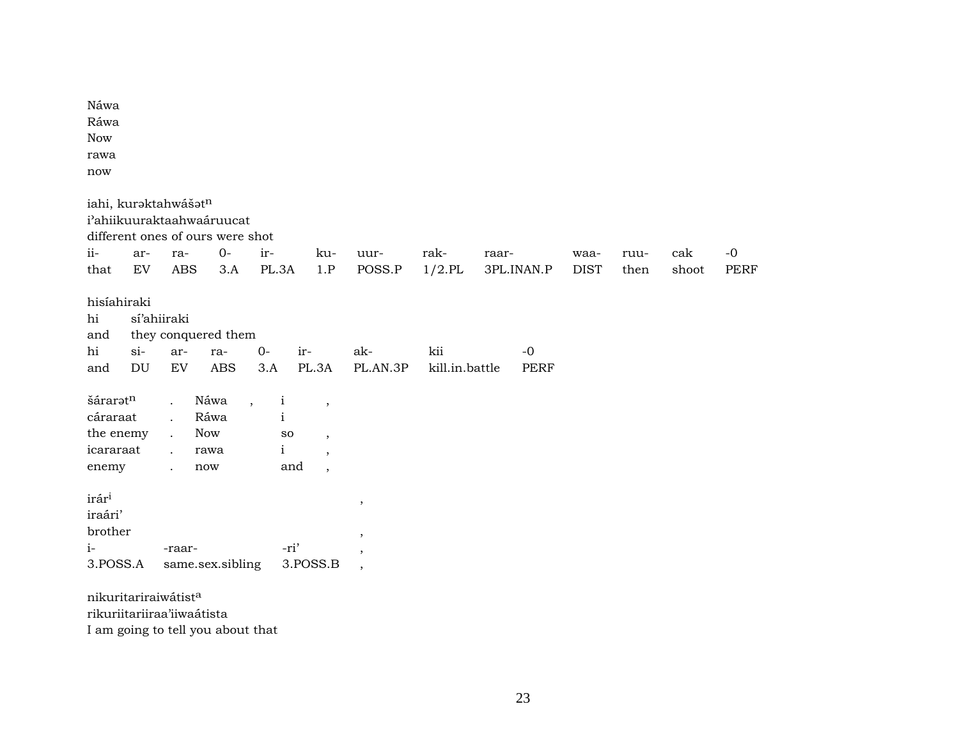| Náwa<br>Ráwa<br><b>Now</b><br>rawa<br>now                   |                                      |                                                                                                                      |                                           |                                                                                |                                                                                                                     |                                                                                                  |                       |                     |                     |              |              |                     |
|-------------------------------------------------------------|--------------------------------------|----------------------------------------------------------------------------------------------------------------------|-------------------------------------------|--------------------------------------------------------------------------------|---------------------------------------------------------------------------------------------------------------------|--------------------------------------------------------------------------------------------------|-----------------------|---------------------|---------------------|--------------|--------------|---------------------|
|                                                             |                                      | iahi, kuraktahwášatn<br>i'ahiikuuraktaahwaáruucat<br>different ones of ours were shot                                |                                           |                                                                                |                                                                                                                     |                                                                                                  |                       |                     |                     |              |              |                     |
| ii-<br>that                                                 | ar-<br>EV                            | ra-<br><b>ABS</b>                                                                                                    | $O -$<br>3.A                              | ir-<br>PL.3A                                                                   | ku-<br>1.P                                                                                                          | uur-<br>POSS.P                                                                                   | rak-<br>$1/2$ .PL     | raar-<br>3PL.INAN.P | waa-<br><b>DIST</b> | ruu-<br>then | cak<br>shoot | $-0$<br><b>PERF</b> |
| hisíahiraki<br>hi<br>and<br>hi<br>and                       | $si$ -<br>$\mathop{\rm DU}\nolimits$ | sí'ahiiraki<br>they conquered them<br>ar-<br>${\rm EV}$                                                              | ra-<br>$\mathbf A\mathbf B\mathbf S$      | $0-$<br>3.A                                                                    | ir-<br>PL.3A                                                                                                        | ak-<br>PL.AN.3P                                                                                  | kii<br>kill.in.battle | $-0$<br>PERF        |                     |              |              |                     |
| šárarətn<br>cáraraat<br>the enemy<br>icararaat<br>enemy     |                                      | $\ddot{\phantom{0}}$<br>$\ddot{\phantom{a}}$<br>$\ddot{\phantom{a}}$<br>$\ddot{\phantom{a}}$<br>$\ddot{\phantom{a}}$ | Náwa<br>Ráwa<br><b>Now</b><br>rawa<br>now | $\mathbf{i}$<br>$\overline{\phantom{a}}$<br>$\mathbf{i}$<br>SO<br>$\mathbf{i}$ | $\overline{\phantom{a}}$<br>$\overline{\phantom{a}}$<br>$\overline{\phantom{a}}$<br>and<br>$\overline{\phantom{a}}$ |                                                                                                  |                       |                     |                     |              |              |                     |
| irár <sup>i</sup><br>iraári'<br>brother<br>$i-$<br>3.POSS.A |                                      | -raar-                                                                                                               | same.sex.sibling                          |                                                                                | -ri'<br>3.POSS.B                                                                                                    | $^\mathrm{,}$<br>$^\mathrm{^\mathrm{o}}$<br>$\overline{\phantom{a}}$<br>$\overline{\phantom{a}}$ |                       |                     |                     |              |              |                     |
|                                                             |                                      | nikuritariraiwátista                                                                                                 |                                           |                                                                                |                                                                                                                     |                                                                                                  |                       |                     |                     |              |              |                     |

rikuriitariiraa'iiwaátista I am going to tell you about that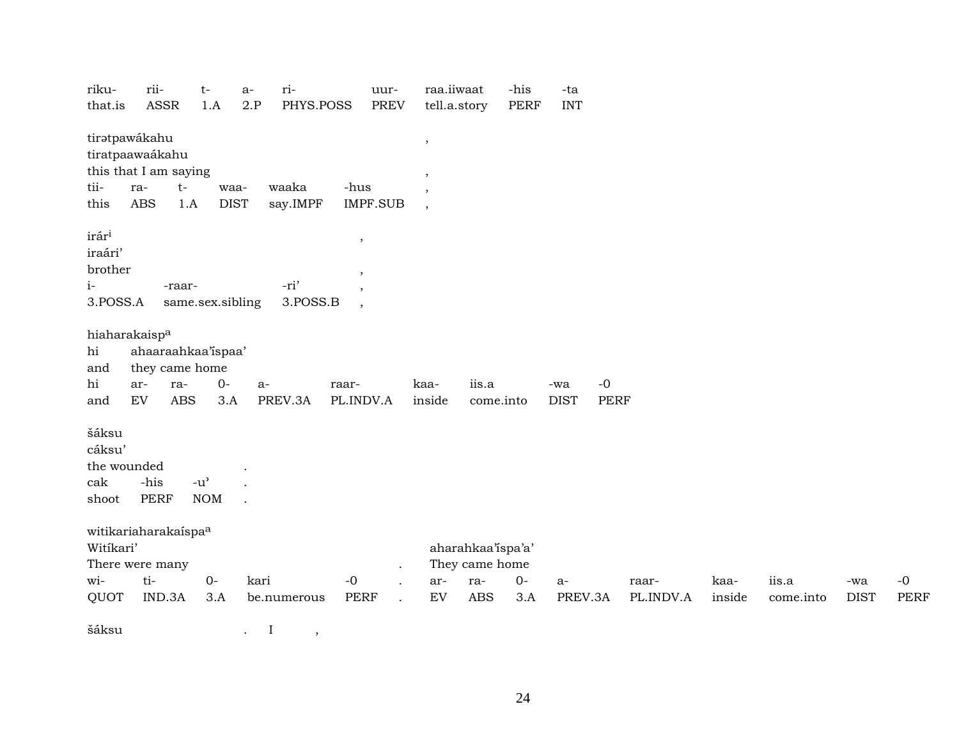| riku-             | rii-                      |                                     | $t-$       | $a-$ | ri-         |             | uur-            | raa.iiwaat               |                   | -his        | -ta         |             |           |        |           |             |             |
|-------------------|---------------------------|-------------------------------------|------------|------|-------------|-------------|-----------------|--------------------------|-------------------|-------------|-------------|-------------|-----------|--------|-----------|-------------|-------------|
| that.is           | <b>ASSR</b>               |                                     | 1.A        | 2.P  | PHYS.POSS   |             | <b>PREV</b>     | tell.a.story             |                   | <b>PERF</b> | <b>INT</b>  |             |           |        |           |             |             |
|                   | tiratpawákahu             |                                     |            |      |             |             |                 | $\cdot$                  |                   |             |             |             |           |        |           |             |             |
|                   | tiratpaawaákahu           |                                     |            |      |             |             |                 |                          |                   |             |             |             |           |        |           |             |             |
|                   | this that I am saying     |                                     |            |      |             |             |                 | $\cdot$                  |                   |             |             |             |           |        |           |             |             |
| tii-              | ra-                       | $t-$                                | waa-       |      | waaka       | -hus        |                 | $\cdot$                  |                   |             |             |             |           |        |           |             |             |
| this              | <b>ABS</b>                | 1.A                                 | $\rm DIST$ |      | say.IMPF    |             | <b>IMPF.SUB</b> | $\overline{\phantom{a}}$ |                   |             |             |             |           |        |           |             |             |
| irár <sup>i</sup> |                           |                                     |            |      |             | $\,$        |                 |                          |                   |             |             |             |           |        |           |             |             |
| iraári'           |                           |                                     |            |      |             |             |                 |                          |                   |             |             |             |           |        |           |             |             |
| brother           |                           |                                     |            |      |             | ,           |                 |                          |                   |             |             |             |           |        |           |             |             |
| $i-$              |                           | -raar-                              |            |      | -ri'        | ,           |                 |                          |                   |             |             |             |           |        |           |             |             |
| 3.POSS.A          |                           | same.sex.sibling                    |            |      | 3.POSS.B    | $\cdot$     |                 |                          |                   |             |             |             |           |        |           |             |             |
|                   | hiaharakaisp <sup>a</sup> |                                     |            |      |             |             |                 |                          |                   |             |             |             |           |        |           |             |             |
| hi                | ahaaraahkaa'ispaa'        |                                     |            |      |             |             |                 |                          |                   |             |             |             |           |        |           |             |             |
| and               | they came home            |                                     |            |      |             |             |                 |                          |                   |             |             |             |           |        |           |             |             |
| hi                | ar-                       | ra-                                 | $0-$       | $a-$ |             | raar-       |                 | kaa-                     | iis.a             |             | -wa         | $-0$        |           |        |           |             |             |
| and               | EV                        | ABS                                 | 3.A        |      | PREV.3A     | PL.INDV.A   |                 | inside                   | come.into         |             | <b>DIST</b> | <b>PERF</b> |           |        |           |             |             |
| šáksu             |                           |                                     |            |      |             |             |                 |                          |                   |             |             |             |           |        |           |             |             |
| cáksu'            |                           |                                     |            |      |             |             |                 |                          |                   |             |             |             |           |        |           |             |             |
| the wounded       |                           |                                     |            |      |             |             |                 |                          |                   |             |             |             |           |        |           |             |             |
| cak               | -his                      | $-u$ <sup><math>\prime</math></sup> |            |      |             |             |                 |                          |                   |             |             |             |           |        |           |             |             |
| shoot             | <b>PERF</b>               |                                     | <b>NOM</b> |      |             |             |                 |                          |                   |             |             |             |           |        |           |             |             |
|                   | witikariaharakaispaa      |                                     |            |      |             |             |                 |                          |                   |             |             |             |           |        |           |             |             |
| Witíkari'         |                           |                                     |            |      |             |             |                 |                          | aharahkaa'ispa'a' |             |             |             |           |        |           |             |             |
|                   | There were many           |                                     |            |      |             |             |                 |                          | They came home    |             |             |             |           |        |           |             |             |
| wi-               | ti-                       |                                     | $O -$      | kari |             | $-0$        |                 | ar-                      | ra-               | $0-$        | $a-$        |             | raar-     | kaa-   | iis.a     | -wa         | $-0$        |
| QUOT              | IND.3A                    |                                     | 3.A        |      | be.numerous | <b>PERF</b> |                 | EV                       | <b>ABS</b>        | 3.A         | PREV.3A     |             | PL.INDV.A | inside | come.into | <b>DIST</b> | <b>PERF</b> |
|                   |                           |                                     |            |      |             |             |                 |                          |                   |             |             |             |           |        |           |             |             |

 $\check{\mathbf{s}}$ áksu . I ,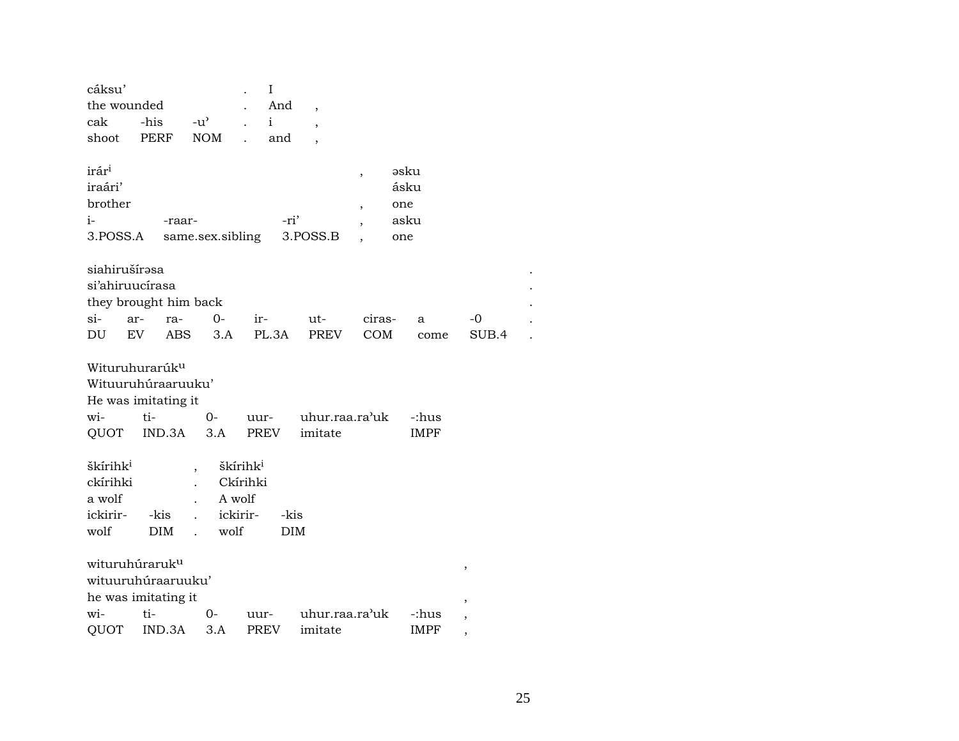| cáksu'<br>the wounded<br>cak<br>shoot                                                  | -his<br><b>PERF</b> |                                                   | $-u^{\flat}$<br>NOM                                            |      | I<br>And<br>$\mathbf{i}$<br>and | $\overline{\phantom{a}}$<br>$\overline{\phantom{a}}$ |                                                 |                                    |                      |       |  |
|----------------------------------------------------------------------------------------|---------------------|---------------------------------------------------|----------------------------------------------------------------|------|---------------------------------|------------------------------------------------------|-------------------------------------------------|------------------------------------|----------------------|-------|--|
| irár <sup>i</sup><br>iraári'<br>brother<br>i-<br>3.POSS.A                              |                     | -raar-                                            | same.sex.sibling                                               |      | -ri'                            | 3. <sub>P</sub> OSS.B                                | $\overline{\phantom{a}}$<br>$\overline{ }$<br>, | əsku<br>ásku<br>one<br>asku<br>one |                      |       |  |
| siahirušírəsa<br>si'ahiruucírasa<br>they brought him back<br>$si-$                     | ar-                 | ra-                                               | 0-                                                             |      | $ir-$                           | ut-                                                  | ciras-                                          |                                    | a                    | -0    |  |
| DU                                                                                     | EV                  | ABS                                               | 3.A                                                            |      | PL.3A                           | PREV                                                 | COM                                             |                                    | come                 | SUB.4 |  |
| Wituruhurarúk <sup>u</sup><br>Wituuruhúraaruuku'<br>He was imitating it<br>wi-<br>QUOT | ti-                 | IND.3A                                            | 0-<br>3.A                                                      |      | PREV                            | uur- uhur.raa.ra'uk<br>imitate                       |                                                 |                                    | -:hus<br><b>IMPF</b> |       |  |
| škírihk <sup>i</sup><br>ckírihki<br>a wolf<br>ickirir-<br>wolf                         | -kis<br><b>DIM</b>  | ,<br>$\mathbf{r}$<br>$\mathbf{r}$<br>$\mathbf{r}$ | škírihk <sup>i</sup><br>Ckírihki<br>A wolf<br>ickirir-<br>wolf |      | -kis<br><b>DIM</b>              |                                                      |                                                 |                                    |                      |       |  |
| wituruhúraruk <sup>u</sup><br>wituuruhúraaruuku'<br>he was imitating it                |                     |                                                   |                                                                |      |                                 |                                                      |                                                 |                                    |                      | ,     |  |
| wi-                                                                                    | $ti-$               |                                                   | 0-                                                             | uur- |                                 | uhur.raa.ra'uk                                       |                                                 |                                    | -:hus                | ,     |  |
| QUOT                                                                                   |                     | IND.3A                                            | 3.A                                                            | PREV |                                 | imitate                                              |                                                 |                                    | <b>IMPF</b>          |       |  |

 $\bullet$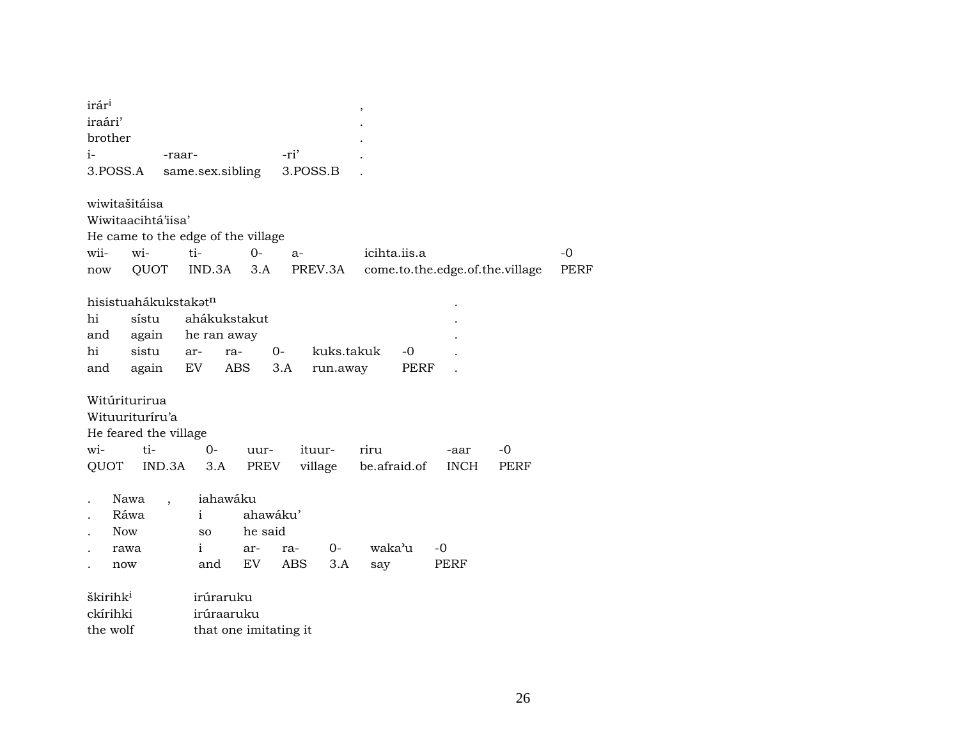| PERF |
|------|
|      |
|      |
|      |
|      |
|      |
|      |
|      |
|      |
|      |
|      |
|      |
|      |
|      |
|      |
|      |
|      |
|      |
|      |
|      |
|      |
| -0   |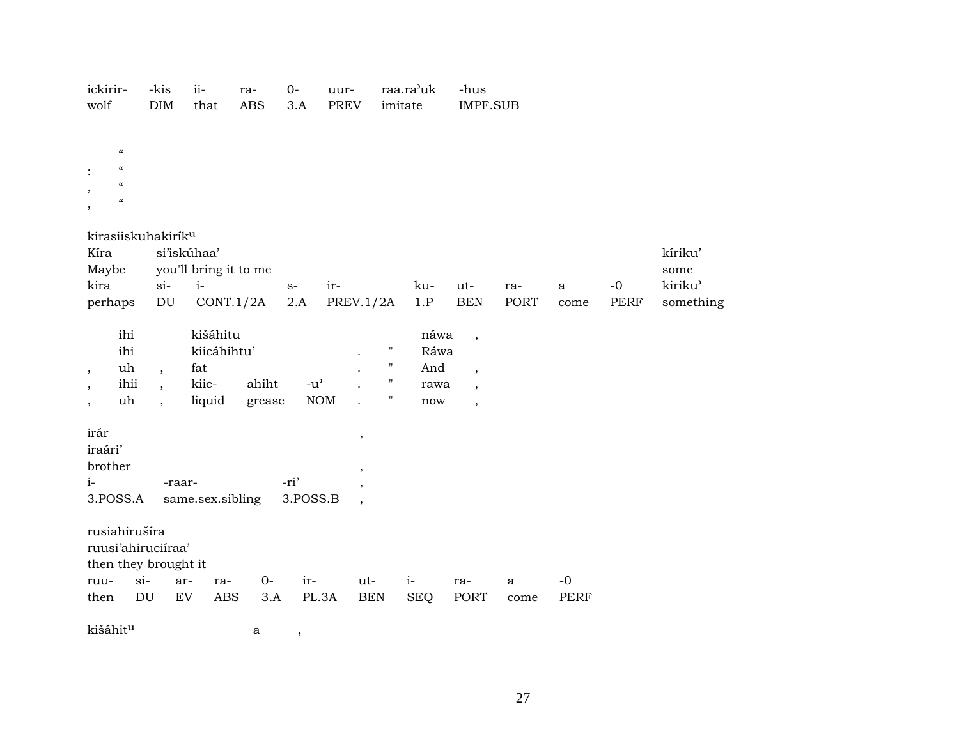| ickirir-<br>wolf                                                                                                                                                                            |                                | -kis<br>$\rm{DIM}$                                                 | $ii -$<br>that                                    | ra-<br><b>ABS</b> | $0-$<br>3.A                       | uur-<br>PREV                       | imitate                                      | raa.ra'uk                          | -hus<br>IMPF.SUB                                                                                             |                      |                     |      |                 |
|---------------------------------------------------------------------------------------------------------------------------------------------------------------------------------------------|--------------------------------|--------------------------------------------------------------------|---------------------------------------------------|-------------------|-----------------------------------|------------------------------------|----------------------------------------------|------------------------------------|--------------------------------------------------------------------------------------------------------------|----------------------|---------------------|------|-----------------|
| $\boldsymbol{\varsigma} \boldsymbol{\varsigma}$<br>$\boldsymbol{\zeta}\boldsymbol{\zeta}$<br>$\ddot{\cdot}$<br>$\boldsymbol{\mathcal{C}}$<br>$\cdot$<br>$\pmb{\zeta}\pmb{\zeta}$<br>$\cdot$ |                                |                                                                    |                                                   |                   |                                   |                                    |                                              |                                    |                                                                                                              |                      |                     |      |                 |
| kirasiiskuhakirík <sup>u</sup><br>Kíra                                                                                                                                                      |                                |                                                                    | si'iskúhaa'                                       |                   |                                   |                                    |                                              |                                    |                                                                                                              |                      |                     |      | kíriku'         |
| Maybe<br>kira                                                                                                                                                                               |                                | $si-$                                                              | you'll bring it to me<br>$i-$                     |                   | $S-$                              | ir-                                |                                              | ku-                                | ut-                                                                                                          | ra-                  | $\mathbf{a}$        | $-0$ | some<br>kiriku' |
| perhaps                                                                                                                                                                                     |                                | DU                                                                 | CONT.1/2A                                         |                   | 2.A                               | <b>PREV.1/2A</b>                   |                                              | 1.P                                | <b>BEN</b>                                                                                                   | PORT                 | come                | PERF | something       |
| $^\mathrm{,}$<br>$\, ,$<br>$\cdot$                                                                                                                                                          | ihi<br>ihi<br>uh<br>ihii<br>uh | $\overline{ }$<br>$\overline{\phantom{a}}$<br>$\ddot{\phantom{1}}$ | kišáhitu<br>kiicáhihtu'<br>fat<br>kiic-<br>liquid | ahiht<br>grease   | $-u$ <sup><math>\sim</math></sup> | $\rm{NOM}$                         | Ħ<br>$\pmb{\mathsf{H}}$<br>$\mathbf{H}$<br>Π | náwa<br>Ráwa<br>And<br>rawa<br>now | $\overline{\phantom{a}}$<br>$\overline{\phantom{a}}$<br>$\overline{\phantom{a}}$<br>$\overline{\phantom{a}}$ |                      |                     |      |                 |
| irár<br>iraári'<br>brother<br>$i-$<br>3.POSS.A                                                                                                                                              |                                | -raar-                                                             | same.sex.sibling                                  |                   | -ri'<br>3.POSS.B                  | $\, ,$<br>$\overline{\phantom{a}}$ |                                              |                                    |                                                                                                              |                      |                     |      |                 |
| rusiahirušíra<br>ruusi'ahiruciíraa'<br>then they brought it                                                                                                                                 | $si-$                          |                                                                    |                                                   |                   |                                   |                                    |                                              |                                    |                                                                                                              |                      |                     |      |                 |
| ruu-<br>then                                                                                                                                                                                | $\mathop{\rm DU}\nolimits$     | ar-<br>${\rm EV}$                                                  | ra-<br>$\mathbf A\mathbf B\mathbf S$              | $O -$<br>3.A      | ir-<br>PL.3A                      | ut-                                | <b>BEN</b>                                   | $i-$<br><b>SEQ</b>                 | ra-<br>PORT                                                                                                  | $\mathbf{a}$<br>come | $-0$<br><b>PERF</b> |      |                 |
| kišáhitu                                                                                                                                                                                    |                                |                                                                    |                                                   | а                 | $\,$                              |                                    |                                              |                                    |                                                                                                              |                      |                     |      |                 |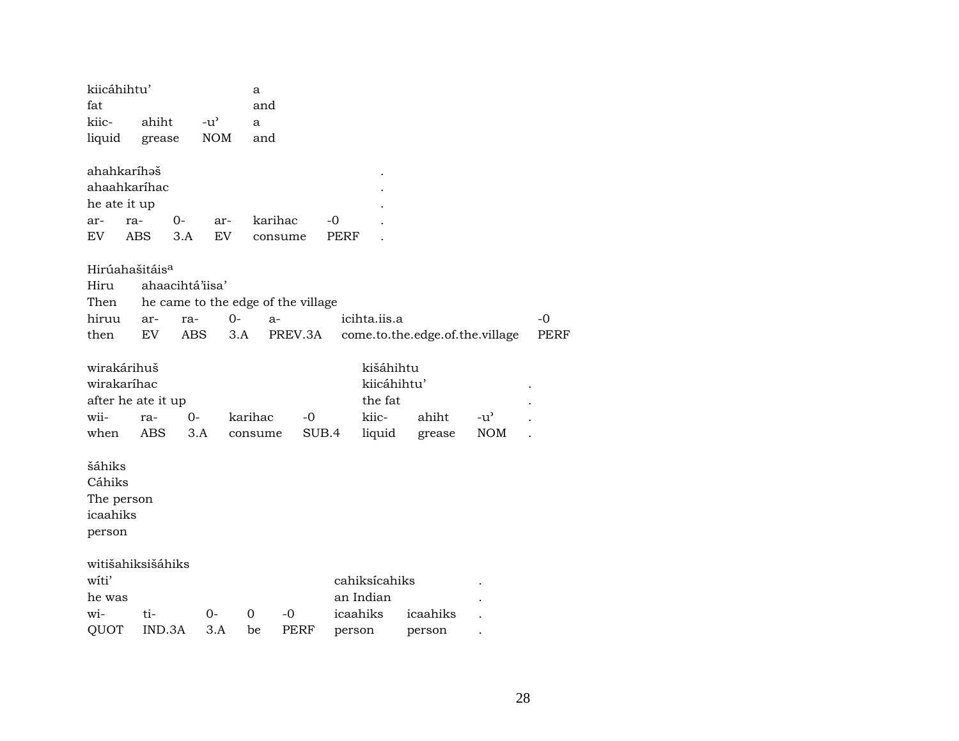| kiicáhihtu'<br>fat                                   |                                                         |                 |                                     | a<br>and                           |         |           |                                              |                                 |     |             |
|------------------------------------------------------|---------------------------------------------------------|-----------------|-------------------------------------|------------------------------------|---------|-----------|----------------------------------------------|---------------------------------|-----|-------------|
| kiic-                                                | ahiht                                                   |                 | $-u$ <sup><math>\prime</math></sup> |                                    |         |           |                                              |                                 |     |             |
| liquid                                               |                                                         |                 | <b>NOM</b>                          | a                                  |         |           |                                              |                                 |     |             |
|                                                      | grease                                                  |                 |                                     | and                                |         |           |                                              |                                 |     |             |
|                                                      | ahahkaríhəš<br>ahaahkaríhac                             |                 |                                     |                                    |         |           |                                              |                                 |     |             |
| he ate it up                                         |                                                         |                 |                                     |                                    |         |           |                                              |                                 |     |             |
| ar-                                                  | ra-                                                     | 0-              | ar-                                 | karihac                            |         | -0        |                                              |                                 |     |             |
| EV                                                   | <b>ABS</b>                                              | 3.A             | EV                                  | consume                            |         | PERF      |                                              |                                 |     |             |
|                                                      |                                                         |                 |                                     |                                    |         |           |                                              |                                 |     |             |
|                                                      | Hirúahašitáis <sup>a</sup>                              |                 |                                     |                                    |         |           |                                              |                                 |     |             |
| Hiru                                                 |                                                         | ahaacihtá'iisa' |                                     |                                    |         |           |                                              |                                 |     |             |
| Then                                                 |                                                         |                 |                                     | he came to the edge of the village |         |           |                                              |                                 |     |             |
| hiruu                                                | ar-                                                     | ra-             | $0-$                                | $a-$                               |         |           | icihta.iis.a                                 |                                 |     | $-0$        |
| then                                                 | EV                                                      | <b>ABS</b>      |                                     | 3.A                                | PREV.3A |           |                                              | come.to.the.edge.of.the.village |     | <b>PERF</b> |
| wii-                                                 | wirakárihuš<br>wirakaríhac<br>after he ate it up<br>ra- | 0-              |                                     | karihac                            | -0      |           | kišáhihtu<br>kiicáhihtu'<br>the fat<br>kiic- | ahiht                           | -u' |             |
| when                                                 | ABS                                                     | 3.A             |                                     | consume                            | SUB.4   |           | liquid                                       | grease                          | NOM |             |
| šáhiks<br>Cáhiks<br>The person<br>icaahiks<br>person |                                                         |                 |                                     |                                    |         |           |                                              |                                 |     |             |
|                                                      | witišahiksišáhiks                                       |                 |                                     |                                    |         |           |                                              |                                 |     |             |
| witi'                                                |                                                         |                 |                                     |                                    |         |           | cahiksícahiks                                |                                 |     |             |
| he was                                               |                                                         |                 |                                     |                                    |         | an Indian |                                              |                                 |     |             |
| wi-                                                  | ti-                                                     |                 | 0-                                  | 0                                  | -0      | icaahiks  |                                              | icaahiks                        |     |             |
| QUOT                                                 | IND.3A                                                  |                 | 3.A                                 | be                                 | PERF    | person    |                                              | person                          |     |             |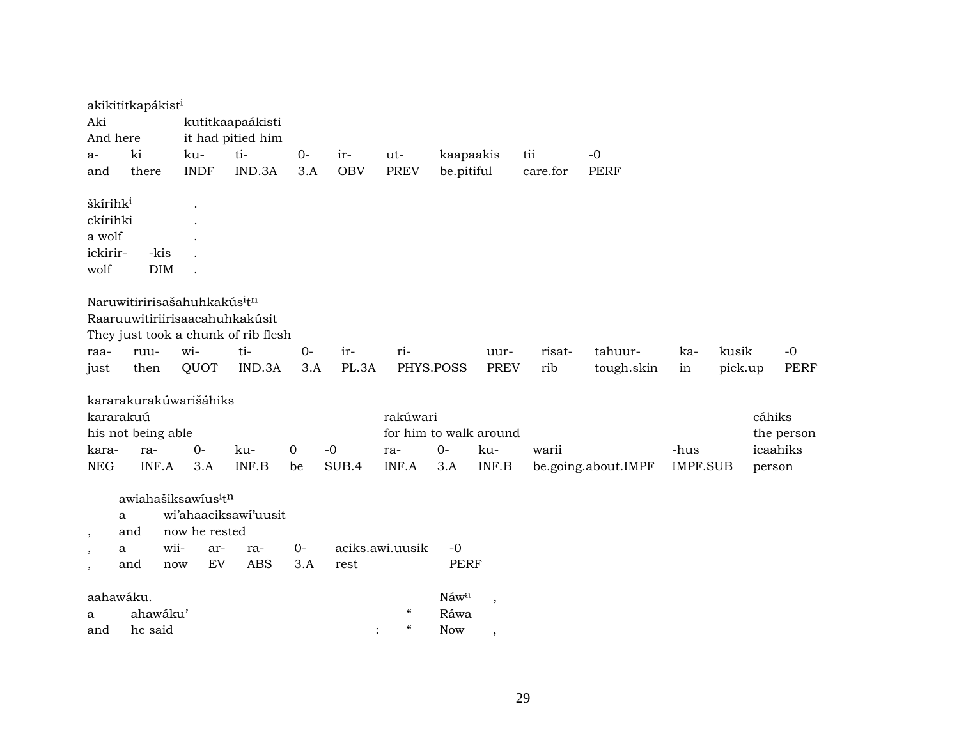| Aki<br>And here          | akikititkapákist <sup>i</sup>                |               | kutitkaapaákisti<br>it had pitied him |                |            |                                    |             |             |          |                     |                 |         |        |             |
|--------------------------|----------------------------------------------|---------------|---------------------------------------|----------------|------------|------------------------------------|-------------|-------------|----------|---------------------|-----------------|---------|--------|-------------|
| a-                       | ki                                           | ku-           | ti-                                   | $0-$           | ir-        | ut-                                | kaapaakis   |             | tii      | $-0$                |                 |         |        |             |
| and                      | there                                        | <b>INDF</b>   | IND.3A                                | 3.A            | <b>OBV</b> | <b>PREV</b>                        | be.pitiful  |             | care.for | <b>PERF</b>         |                 |         |        |             |
| škírihk <sup>i</sup>     |                                              |               |                                       |                |            |                                    |             |             |          |                     |                 |         |        |             |
| ckírihki                 |                                              |               |                                       |                |            |                                    |             |             |          |                     |                 |         |        |             |
| a wolf                   |                                              |               |                                       |                |            |                                    |             |             |          |                     |                 |         |        |             |
| ickirir-                 | -kis                                         |               |                                       |                |            |                                    |             |             |          |                     |                 |         |        |             |
| wolf                     | <b>DIM</b>                                   |               |                                       |                |            |                                    |             |             |          |                     |                 |         |        |             |
|                          | Naruwitiririsašahuhkakús <sup>itn</sup>      |               | Raaruuwitiriirisaacahuhkakúsit        |                |            |                                    |             |             |          |                     |                 |         |        |             |
|                          |                                              |               | They just took a chunk of rib flesh   |                |            |                                    |             |             |          |                     |                 |         |        |             |
| raa-                     | ruu-                                         | wi-           | ti-                                   | $O -$          | ir-        | ri-                                |             | uur-        | risat-   | tahuur-             | ka-             | kusik   |        | $-0$        |
| just                     | then                                         | QUOT          | IND.3A                                | 3.A            | PL.3A      | PHYS.POSS                          |             | <b>PREV</b> | rib      | tough.skin          | in              | pick.up |        | <b>PERF</b> |
| kararakuú                | kararakurakúwarišáhiks<br>his not being able |               |                                       |                |            | rakúwari<br>for him to walk around |             |             |          |                     |                 |         | cáhiks | the person  |
| kara-                    | ra-                                          | $0-$          | ku-                                   | $\overline{0}$ | $-0$       | ra-                                | $0-$        | ku-         | warii    |                     | -hus            |         |        | icaahiks    |
| <b>NEG</b>               | INF.A                                        | 3.A           | INF.B                                 | be             | SUB.4      | INF.A                              | 3.A         | INF.B       |          | be.going.about.IMPF | <b>IMPF.SUB</b> |         | person |             |
| $\,$                     | awiahašiksawius <sup>itn</sup><br>a<br>and   | now he rested | wi'ahaaciksawi'uusit                  |                |            |                                    |             |             |          |                     |                 |         |        |             |
| $\,$                     | wii-<br>a                                    | ar-           | ra-                                   | $0-$           |            | aciks.awi.uusik                    | $-0$        |             |          |                     |                 |         |        |             |
| $\overline{\phantom{a}}$ | and                                          | EV<br>now     | <b>ABS</b>                            | 3.A            | rest       |                                    | <b>PERF</b> |             |          |                     |                 |         |        |             |
| aahawáku.                |                                              |               |                                       |                |            |                                    | Náwa        |             |          |                     |                 |         |        |             |
| a                        | ahawáku'                                     |               |                                       |                |            | $\mathcal{C}\mathcal{C}$           | Ráwa        |             |          |                     |                 |         |        |             |
| and                      | he said                                      |               |                                       |                |            | $\mathcal{C}\mathcal{C}$           | <b>Now</b>  | ,           |          |                     |                 |         |        |             |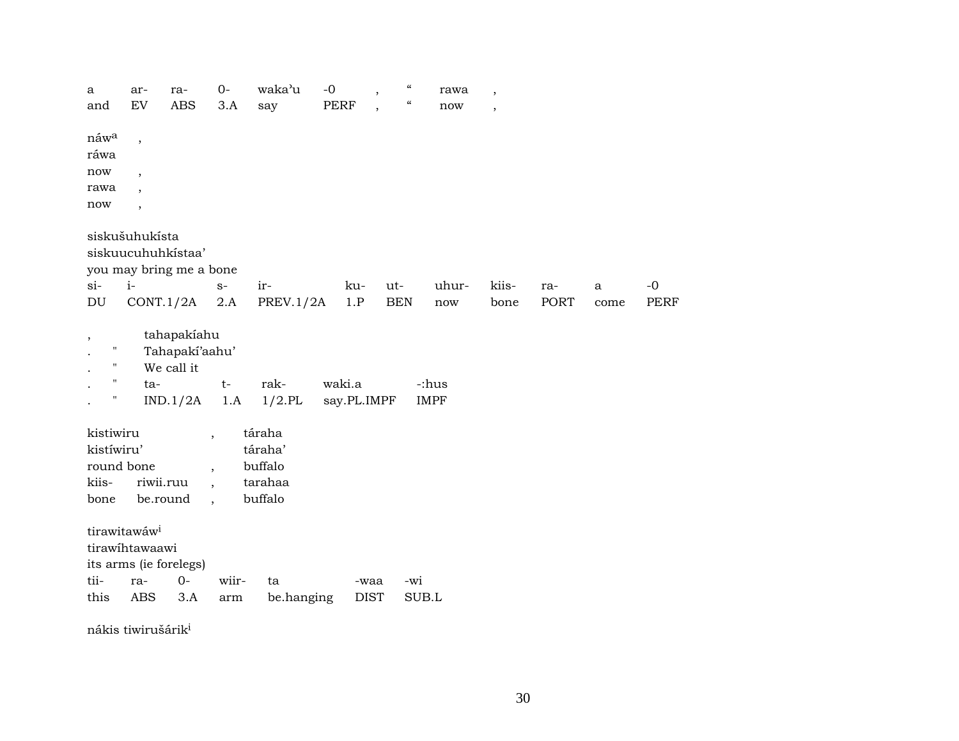| a                        | ar-                      | ra-                     | $0-$                     | waka'u           | $-0$        | $\boldsymbol{\mathcal{C}}$<br>$\, ,$                 | rawa        | $\overline{ }$ |             |      |             |
|--------------------------|--------------------------|-------------------------|--------------------------|------------------|-------------|------------------------------------------------------|-------------|----------------|-------------|------|-------------|
| and                      | EV                       | <b>ABS</b>              | 3.A                      | say              | <b>PERF</b> | $\mathcal{C}\mathcal{C}$<br>$\overline{\phantom{a}}$ | now         | $\overline{ }$ |             |      |             |
|                          |                          |                         |                          |                  |             |                                                      |             |                |             |      |             |
| náw <sup>a</sup>         | $\overline{\phantom{a}}$ |                         |                          |                  |             |                                                      |             |                |             |      |             |
| ráwa                     |                          |                         |                          |                  |             |                                                      |             |                |             |      |             |
| now                      | $\overline{\phantom{a}}$ |                         |                          |                  |             |                                                      |             |                |             |      |             |
| rawa                     | $\overline{\phantom{a}}$ |                         |                          |                  |             |                                                      |             |                |             |      |             |
| now                      | $\overline{\phantom{a}}$ |                         |                          |                  |             |                                                      |             |                |             |      |             |
|                          | siskušuhukísta           |                         |                          |                  |             |                                                      |             |                |             |      |             |
|                          |                          | siskuucuhuhkistaa'      |                          |                  |             |                                                      |             |                |             |      |             |
|                          |                          | you may bring me a bone |                          |                  |             |                                                      |             |                |             |      |             |
| $si-$                    | $i-$                     |                         | $S-$                     | ir-              | ku-         | ut-                                                  | uhur-       | kiis-          | ra-         | a    | $-0$        |
| DU                       | CONT.1/2A                |                         | 2.A                      | <b>PREV.1/2A</b> | 1.P         | <b>BEN</b>                                           | now         | bone           | <b>PORT</b> | come | <b>PERF</b> |
|                          |                          |                         |                          |                  |             |                                                      |             |                |             |      |             |
| $\overline{\phantom{a}}$ |                          | tahapakiahu             |                          |                  |             |                                                      |             |                |             |      |             |
| $\pmb{\mathsf{H}}$       |                          | Tahapakí'aahu'          |                          |                  |             |                                                      |             |                |             |      |             |
| $\pmb{\mathsf{H}}$       |                          | We call it              |                          |                  |             |                                                      |             |                |             |      |             |
| $\pmb{\mathsf{H}}$       | ta-                      |                         | $t-$                     | rak-             | waki.a      |                                                      | -:hus       |                |             |      |             |
| Н                        |                          | IND.1/2A                | 1.A                      | $1/2$ .PL        | say.PL.IMPF |                                                      | <b>IMPF</b> |                |             |      |             |
|                          |                          |                         |                          |                  |             |                                                      |             |                |             |      |             |
| kistiwiru                |                          |                         |                          | táraha           |             |                                                      |             |                |             |      |             |
| kistíwiru'               |                          |                         |                          | táraha'          |             |                                                      |             |                |             |      |             |
| round bone               |                          |                         | $\overline{\phantom{a}}$ | buffalo          |             |                                                      |             |                |             |      |             |
| kiis-                    | riwii.ruu                |                         | $\overline{\phantom{a}}$ | tarahaa          |             |                                                      |             |                |             |      |             |
| bone                     | be.round                 |                         | $\overline{\phantom{a}}$ | buffalo          |             |                                                      |             |                |             |      |             |
|                          | tirawitawáw <sup>i</sup> |                         |                          |                  |             |                                                      |             |                |             |      |             |
|                          | tirawihtawaawi           |                         |                          |                  |             |                                                      |             |                |             |      |             |
|                          |                          | its arms (ie forelegs)  |                          |                  |             |                                                      |             |                |             |      |             |
| tii-                     | ra-                      | $0 -$                   | wiir-                    | ta               |             | -waa                                                 | -wi         |                |             |      |             |
| this                     | <b>ABS</b>               | 3.A                     | arm                      | be.hanging       |             | <b>DIST</b>                                          | SUB.L       |                |             |      |             |
|                          |                          |                         |                          |                  |             |                                                      |             |                |             |      |             |

nákis tiwirušárik $^{\rm i}$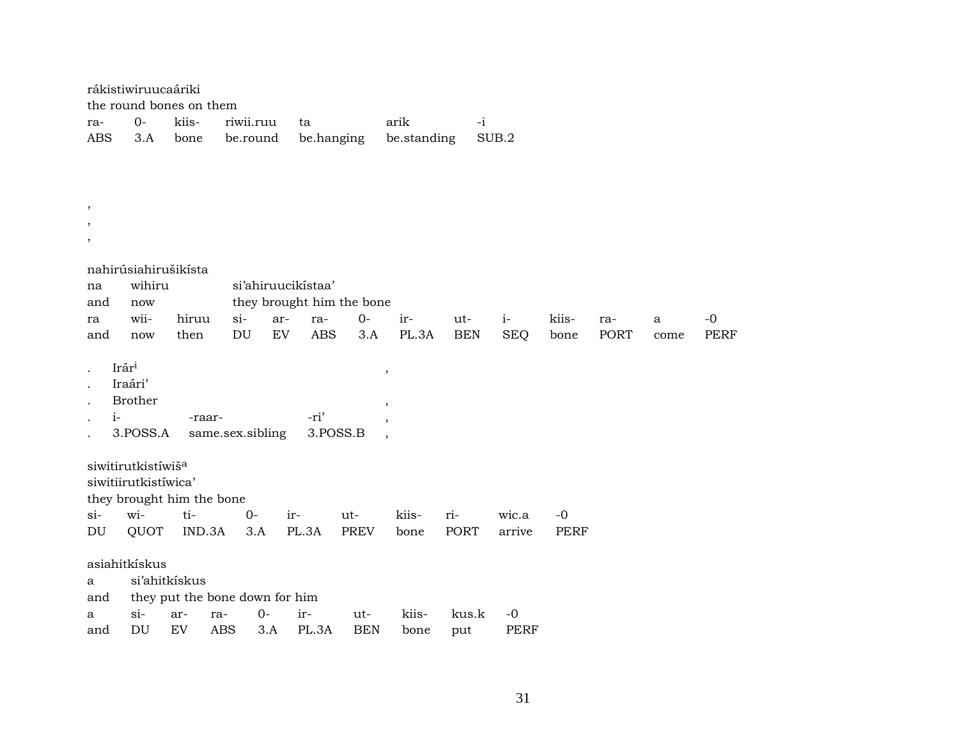|                         | rákistiwiruucaáriki                                    |               |                                     |                   |                           |             |                         |                   |                    |               |             |           |                     |
|-------------------------|--------------------------------------------------------|---------------|-------------------------------------|-------------------|---------------------------|-------------|-------------------------|-------------------|--------------------|---------------|-------------|-----------|---------------------|
|                         | the round bones on them                                |               |                                     |                   |                           |             |                         |                   |                    |               |             |           |                     |
| ra-                     | $0-$                                                   | kiis-         | riwii.ruu                           |                   | ta                        |             | arik                    | $-i$              |                    |               |             |           |                     |
| <b>ABS</b>              | 3.A                                                    | bone          | be.round                            |                   | be.hanging                |             | be.standing             |                   | SUB.2              |               |             |           |                     |
|                         |                                                        |               |                                     |                   |                           |             |                         |                   |                    |               |             |           |                     |
|                         |                                                        |               |                                     |                   |                           |             |                         |                   |                    |               |             |           |                     |
| $\cdot$                 |                                                        |               |                                     |                   |                           |             |                         |                   |                    |               |             |           |                     |
| $\,$                    |                                                        |               |                                     |                   |                           |             |                         |                   |                    |               |             |           |                     |
| $^\mathrm{^\mathrm{o}}$ |                                                        |               |                                     |                   |                           |             |                         |                   |                    |               |             |           |                     |
|                         |                                                        |               |                                     |                   |                           |             |                         |                   |                    |               |             |           |                     |
|                         | nahirúsiahirušikísta                                   |               |                                     |                   |                           |             |                         |                   |                    |               |             |           |                     |
| na                      | wihiru                                                 |               |                                     |                   | si'ahiruucikistaa'        |             |                         |                   |                    |               |             |           |                     |
| and                     | now                                                    |               |                                     |                   | they brought him the bone |             |                         |                   |                    |               |             |           |                     |
| ra<br>and               | wii-<br>now                                            | hiruu<br>then | $si-$<br>$\mathop{\rm DU}\nolimits$ | ar-<br>${\rm EV}$ | ra-<br><b>ABS</b>         | $0-$<br>3.A | ir-<br>PL.3A            | ut-<br><b>BEN</b> | $i-$<br><b>SEQ</b> | kiis-<br>bone | ra-<br>PORT | a<br>come | $-0$<br><b>PERF</b> |
|                         |                                                        |               |                                     |                   |                           |             |                         |                   |                    |               |             |           |                     |
|                         | Irári                                                  |               |                                     |                   |                           |             | $^\mathrm{^\mathrm{o}}$ |                   |                    |               |             |           |                     |
|                         | Iraári'                                                |               |                                     |                   |                           |             |                         |                   |                    |               |             |           |                     |
|                         | <b>Brother</b>                                         |               |                                     |                   |                           |             | $\,$                    |                   |                    |               |             |           |                     |
| $i-$                    |                                                        | -raar-        |                                     |                   | -ri'                      |             |                         |                   |                    |               |             |           |                     |
|                         | 3.POSS.A                                               |               | same.sex.sibling                    |                   |                           | 3.POSS.B    |                         |                   |                    |               |             |           |                     |
|                         |                                                        |               |                                     |                   |                           |             |                         |                   |                    |               |             |           |                     |
|                         | siwitirutkistíwiš <sup>a</sup><br>siwitiirutkistíwica' |               |                                     |                   |                           |             |                         |                   |                    |               |             |           |                     |
|                         | they brought him the bone                              |               |                                     |                   |                           |             |                         |                   |                    |               |             |           |                     |
| si-                     | wi-                                                    | ti-           | $O -$                               |                   | ir-                       | ut-         | kiis-                   | ri-               | wic.a              | $-0$          |             |           |                     |
| DU                      | QUOT                                                   | IND.3A        |                                     | 3.A               | PL.3A                     | <b>PREV</b> | bone                    | PORT              | arrive             | <b>PERF</b>   |             |           |                     |
|                         |                                                        |               |                                     |                   |                           |             |                         |                   |                    |               |             |           |                     |
|                         | asiahitkískus                                          |               |                                     |                   |                           |             |                         |                   |                    |               |             |           |                     |
| a                       |                                                        | si'ahitkiskus |                                     |                   |                           |             |                         |                   |                    |               |             |           |                     |
| and                     |                                                        |               | they put the bone down for him      |                   |                           |             |                         |                   |                    |               |             |           |                     |
| a                       | $si-$                                                  | ar-           | ra-                                 | $0-$              | ir-                       | ut-         | kiis-                   | kus.k             | $-0$               |               |             |           |                     |
| and                     | DU                                                     | <b>EV</b>     | <b>ABS</b>                          | 3.A               | PL.3A                     | <b>BEN</b>  | bone                    | put               | <b>PERF</b>        |               |             |           |                     |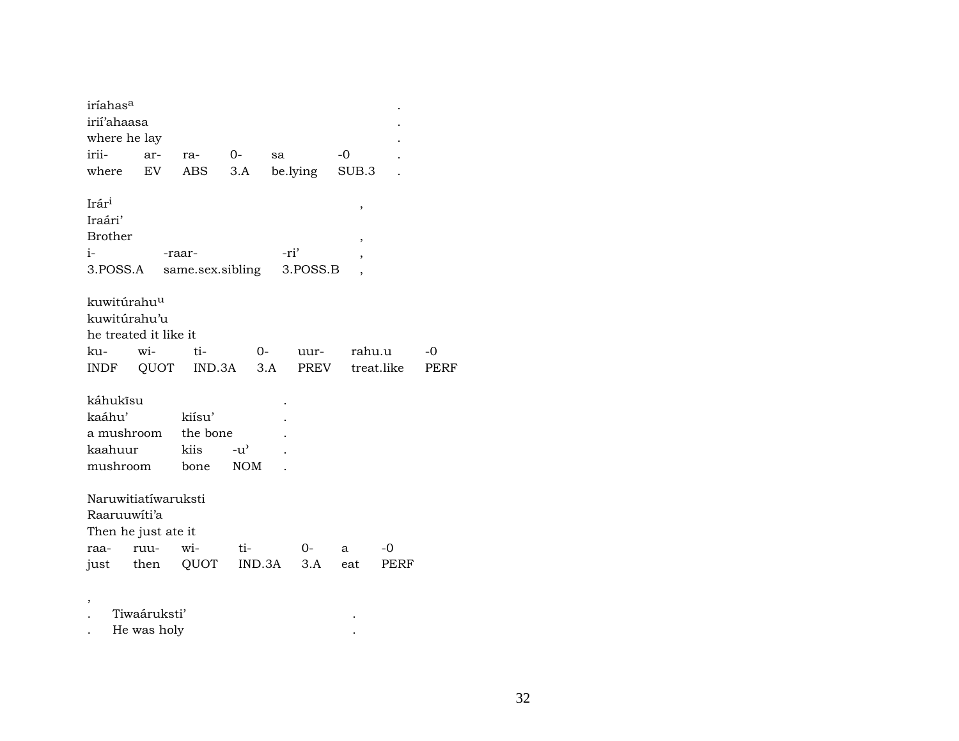| iríahas <sup>a</sup>    |              |                  |            |        |          |        |            |      |
|-------------------------|--------------|------------------|------------|--------|----------|--------|------------|------|
| irií'ahaasa             |              |                  |            |        |          |        |            |      |
| where he lay            |              |                  |            |        |          |        |            |      |
| irii-                   | ar-          | ra-              | $O-$       | sa     |          | $-0$   |            |      |
| where                   | EV           | ABS              | 3.A        |        | be.lying | SUB.3  |            |      |
|                         |              |                  |            |        |          |        |            |      |
| Irári                   |              |                  |            |        |          | ,      |            |      |
| Iraári'                 |              |                  |            |        |          |        |            |      |
| <b>Brother</b>          |              |                  |            |        |          | ,      |            |      |
| i-                      |              | -raar-           |            | -ri'   |          | ,      |            |      |
| 3.POSS.A                |              | same.sex.sibling |            |        | 3.POSS.B |        |            |      |
|                         |              |                  |            |        |          |        |            |      |
| kuwitúrahu <sup>u</sup> |              |                  |            |        |          |        |            |      |
| kuwitúrahu'u            |              |                  |            |        |          |        |            |      |
| he treated it like it   |              |                  |            |        |          |        |            |      |
| ku-                     | wi-          | ti-              |            | $O-$   | uur-     | rahu.u |            | -0   |
| <b>INDF</b>             | QUOT         | IND.3A           |            | 3.A    | PREV     |        | treat.like | PERF |
|                         |              |                  |            |        |          |        |            |      |
| káhukísu                |              |                  |            |        |          |        |            |      |
| kaáhu'                  |              | kiísu'           |            |        |          |        |            |      |
| a mushroom              |              | the bone         |            |        |          |        |            |      |
| kaahuur                 |              | kiis             | -น'        |        |          |        |            |      |
| mushroom                |              | bone             | <b>NOM</b> |        |          |        |            |      |
|                         |              |                  |            |        |          |        |            |      |
| Naruwitiatíwaruksti     |              |                  |            |        |          |        |            |      |
| Raaruuwiti'a            |              |                  |            |        |          |        |            |      |
| Then he just ate it     |              |                  |            |        |          |        |            |      |
| raa-                    | ruu-         | wi-              | $ti-$      |        | 0-       | a      | -0         |      |
| just                    | then         | QUOT             |            | IND.3A | 3.A      | eat    | PERF       |      |
|                         |              |                  |            |        |          |        |            |      |
|                         |              |                  |            |        |          |        |            |      |
|                         | Tiwaáruksti' |                  |            |        |          |        |            |      |
|                         | He was holy  |                  |            |        |          |        |            |      |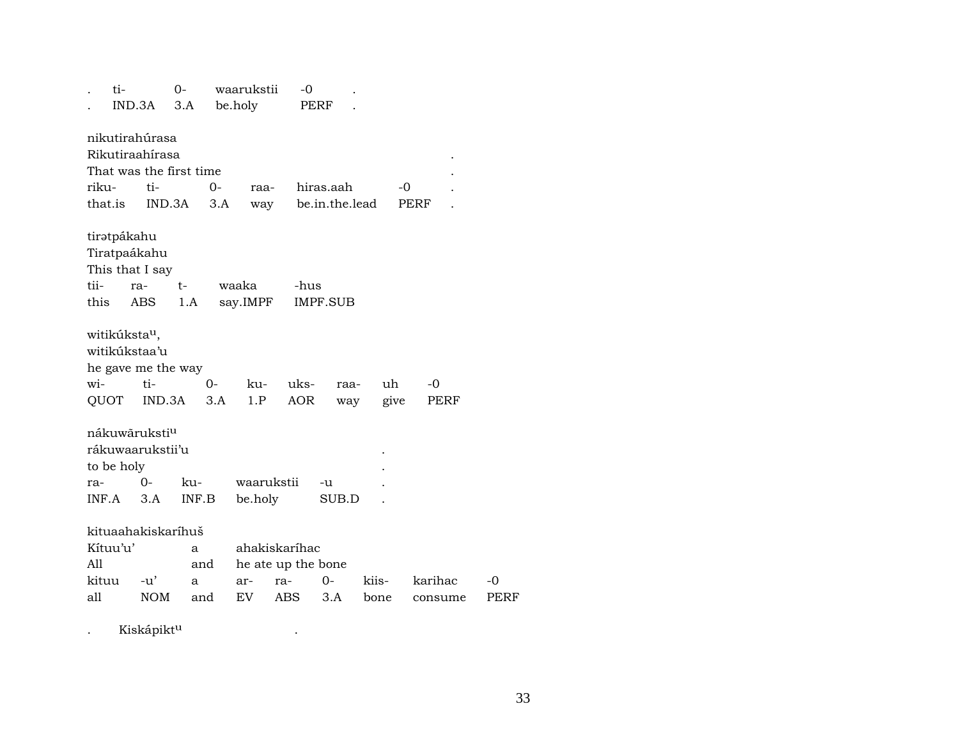|         | ti-                       |                           | $O -$ |      | waarukstii | -0                 |                 |       |      |         |      |
|---------|---------------------------|---------------------------|-------|------|------------|--------------------|-----------------|-------|------|---------|------|
|         | IND.3A                    |                           | 3.A   |      | be.holy    |                    | PERF            |       |      |         |      |
|         |                           |                           |       |      |            |                    |                 |       |      |         |      |
|         |                           | nikutirahúrasa            |       |      |            |                    |                 |       |      |         |      |
|         |                           | Rikutiraahírasa           |       |      |            |                    |                 |       |      |         |      |
|         |                           | That was the first time   |       |      |            |                    |                 |       |      |         |      |
| riku-   |                           | ti-                       |       | $0-$ | raa-       |                    | hiras.aah       |       | -0   |         |      |
| that.is |                           | IND.3A                    |       | 3.A  | way        |                    | be.in.the.lead  |       | PERF |         |      |
|         |                           |                           |       |      |            |                    |                 |       |      |         |      |
|         | tirətpákahu               |                           |       |      |            |                    |                 |       |      |         |      |
|         |                           | Tiratpaákahu              |       |      |            |                    |                 |       |      |         |      |
|         |                           | This that I say           |       |      |            |                    |                 |       |      |         |      |
| tii-    | ra-                       |                           | $t-$  |      | waaka      | -hus               |                 |       |      |         |      |
| this    |                           | ABS                       | 1.A   |      | say.IMPF   |                    | <b>IMPF.SUB</b> |       |      |         |      |
|         |                           |                           |       |      |            |                    |                 |       |      |         |      |
|         | witikúksta <sup>u</sup> , |                           |       |      |            |                    |                 |       |      |         |      |
|         |                           | witikúkstaa'u             |       |      |            |                    |                 |       |      |         |      |
|         |                           | he gave me the way        |       |      |            |                    |                 |       |      |         |      |
| wi-     |                           | ti-                       |       | 0-   | ku-        | uks-               | raa-            | uh    |      | $-0$    |      |
|         | QUOT                      | IND.3A                    |       | 3.A  | 1.P        | <b>AOR</b>         | way             |       | give | PERF    |      |
|         |                           |                           |       |      |            |                    |                 |       |      |         |      |
|         |                           | nákuwāruksti <sup>u</sup> |       |      |            |                    |                 |       |      |         |      |
|         |                           | rákuwaarukstii'u          |       |      |            |                    |                 |       |      |         |      |
|         | to be holy                |                           |       |      |            |                    |                 |       |      |         |      |
| ra-     |                           | 0-                        | ku-   |      | waarukstii |                    | -u              |       |      |         |      |
| INF.A   |                           | 3.A                       | INF.B |      | be.holy    |                    | SUB.D           |       |      |         |      |
|         |                           |                           |       |      |            |                    |                 |       |      |         |      |
|         |                           | kituaahakiskaríhuš        |       |      |            |                    |                 |       |      |         |      |
|         | Kítuu'u'                  |                           |       |      |            | ahakiskaríhac      |                 |       |      |         |      |
| A11     |                           |                           | a     |      |            |                    |                 |       |      |         |      |
|         |                           |                           | and   |      |            | he ate up the bone |                 |       |      |         |      |
| kituu   |                           | -u'                       | a     |      | ar-        | ra-                | $0-$            | kiis- |      | karihac | -0   |
| all     |                           | <b>NOM</b>                | and   |      | EV         | ABS                | 3.A             | bone  |      | consume | PERF |
|         |                           |                           |       |      |            |                    |                 |       |      |         |      |

. Kiskápikt<sup>u</sup> kaléndesét a k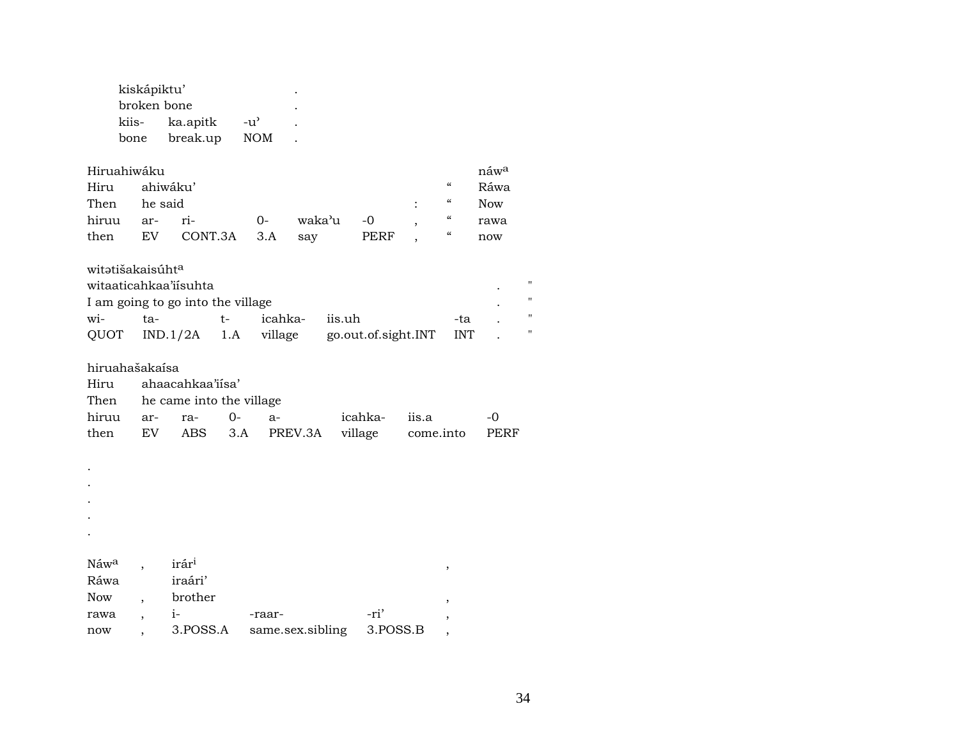| kiskápiktu'             |          |                    |  |  |  |  |  |  |
|-------------------------|----------|--------------------|--|--|--|--|--|--|
| broken bone             |          |                    |  |  |  |  |  |  |
| kiis-                   | ka.apitk | $-11$ <sup>2</sup> |  |  |  |  |  |  |
| NOM<br>break.up<br>bone |          |                    |  |  |  |  |  |  |

| Hiruahiwáku<br>$n$ awa |  |                                 |  |               |  |               |            |      |  |  |  |  |  |
|------------------------|--|---------------------------------|--|---------------|--|---------------|------------|------|--|--|--|--|--|
| Hiru ahiwáku'          |  |                                 |  |               |  |               | $\epsilon$ | Ráwa |  |  |  |  |  |
| Then he said           |  |                                 |  |               |  | $\cdot$ " Now |            |      |  |  |  |  |  |
|                        |  | hiruu ar- ri-        0-         |  | waka'u -0 , " |  |               |            | rawa |  |  |  |  |  |
|                        |  | then EV CONT.3A 3.A say PERF, " |  |               |  |               |            | now  |  |  |  |  |  |

## witətišakaisúht<sup>a</sup>

| witaaticahkaa'iísuhta             |      |      |         |                                                   |      |  |  |  |
|-----------------------------------|------|------|---------|---------------------------------------------------|------|--|--|--|
| I am going to go into the village |      |      |         |                                                   |      |  |  |  |
| wi-                               | ta-l | $t-$ | icahka- | iis.uh                                            | -tal |  |  |  |
|                                   |      |      |         | QUOT IND.1/2A 1.A village go.out.of.sight.INT INT |      |  |  |  |

## hiruahašakaísa

| Hiru ahaacahkaa'iisa'         |  |  |                     |               |                                                |               |  |  |  |
|-------------------------------|--|--|---------------------|---------------|------------------------------------------------|---------------|--|--|--|
| Then he came into the village |  |  |                     |               |                                                |               |  |  |  |
|                               |  |  | hiruu ar- ra- 0- a- | icahka- iis.a |                                                | $\sim$ $\sim$ |  |  |  |
|                               |  |  |                     |               | then EV ABS 3.A PREV.3A village come.into PERF |               |  |  |  |

.

.

.

. .

| Náw <sup>a</sup> | irár <sup>i</sup> |                  |          |  |
|------------------|-------------------|------------------|----------|--|
| Ráwa             | iraári'           |                  |          |  |
| Now              | brother           |                  |          |  |
| rawa             | $1 -$             | -raar-           | -ri'     |  |
| now              | 3.POSS.A          | same.sex.sibling | 3.POSS.B |  |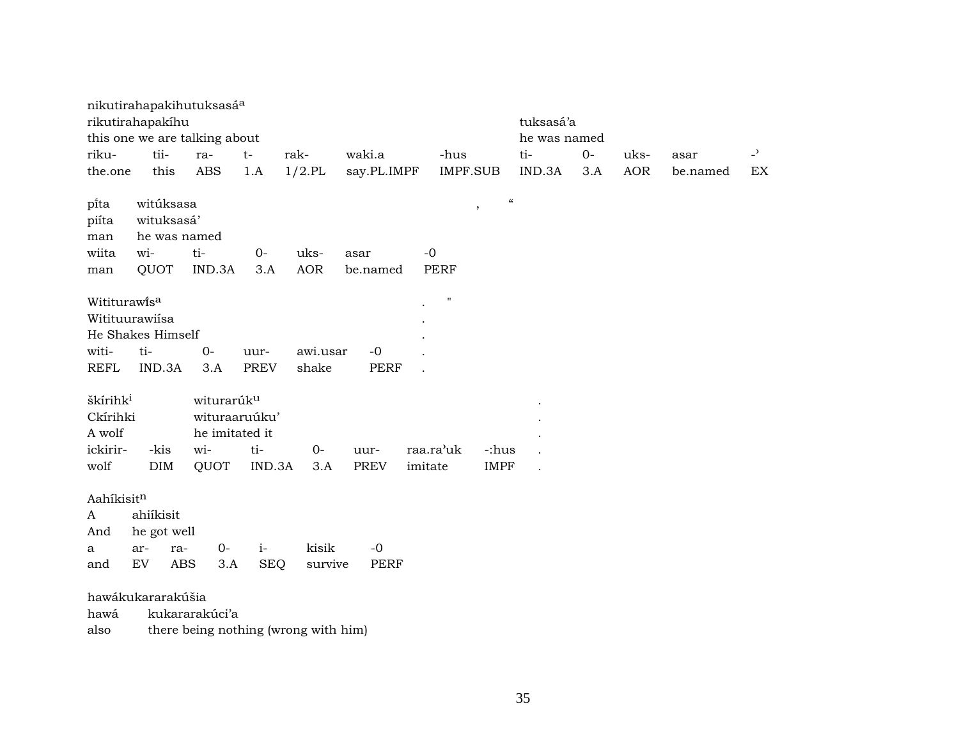|                      | nikutirahapakihutuksasá <sup>a</sup> |                        |             |            |             |                    |                                        |              |            |          |                            |
|----------------------|--------------------------------------|------------------------|-------------|------------|-------------|--------------------|----------------------------------------|--------------|------------|----------|----------------------------|
|                      | rikutirahapakíhu                     |                        |             |            |             |                    | tuksasá'a                              |              |            |          |                            |
|                      | this one we are talking about        |                        |             |            |             |                    |                                        | he was named |            |          |                            |
| riku-                | tii-                                 | ra-                    | $t-$        | rak-       | waki.a      | -hus               | ti-                                    | $O -$        | uks-       | asar     | $\overline{\phantom{a}}$   |
| the.one              | this                                 | ABS                    | 1.A         | $1/2$ .PL  | say.PL.IMPF | IMPF.SUB           | IND.3A                                 | 3.A          | <b>AOR</b> | be.named | $\mathop{\rm EX}\nolimits$ |
|                      | witúksasa                            |                        |             |            |             |                    | $\boldsymbol{\zeta}\boldsymbol{\zeta}$ |              |            |          |                            |
| pi̇̃ta<br>piíta      |                                      |                        |             |            |             |                    |                                        |              |            |          |                            |
| man                  | wituksasá'<br>he was named           |                        |             |            |             |                    |                                        |              |            |          |                            |
| wiita                | wi-                                  | ti-                    | $0-$        | uks-       | asar        | $-0$               |                                        |              |            |          |                            |
| man                  | QUOT                                 | IND.3A                 | 3.A         | <b>AOR</b> | be.named    | <b>PERF</b>        |                                        |              |            |          |                            |
|                      |                                      |                        |             |            |             |                    |                                        |              |            |          |                            |
| Wititurawisa         |                                      |                        |             |            |             | $\pmb{\mathsf{H}}$ |                                        |              |            |          |                            |
|                      | Witituurawiísa                       |                        |             |            |             |                    |                                        |              |            |          |                            |
|                      | He Shakes Himself                    |                        |             |            |             |                    |                                        |              |            |          |                            |
| witi-                | ti-                                  | $0-$                   | uur-        | awi.usar   | $-0$        |                    |                                        |              |            |          |                            |
| <b>REFL</b>          | IND.3A                               | 3.A                    | <b>PREV</b> | shake      | <b>PERF</b> |                    |                                        |              |            |          |                            |
|                      |                                      |                        |             |            |             |                    |                                        |              |            |          |                            |
| škírihk <sup>i</sup> |                                      | witurarúk <sup>u</sup> |             |            |             |                    |                                        |              |            |          |                            |
| Ckírihki             |                                      | wituraaruúku'          |             |            |             |                    |                                        |              |            |          |                            |
| A wolf               |                                      | he imitated it         |             |            |             |                    |                                        |              |            |          |                            |
| ickirir-             | -kis                                 | wi-                    | ti-         | $O -$      | uur-        | raa.ra'uk          | -:hus                                  |              |            |          |                            |
| wolf                 | <b>DIM</b>                           | QUOT                   | IND.3A      | 3.A        | <b>PREV</b> | imitate            | <b>IMPF</b><br>$\ddot{\phantom{a}}$    |              |            |          |                            |
|                      |                                      |                        |             |            |             |                    |                                        |              |            |          |                            |
| Aahíkisitn           | ahiíkisit                            |                        |             |            |             |                    |                                        |              |            |          |                            |
| A<br>And             | he got well                          |                        |             |            |             |                    |                                        |              |            |          |                            |
| a                    | ar-<br>ra-                           | $0-$                   | $i-$        | kisik      | $-0$        |                    |                                        |              |            |          |                            |
| and                  | ${\rm EV}$<br>ABS                    | 3.A                    | <b>SEQ</b>  | survive    | PERF        |                    |                                        |              |            |          |                            |
|                      |                                      |                        |             |            |             |                    |                                        |              |            |          |                            |
|                      | hawákukararakúšia                    |                        |             |            |             |                    |                                        |              |            |          |                            |
| hawá                 |                                      | kukararakúci'a         |             |            |             |                    |                                        |              |            |          |                            |
|                      |                                      |                        |             |            |             |                    |                                        |              |            |          |                            |

also there being nothing (wrong with him)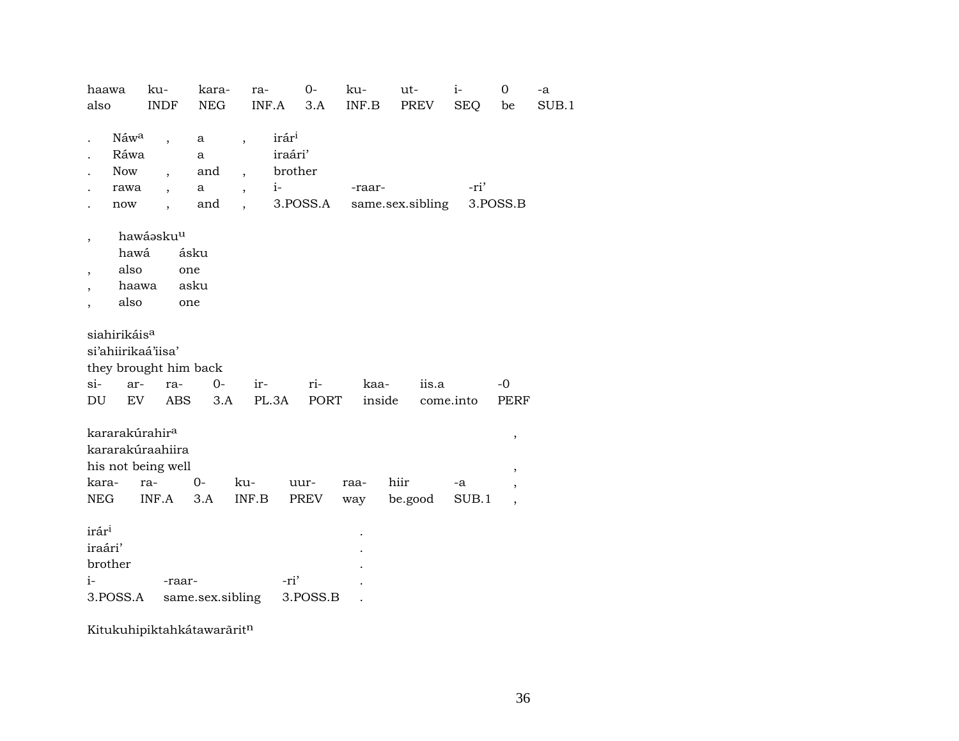| also                     |                          | ku-                        | kara-            | ra-                                           | $O -$    | ku-    | ut-              | $i-$       | $\mathbf 0$              | -a    |
|--------------------------|--------------------------|----------------------------|------------------|-----------------------------------------------|----------|--------|------------------|------------|--------------------------|-------|
|                          |                          | <b>INDF</b>                | <b>NEG</b>       | INF.A                                         | 3.A      | INF.B  | PREV             | <b>SEQ</b> | be                       | SUB.1 |
|                          |                          |                            |                  |                                               |          |        |                  |            |                          |       |
|                          | Náw <sup>a</sup>         |                            | a                | irár <sup>i</sup><br>$\overline{\phantom{a}}$ |          |        |                  |            |                          |       |
|                          | Ráwa                     |                            | a                | iraári'                                       |          |        |                  |            |                          |       |
|                          | <b>Now</b>               | $\overline{\phantom{a}}$   | and              | $\overline{\phantom{a}}$                      | brother  |        |                  |            |                          |       |
|                          | rawa                     | $\overline{\phantom{a}}$   | a                | $i-$<br>$\overline{\phantom{a}}$              |          | -raar- |                  | -ri'       |                          |       |
|                          | now                      |                            | and              |                                               | 3.POSS.A |        | same.sex.sibling |            | 3.POSS.B                 |       |
|                          |                          |                            |                  |                                               |          |        |                  |            |                          |       |
| ,                        |                          | hawáaskuu                  |                  |                                               |          |        |                  |            |                          |       |
|                          | hawá                     |                            | ásku             |                                               |          |        |                  |            |                          |       |
| $\overline{\phantom{a}}$ | also                     |                            | one              |                                               |          |        |                  |            |                          |       |
|                          | haawa                    |                            | asku             |                                               |          |        |                  |            |                          |       |
|                          | also                     |                            | one              |                                               |          |        |                  |            |                          |       |
|                          |                          |                            |                  |                                               |          |        |                  |            |                          |       |
|                          | siahirikáis <sup>a</sup> |                            |                  |                                               |          |        |                  |            |                          |       |
|                          |                          | si'ahiirikaá'iisa'         |                  |                                               |          |        |                  |            |                          |       |
|                          |                          | they brought him back      |                  |                                               |          |        |                  |            |                          |       |
| si-                      | ar-                      | ra-                        | $0-$             | ir-                                           | ri-      | kaa-   | iis.a            |            | -0                       |       |
| DU                       | EV                       | <b>ABS</b>                 | 3.A              | PL.3A                                         | PORT     | inside |                  | come.into  | PERF                     |       |
|                          |                          |                            |                  |                                               |          |        |                  |            |                          |       |
|                          |                          | kararakúrahir <sup>a</sup> |                  |                                               |          |        |                  |            | $\,$                     |       |
|                          |                          | kararakúraahiira           |                  |                                               |          |        |                  |            |                          |       |
|                          |                          | his not being well         |                  |                                               |          |        |                  |            |                          |       |
| kara-                    |                          | ra-                        | $O -$            | ku-                                           | uur-     | raa-   | hiir             | -a         | $^\mathrm{\textdegree}$  |       |
| NEG                      |                          | INF.A                      | 3.A              | INF.B                                         | PREV     | way    | be.good          | SUB.1      | $\overline{\phantom{a}}$ |       |
|                          |                          |                            |                  |                                               |          |        |                  |            | $\overline{\phantom{a}}$ |       |
| irár <sup>i</sup>        |                          |                            |                  |                                               |          |        |                  |            |                          |       |
|                          |                          |                            |                  |                                               |          |        |                  |            |                          |       |
|                          |                          |                            |                  |                                               |          |        |                  |            |                          |       |
| iraári'                  |                          |                            |                  |                                               |          |        |                  |            |                          |       |
| brother                  |                          |                            |                  |                                               |          |        |                  |            |                          |       |
| $i-$                     | 3.POSS.A                 | -raar-                     | same.sex.sibling | -ri'                                          | 3.POSS.B |        |                  |            |                          |       |

Kitukuhipiktahkátawarãritn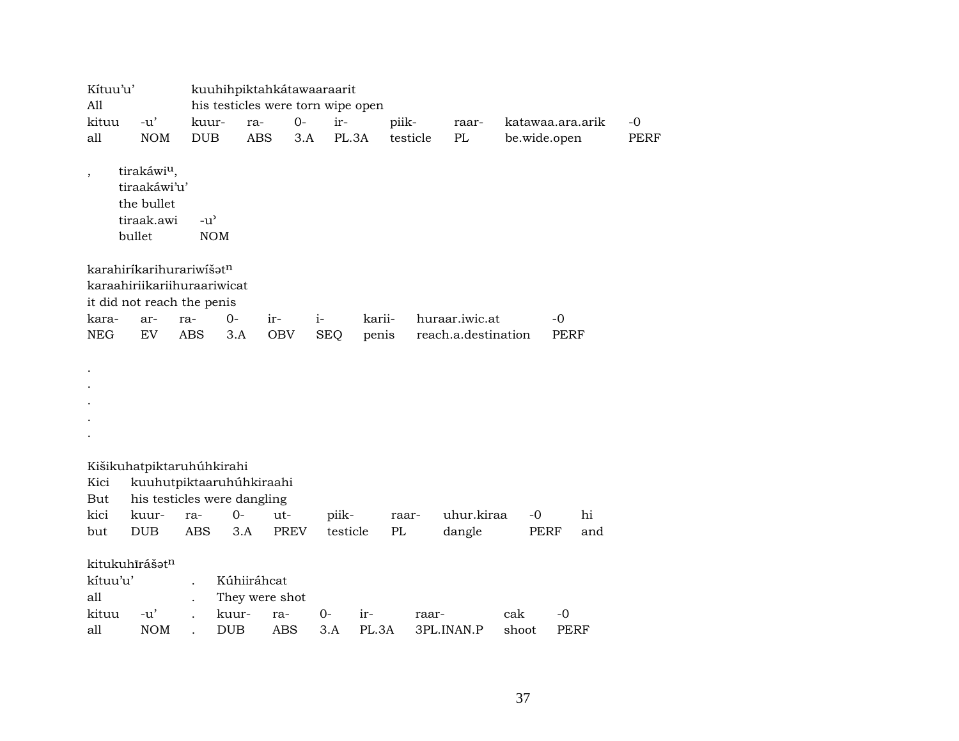| Kítuu'u'                 |                             |            |               | kuuhihpiktahkátawaaraarit         |             |            |        |          |                     |       |                  |             |
|--------------------------|-----------------------------|------------|---------------|-----------------------------------|-------------|------------|--------|----------|---------------------|-------|------------------|-------------|
| All                      |                             |            |               | his testicles were torn wipe open |             |            |        |          |                     |       |                  |             |
| kituu                    | $-u'$                       |            | kuur-         | ra-                               | $0-$        | ir-        |        | piik-    | raar-               |       | katawaa.ara.arik | $-0$        |
| all                      | <b>NOM</b>                  |            | <b>DUB</b>    | <b>ABS</b>                        | 3.A         | PL.3A      |        | testicle | PL                  |       | be.wide.open     | <b>PERF</b> |
| $\overline{\phantom{a}}$ | tirakáwi <sup>u</sup> ,     |            |               |                                   |             |            |        |          |                     |       |                  |             |
|                          | tiraakáwi'u'                |            |               |                                   |             |            |        |          |                     |       |                  |             |
|                          | the bullet                  |            |               |                                   |             |            |        |          |                     |       |                  |             |
|                          | tiraak.awi                  |            | $-u^{\prime}$ |                                   |             |            |        |          |                     |       |                  |             |
|                          | bullet                      |            | <b>NOM</b>    |                                   |             |            |        |          |                     |       |                  |             |
|                          | karahiríkarihurariwíšatn    |            |               |                                   |             |            |        |          |                     |       |                  |             |
|                          | karaahiriikariihuraariwicat |            |               |                                   |             |            |        |          |                     |       |                  |             |
|                          | it did not reach the penis  |            |               |                                   |             |            |        |          |                     |       |                  |             |
| kara-                    | ar-                         | ra-        | $0-$          | ir-                               | $i-$        |            | karii- |          | huraar.iwic.at      |       | $-0$             |             |
| <b>NEG</b>               | ${\rm EV}$                  | <b>ABS</b> | 3.A           | OBV                               |             | <b>SEQ</b> | penis  |          | reach.a.destination |       | <b>PERF</b>      |             |
|                          |                             |            |               |                                   |             |            |        |          |                     |       |                  |             |
|                          |                             |            |               |                                   |             |            |        |          |                     |       |                  |             |
|                          |                             |            |               |                                   |             |            |        |          |                     |       |                  |             |
|                          |                             |            |               |                                   |             |            |        |          |                     |       |                  |             |
|                          |                             |            |               |                                   |             |            |        |          |                     |       |                  |             |
|                          |                             |            |               |                                   |             |            |        |          |                     |       |                  |             |
|                          |                             |            |               |                                   |             |            |        |          |                     |       |                  |             |
|                          | Kišikuhatpiktaruhúhkirahi   |            |               |                                   |             |            |        |          |                     |       |                  |             |
| Kici                     |                             |            |               | kuuhutpiktaaruhúhkiraahi          |             |            |        |          |                     |       |                  |             |
| But                      |                             |            |               | his testicles were dangling       |             |            |        |          |                     |       |                  |             |
| kici                     | kuur-                       | ra-        | 0-            | ut-                               |             | piik-      |        | raar-    | uhur.kiraa          | $-0$  | hi               |             |
| but                      | <b>DUB</b>                  | <b>ABS</b> |               | 3.A                               | <b>PREV</b> | testicle   |        | PL       | dangle              |       | PERF<br>and      |             |
|                          | kitukuhīrášatn              |            |               |                                   |             |            |        |          |                     |       |                  |             |
| kítuu'u'                 |                             |            |               | Kúhiiráhcat                       |             |            |        |          |                     |       |                  |             |
| all                      |                             |            |               | They were shot                    |             |            |        |          |                     |       |                  |             |
| kituu                    | $-u'$                       |            | kuur-         | ra-                               |             | 0-         | ir-    | raar-    |                     | cak   | $-0$             |             |
| all                      | <b>NOM</b>                  |            | <b>DUB</b>    | <b>ABS</b>                        |             | 3.A        | PL.3A  |          | 3PL.INAN.P          | shoot | <b>PERF</b>      |             |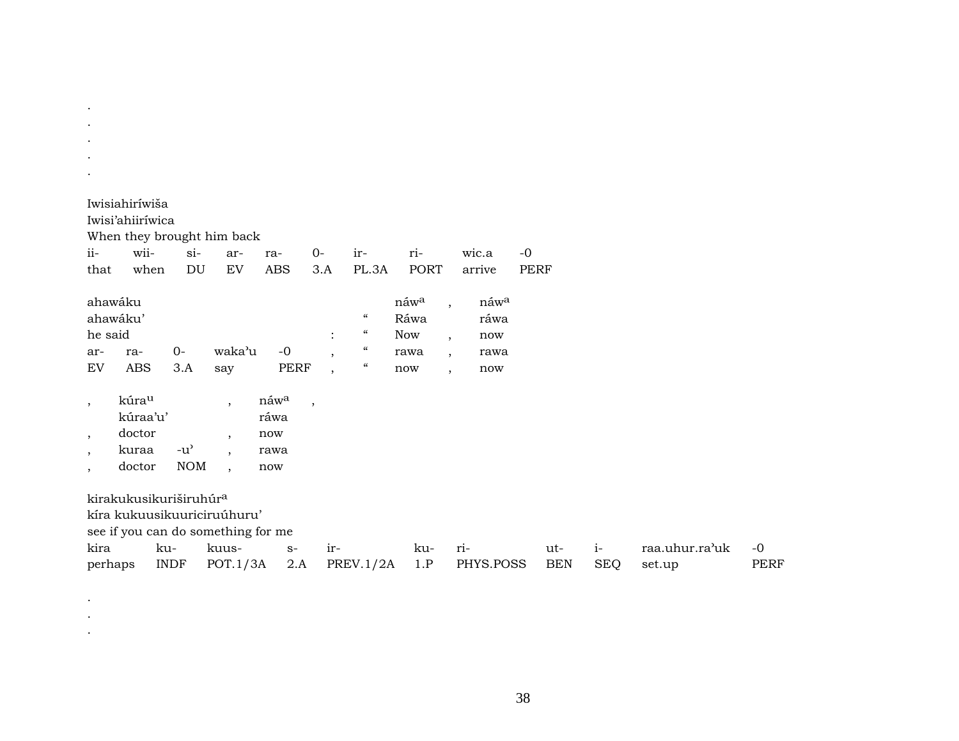| ii-<br>that                              | Iwisiahiríwiša<br>Iwisi'ahiiríwica<br>wii-<br>when | $si-$<br>DU                                       | When they brought him back<br>ar-<br>EV                                                                  | ra-<br><b>ABS</b>                  | $0-$<br>3.A                                           | ir-<br>PL.3A                                                                                                                 | ri-<br><b>PORT</b>                        | wic.a<br>arrive                                                                                                                                    | $-0$<br><b>PERF</b> |                    |                          |                     |
|------------------------------------------|----------------------------------------------------|---------------------------------------------------|----------------------------------------------------------------------------------------------------------|------------------------------------|-------------------------------------------------------|------------------------------------------------------------------------------------------------------------------------------|-------------------------------------------|----------------------------------------------------------------------------------------------------------------------------------------------------|---------------------|--------------------|--------------------------|---------------------|
| he said<br>ar-<br>EV                     | ahawáku<br>ahawáku'<br>ra-<br><b>ABS</b>           | $0 -$<br>3.A                                      | waka'u<br>say                                                                                            | $-0$<br><b>PERF</b>                | $\ddot{\cdot}$<br>$\cdot$<br>$\overline{\phantom{a}}$ | $\mathcal{C}\mathcal{C}$<br>$\mathcal{C}\mathcal{C}$<br>$\boldsymbol{\zeta}\boldsymbol{\zeta}$<br>$\boldsymbol{\mathcal{C}}$ | náwa<br>Ráwa<br><b>Now</b><br>rawa<br>now | náwa<br>$\overline{\phantom{a}}$<br>ráwa<br>now<br>$\overline{\phantom{a}}$<br>rawa<br>$\overline{\phantom{a}}$<br>now<br>$\overline{\phantom{a}}$ |                     |                    |                          |                     |
| $\cdot$<br>$\cdot$<br>$\cdot$<br>$\cdot$ | kúrau<br>kúraa'u'<br>doctor<br>kuraa<br>doctor     | $-u$ <sup><math>\prime</math></sup><br><b>NOM</b> | $\overline{\phantom{a}}$<br>$\overline{\phantom{a}}$<br>$\overline{\phantom{a}}$<br>$\ddot{\phantom{0}}$ | náwa<br>ráwa<br>now<br>rawa<br>now | $\overline{\phantom{a}}$                              |                                                                                                                              |                                           |                                                                                                                                                    |                     |                    |                          |                     |
| kira<br>perhaps                          | kirakukusikuriširuhúr <sup>a</sup>                 | ku-<br><b>INDF</b>                                | kíra kukuusikuuriciruúhuru'<br>see if you can do something for me<br>kuus-<br>POT.1/3A                   | $S-$<br>2.A                        | ir-                                                   | PREV.1/2A                                                                                                                    | ku-<br>1.P                                | ri-<br>PHYS.POSS                                                                                                                                   | ut-<br><b>BEN</b>   | $i-$<br><b>SEQ</b> | raa.uhur.ra'uk<br>set.up | $-0$<br><b>PERF</b> |

.

. . .

38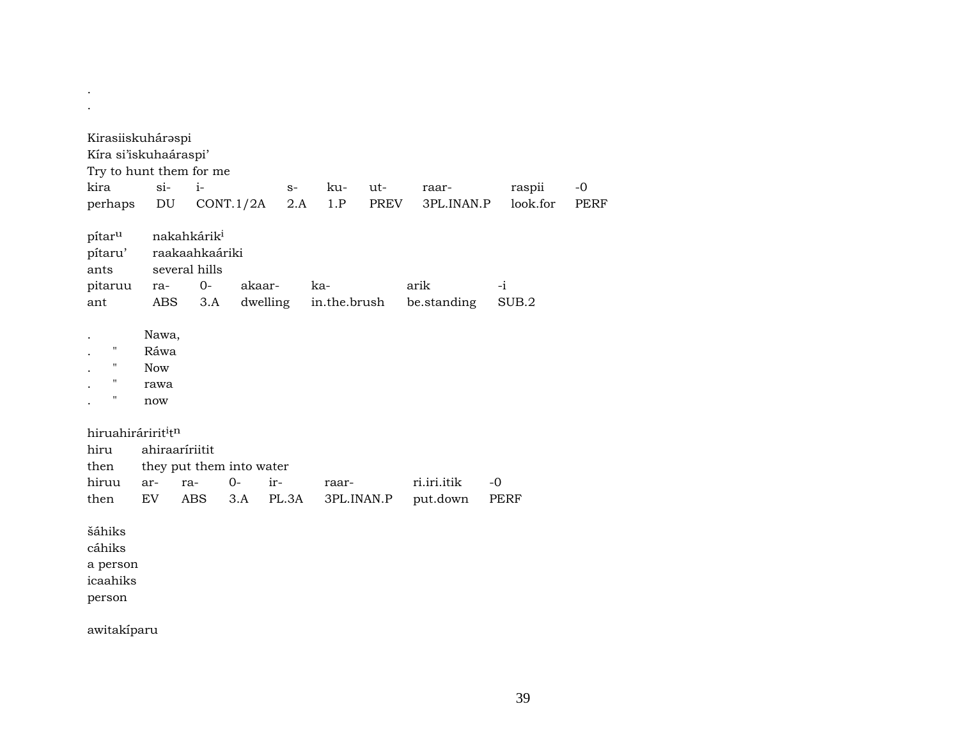| Kirasiiskuháraspi<br>Kíra si'iskuhaáraspi' |              |                          |           |             |              |             |                     |                    |                     |
|--------------------------------------------|--------------|--------------------------|-----------|-------------|--------------|-------------|---------------------|--------------------|---------------------|
| Try to hunt them for me                    |              |                          |           |             |              |             |                     |                    |                     |
| kira<br>perhaps                            | $si$ -<br>DU | $i-$                     | CONT.1/2A | $S-$<br>2.A | ku-<br>1.P   | ut-<br>PREV | raar-<br>3PL.INAN.P | raspii<br>look.for | $-0$<br><b>PERF</b> |
| pítar <sup>u</sup>                         |              | nakahkárik <sup>i</sup>  |           |             |              |             |                     |                    |                     |
| pítaru'                                    |              | raakaahkaáriki           |           |             |              |             |                     |                    |                     |
| ants                                       |              | several hills            |           |             |              |             |                     |                    |                     |
| pitaruu                                    | ra-          | $0-$                     | akaar-    |             | ka-          |             | arik                | $-i$               |                     |
| ant                                        | <b>ABS</b>   | 3.A                      |           | dwelling    | in.the.brush |             | be.standing         | SUB.2              |                     |
|                                            |              |                          |           |             |              |             |                     |                    |                     |
|                                            | Nawa,        |                          |           |             |              |             |                     |                    |                     |
| $\mathbf{H}$                               | Ráwa         |                          |           |             |              |             |                     |                    |                     |
| $\pmb{\mathsf{H}}$                         | <b>Now</b>   |                          |           |             |              |             |                     |                    |                     |
| $\pmb{\mathsf{H}}$                         | rawa         |                          |           |             |              |             |                     |                    |                     |
| п                                          | now          |                          |           |             |              |             |                     |                    |                     |
| hiruahiráririt <sup>i</sup> t <sup>n</sup> |              |                          |           |             |              |             |                     |                    |                     |
| hiru                                       |              | ahiraaríriitit           |           |             |              |             |                     |                    |                     |
| then                                       |              | they put them into water |           |             |              |             |                     |                    |                     |
| hiruu                                      | ar-          | ra-                      | $0-$      | ir-         | raar-        |             | ri.iri.itik         | $-0$               |                     |
| then                                       | EV           | ABS                      | 3.A       | PL.3A       | 3PL.INAN.P   |             | put.down            | <b>PERF</b>        |                     |
| šáhiks                                     |              |                          |           |             |              |             |                     |                    |                     |
| cáhiks                                     |              |                          |           |             |              |             |                     |                    |                     |
| a person                                   |              |                          |           |             |              |             |                     |                    |                     |
| icaahiks                                   |              |                          |           |             |              |             |                     |                    |                     |
| person                                     |              |                          |           |             |              |             |                     |                    |                     |

awitakíparu

 $\sim$  $\mathcal{A}^{\mathcal{A}}$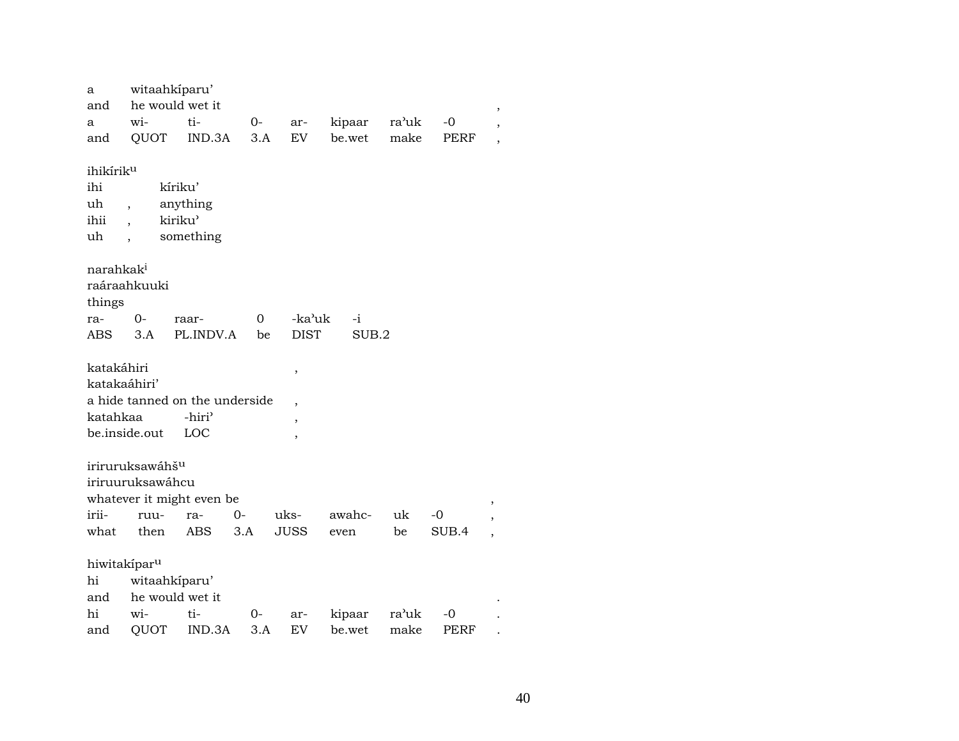| a<br>and                               | witaahkiparu'<br>he would wet it                |                                                      |       |             |        |       |       |                          |
|----------------------------------------|-------------------------------------------------|------------------------------------------------------|-------|-------------|--------|-------|-------|--------------------------|
| a                                      | wi-                                             | ti-                                                  | 0-    | ar-         | kipaar | ra'uk | $-0$  | ,                        |
| and                                    | QUOT                                            | IND.3A                                               | 3.A   | EV.         | be.wet | make  | PERF  | ,                        |
|                                        |                                                 |                                                      |       |             |        |       |       |                          |
| ihikírik <sup>u</sup>                  |                                                 |                                                      |       |             |        |       |       |                          |
| ihi                                    |                                                 | kíriku'                                              |       |             |        |       |       |                          |
| uh                                     | $\overline{\phantom{a}}$                        | anything                                             |       |             |        |       |       |                          |
| ihii                                   |                                                 | kiriku'                                              |       |             |        |       |       |                          |
| uh                                     |                                                 | something                                            |       |             |        |       |       |                          |
|                                        |                                                 |                                                      |       |             |        |       |       |                          |
| narahkak <sup>i</sup>                  |                                                 |                                                      |       |             |        |       |       |                          |
|                                        | raáraahkuuki                                    |                                                      |       |             |        |       |       |                          |
| things                                 |                                                 |                                                      |       |             |        |       |       |                          |
| ra-                                    | 0-                                              | raar-                                                | 0     | -ka'uk      | $-i$   |       |       |                          |
| ABS                                    | 3.A                                             | PL.INDV.A                                            | be    | <b>DIST</b> | SUB.2  |       |       |                          |
| katakáhiri<br>katakaáhiri'<br>katahkaa |                                                 | a hide tanned on the underside<br>-hiri <sup>3</sup> |       | ,<br>,      |        |       |       |                          |
|                                        | be.inside.out                                   | LOC                                                  |       | ,           |        |       |       |                          |
|                                        |                                                 |                                                      |       | ,           |        |       |       |                          |
|                                        | iriruruksawáhš <sup>u</sup><br>iriruuruksawáhcu | whatever it might even be                            |       |             |        |       |       | ,                        |
| irii-                                  | ruu-                                            | ra-                                                  | 0-    | uks-        | awahc- | uk    | -0    | ,                        |
| what                                   | then                                            | <b>ABS</b>                                           | 3.A   | <b>JUSS</b> | even   | be    | SUB.4 | $\overline{\phantom{a}}$ |
| hiwitakipar <sup>u</sup><br>hi         | witaahkiparu'                                   |                                                      |       |             |        |       |       |                          |
| and                                    | he would wet it                                 |                                                      |       |             |        |       |       |                          |
| hi                                     | wi-                                             | ti-                                                  | 0-    | ar-         | kipaar | ra'uk | -0    |                          |
| and                                    | QUOT                                            | IND.3A                                               | $3.A$ | EV          | be.wet | make  | PERF  |                          |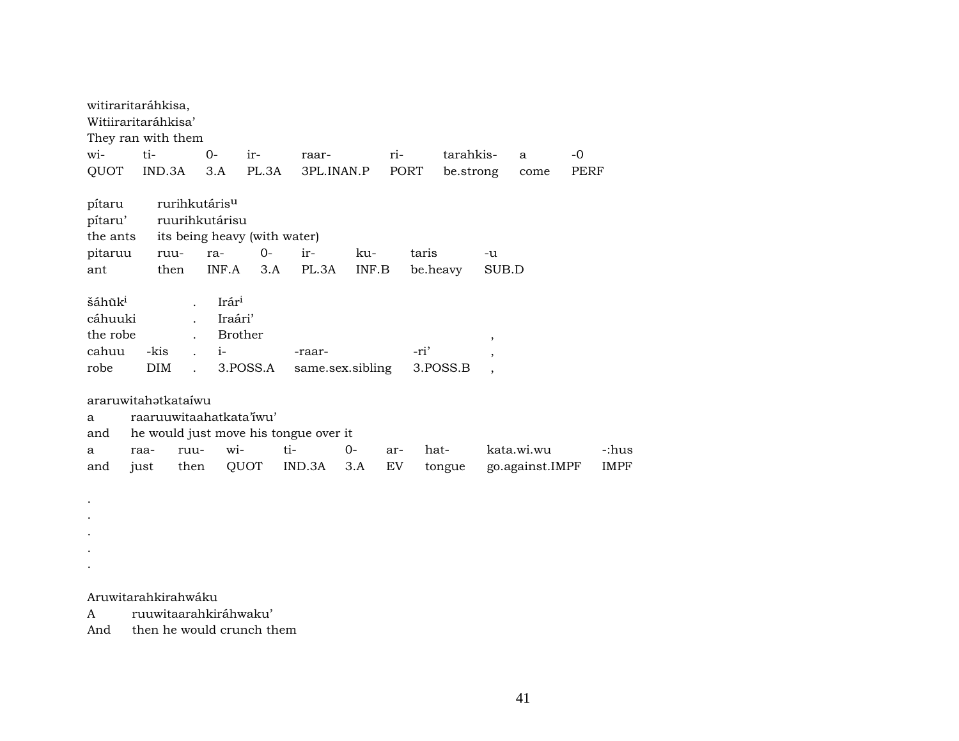| witiraritaráhkisa,<br>Witiiraritaráhkisa'<br>They ran with them |                    |                                                    |                                                                       |                                                              |                  |           |       |           |                                     |                               |      |                      |
|-----------------------------------------------------------------|--------------------|----------------------------------------------------|-----------------------------------------------------------------------|--------------------------------------------------------------|------------------|-----------|-------|-----------|-------------------------------------|-------------------------------|------|----------------------|
| wi-                                                             | ti-                | $O -$                                              | $ir-$                                                                 | raar-                                                        |                  | ri-       |       | tarahkis- |                                     | a                             | -0   |                      |
| QUOT                                                            | IND.3A             |                                                    | 3.A                                                                   | PL.3A                                                        | 3PL.INAN.P       |           | PORT  | be.strong |                                     | come                          | PERF |                      |
| pítaru<br>pítaru'<br>the ants<br>pitaruu<br>ant                 | ruu-<br>then       | rurihkutáris <sup>u</sup><br>ruurihkutárisu<br>ra- | INF.A                                                                 | its being heavy (with water)<br>ir-<br>$O -$<br>PL.3A<br>3.A | ku-<br>INF.B     |           | taris | be.heavy  | $-u$<br>SUB.D                       |                               |      |                      |
| šáhũk <sup>i</sup><br>cáhuuki<br>the robe<br>cahuu<br>robe      | -kis<br><b>DIM</b> | $\mathbf{r}$<br>$\mathbf{r}$                       | $Ir$ ár <sup>i</sup><br>Iraári'<br><b>Brother</b><br>$i-$<br>3.POSS.A | -raar-                                                       | same.sex.sibling |           | -ri'  | 3.POSS.B  | $\overline{\phantom{a}}$<br>$\cdot$ |                               |      |                      |
| araruwitahətkataiwu<br>a<br>and<br>a<br>and                     | raa-<br>just       | ruu-<br>then                                       | raaruuwitaahatkata'iwu'<br>wi-<br>QUOT                                | he would just move his tongue over it<br>ti-<br>IND.3A       | $0-$<br>3.A      | ar-<br>EV | hat-  | tongue    |                                     | kata.wi.wu<br>go.against.IMPF |      | -:hus<br><b>IMPF</b> |

. .

.

.

.

Aruwitarahkirahwáku

A ruuwitaarahkiráhwaku'

And then he would crunch them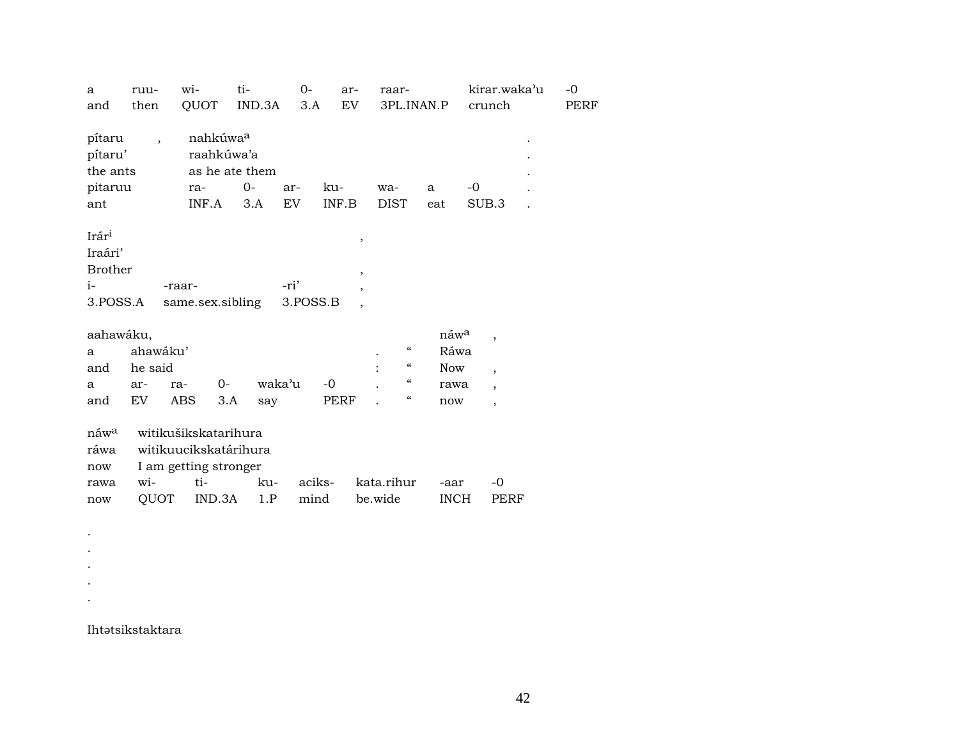| a<br>and                                               | ruu-<br>then                     | wi-<br>QUOT                                                                             | ti-<br>IND.3A                 | $0-$<br>3.A      | ar-<br>EV    | raar-<br>3PL.INAN.P                                                                                |                                                       | kirar.waka'u<br>crunch                                                  | $-0$<br>PERF |
|--------------------------------------------------------|----------------------------------|-----------------------------------------------------------------------------------------|-------------------------------|------------------|--------------|----------------------------------------------------------------------------------------------------|-------------------------------------------------------|-------------------------------------------------------------------------|--------------|
| pítaru<br>pítaru'<br>the ants<br>pitaruu<br>ant        | $\ddot{\phantom{0}}$             | nahkúwa <sup>a</sup><br>raahkúwa'a<br>ra-<br>INF.A                                      | as he ate them<br>$0-$<br>3.A | ar-<br>EV        | ku-<br>INF.B | wa-<br><b>DIST</b>                                                                                 | a<br>eat                                              | -0<br>SUB.3                                                             |              |
| Irári<br>Iraári'<br><b>Brother</b><br>$i-$<br>3.POSS.A |                                  | -raar-<br>same.sex.sibling                                                              |                               | -ri'<br>3.POSS.B | $\, ,$<br>,  |                                                                                                    |                                                       |                                                                         |              |
| aahawáku,<br>a<br>and<br>a<br>and                      | ahawáku'<br>he said<br>ar-<br>EV | $0-$<br>ra-<br><b>ABS</b>                                                               | waka'u<br>3.A<br>say          |                  | $-0$<br>PERF | $\mathcal{C}\mathcal{C}$<br>$\boldsymbol{\mathcal{C}}$<br>$\boldsymbol{\mathcal{C}}$<br>$\epsilon$ | náw <sup>a</sup><br>Ráwa<br><b>Now</b><br>rawa<br>now | $\cdot$<br>$\overline{\phantom{a}}$<br>$\overline{ }$<br>$\overline{ }$ |              |
| náw <sup>a</sup><br>ráwa<br>now<br>rawa<br>now         | wi-<br>QUOT                      | witikušikskatarihura<br>witikuucikskatárihura<br>I am getting stronger<br>ti-<br>IND.3A | ku-<br>1.P                    | aciks-<br>mind   |              | kata.rihur<br>be.wide                                                                              | -aar<br><b>INCH</b>                                   | $-0$<br>PERF                                                            |              |

 $\mathcal{L}^{\pm}$ 

Ihtətsikstaktara

 $\sim$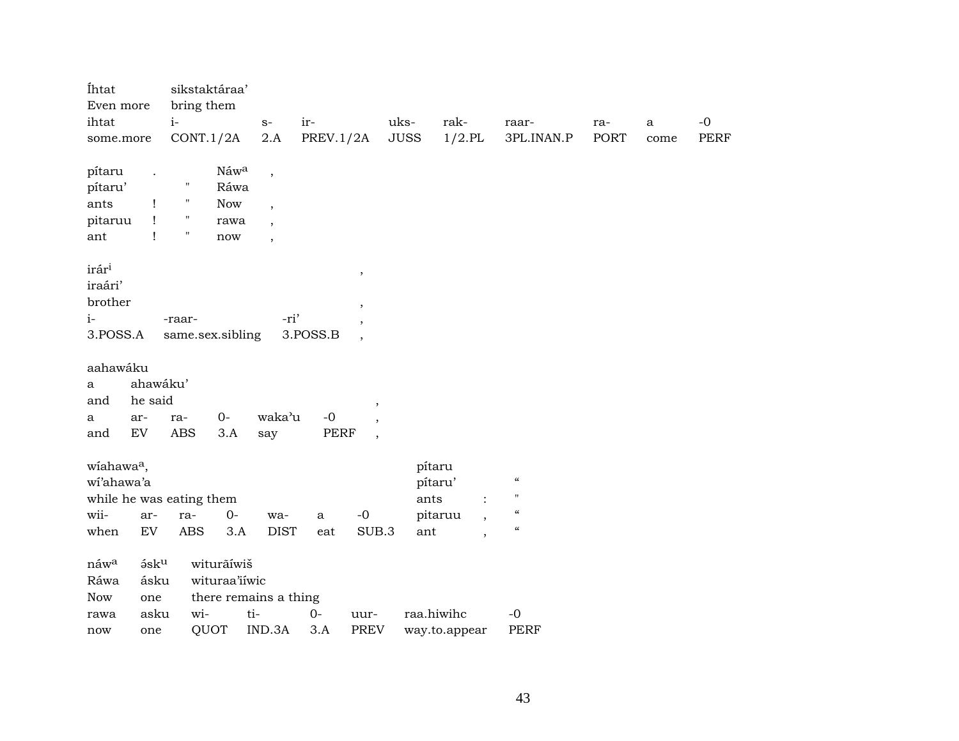| Íhtat<br>Even more               |              |                    | sikstaktáraa'<br>bring them |                          |           |                          |                |                          |                                               |      |              |      |
|----------------------------------|--------------|--------------------|-----------------------------|--------------------------|-----------|--------------------------|----------------|--------------------------|-----------------------------------------------|------|--------------|------|
| ihtat                            |              | $i-$               |                             | $S-$                     | ir-       |                          | uks-           | rak-                     | raar-                                         | ra-  | $\mathbf{a}$ | $-0$ |
| some.more                        |              |                    | CONT.1/2A                   | 2.A                      | PREV.1/2A |                          | <b>JUSS</b>    | $1/2$ .PL                | 3PL.INAN.P                                    | PORT | come         | PERF |
| pítaru                           |              |                    | Náwa                        | $\, ,$                   |           |                          |                |                          |                                               |      |              |      |
| pítaru'                          |              | $^{\prime\prime}$  | Ráwa                        |                          |           |                          |                |                          |                                               |      |              |      |
| ants                             | Ţ            | $\mathbf{H}$       | Now                         | $\overline{\phantom{a}}$ |           |                          |                |                          |                                               |      |              |      |
| pitaruu                          | $\mathbf{I}$ | $\pmb{\mathsf{H}}$ | rawa                        | $\overline{\phantom{a}}$ |           |                          |                |                          |                                               |      |              |      |
| ant                              | $\mathbf{I}$ | $\pmb{\mathsf{H}}$ | now                         | $\overline{\phantom{a}}$ |           |                          |                |                          |                                               |      |              |      |
| irár <sup>i</sup>                |              |                    |                             |                          |           |                          |                |                          |                                               |      |              |      |
| iraári'                          |              |                    |                             |                          |           | $\, ,$                   |                |                          |                                               |      |              |      |
| brother                          |              |                    |                             |                          |           |                          |                |                          |                                               |      |              |      |
| $i-$                             |              | -raar-             |                             | -ri'                     |           | $\,$                     |                |                          |                                               |      |              |      |
| 3.POSS.A                         |              |                    | same.sex.sibling            |                          | 3.POSS.B  | $\overline{\phantom{a}}$ |                |                          |                                               |      |              |      |
|                                  |              |                    |                             |                          |           |                          |                |                          |                                               |      |              |      |
| aahawáku                         |              |                    |                             |                          |           |                          |                |                          |                                               |      |              |      |
| a                                | ahawáku'     |                    |                             |                          |           |                          |                |                          |                                               |      |              |      |
| and                              | he said      |                    |                             |                          |           | $\, ,$                   |                |                          |                                               |      |              |      |
| a                                | ar-          | ra-                | $0-$                        | waka'u                   | $-0$      |                          |                |                          |                                               |      |              |      |
| and                              | EV           | ABS                | 3.A                         | say                      | PERF      | $\overline{\phantom{a}}$ |                |                          |                                               |      |              |      |
|                                  |              |                    |                             |                          |           |                          |                |                          |                                               |      |              |      |
| wiahawa <sup>a</sup> ,           |              |                    |                             |                          |           |                          | pítaru         |                          | $\boldsymbol{\mathcal{C}}$                    |      |              |      |
| wi'ahawa'a                       |              |                    |                             |                          |           |                          | pítaru'        |                          | $\pmb{\mathsf{H}}$                            |      |              |      |
| while he was eating them<br>wii- |              |                    | $0-$                        |                          |           | $-{\bf 0}$               | ants           | $\ddot{\cdot}$           | $\boldsymbol{\mathcal{C}}$                    |      |              |      |
| when                             | ar-<br>EV    | ra-<br>ABS         | 3.A                         | wa-<br><b>DIST</b>       | a<br>eat  | SUB.3                    | pitaruu<br>ant | $\overline{\phantom{a}}$ | $\boldsymbol{\epsilon} \boldsymbol{\epsilon}$ |      |              |      |
|                                  |              |                    |                             |                          |           |                          |                | $\overline{\phantom{a}}$ |                                               |      |              |      |
| náw <sup>a</sup>                 | $5$ s $ku$   |                    | witurãíwiš                  |                          |           |                          |                |                          |                                               |      |              |      |
| Ráwa                             | ásku         |                    | wituraa'iiwic               |                          |           |                          |                |                          |                                               |      |              |      |
| Now                              | one          |                    |                             | there remains a thing    |           |                          |                |                          |                                               |      |              |      |
| rawa                             | asku         | wi-                |                             | ti-                      | $0-$      | uur-                     | raa.hiwihc     |                          | $-0$                                          |      |              |      |
| now                              | one          |                    | QUOT                        | IND.3A                   | 3.A       | <b>PREV</b>              |                | way.to.appear            | <b>PERF</b>                                   |      |              |      |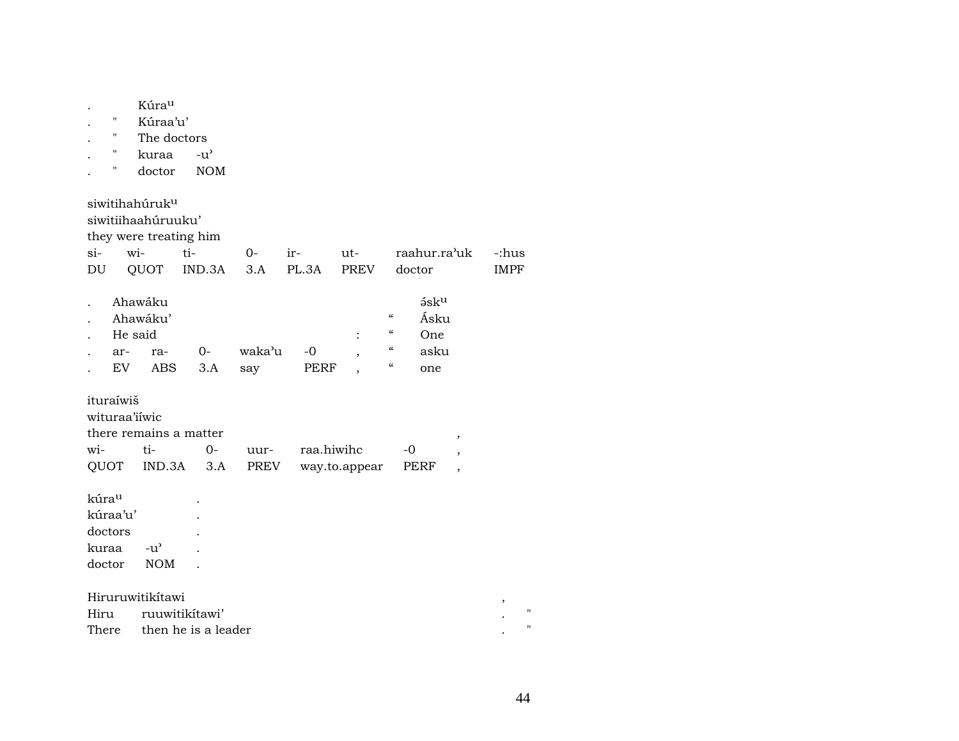| Ħ<br>н<br>н<br>н                                | Kúrau<br>Kúraa'u'<br>The doctors<br>kuraa<br>doctor                                       | $-u^{\prime}$<br><b>NOM</b> |               |              |                    |                                                                                                                                 |                                                |                      |
|-------------------------------------------------|-------------------------------------------------------------------------------------------|-----------------------------|---------------|--------------|--------------------|---------------------------------------------------------------------------------------------------------------------------------|------------------------------------------------|----------------------|
| $si-$<br>DU                                     | siwitihahúruk <sup>u</sup><br>siwitiihaahúruuku'<br>they were treating him<br>wi-<br>QUOT | ti-<br>IND.3A               | $0-$<br>3.A   | ir-<br>PL.3A | ut-<br><b>PREV</b> | raahur.ra'uk<br>doctor                                                                                                          |                                                | -:hus<br><b>IMPF</b> |
| ar-                                             | Ahawáku<br>Ahawáku'<br>He said<br>ra-<br>EV<br><b>ABS</b>                                 | $0-$<br>3.A                 | waka'u<br>say | $-0$<br>PERF |                    | $5$ s $ku$<br>$\mathcal{C}$<br>Ásku<br>$\epsilon$<br>One<br>$\epsilon$<br>asku<br>$\boldsymbol{\zeta}\boldsymbol{\zeta}$<br>one |                                                |                      |
| ituraíwiš<br>wi-<br>QUOT                        | wituraa'iiwic<br>there remains a matter<br>ti-<br>IND.3A                                  | $0-$<br>3.A                 | uur-<br>PREV  | raa.hiwihc   | way.to.appear      | -0<br>PERF                                                                                                                      | $^\mathrm{^\mathrm{o}}$<br>,<br>$\overline{ }$ |                      |
| kúrau<br>kúraa'u'<br>doctors<br>kuraa<br>doctor | $-u^{\prime}$<br><b>NOM</b>                                                               |                             |               |              |                    |                                                                                                                                 |                                                |                      |
| Hiru                                            | Hiruruwitikítawi                                                                          | ruuwitikítawi'              |               |              |                    |                                                                                                                                 |                                                | ,<br>Ħ               |
| There                                           |                                                                                           | then he is a leader         |               |              |                    |                                                                                                                                 |                                                |                      |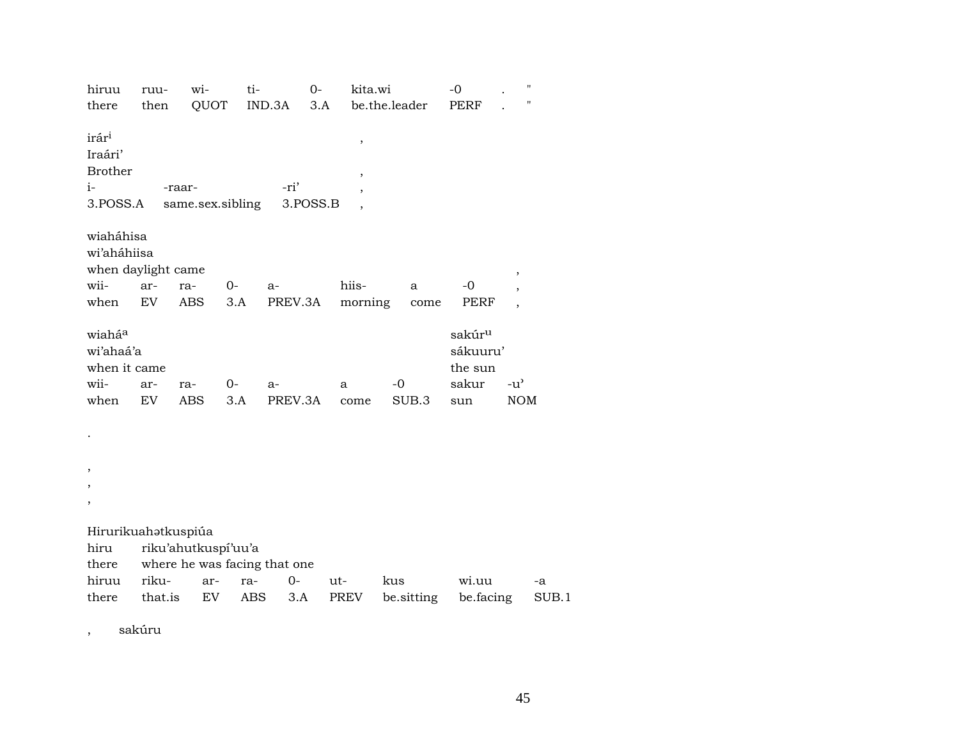| hiruu                                                              | ruu-             | wi-                                                              | ti-        |                 | $O -$    | kita.wi          |                   | $-0$                                                      | Ħ                           |
|--------------------------------------------------------------------|------------------|------------------------------------------------------------------|------------|-----------------|----------|------------------|-------------------|-----------------------------------------------------------|-----------------------------|
| there                                                              | then             | QUOT                                                             |            | IND.3A          | 3.A      | be.the.leader    |                   | <b>PERF</b>                                               | П                           |
| irár <sup>i</sup><br>Iraári'<br><b>Brother</b><br>$i-$<br>3.POSS.A |                  | -raar-<br>same.sex.sibling                                       |            | -ri'            | 3.POSS.B | $\, ,$<br>,      |                   |                                                           |                             |
| wiaháhisa<br>wi'aháhiisa<br>when daylight came<br>wii-<br>when     | ar-<br>EV        | ra-<br><b>ABS</b>                                                | 0-<br>3.A  | $a-$<br>PREV.3A |          | hiis-<br>morning | a<br>come         | $-0$<br>PERF                                              | ,                           |
| wiaháa<br>wi'ahaá'a<br>when it came<br>wii-<br>when                | ar-<br><b>EV</b> | ra-<br><b>ABS</b>                                                | 0-<br>3.A  | a-<br>PREV.3A   |          | a<br>come        | $-0$<br>SUB.3     | sakúr <sup>u</sup><br>sákuuru'<br>the sun<br>sakur<br>sun | $-u^{\prime}$<br><b>NOM</b> |
|                                                                    |                  |                                                                  |            |                 |          |                  |                   |                                                           |                             |
| ,                                                                  |                  |                                                                  |            |                 |          |                  |                   |                                                           |                             |
| Hirurikuahatkuspiúa<br>hiru<br>there<br>hiruu<br>there             | riku-<br>that.is | riku'ahutkuspi'uu'a<br>where he was facing that one<br>ar-<br>EV | ra-<br>ABS | $0-$<br>3.A     | ut-      | PREV             | kus<br>be.sitting | wi.uu<br>be.facing                                        | -a<br>SUB.1                 |

sakúru  $\overline{\phantom{a}}$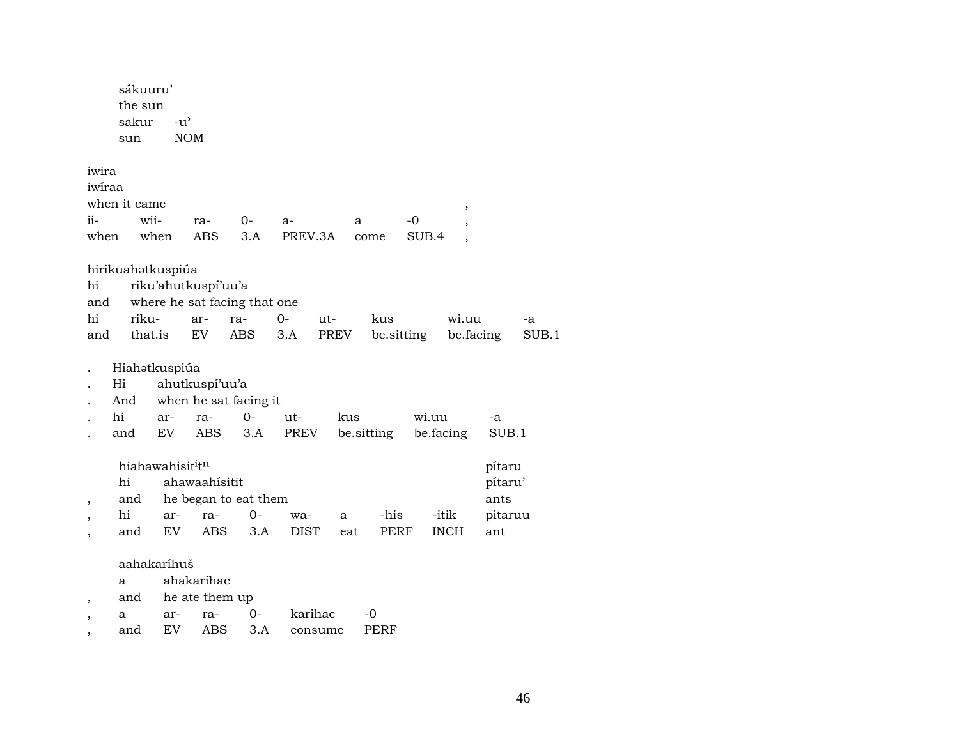|                 | sákuuru'<br>the sun<br>sakur<br>sun | $-u^{\flat}$                             | <b>NOM</b>                   |                              |             |      |            |             |                           |       |
|-----------------|-------------------------------------|------------------------------------------|------------------------------|------------------------------|-------------|------|------------|-------------|---------------------------|-------|
| iwira<br>iwiraa |                                     |                                          |                              |                              |             |      |            |             |                           |       |
|                 | when it came                        |                                          |                              |                              |             |      |            | ,           |                           |       |
| ii-             |                                     | wii-                                     | ra-                          | $O-$                         | a-          | a    |            | -0          |                           |       |
| when            |                                     | when                                     | ABS                          | 3.A                          | PREV.3A     |      | come       | SUB.4       |                           |       |
| hi<br>and       | hirikuahatkuspiúa                   |                                          | riku'ahutkuspi'uu'a          | where he sat facing that one |             |      |            |             |                           |       |
| hi              | riku-                               |                                          | ar-                          | ra-                          | $0-$        | ut-  | kus        | wi.uu       | -a                        |       |
| and             | that.is                             |                                          | EV                           | ABS                          | 3.A         | PREV | be.sitting |             | be.facing                 | SUB.1 |
|                 | Hiahətkuspiúa<br>Hi                 |                                          | ahutkuspí'uu'a               |                              |             |      |            |             |                           |       |
|                 | And                                 |                                          |                              | when he sat facing it        |             |      |            |             |                           |       |
|                 | hi                                  | ar-                                      | ra-                          | $0-$                         | ut-         | kus  |            | wi.uu       | -a                        |       |
|                 | and                                 | EV                                       | ABS                          | 3.A                          | PREV        |      | be.sitting | be facing   | SUB.1                     |       |
| ,               | hi<br>and                           | hiahawahisit <sup>i</sup> t <sup>n</sup> | ahawaahísitit                | he began to eat them         |             |      |            |             | pítaru<br>pítaru'<br>ants |       |
|                 | hi                                  | ar-                                      | ra-                          | 0-                           | wa-         | a    | -his       | -itik       | pitaruu                   |       |
|                 | and                                 | EV                                       | ABS                          | 3.A                          | <b>DIST</b> | eat  | PERF       | <b>INCH</b> | ant                       |       |
| ,               | a<br>and                            | aahakaríhuš                              | ahakaríhac<br>he ate them up |                              | karihac     |      | $-0$       |             |                           |       |
|                 | a                                   | ar-                                      | ra-                          | 0-                           |             |      |            |             |                           |       |

, and EV ABS 3.A consume PERF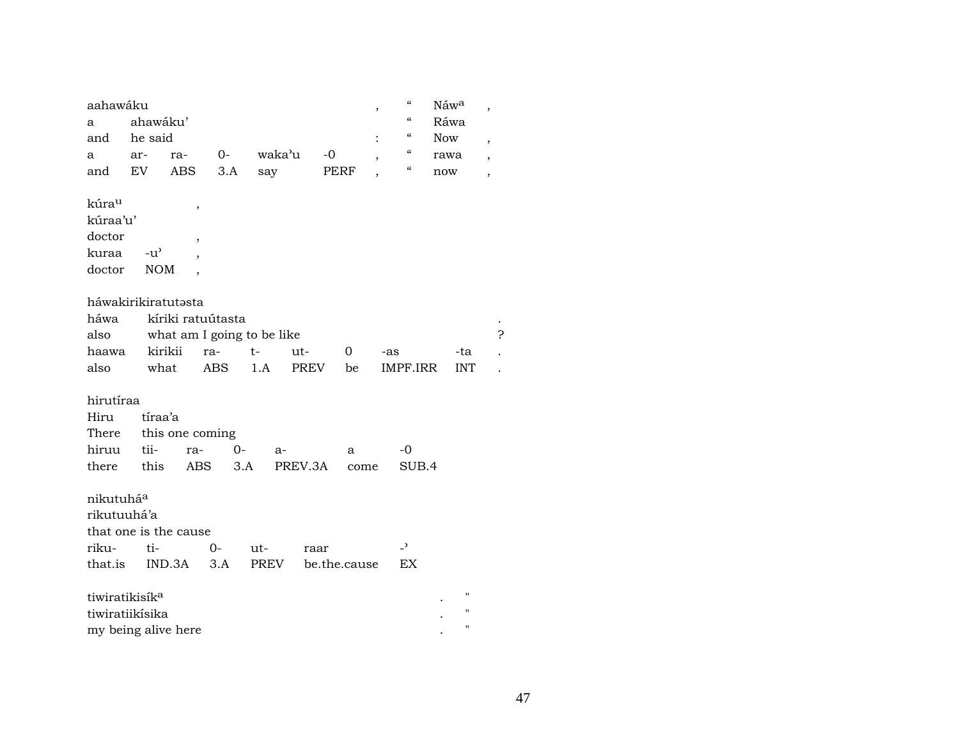| aahawáku                   |               |                            |      |        |             |              | $\overline{ }$ | $\pmb{\zeta}\pmb{\zeta}$ | Náwa       |                | ,                        |
|----------------------------|---------------|----------------------------|------|--------|-------------|--------------|----------------|--------------------------|------------|----------------|--------------------------|
| a                          | ahawáku'      |                            |      |        |             |              |                | $\mathcal{C}$            | Ráwa       |                |                          |
| and                        | he said       |                            |      |        |             |              | $\ddot{\cdot}$ | $\mathcal{C}\mathcal{C}$ | <b>Now</b> |                | $\overline{ }$           |
| a                          | ar-           | ra-                        | $0-$ | waka'u |             | $-0$         |                | $\mathcal{C}\mathcal{C}$ | rawa       |                | $\overline{\phantom{a}}$ |
| and                        | EV            | <b>ABS</b>                 | 3.A  | say    |             | <b>PERF</b>  |                | $\mathcal{C}\mathcal{C}$ | now        |                | $\overline{ }$           |
|                            |               |                            |      |        |             |              |                |                          |            |                |                          |
| kúrau                      |               | $\overline{\phantom{a}}$   |      |        |             |              |                |                          |            |                |                          |
| kúraa'u'                   |               |                            |      |        |             |              |                |                          |            |                |                          |
| doctor                     |               | ,                          |      |        |             |              |                |                          |            |                |                          |
| kuraa                      | $-u^{\prime}$ |                            |      |        |             |              |                |                          |            |                |                          |
| doctor                     | <b>NOM</b>    |                            |      |        |             |              |                |                          |            |                |                          |
|                            |               |                            |      |        |             |              |                |                          |            |                |                          |
| háwakirikiratutasta        |               |                            |      |        |             |              |                |                          |            |                |                          |
| háwa                       |               | kíriki ratuútasta          |      |        |             |              |                |                          |            |                |                          |
| also                       |               | what am I going to be like |      |        |             |              |                |                          |            |                | 5                        |
| haawa                      | kirikii       |                            | ra-  | $t-$   | ut-         | 0            | -as            |                          |            | -ta            |                          |
| also                       | what          |                            | ABS  | 1.A    | <b>PREV</b> | be           |                | IMPF.IRR                 |            | <b>INT</b>     |                          |
|                            |               |                            |      |        |             |              |                |                          |            |                |                          |
| hirutíraa                  |               |                            |      |        |             |              |                |                          |            |                |                          |
| Hiru                       | tíraa'a       |                            |      |        |             |              |                |                          |            |                |                          |
| There                      |               | this one coming            |      |        |             |              |                |                          |            |                |                          |
| hiruu                      | tii-          | ra-                        | $0-$ | $a-$   |             | a            |                | $-0$                     |            |                |                          |
| there                      | this          | ABS                        | 3.A  |        | PREV.3A     | come         |                | SUB.4                    |            |                |                          |
|                            |               |                            |      |        |             |              |                |                          |            |                |                          |
| nikutuhá <sup>a</sup>      |               |                            |      |        |             |              |                |                          |            |                |                          |
| rikutuuhá'a                |               |                            |      |        |             |              |                |                          |            |                |                          |
|                            |               | that one is the cause      |      |        |             |              |                |                          |            |                |                          |
| riku-                      | ti-           |                            | $0-$ | ut-    | raar        |              |                | $\overline{\phantom{0}}$ |            |                |                          |
| that.is                    |               | IND.3A                     | 3.A  | PREV   |             | be.the.cause |                | EX                       |            |                |                          |
|                            |               |                            |      |        |             |              |                |                          |            |                |                          |
| tiwiratikisík <sup>a</sup> |               |                            |      |        |             |              |                |                          |            | 11             |                          |
| tiwiratiikísika            |               |                            |      |        |             |              |                |                          |            | п              |                          |
| my being alive here        |               |                            |      |        |             |              |                |                          |            | $\blacksquare$ |                          |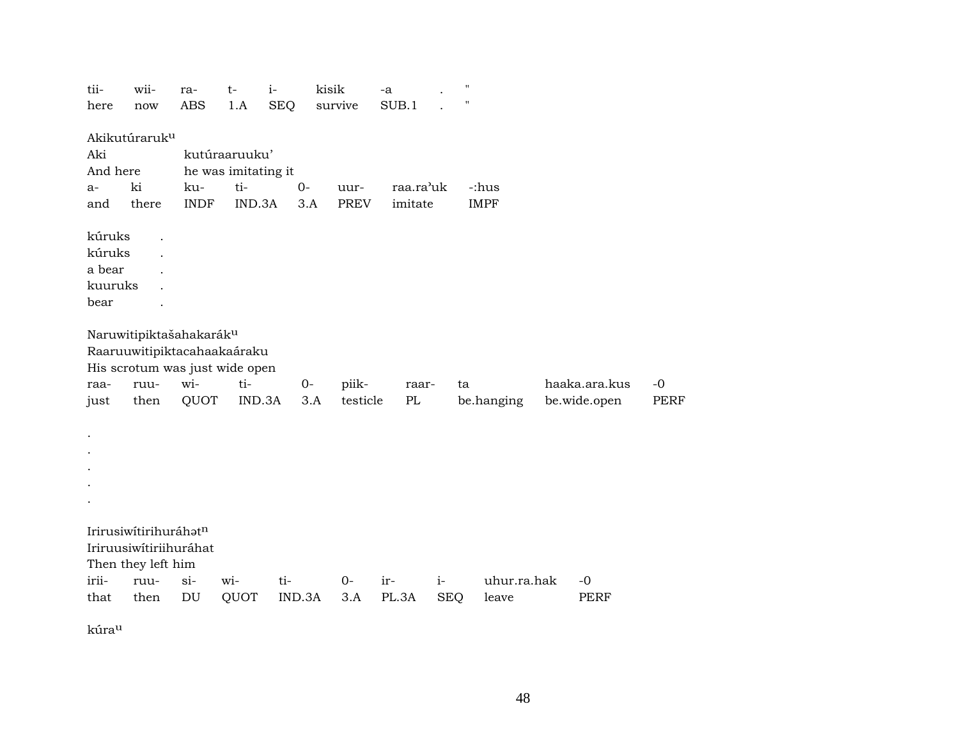| tii-     | wii-                      | ra-         | $t-$                           | $i-$       | kisik |              | $-a$  |           |            | ., |             |               |             |
|----------|---------------------------|-------------|--------------------------------|------------|-------|--------------|-------|-----------|------------|----|-------------|---------------|-------------|
| here     | now                       | <b>ABS</b>  | 1.A                            | <b>SEQ</b> |       | survive      | SUB.1 |           |            |    |             |               |             |
|          | Akikutúraruk <sup>u</sup> |             |                                |            |       |              |       |           |            |    |             |               |             |
| Aki      |                           |             | kutúraaruuku'                  |            |       |              |       |           |            |    |             |               |             |
| And here |                           |             | he was imitating it            |            |       |              |       |           |            |    |             |               |             |
|          | ki                        | ku-         | ti-                            | $0-$       |       |              |       | raa.ra'uk |            |    | -:hus       |               |             |
| a-       | there                     | <b>INDF</b> | IND.3A                         |            | 3.A   | uur-<br>PREV |       | imitate   |            |    | <b>IMPF</b> |               |             |
| and      |                           |             |                                |            |       |              |       |           |            |    |             |               |             |
| kúruks   |                           |             |                                |            |       |              |       |           |            |    |             |               |             |
| kúruks   |                           |             |                                |            |       |              |       |           |            |    |             |               |             |
| a bear   |                           |             |                                |            |       |              |       |           |            |    |             |               |             |
| kuuruks  |                           |             |                                |            |       |              |       |           |            |    |             |               |             |
| bear     |                           |             |                                |            |       |              |       |           |            |    |             |               |             |
|          |                           |             |                                |            |       |              |       |           |            |    |             |               |             |
|          | Naruwitipiktašahakaráku   |             |                                |            |       |              |       |           |            |    |             |               |             |
|          |                           |             | Raaruuwitipiktacahaakaáraku    |            |       |              |       |           |            |    |             |               |             |
|          |                           |             | His scrotum was just wide open |            |       |              |       |           |            |    |             |               |             |
| raa-     | ruu-                      | wi-         | ti-                            |            | $0-$  | piik-        |       | raar-     |            | ta |             | haaka.ara.kus | $-0$        |
| just     | then                      | QUOT        | IND.3A                         |            | 3.A   | testicle     |       | PL        |            |    | be.hanging  | be.wide.open  | <b>PERF</b> |
|          |                           |             |                                |            |       |              |       |           |            |    |             |               |             |
| $\cdot$  |                           |             |                                |            |       |              |       |           |            |    |             |               |             |
|          |                           |             |                                |            |       |              |       |           |            |    |             |               |             |
|          |                           |             |                                |            |       |              |       |           |            |    |             |               |             |
|          |                           |             |                                |            |       |              |       |           |            |    |             |               |             |
|          |                           |             |                                |            |       |              |       |           |            |    |             |               |             |
|          |                           |             |                                |            |       |              |       |           |            |    |             |               |             |
|          | Irirusiwítirihuráhatn     |             |                                |            |       |              |       |           |            |    |             |               |             |
|          | Iriruusiwítiriihuráhat    |             |                                |            |       |              |       |           |            |    |             |               |             |
|          | Then they left him        |             |                                |            |       |              |       |           |            |    |             |               |             |
| irii-    | ruu-                      | $si-$       | wi-                            | ti-        |       | $O -$        | ir-   |           | $i-$       |    | uhur.ra.hak | $-0$          |             |
| that     | then                      | DU          | QUOT                           | IND.3A     |       | 3.A          | PL.3A |           | <b>SEQ</b> |    | leave       | <b>PERF</b>   |             |

kúraµ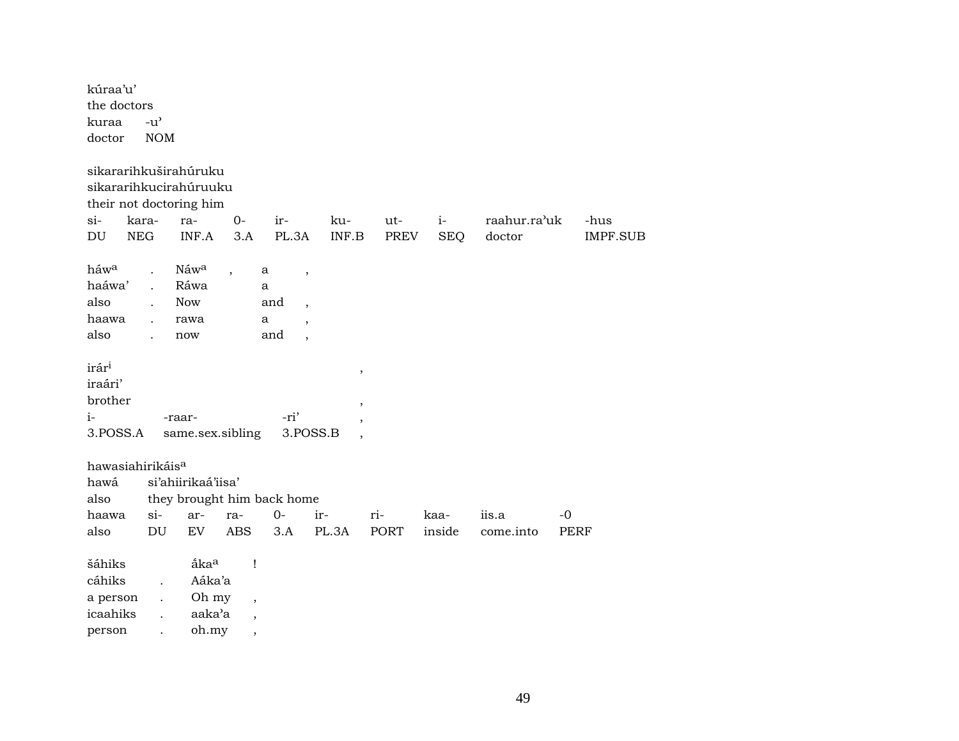| kúraa'u'<br>the doctors<br>kuraa<br>doctor                                                                         | $-u^{\prime}$<br><b>NOM</b>                                          |                                                        |                                                                      |                                                                                                                                           |                  |                    |                    |                        |                         |
|--------------------------------------------------------------------------------------------------------------------|----------------------------------------------------------------------|--------------------------------------------------------|----------------------------------------------------------------------|-------------------------------------------------------------------------------------------------------------------------------------------|------------------|--------------------|--------------------|------------------------|-------------------------|
| sikararihkuširahúruku<br>sikararihkucirahúruuku<br>their not doctoring him<br>kara-<br>$\sin$<br>${\rm NEG}$<br>DU |                                                                      | ra-<br>INF.A                                           | $O -$<br>3.A                                                         | ir-<br>PL.3A                                                                                                                              | ku-<br>INF.B     | ut-<br>PREV        | $i-$<br><b>SEQ</b> | raahur.ra'uk<br>doctor | -hus<br><b>IMPF.SUB</b> |
| háw <sup>a</sup><br>haáwa'<br>also<br>haawa<br>also                                                                | $\ddot{\phantom{a}}$<br>$\ddot{\phantom{a}}$                         | Náwa<br>Ráwa<br><b>Now</b><br>rawa<br>now              | $\overline{\phantom{a}}$                                             | a<br>$\overline{\phantom{a}}$<br>a<br>and<br>$\overline{\phantom{a}}$<br>a<br>$\overline{\phantom{a}}$<br>and<br>$\overline{\phantom{a}}$ |                  |                    |                    |                        |                         |
| irár <sup>i</sup><br>iraári'<br>brother<br>$i-$<br>3.POSS.A                                                        |                                                                      | -raar-<br>same.sex.sibling                             |                                                                      | -ri'<br>3.POSS.B                                                                                                                          | $\, ,$<br>$\, ,$ |                    |                    |                        |                         |
| hawasiahirikáis <sup>a</sup><br>hawá<br>also<br>haawa<br>also                                                      | $si-$<br>$\mathop{\rm DU}\nolimits$                                  | si'ahiirikaá'iisa'<br>ar-<br>EV                        | ra-<br><b>ABS</b>                                                    | they brought him back home<br>$0-$<br>3.A                                                                                                 | ir-<br>PL.3A     | ri-<br><b>PORT</b> | kaa-<br>inside     | iis.a<br>come.into     | $-0$<br><b>PERF</b>     |
| šáhiks<br>cáhiks<br>a person<br>icaahiks<br>person                                                                 | $\ddot{\phantom{a}}$<br>$\ddot{\phantom{0}}$<br>$\ddot{\phantom{a}}$ | åka <sup>a</sup><br>Aáka'a<br>Oh my<br>aaka'a<br>oh.my | $\mathbf{I}$<br>$\overline{\phantom{a}}$<br>$\overline{\phantom{a}}$ |                                                                                                                                           |                  |                    |                    |                        |                         |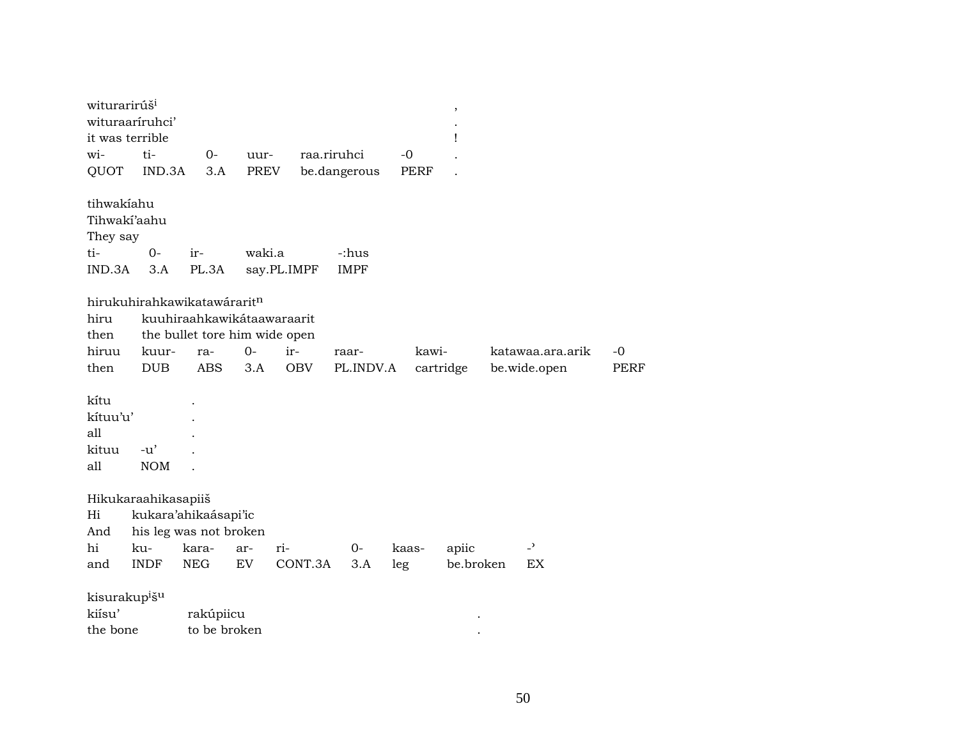| witurarirúš <sup>i</sup><br>wituraaríruhci'<br>it was terrible |                     |                             |                               |             |                      |             | $\,$<br>Ţ |                          |             |
|----------------------------------------------------------------|---------------------|-----------------------------|-------------------------------|-------------|----------------------|-------------|-----------|--------------------------|-------------|
| wi-                                                            | ti-                 | $0-$                        | uur-                          |             | raa.riruhci          | $-0$        |           |                          |             |
| QUOT                                                           | IND.3A              | 3.A                         | <b>PREV</b>                   |             | be.dangerous         | <b>PERF</b> |           |                          |             |
| tihwakiahu<br>Tihwaki'aahu<br>They say<br>ti-<br>IND.3A        | $0-$<br>3.A         | ir-<br>PL.3A                | waki.a                        | say.PL.IMPF | -:hus<br><b>IMPF</b> |             |           |                          |             |
|                                                                |                     |                             |                               |             |                      |             |           |                          |             |
| hiru                                                           |                     | hirukuhirahkawikatawáraritn | kuuhiraahkawikátaawaraarit    |             |                      |             |           |                          |             |
| then                                                           |                     |                             | the bullet tore him wide open |             |                      |             |           |                          |             |
| hiruu                                                          | kuur-               | ra-                         | $O -$                         | ir-         | raar-                | kawi-       |           | katawaa.ara.arik         | $-0$        |
| then                                                           | <b>DUB</b>          | <b>ABS</b>                  | 3.A                           | <b>OBV</b>  | PL.INDV.A            |             | cartridge | be.wide.open             | <b>PERF</b> |
| kítu<br>kítuu'u'<br>all<br>kituu<br>all                        | $-u'$<br><b>NOM</b> |                             |                               |             |                      |             |           |                          |             |
| Hikukaraahikasapiiš                                            |                     |                             |                               |             |                      |             |           |                          |             |
| Hi                                                             |                     | kukara'ahikaásapi'ic        |                               |             |                      |             |           |                          |             |
| And                                                            |                     | his leg was not broken      |                               |             |                      |             |           |                          |             |
| hi                                                             | ku-                 | kara-                       | ar-                           | ri-         | $0-$                 | kaas-       | apiic     | $\overline{\phantom{0}}$ |             |
| and                                                            | <b>INDF</b>         | <b>NEG</b>                  | EV                            | CONT.3A     | 3.A                  | leg         | be.broken | EX                       |             |
| kisurakup <sup>i</sup> š <sup>u</sup><br>kiísu'<br>the bone    |                     | rakúpiicu<br>to be broken   |                               |             |                      |             |           |                          |             |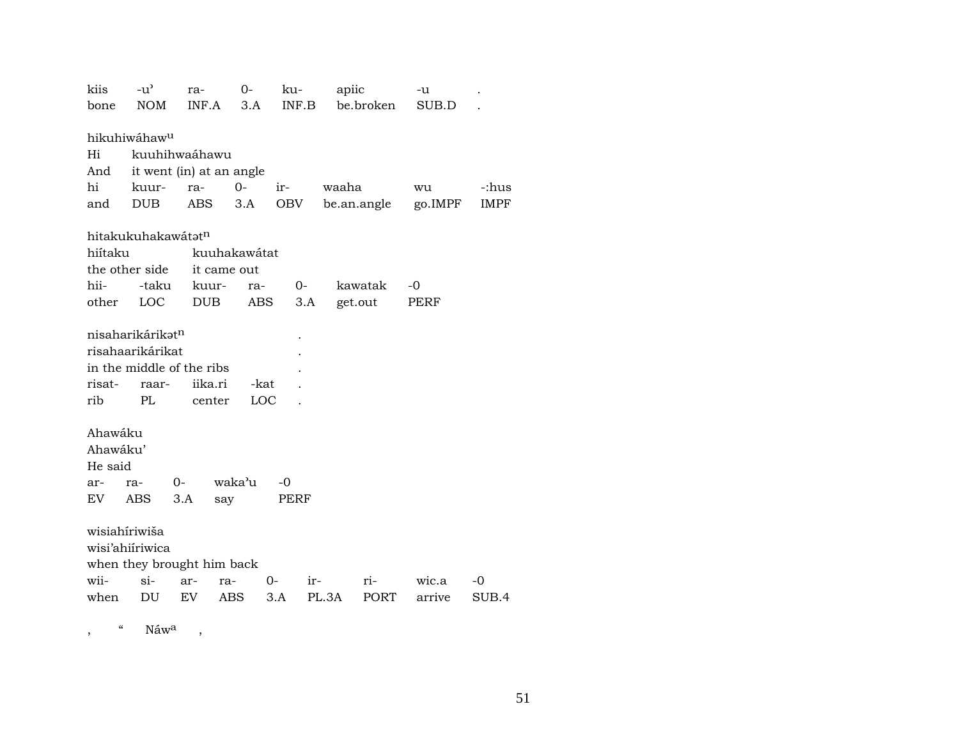| kiis<br>bone | $-u^{\prime}$<br><b>NOM</b>               | ra-<br>INF.A | $0-$<br>3.A  | ku-<br>INF.B | apiic<br>be.broken | -u<br>SUB.D |             |
|--------------|-------------------------------------------|--------------|--------------|--------------|--------------------|-------------|-------------|
| Hi           | hikuhiwáhaw <sup>u</sup><br>kuuhihwaáhawu |              |              |              |                    |             |             |
| And          | it went (in) at an angle                  |              |              |              |                    |             |             |
| hi           | kuur-                                     | ra-          | $O -$        | ir-          | waaha              | wu          | -:hus       |
| and          | <b>DUB</b>                                | <b>ABS</b>   | 3.A          | OBV          | be.an.angle        | go.IMPF     | <b>IMPF</b> |
|              | hitakukuhakawátatn                        |              |              |              |                    |             |             |
| hiítaku      |                                           |              | kuuhakawátat |              |                    |             |             |
|              | the other side                            | it came out  |              |              |                    |             |             |
| hii-         | -taku                                     | kuur-        | ra-          | $0-$         | kawatak            | $-0$        |             |
| other        | LOC                                       | <b>DUB</b>   | ABS          | 3.A          | get.out            | PERF        |             |
|              |                                           |              |              |              |                    |             |             |
|              | nisaharikárikət <sup>n</sup>              |              |              |              |                    |             |             |
|              | risahaarikárikat                          |              |              |              |                    |             |             |
|              | in the middle of the ribs                 |              |              |              |                    |             |             |
| risat-       | raar-                                     | iika.ri      | -kat         |              |                    |             |             |
| rib          | PL                                        | center       | LOC          |              |                    |             |             |
|              |                                           |              |              |              |                    |             |             |
| Ahawáku      |                                           |              |              |              |                    |             |             |
| Ahawáku'     |                                           |              |              |              |                    |             |             |
| He said      |                                           |              |              |              |                    |             |             |
| ar-          | 0-<br>ra-                                 |              | waka'u       | -0           |                    |             |             |
| EV           | ABS                                       | 3.A          | say          | PERF         |                    |             |             |
|              | wisiahíriwiša                             |              |              |              |                    |             |             |
|              | wisi'ahiiriwica                           |              |              |              |                    |             |             |
|              | when they brought him back                |              |              |              |                    |             |             |
| wii-         | $\sin$                                    | ar-<br>ra-   |              | 0-<br>ir-    | ri-                | wic.a       | -0          |
| when         | DU                                        | EV           | ABS          | 3.A          | PL.3A<br>PORT      | arrive      | SUB.4       |
|              |                                           |              |              |              |                    |             |             |
|              |                                           |              |              |              |                    |             |             |

" Náw<sup>a</sup>  $\overline{\phantom{a}}$  $\overline{\phantom{a}}$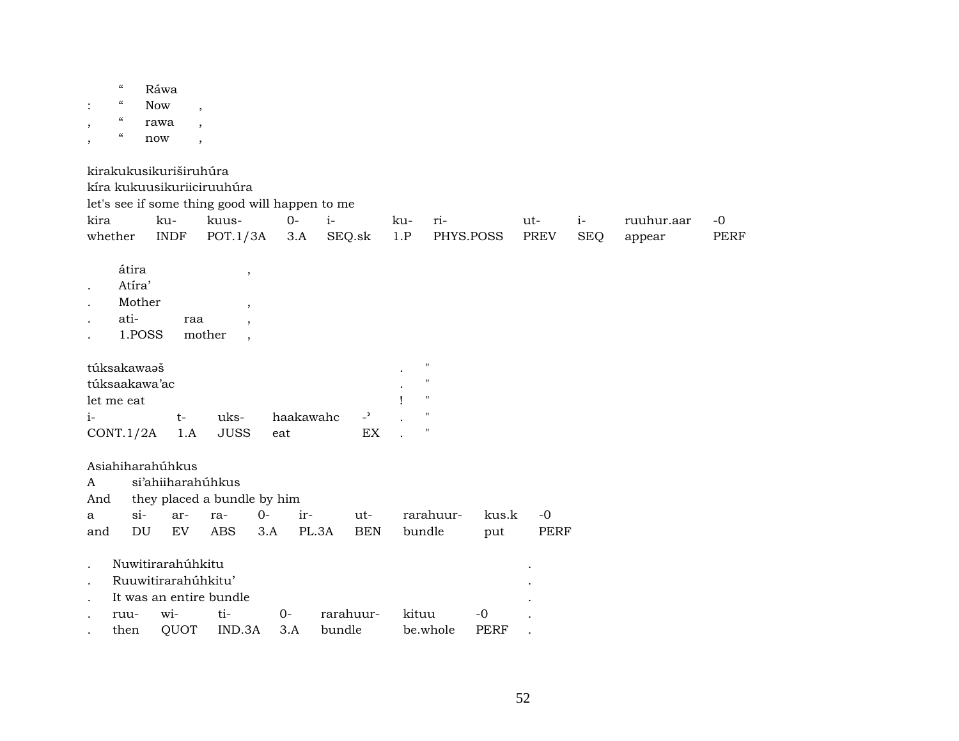|                      | $\boldsymbol{\mathcal{C}}$             | Ráwa                   |                          |                                                |       |           |           |                            |     |                           |             |             |            |            |             |
|----------------------|----------------------------------------|------------------------|--------------------------|------------------------------------------------|-------|-----------|-----------|----------------------------|-----|---------------------------|-------------|-------------|------------|------------|-------------|
| $\ddot{\cdot}$       | $\boldsymbol{\zeta}\boldsymbol{\zeta}$ | <b>Now</b>             |                          |                                                |       |           |           |                            |     |                           |             |             |            |            |             |
| $\cdot$              | $\pmb{\zeta}\pmb{\zeta}$               | rawa                   |                          |                                                |       |           |           |                            |     |                           |             |             |            |            |             |
| $\,$                 | $\boldsymbol{\zeta}\boldsymbol{\zeta}$ | now                    | $\overline{\phantom{a}}$ |                                                |       |           |           |                            |     |                           |             |             |            |            |             |
|                      |                                        | kirakukusikuriširuhúra |                          |                                                |       |           |           |                            |     |                           |             |             |            |            |             |
|                      |                                        |                        |                          | kíra kukuusikuriiciruuhúra                     |       |           |           |                            |     |                           |             |             |            |            |             |
|                      |                                        |                        |                          | let's see if some thing good will happen to me |       |           |           |                            |     |                           |             |             |            |            |             |
| kira                 |                                        | ku-                    |                          | kuus-                                          |       | $0 -$     | $i-$      |                            | ku- | ri-                       |             | ut-         | $i-$       | ruuhur.aar | $-0$        |
|                      | whether                                | <b>INDF</b>            |                          | POT.1/3A                                       |       | 3.A       | SEQ.sk    |                            | 1.P |                           | PHYS.POSS   | <b>PREV</b> | <b>SEQ</b> | appear     | <b>PERF</b> |
|                      |                                        |                        |                          |                                                |       |           |           |                            |     |                           |             |             |            |            |             |
|                      | átira                                  |                        |                          | $\, ,$                                         |       |           |           |                            |     |                           |             |             |            |            |             |
| $\ddot{\phantom{a}}$ | Atíra'                                 |                        |                          |                                                |       |           |           |                            |     |                           |             |             |            |            |             |
|                      |                                        | Mother                 |                          | $\overline{\phantom{a}}$                       |       |           |           |                            |     |                           |             |             |            |            |             |
|                      | ati-                                   |                        | raa                      |                                                |       |           |           |                            |     |                           |             |             |            |            |             |
|                      |                                        | 1.POSS                 |                          | mother<br>$\overline{\phantom{a}}$             |       |           |           |                            |     |                           |             |             |            |            |             |
|                      | túksakawaaš                            |                        |                          |                                                |       |           |           |                            |     | $\pmb{\mathsf{H}}$        |             |             |            |            |             |
|                      |                                        | túksaakawa'ac          |                          |                                                |       |           |           |                            |     | $\pmb{\mathsf{H}}$        |             |             |            |            |             |
|                      | let me eat                             |                        |                          |                                                |       |           |           |                            |     | $\pmb{\mathsf{H}}$        |             |             |            |            |             |
| $i-$                 |                                        |                        | $t-$                     | uks-                                           |       | haakawahc |           | $\overline{\phantom{a}}$   |     | $\boldsymbol{\mathsf{H}}$ |             |             |            |            |             |
|                      | CONT.1/2A                              |                        | 1.A                      | <b>JUSS</b>                                    | eat   |           |           | $\mathop{\rm EX}\nolimits$ |     | $\pmb{\mathsf{H}}$        |             |             |            |            |             |
|                      |                                        | Asiahiharahúhkus       |                          |                                                |       |           |           |                            |     |                           |             |             |            |            |             |
| A                    |                                        |                        |                          | si'ahiiharahúhkus                              |       |           |           |                            |     |                           |             |             |            |            |             |
| And                  |                                        |                        |                          | they placed a bundle by him                    |       |           |           |                            |     |                           |             |             |            |            |             |
| a                    |                                        | $si-$                  | ar-                      | ra-                                            | $0-$  | ir-       |           | ut-                        |     | rarahuur-                 | kus.k       | $-0$        |            |            |             |
| and                  |                                        | DU                     | EV                       | <b>ABS</b>                                     | 3.A   | PL.3A     |           | <b>BEN</b>                 |     | bundle                    | put         | <b>PERF</b> |            |            |             |
|                      |                                        |                        |                          |                                                |       |           |           |                            |     |                           |             |             |            |            |             |
| $\bullet$            |                                        | Nuwitirarahúhkitu      |                          |                                                |       |           |           |                            |     |                           |             |             |            |            |             |
| $\bullet$            |                                        | Ruuwitirarahúhkitu'    |                          |                                                |       |           |           |                            |     |                           |             |             |            |            |             |
| $\cdot$              |                                        |                        |                          | It was an entire bundle                        |       |           |           |                            |     |                           |             |             |            |            |             |
|                      | ruu-                                   | wi-                    |                          | ti-                                            | $O -$ |           | rarahuur- |                            |     | kituu                     | $-0$        |             |            |            |             |
|                      | then                                   |                        | QUOT                     | IND.3A                                         |       | 3.A       | bundle    |                            |     | be.whole                  | <b>PERF</b> |             |            |            |             |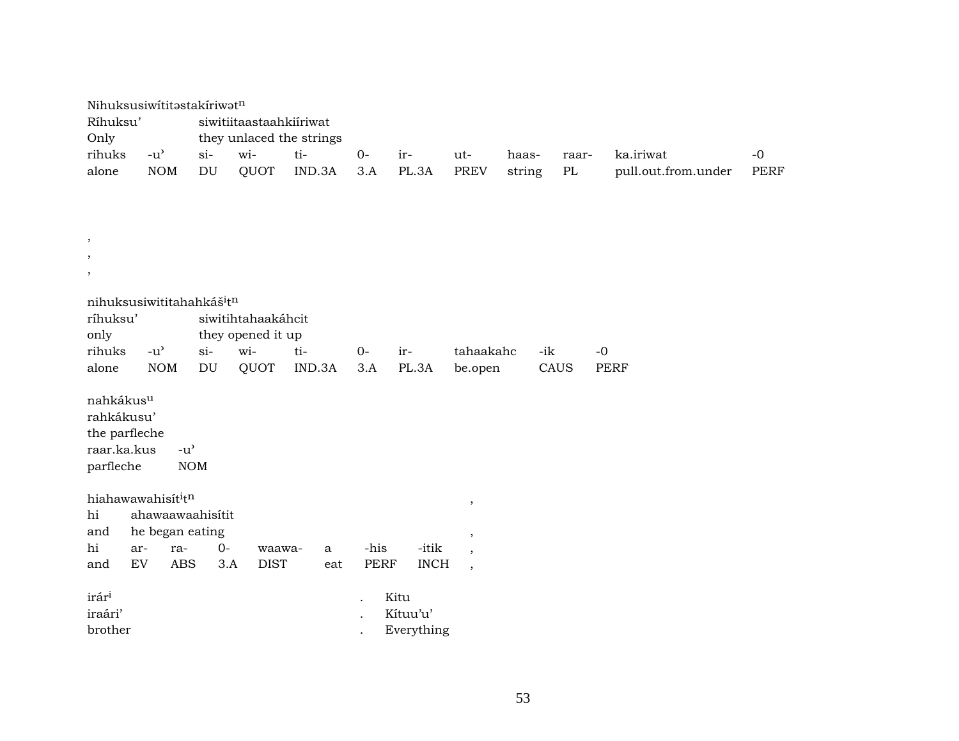| Nihuksusiwititastakiriwatn           |                                     |                 |                            |                         |                          |             |             |                          |        |       |                     |      |
|--------------------------------------|-------------------------------------|-----------------|----------------------------|-------------------------|--------------------------|-------------|-------------|--------------------------|--------|-------|---------------------|------|
| Ríhuksu'                             |                                     |                 |                            | siwitiitaastaahkiiriwat |                          |             |             |                          |        |       |                     |      |
| Only                                 |                                     |                 |                            |                         | they unlaced the strings |             |             |                          |        |       |                     |      |
| rihuks                               | $-u$ <sup><math>\prime</math></sup> |                 | $si$ -                     | wi-                     | ti-                      | $0-$        | ir-         | ut-                      | haas-  | raar- | ka.iriwat           | $-0$ |
| alone                                |                                     | $\rm{NOM}$      | $\mathop{\rm DU}\nolimits$ | QUOT                    | IND.3A                   | 3.A         | PL.3A       | <b>PREV</b>              | string | PL    | pull.out.from.under | PERF |
|                                      |                                     |                 |                            |                         |                          |             |             |                          |        |       |                     |      |
|                                      |                                     |                 |                            |                         |                          |             |             |                          |        |       |                     |      |
|                                      |                                     |                 |                            |                         |                          |             |             |                          |        |       |                     |      |
| $\, ,$                               |                                     |                 |                            |                         |                          |             |             |                          |        |       |                     |      |
| $^\mathrm{,}$                        |                                     |                 |                            |                         |                          |             |             |                          |        |       |                     |      |
| $\, ,$                               |                                     |                 |                            |                         |                          |             |             |                          |        |       |                     |      |
|                                      |                                     |                 |                            |                         |                          |             |             |                          |        |       |                     |      |
| nihuksusiwititahahkáš <sup>itn</sup> |                                     |                 |                            |                         |                          |             |             |                          |        |       |                     |      |
| ríhuksu'                             |                                     |                 |                            | siwitihtahaakáhcit      |                          |             |             |                          |        |       |                     |      |
| only                                 |                                     |                 |                            | they opened it up       |                          |             |             |                          |        |       |                     |      |
| rihuks                               | $-u$ <sup><math>\prime</math></sup> |                 | $si-$                      | wi-                     | ti-                      | $0-$        | ir-         | tahaakahc                |        | -ik   | $-0$                |      |
| alone                                |                                     | $\rm{NOM}$      | DU                         | QUOT                    | IND.3A                   | 3.A         | PL.3A       | be.open                  |        | CAUS  | <b>PERF</b>         |      |
| nahkákus <sup>u</sup>                |                                     |                 |                            |                         |                          |             |             |                          |        |       |                     |      |
| rahkákusu'                           |                                     |                 |                            |                         |                          |             |             |                          |        |       |                     |      |
| the parfleche                        |                                     |                 |                            |                         |                          |             |             |                          |        |       |                     |      |
| raar.ka.kus                          |                                     | $-u^{\prime}$   |                            |                         |                          |             |             |                          |        |       |                     |      |
| parfleche                            |                                     | <b>NOM</b>      |                            |                         |                          |             |             |                          |        |       |                     |      |
|                                      |                                     |                 |                            |                         |                          |             |             |                          |        |       |                     |      |
| hiahawawahisititn                    |                                     |                 |                            |                         |                          |             |             | $\,$                     |        |       |                     |      |
| hi                                   |                                     |                 | ahawaawaahisitit           |                         |                          |             |             |                          |        |       |                     |      |
| and                                  |                                     | he began eating |                            |                         |                          |             |             | $\,$                     |        |       |                     |      |
| hi                                   | ar-                                 | ra-             | $0-$                       | waawa-                  | a                        | -his        | -itik       | $\cdot$                  |        |       |                     |      |
| and                                  | <b>EV</b>                           | <b>ABS</b>      | 3.A                        | <b>DIST</b>             | eat                      | <b>PERF</b> | <b>INCH</b> | $\overline{\phantom{a}}$ |        |       |                     |      |
|                                      |                                     |                 |                            |                         |                          |             |             |                          |        |       |                     |      |
| irár <sup>i</sup>                    |                                     |                 |                            |                         |                          |             | Kitu        |                          |        |       |                     |      |
| iraári'                              |                                     |                 |                            |                         |                          |             | Kítuu'u'    |                          |        |       |                     |      |
| brother                              |                                     |                 |                            |                         |                          |             | Everything  |                          |        |       |                     |      |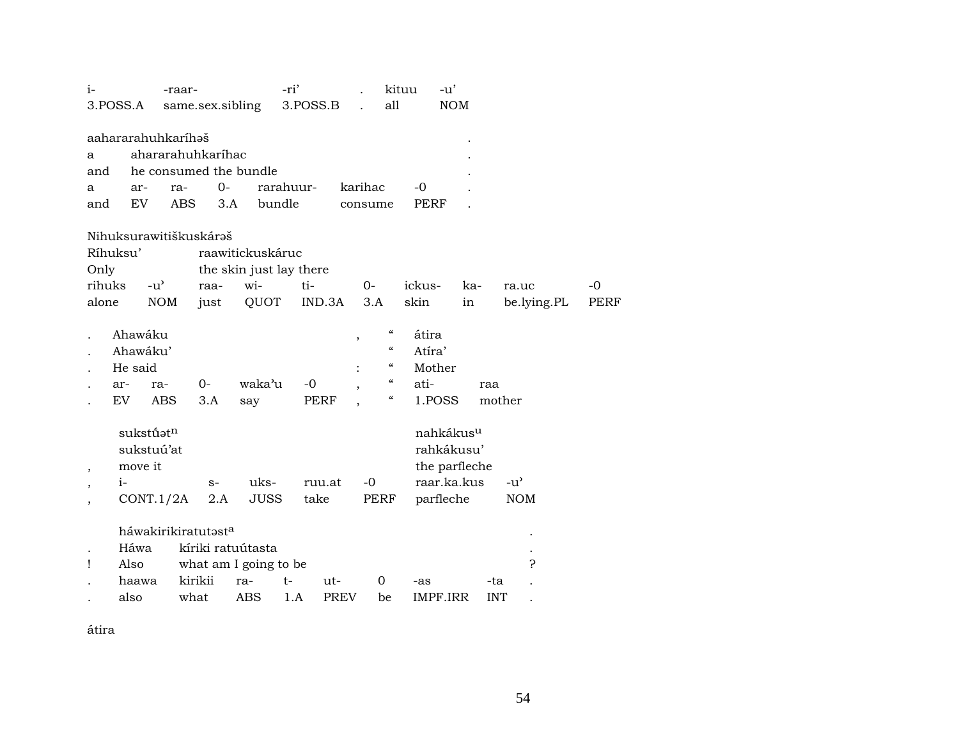| $i-$                     |          |               | -raar-                 |                         | -ri'        |             |                                                | kituu       | $-u'$                 |               |             |             |
|--------------------------|----------|---------------|------------------------|-------------------------|-------------|-------------|------------------------------------------------|-------------|-----------------------|---------------|-------------|-------------|
|                          | 3.POSS.A |               | same.sex.sibling       |                         | 3.POSS.B    |             | all                                            |             | <b>NOM</b>            |               |             |             |
|                          |          |               | aahararahuhkaríhəš     |                         |             |             |                                                |             |                       |               |             |             |
|                          |          |               | ahararahuhkaríhac      |                         |             |             |                                                |             |                       |               |             |             |
| a                        |          |               |                        |                         |             |             |                                                |             |                       |               |             |             |
| and                      |          |               | he consumed the bundle |                         |             |             |                                                |             |                       |               |             |             |
| a                        | ar-      |               | $0-$<br>ra-            |                         | rarahuur-   | karihac     |                                                | $-0$        |                       |               |             |             |
| and                      | EV       |               | <b>ABS</b><br>3.A      | bundle                  |             | consume     |                                                | <b>PERF</b> |                       |               |             |             |
|                          |          |               | Nihuksurawitiškuskárəš |                         |             |             |                                                |             |                       |               |             |             |
|                          | Ríhuksu' |               |                        | raawitickuskáruc        |             |             |                                                |             |                       |               |             |             |
| Only                     |          |               |                        | the skin just lay there |             |             |                                                |             |                       |               |             |             |
| rihuks                   |          | $-u^{\prime}$ | raa-                   | wi-                     | ti-         | $O -$       |                                                | ickus-      | ka-                   |               | ra.uc       | $-0$        |
| alone                    |          | <b>NOM</b>    | just                   | QUOT                    | IND.3A      | 3.A         |                                                | skin        | in                    |               | be.lying.PL | <b>PERF</b> |
|                          |          |               |                        |                         |             |             |                                                |             |                       |               |             |             |
|                          | Ahawáku  |               |                        |                         |             | $\, ,$      | $\epsilon\epsilon$                             | átira       |                       |               |             |             |
|                          | Ahawáku' |               |                        |                         |             |             | $\mathcal{C}$                                  | Atíra'      |                       |               |             |             |
|                          | He said  |               |                        |                         |             |             | $\boldsymbol{\varsigma}\boldsymbol{\varsigma}$ | Mother      |                       |               |             |             |
|                          | ar-      | ra-           | 0-                     | waka'u                  | $-0$        |             | $\mathcal{C}$                                  | ati-        |                       | raa           |             |             |
|                          | EV       | <b>ABS</b>    | 3.A                    | say                     | PERF        |             | $\boldsymbol{\zeta}\boldsymbol{\zeta}$         | 1.POSS      |                       | mother        |             |             |
|                          |          |               |                        |                         |             |             |                                                |             |                       |               |             |             |
|                          |          | sukstúatn     |                        |                         |             |             |                                                |             | nahkákus <sup>u</sup> |               |             |             |
|                          |          | sukstuú'at    |                        |                         |             |             |                                                |             | rahkákusu'            |               |             |             |
| $\overline{\phantom{a}}$ | move it  |               |                        |                         |             |             |                                                |             | the parfleche         |               |             |             |
|                          | $i-$     |               | $S-$                   | uks-                    | ruu.at      | $-0$        |                                                |             | raar.ka.kus           | $-u^{\prime}$ |             |             |
|                          |          | CONT.1/2A     | 2.A                    | JUSS                    | take        |             | PERF                                           | parfleche   |                       |               | <b>NOM</b>  |             |
| $\overline{\phantom{a}}$ |          |               |                        |                         |             |             |                                                |             |                       |               |             |             |
|                          |          |               | háwakirikiratutasta    |                         |             |             |                                                |             |                       |               |             |             |
|                          | Háwa     |               | kíriki ratuútasta      |                         |             |             |                                                |             |                       |               |             |             |
| 1                        | Also     |               | what am I going to be  |                         |             |             |                                                |             |                       |               | 5.          |             |
|                          | haawa    |               | kirikii                | ra-                     | $t-$<br>ut- |             | 0                                              | -as         |                       | -ta           |             |             |
|                          | also     |               | what                   | <b>ABS</b>              | 1.A         | <b>PREV</b> | be                                             | IMPF.IRR    |                       | <b>INT</b>    |             |             |
|                          |          |               |                        |                         |             |             |                                                |             |                       |               |             |             |

átira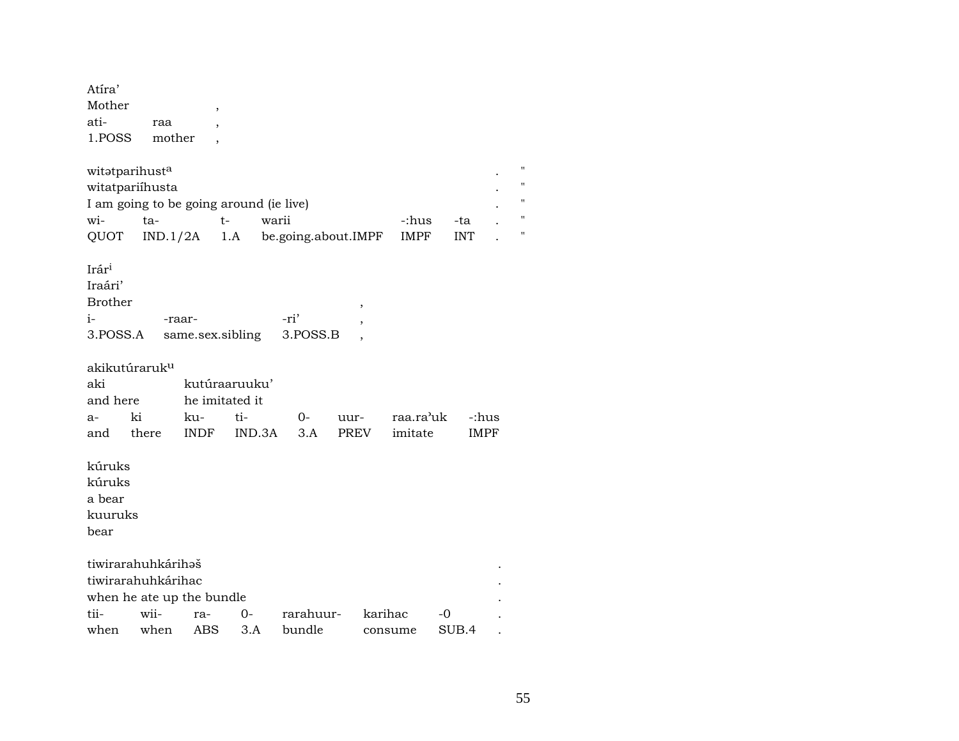| Atira' |        |  |
|--------|--------|--|
| Mother |        |  |
| ati-   | raa    |  |
| 1.POSS | mother |  |

| witətparihust <sup>a</sup>              |          |     |                     |             |     |  |  |  |  |  |  |
|-----------------------------------------|----------|-----|---------------------|-------------|-----|--|--|--|--|--|--|
| witatpariíhusta                         |          |     |                     |             |     |  |  |  |  |  |  |
| I am going to be going around (ie live) |          |     |                     |             |     |  |  |  |  |  |  |
| $W1 -$                                  | tа-      |     | waru                | -:hus       | -ta |  |  |  |  |  |  |
| <b>OUOT</b>                             | IND.1/2A | 1.A | be.going.about.IMPF | <b>IMPF</b> |     |  |  |  |  |  |  |

 $\mathop{\rm Ir\acute{a}r^i}\nolimits$ 

| Iraári'        |                                      |      |  |
|----------------|--------------------------------------|------|--|
| <b>Brother</b> |                                      |      |  |
| $i-$           | -raar-                               | -ri' |  |
|                | 3. POSS.A same.sex.sibling 3. POSS.B |      |  |

akikutúraruk<sup>u</sup>

| aki      |       | $k$ utúraaruu $k$ u' |                              |  |  |  |             |  |  |  |  |  |
|----------|-------|----------------------|------------------------------|--|--|--|-------------|--|--|--|--|--|
| and here |       | he imitated it       |                              |  |  |  |             |  |  |  |  |  |
| $a-$     | ki    |                      |                              |  |  |  |             |  |  |  |  |  |
| and      | there |                      | INDE IND.3A 3.A PREV imitate |  |  |  | <b>IMPF</b> |  |  |  |  |  |

| kúruks  |                           |     |     |           |         |       |   |
|---------|---------------------------|-----|-----|-----------|---------|-------|---|
| kúruks  |                           |     |     |           |         |       |   |
| a bear  |                           |     |     |           |         |       |   |
| kuuruks |                           |     |     |           |         |       |   |
| bear    |                           |     |     |           |         |       |   |
|         |                           |     |     |           |         |       |   |
|         | tiwirarahuhkárihəš        |     |     |           |         |       | ٠ |
|         | tiwirarahuhkárihac        |     |     |           |         |       |   |
|         | when he ate up the bundle |     |     |           |         |       |   |
| tii-    | wii-                      | ra- | 0-  | rarahuur- | karihac | $-0$  |   |
| when    | when                      | ABS | 3.A | bundle    | consume | SUB.4 |   |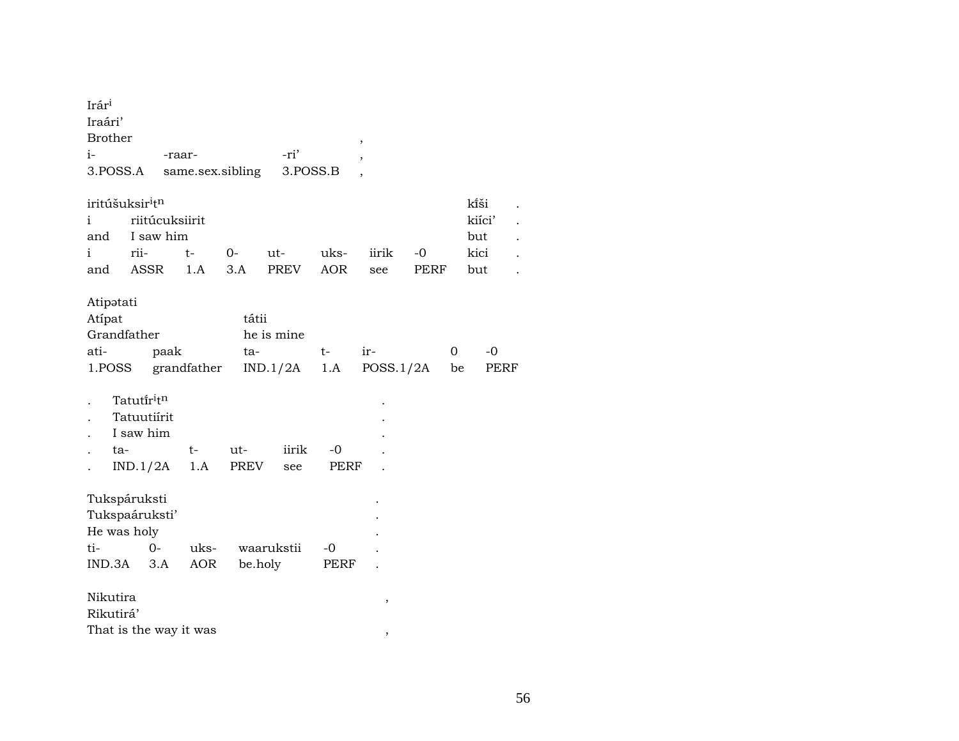| Irár <sup>i</sup><br>Iraári'<br><b>Brother</b>       |                    |                        |              |                        |             | $^\mathrm{^\mathrm{o}}$  |      |                 |      |
|------------------------------------------------------|--------------------|------------------------|--------------|------------------------|-------------|--------------------------|------|-----------------|------|
| $i-$                                                 |                    | -raar-                 |              | -ri'                   |             | $\overline{\phantom{a}}$ |      |                 |      |
| 3.POSS.A                                             |                    | same.sex.sibling       |              | 3.POSS.B               |             |                          |      |                 |      |
|                                                      |                    |                        |              |                        |             |                          |      |                 |      |
| iritúšuksir <sup>i</sup> t <sup>n</sup>              |                    |                        |              |                        |             |                          |      | kîši            |      |
| i.                                                   | riitúcuksiirit     |                        |              |                        |             |                          |      | kiíci'          |      |
| and                                                  | I saw him          |                        |              |                        |             |                          |      | but             |      |
| i                                                    | rii-               | $t-$                   | $O-$         | ut-                    | uks-        | iirik                    | $-0$ | kici            |      |
| and                                                  | ASSR               | 1.A                    | 3.A          | PREV                   | <b>AOR</b>  | see                      | PERF | but             |      |
| Atipatati<br>Atípat<br>Grandfather<br>ati-<br>1.POSS | paak<br>Tatutíritn | grandfather            | tátii<br>ta- | he is mine<br>IND.1/2A | $t-$<br>1.A | ir-<br>POSS.1/2A         |      | $-0$<br>0<br>be | PERF |
|                                                      | Tatuutiírit        |                        |              |                        |             |                          |      |                 |      |
|                                                      | I saw him          |                        |              |                        |             |                          |      |                 |      |
| ta-                                                  |                    | $t-$                   | ut-          | iirik                  | -0          |                          |      |                 |      |
|                                                      | IND.1/2A           | 1.A                    | <b>PREV</b>  | see                    | PERF        |                          |      |                 |      |
| Tukspáruksti<br>Tukspaáruksti'<br>He was holy<br>ti- | $0-$               | uks-                   |              | waarukstii             | $-0$        |                          |      |                 |      |
| $IND.3A$ $3.A$                                       |                    | AOR                    | be.holy      |                        | PERF        |                          |      |                 |      |
| Nikutira<br>Rikutirá'                                |                    | That is the way it was |              |                        |             | ,                        |      |                 |      |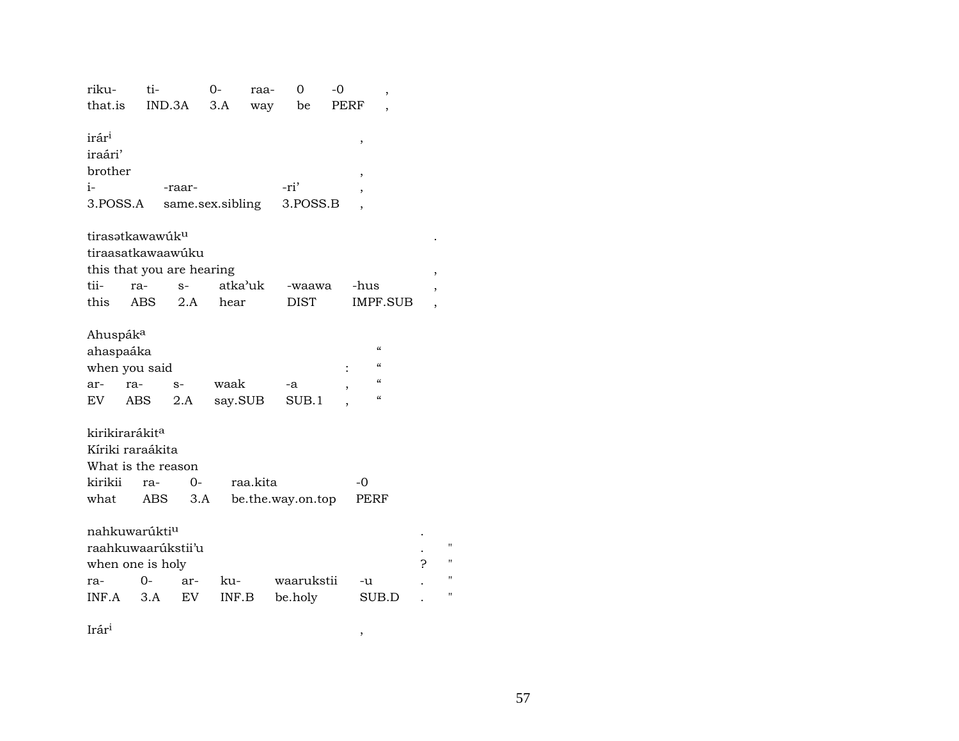| riku-                                                               | ti-        |                            | $O -$           | raa-     | 0                 | -0   |                                                                                       | ,        |   |
|---------------------------------------------------------------------|------------|----------------------------|-----------------|----------|-------------------|------|---------------------------------------------------------------------------------------|----------|---|
| that.is                                                             | IND.3A     |                            | 3.A             | way      | be                | PERF |                                                                                       |          |   |
| irár <sup>i</sup><br>iraári'<br>brother<br>$i-$<br>3.POSS.A         |            | -raar-<br>same.sex.sibling |                 |          | -ri'<br>3.POSS.B  |      | ,<br>,                                                                                |          |   |
| tirasatkawawúku<br>tiraasatkawaawúku<br>this that you are hearing   |            |                            |                 |          |                   |      |                                                                                       |          | , |
| tii-                                                                | ra-        | $S-$                       | atka'uk         |          | -waawa            |      | -hus                                                                                  |          |   |
| this                                                                | <b>ABS</b> | 2.A                        | hear            |          | <b>DIST</b>       |      |                                                                                       | IMPF.SUB |   |
| Ahuspák <sup>a</sup><br>ahaspaáka<br>when you said<br>ar-<br>EV.    | ra-<br>ABS | $S-$<br>2.A                | waak<br>say.SUB |          | -a<br>SUB.1       |      | "<br>$\epsilon$<br>$\boldsymbol{\zeta}\boldsymbol{\zeta}$<br>$\pmb{\zeta}\pmb{\zeta}$ |          |   |
| kirikirarákit <sup>a</sup>                                          |            |                            |                 |          |                   |      |                                                                                       |          |   |
| Kíriki raraákita                                                    |            |                            |                 |          |                   |      |                                                                                       |          |   |
| What is the reason                                                  |            |                            |                 |          |                   |      |                                                                                       |          |   |
| kirikii                                                             | ra-        | $O -$                      |                 | raa.kita |                   |      | $-0$                                                                                  |          |   |
| what                                                                | ABS        | 3.A                        |                 |          | be.the.way.on.top |      | PERF                                                                                  |          |   |
| nahkuwarúkti <sup>u</sup><br>raahkuwaarúkstii'u<br>when one is holy |            |                            |                 |          |                   |      |                                                                                       |          | ς |
| ra-                                                                 | $0-$       | ar-                        | ku-             |          | waarukstii        |      | -u                                                                                    |          |   |
| INF.A                                                               | 3.A        | EV                         | INF.B           |          | be.holy           |      | SUB.D                                                                                 |          |   |
|                                                                     |            |                            |                 |          |                   |      |                                                                                       |          |   |

 $\mathop{\rm Ir\acute{a}r^i}\nolimits$ 

 $\mathbf{u}$  $^{\prime}$  $\mathbf{H}$  $^{\prime}$ 

 $\,$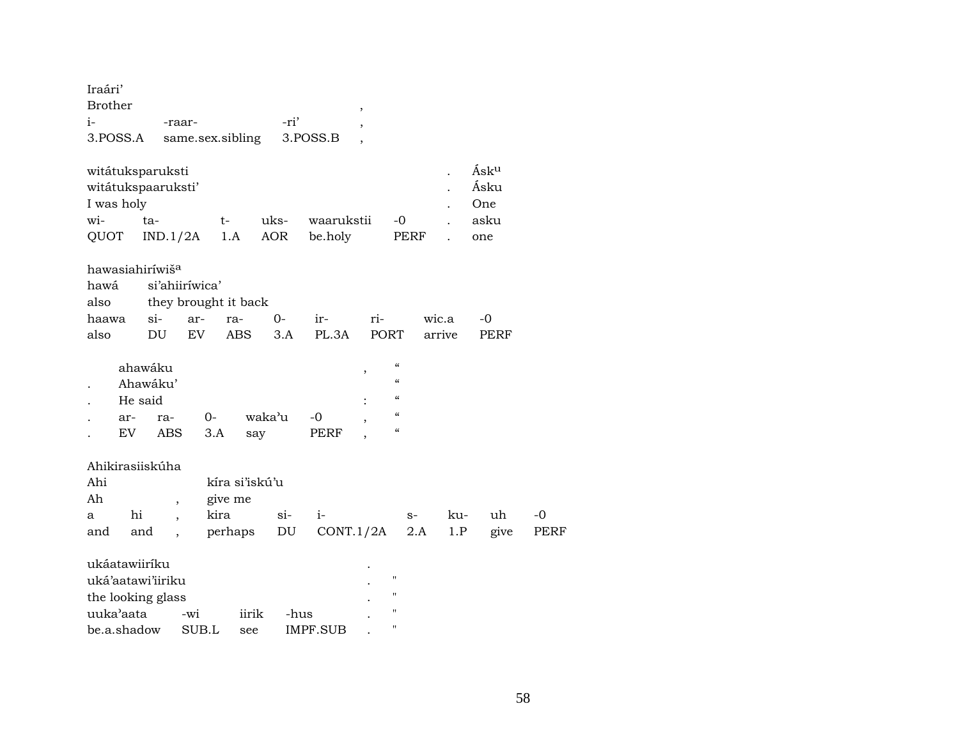| Iraári'<br><b>Brother</b><br>i-<br>3.POSS.A                                         | -raar-                                           | same.sex.sibling                                       | -ri'          | 3.POSS.B              | $\,$        |                                                                                                                            |                 |                                    |              |
|-------------------------------------------------------------------------------------|--------------------------------------------------|--------------------------------------------------------|---------------|-----------------------|-------------|----------------------------------------------------------------------------------------------------------------------------|-----------------|------------------------------------|--------------|
| witátuksparuksti<br>witátukspaaruksti'<br>I was holy<br>wi-<br>QUOT                 | ta-<br>IND.1/2A                                  | t-<br>1.A                                              | uks-<br>AOR   | waarukstii<br>be.holy |             | -0<br>PERF                                                                                                                 |                 | Ásku<br>Ásku<br>One<br>asku<br>one |              |
| hawasiahiriwiš <sup>a</sup><br>hawá<br>also<br>haawa<br>also                        | si'ahiiríwica'<br>$\sin$<br>DU                   | they brought it back<br>ar-<br>ra-<br>EV<br><b>ABS</b> | $0-$<br>3.A   | ir-<br>PL.3A          | ri-<br>PORT |                                                                                                                            | wic.a<br>arrive | -0<br><b>PERF</b>                  |              |
| ahawáku<br>He said<br>ar-<br>EV                                                     | Ahawáku'<br>ra-<br><b>ABS</b>                    | $0-$<br>3.A                                            | waka'u<br>say | -0<br>PERF            | ,           | $\pmb{\zeta}\pmb{\zeta}$<br>$\epsilon$<br>$\pmb{\zeta}\pmb{\zeta}$<br>$\pmb{\zeta}\pmb{\zeta}$<br>$\pmb{\zeta}\pmb{\zeta}$ |                 |                                    |              |
| Ahikirasiiskúha<br>Ahi<br>Ah<br>hi<br>a<br>and<br>and                               | $\overline{\phantom{a}}$<br>$\ddot{\phantom{0}}$ | kíra si'iskú'u<br>give me<br>kira<br>perhaps           | $si$ -<br>DU  | $i-$<br>CONT.1/2A     |             | $S-$<br>2.A                                                                                                                | ku-<br>1.P      | uh<br>give                         | $-0$<br>PERF |
| ukáatawiiríku<br>uká'aatawi'iiriku<br>the looking glass<br>uuka'aata<br>be.a.shadow | -wi                                              | iirik<br>SUB.L<br>see                                  | -hus          | IMPF.SUB              |             | $\pmb{\mathsf{H}}$<br>$\pmb{\mathsf{H}}$<br>$\pmb{\mathsf{H}}$<br>$\mathbf{H}$                                             |                 |                                    |              |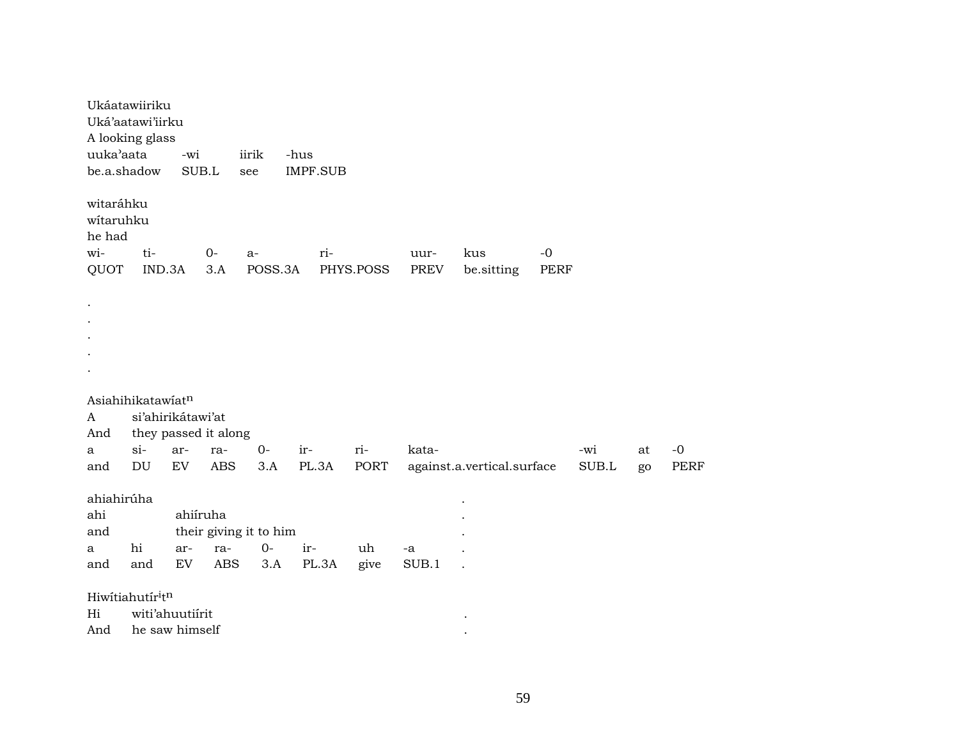|            | Ukáatawiiriku        |          |            |                        |      |                 |           |       |                            |      |       |    |      |
|------------|----------------------|----------|------------|------------------------|------|-----------------|-----------|-------|----------------------------|------|-------|----|------|
|            | Uká'aatawi'iirku     |          |            |                        |      |                 |           |       |                            |      |       |    |      |
|            | A looking glass      |          |            |                        |      |                 |           |       |                            |      |       |    |      |
| uuka'aata  |                      | -wi      |            | iirik                  | -hus |                 |           |       |                            |      |       |    |      |
|            | be.a.shadow          | SUB.L    |            | see                    |      | <b>IMPF.SUB</b> |           |       |                            |      |       |    |      |
| witaráhku  |                      |          |            |                        |      |                 |           |       |                            |      |       |    |      |
| witaruhku  |                      |          |            |                        |      |                 |           |       |                            |      |       |    |      |
| he had     |                      |          |            |                        |      |                 |           |       |                            |      |       |    |      |
| wi-        | ti-                  |          | $O -$      | $a-$                   |      | ri-             |           | uur-  | kus                        | $-0$ |       |    |      |
| QUOT       | IND.3A               |          | 3.A        | POSS.3A                |      |                 | PHYS.POSS | PREV  | be.sitting                 | PERF |       |    |      |
|            |                      |          |            |                        |      |                 |           |       |                            |      |       |    |      |
| $\bullet$  |                      |          |            |                        |      |                 |           |       |                            |      |       |    |      |
| $\bullet$  |                      |          |            |                        |      |                 |           |       |                            |      |       |    |      |
| $\bullet$  |                      |          |            |                        |      |                 |           |       |                            |      |       |    |      |
|            |                      |          |            |                        |      |                 |           |       |                            |      |       |    |      |
|            |                      |          |            |                        |      |                 |           |       |                            |      |       |    |      |
|            |                      |          |            |                        |      |                 |           |       |                            |      |       |    |      |
|            | Asiahihikatawiatn    |          |            |                        |      |                 |           |       |                            |      |       |    |      |
| A          | si'ahirikátawi'at    |          |            |                        |      |                 |           |       |                            |      |       |    |      |
| And        | they passed it along |          |            |                        |      |                 |           |       |                            |      |       |    |      |
| a          | $si-$                | ar-      | ra-        | $0-$                   | ir-  |                 | ri-       | kata- |                            |      | -wi   | at | $-0$ |
| and        | DU                   | EV       | <b>ABS</b> | 3.A                    |      | PL.3A           | PORT      |       | against.a.vertical.surface |      | SUB.L | go | PERF |
| ahiahirúha |                      |          |            |                        |      |                 |           |       |                            |      |       |    |      |
| ahi        |                      | ahiíruha |            |                        |      |                 |           |       |                            |      |       |    |      |
| and        |                      |          |            | their giving it to him |      |                 |           |       |                            |      |       |    |      |
| a          | hi                   | ar-      | ra-        | $0-$                   |      | ir-             | uh        | -a    |                            |      |       |    |      |
| and        | and                  | EV       | <b>ABS</b> | 3.A                    |      | PL.3A           | give      | SUB.1 |                            |      |       |    |      |
|            | Hiwitiahutiritn      |          |            |                        |      |                 |           |       |                            |      |       |    |      |
| Hi         | witi'ahuutiirit      |          |            |                        |      |                 |           |       |                            |      |       |    |      |
| And        | he saw himself       |          |            |                        |      |                 |           |       |                            |      |       |    |      |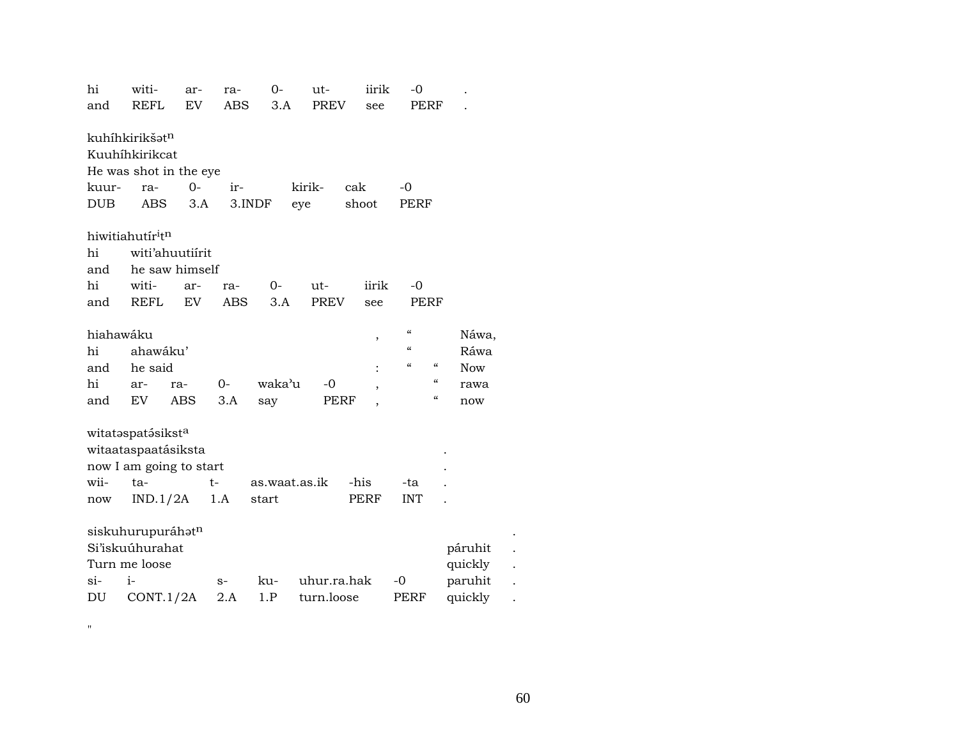| hi         | witi-                                    | ar-             | ra-        | 0-            | ut-         | iirik                    | -0                                     |                                          |
|------------|------------------------------------------|-----------------|------------|---------------|-------------|--------------------------|----------------------------------------|------------------------------------------|
| and        | <b>REFL</b>                              | EV              | <b>ABS</b> | 3.A           | <b>PREV</b> | see                      | PERF                                   |                                          |
|            |                                          |                 |            |               |             |                          |                                        |                                          |
|            | kuhíhkirikšət <sup>n</sup>               |                 |            |               |             |                          |                                        |                                          |
|            | Kuuhíhkirikcat                           |                 |            |               |             |                          |                                        |                                          |
|            | He was shot in the eye                   |                 |            |               |             |                          |                                        |                                          |
| kuur-      | ra-                                      | $0 -$           | ir-        |               | kirik-      | cak                      | $-0$                                   |                                          |
| <b>DUB</b> | ABS                                      | 3.A             | $3.$ INDF  |               | eye         | shoot                    | PERF                                   |                                          |
|            |                                          |                 |            |               |             |                          |                                        |                                          |
|            | hiwitiahutír <sup>i</sup> t <sup>n</sup> |                 |            |               |             |                          |                                        |                                          |
| hi         |                                          | witi'ahuutiirit |            |               |             |                          |                                        |                                          |
| and        |                                          | he saw himself  |            |               |             |                          |                                        |                                          |
| hi         | witi-                                    | ar-             | ra-        | $0-$          | ut-         | iirik                    | $-0$                                   |                                          |
| and        | <b>REFL</b>                              | EV              | <b>ABS</b> | 3.A           | <b>PREV</b> | see                      | <b>PERF</b>                            |                                          |
|            |                                          |                 |            |               |             |                          |                                        |                                          |
| hiahawáku  |                                          |                 |            |               |             | ,                        | $\boldsymbol{\zeta}\boldsymbol{\zeta}$ | Náwa,                                    |
| hi         | ahawáku'                                 |                 |            |               |             |                          | $\mathcal{C}$                          | Ráwa                                     |
| and        | he said                                  |                 |            |               |             |                          | $\epsilon$                             | $\boldsymbol{\mathcal{C}}$<br><b>Now</b> |
| hi         | ar-                                      | ra-             | $0-$       | waka'u        | $-0$        | $\overline{\phantom{a}}$ |                                        | $\boldsymbol{\mathcal{C}}$<br>rawa       |
| and        | EV                                       | ABS             | 3.A        | say           | PERF        | $\overline{\phantom{a}}$ |                                        | $\epsilon\epsilon$<br>now                |
|            |                                          |                 |            |               |             |                          |                                        |                                          |
|            | witataspatásiksta                        |                 |            |               |             |                          |                                        |                                          |
|            | witaataspaatásiksta                      |                 |            |               |             |                          |                                        |                                          |
|            | now I am going to start                  |                 |            |               |             |                          |                                        |                                          |
| wii-       | ta-                                      |                 | $t-$       | as.waat.as.ik |             | -his                     | -ta                                    |                                          |
| now        | IND.1/2A                                 |                 | 1.A        | start         |             | <b>PERF</b>              | <b>INT</b>                             |                                          |
|            |                                          |                 |            |               |             |                          |                                        |                                          |
|            | siskuhurupuráhatn                        |                 |            |               |             |                          |                                        |                                          |
|            | Si'iskuúhurahat                          |                 |            |               |             |                          |                                        | páruhit                                  |
|            | Turn me loose                            |                 |            |               |             |                          |                                        | quickly                                  |
| $\sin$     | $i-$                                     |                 | $S-$       | ku-           | uhur.ra.hak |                          | $-0$                                   | paruhit                                  |
| DU         | CONT.1/2A                                |                 | $2.A$      | 1.P           | turn.loose  |                          | PERF                                   | quickly                                  |

 $\mathbf{u}$ 

60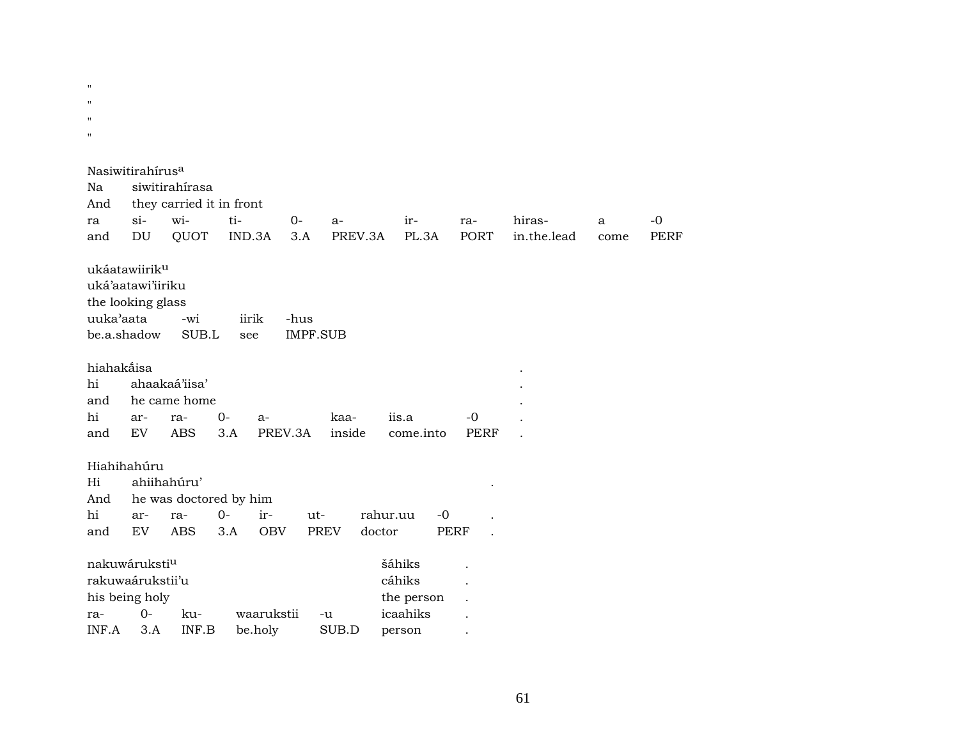| $\blacksquare$     |                              |                          |        |                       |                 |          |             |             |             |      |             |
|--------------------|------------------------------|--------------------------|--------|-----------------------|-----------------|----------|-------------|-------------|-------------|------|-------------|
|                    |                              |                          |        |                       |                 |          |             |             |             |      |             |
| $\mathbf{H}$       |                              |                          |        |                       |                 |          |             |             |             |      |             |
| $\mathbf{H}$       |                              |                          |        |                       |                 |          |             |             |             |      |             |
| $\pmb{\mathsf{H}}$ |                              |                          |        |                       |                 |          |             |             |             |      |             |
|                    |                              |                          |        |                       |                 |          |             |             |             |      |             |
|                    | Nasiwitirahírus <sup>a</sup> |                          |        |                       |                 |          |             |             |             |      |             |
|                    |                              |                          |        |                       |                 |          |             |             |             |      |             |
| Na                 |                              | siwitirahírasa           |        |                       |                 |          |             |             |             |      |             |
| And                |                              | they carried it in front |        |                       |                 |          |             |             |             |      |             |
| ra                 | $si-$                        | wi-                      | ti-    | $0-$                  | a-              |          | ir-         | ra-         | hiras-      | a    | $-0$        |
| and                | DU                           | QUOT                     | IND.3A | 3.A                   |                 | PREV.3A  | PL.3A       | <b>PORT</b> | in.the.lead | come | <b>PERF</b> |
|                    |                              |                          |        |                       |                 |          |             |             |             |      |             |
|                    | ukáatawiirik <sup>u</sup>    |                          |        |                       |                 |          |             |             |             |      |             |
|                    | uká'aatawi'iiriku            |                          |        |                       |                 |          |             |             |             |      |             |
|                    | the looking glass            |                          |        |                       |                 |          |             |             |             |      |             |
| uuka'aata          |                              | -wi                      |        | iirik<br>-hus         |                 |          |             |             |             |      |             |
|                    | be.a.shadow                  | SUB.L                    | see    |                       | <b>IMPF.SUB</b> |          |             |             |             |      |             |
|                    |                              |                          |        |                       |                 |          |             |             |             |      |             |
| hiahakåisa         |                              |                          |        |                       |                 |          |             |             |             |      |             |
|                    |                              |                          |        |                       |                 |          |             |             |             |      |             |
| hi                 |                              | ahaakaá'iisa'            |        |                       |                 |          |             |             |             |      |             |
| and                |                              | he came home             |        |                       |                 |          |             |             |             |      |             |
| hi                 | ar-                          | ra-                      | $0-$   | $a-$                  | kaa-            | iis.a    |             | $-0$        |             |      |             |
| and                | <b>EV</b>                    |                          |        |                       |                 |          |             |             |             |      |             |
|                    |                              | <b>ABS</b>               | 3.A    | PREV.3A               | inside          |          | come.into   | <b>PERF</b> |             |      |             |
|                    |                              |                          |        |                       |                 |          |             |             |             |      |             |
|                    | Hiahihahúru                  |                          |        |                       |                 |          |             |             |             |      |             |
| Hi                 |                              | ahiihahúru'              |        |                       |                 |          |             |             |             |      |             |
|                    |                              |                          |        |                       |                 |          |             |             |             |      |             |
| And                |                              | he was doctored by him   |        |                       |                 |          |             |             |             |      |             |
| hi                 | ar-                          | ra-                      | $O -$  | ir-                   | ut-             | rahur.uu | $-0$        |             |             |      |             |
| and                | EV                           | <b>ABS</b>               | 3.A    | <b>OBV</b>            | <b>PREV</b>     | doctor   | <b>PERF</b> |             |             |      |             |
|                    |                              |                          |        |                       |                 |          |             |             |             |      |             |
|                    | nakuwáruksti <sup>u</sup>    |                          |        |                       |                 | šáhiks   |             |             |             |      |             |
|                    | rakuwaárukstii'u             |                          |        |                       |                 | cáhiks   |             |             |             |      |             |
|                    | his being holy               |                          |        |                       |                 |          | the person  |             |             |      |             |
| ra-<br>INF.A       | $0 -$<br>3.A                 | ku-<br>INF.B             |        | waarukstii<br>be.holy | $-u$<br>SUB.D   | icaahiks |             |             |             |      |             |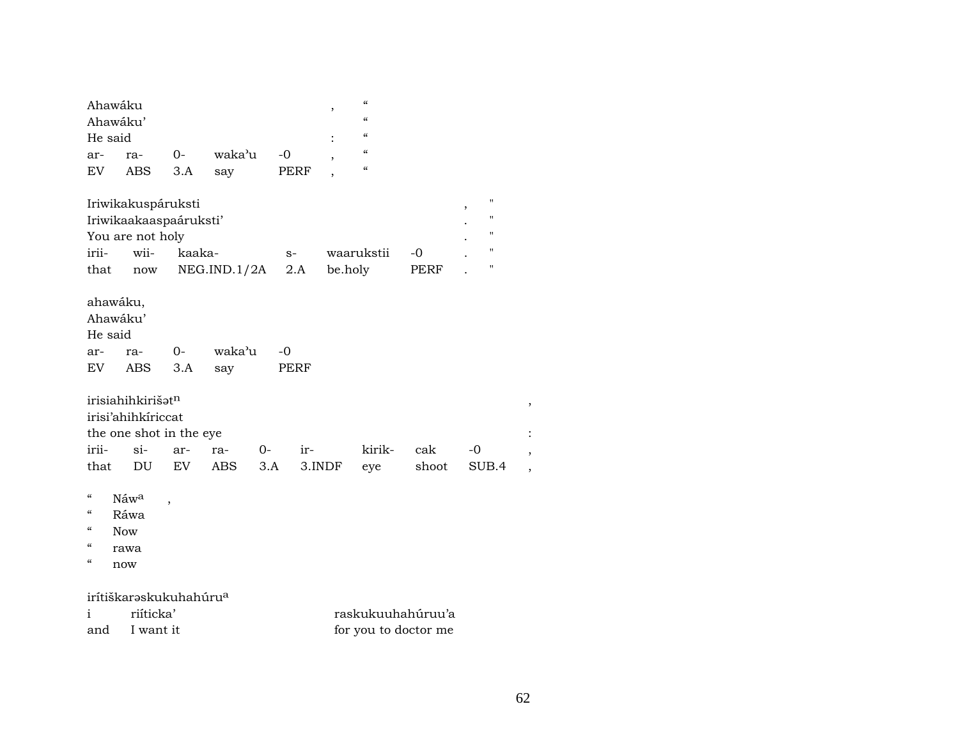| Ahawáku  |     |      |        |      |   | $\epsilon$ |
|----------|-----|------|--------|------|---|------------|
| Ahawáku' |     | "    |        |      |   |            |
| He said  |     |      |        |      | ٠ | $\epsilon$ |
| ar-      | ra- | $O-$ | waka'u | -0   |   | "          |
| EV.      | ABS | 3.A  | say    | PERF |   | "          |

| Iriwikakuspáruksti     |      |                        |      |            |      |  |                   |  |  |  |
|------------------------|------|------------------------|------|------------|------|--|-------------------|--|--|--|
| Iriwikaakaaspaáruksti' |      |                        |      |            |      |  |                   |  |  |  |
| You are not holy       |      |                        |      |            |      |  |                   |  |  |  |
| irii-                  | wii- | kaaka-                 | $S-$ | waarukstii | $-0$ |  | $^{\prime\prime}$ |  |  |  |
| that                   |      | now $NEG.IND.1/2A$ 2.A |      | be.holy    | PERF |  | п                 |  |  |  |

ahawáku,

| Ahawáku' |                |  |              |      |  |  |  |  |  |  |
|----------|----------------|--|--------------|------|--|--|--|--|--|--|
| He said  |                |  |              |      |  |  |  |  |  |  |
|          | ar- ra-        |  | 0- waka'u -0 |      |  |  |  |  |  |  |
|          | EV ABS 3.A say |  |              | PERF |  |  |  |  |  |  |

| irisiahihkirišat <sup>n</sup> |                         |  |  |  |                                           |  |  |  |  |  |  |  |
|-------------------------------|-------------------------|--|--|--|-------------------------------------------|--|--|--|--|--|--|--|
| irisi'ahihkíriccat            |                         |  |  |  |                                           |  |  |  |  |  |  |  |
|                               | the one shot in the eye |  |  |  |                                           |  |  |  |  |  |  |  |
|                               |                         |  |  |  | irii- si- ar- ra- 0- ir-  kirik- cak -0   |  |  |  |  |  |  |  |
|                               |                         |  |  |  | that DU EV ABS 3.A 3.INDF eye shoot SUB.4 |  |  |  |  |  |  |  |

"  $N$ áw<sup>a</sup> ,

- " Ráwa
- " Now
- " rawa
- " now

## irítiškarəskukuhahúru<sup>a</sup><br>i riíticka'

| riíticka'   | raskukuuhahúruu'a    |
|-------------|----------------------|
| and Iwantit | for you to doctor me |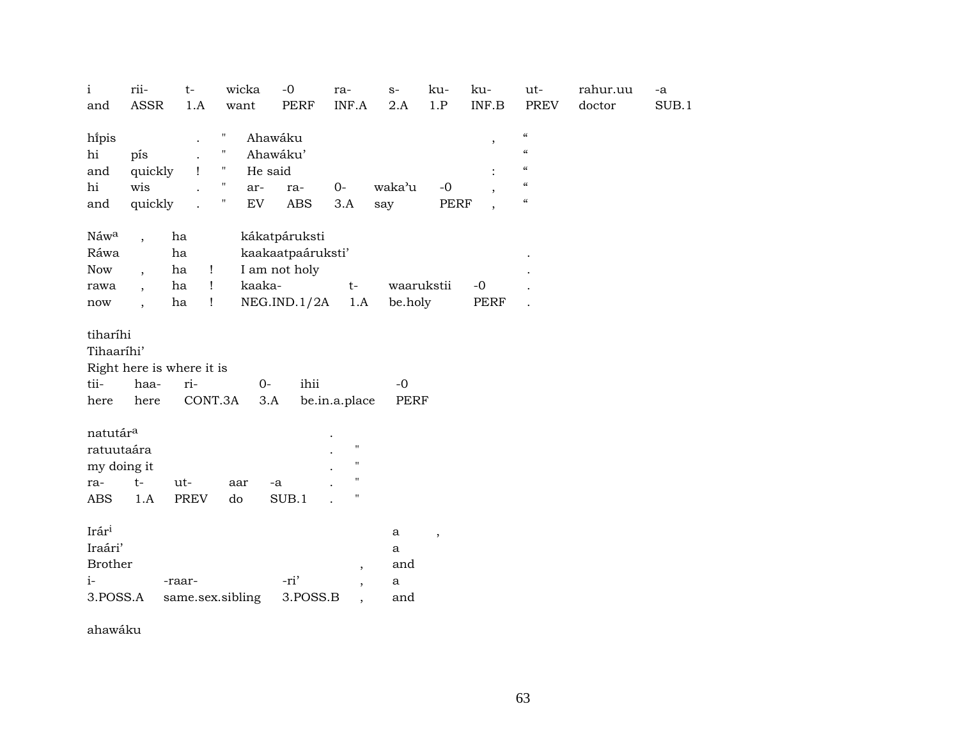| $\rm i$<br>and                                                     | rii-<br><b>ASSR</b>                                                                                          | $t-$<br>1.A                                                                | wicka<br>want                                                          | $-0$<br><b>PERF</b>                                                 | ra-<br>INF.A                                                                         | $S-$<br>2.A                          | ku-<br>1.P               | ku-<br>INF.B                    | ut-<br><b>PREV</b>                                                                                       | rahur.uu<br>doctor | -a<br>SUB.1 |
|--------------------------------------------------------------------|--------------------------------------------------------------------------------------------------------------|----------------------------------------------------------------------------|------------------------------------------------------------------------|---------------------------------------------------------------------|--------------------------------------------------------------------------------------|--------------------------------------|--------------------------|---------------------------------|----------------------------------------------------------------------------------------------------------|--------------------|-------------|
|                                                                    |                                                                                                              |                                                                            |                                                                        |                                                                     |                                                                                      |                                      |                          |                                 |                                                                                                          |                    |             |
| hipis<br>hi<br>and<br>hi<br>and                                    | pís<br>quickly<br>wis<br>quickly                                                                             | $\mathbf{I}$                                                               | Ħ<br>н<br>Ħ<br>He said<br>$\pmb{\mathsf{H}}$<br>ar-<br>Ħ<br>${\rm EV}$ | Ahawáku<br>Ahawáku'<br>ra-<br><b>ABS</b>                            | $0-$<br>3.A                                                                          | waka'u<br>say                        | $-0$<br><b>PERF</b>      | $^\mathrm{,}$<br>$\overline{ }$ | $\zeta\zeta$<br>$\boldsymbol{\zeta}\boldsymbol{\zeta}$<br>$\mathcal{C}$<br>$\zeta\zeta$<br>$\mathcal{C}$ |                    |             |
|                                                                    |                                                                                                              |                                                                            |                                                                        |                                                                     |                                                                                      |                                      |                          | $\overline{\phantom{a}}$        |                                                                                                          |                    |             |
| Náwa<br>Ráwa<br><b>Now</b><br>rawa<br>$\operatorname{now}$         | $\overline{\phantom{a}}$<br>$\overline{\phantom{a}}$<br>$\overline{\phantom{a}}$<br>$\overline{\phantom{a}}$ | ha<br>ha<br>ha<br>$\mathbf{I}$<br>ha<br>$\mathbf{I}$<br>ha<br>$\mathbf{I}$ | kaaka-                                                                 | kákatpáruksti<br>kaakaatpaáruksti'<br>I am not holy<br>NEG.IND.1/2A | $t-$<br>1.A                                                                          | waarukstii<br>be.holy                |                          | $-0$<br>PERF                    |                                                                                                          |                    |             |
| tiharíhi                                                           |                                                                                                              |                                                                            |                                                                        |                                                                     |                                                                                      |                                      |                          |                                 |                                                                                                          |                    |             |
| Tihaaríhi'                                                         | Right here is where it is                                                                                    |                                                                            |                                                                        |                                                                     |                                                                                      |                                      |                          |                                 |                                                                                                          |                    |             |
| tii-                                                               | haa-                                                                                                         | ri-                                                                        | $0-$                                                                   | ihii                                                                |                                                                                      | $-0$                                 |                          |                                 |                                                                                                          |                    |             |
| here                                                               | here                                                                                                         | CONT.3A                                                                    | 3.A                                                                    |                                                                     | be.in.a.place                                                                        | PERF                                 |                          |                                 |                                                                                                          |                    |             |
| natutár <sup>a</sup><br>ratuutaára<br>my doing it<br>ra-<br>ABS    | $t-$<br>1.A                                                                                                  | ut-<br>PREV                                                                | aar<br>do                                                              | $-a$<br>SUB.1                                                       | $\pmb{\mathsf{H}}$<br>$\pmb{\mathsf{H}}$<br>$\pmb{\mathsf{H}}$<br>$\pmb{\mathsf{H}}$ |                                      |                          |                                 |                                                                                                          |                    |             |
| Irár <sup>i</sup><br>Iraári'<br><b>Brother</b><br>$i-$<br>3.POSS.A |                                                                                                              | -raar-                                                                     | same.sex.sibling                                                       | -ri'<br>3.POSS.B                                                    | $\, ,$<br>$\overline{\phantom{a}}$                                                   | $\mathbf{a}$<br>a<br>and<br>a<br>and | $\overline{\phantom{a}}$ |                                 |                                                                                                          |                    |             |

ahawáku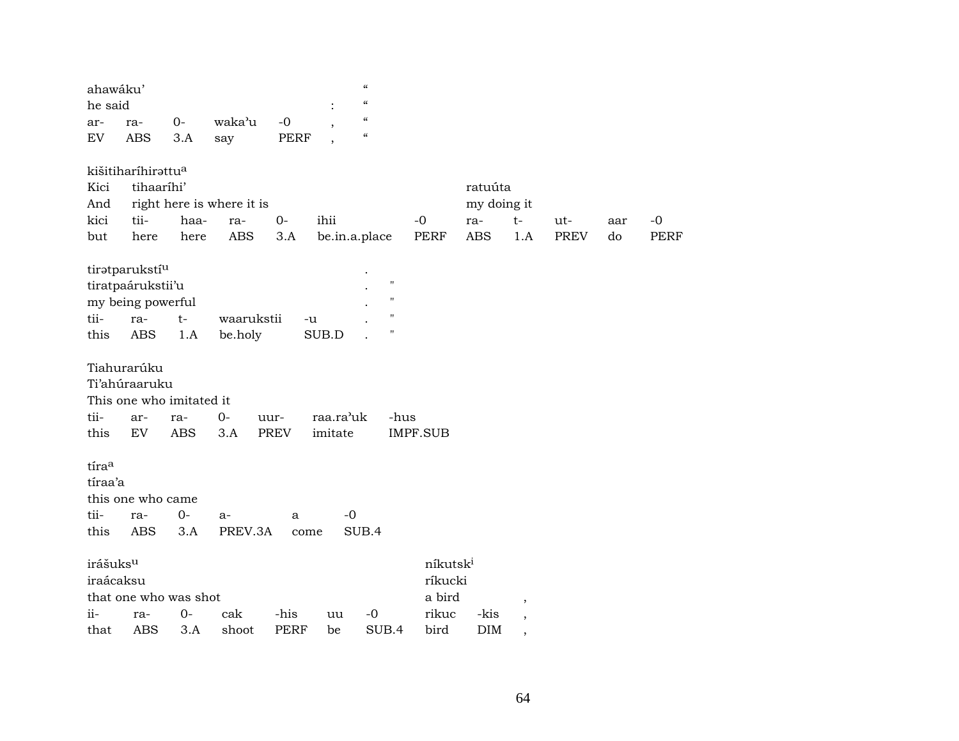| ahawáku'             |                                |                          |                           |             |               | $\mathcal{C}\mathcal{C}$               |                      |             |        |             |     |
|----------------------|--------------------------------|--------------------------|---------------------------|-------------|---------------|----------------------------------------|----------------------|-------------|--------|-------------|-----|
| he said              |                                |                          |                           |             |               | $\pmb{\zeta}\pmb{\zeta}$               |                      |             |        |             |     |
| ar-                  | ra-                            | $0-$                     | waka'u                    | $-0$        |               | $\epsilon$                             |                      |             |        |             |     |
| EV                   | <b>ABS</b>                     | 3.A                      | say                       | PERF        |               | $\boldsymbol{\zeta}\boldsymbol{\zeta}$ |                      |             |        |             |     |
|                      | kišitiharíhirattu <sup>a</sup> |                          |                           |             |               |                                        |                      |             |        |             |     |
| Kici                 | tihaaríhi'                     |                          |                           |             |               |                                        |                      | ratuúta     |        |             |     |
| And                  |                                |                          | right here is where it is |             |               |                                        |                      | my doing it |        |             |     |
| kici                 | tii-                           | haa-                     | ra-                       | $O -$       | ihii          |                                        | $-0$                 | ra-         | $t-$   | ut-         | aar |
| but                  | here                           | here                     | <b>ABS</b>                | 3.A         | be.in.a.place |                                        | PERF                 | <b>ABS</b>  | 1.A    | <b>PREV</b> | do  |
|                      | tiratparukstí <sup>u</sup>     |                          |                           |             |               |                                        |                      |             |        |             |     |
|                      | tiratpaárukstii'u              |                          |                           |             |               | $\blacksquare$                         |                      |             |        |             |     |
|                      | my being powerful              |                          |                           |             |               | $\pmb{\mathsf{H}}$                     |                      |             |        |             |     |
| tii-                 | ra-                            | $t-$                     | waarukstii                | -u          |               | $^{\prime\prime}$                      |                      |             |        |             |     |
| this                 | ABS                            | 1.A                      | be.holy                   |             | SUB.D         | $\mathbf{H}$                           |                      |             |        |             |     |
|                      | Tiahurarúku                    |                          |                           |             |               |                                        |                      |             |        |             |     |
|                      | Ti'ahúraaruku                  |                          |                           |             |               |                                        |                      |             |        |             |     |
|                      |                                | This one who imitated it |                           |             |               |                                        |                      |             |        |             |     |
| tii-                 | ar-                            | ra-                      | $0-$                      | uur-        | raa.ra'uk     | -hus                                   |                      |             |        |             |     |
| this                 | EV                             | ABS                      | 3.A                       | PREV        | imitate       |                                        | <b>IMPF.SUB</b>      |             |        |             |     |
| tíraa                |                                |                          |                           |             |               |                                        |                      |             |        |             |     |
| tíraa'a              |                                |                          |                           |             |               |                                        |                      |             |        |             |     |
|                      | this one who came              |                          |                           |             |               |                                        |                      |             |        |             |     |
| tii-                 |                                | 0-                       |                           |             | -0            |                                        |                      |             |        |             |     |
| this                 | ra-<br><b>ABS</b>              | 3.A                      | a-<br>PREV.3A             | a           |               | SUB.4                                  |                      |             |        |             |     |
|                      |                                |                          |                           | come        |               |                                        |                      |             |        |             |     |
| irášuks <sup>u</sup> |                                |                          |                           |             |               |                                        | níkutsk <sup>i</sup> |             |        |             |     |
| iraácaksu            |                                |                          |                           |             |               |                                        | ríkucki              |             |        |             |     |
|                      |                                | that one who was shot    |                           |             |               |                                        | a bird               |             | $\, ,$ |             |     |
| ii-                  | ra-                            | 0-                       | cak                       | -his        | uu            | $-0$                                   | rikuc                | -kis        |        |             |     |
| that                 | <b>ABS</b>                     | 3.A                      | shoot                     | <b>PERF</b> | be            | SUB.4                                  | bird                 | <b>DIM</b>  |        |             |     |
|                      |                                |                          |                           |             |               |                                        |                      |             |        |             |     |

-0<br>PERF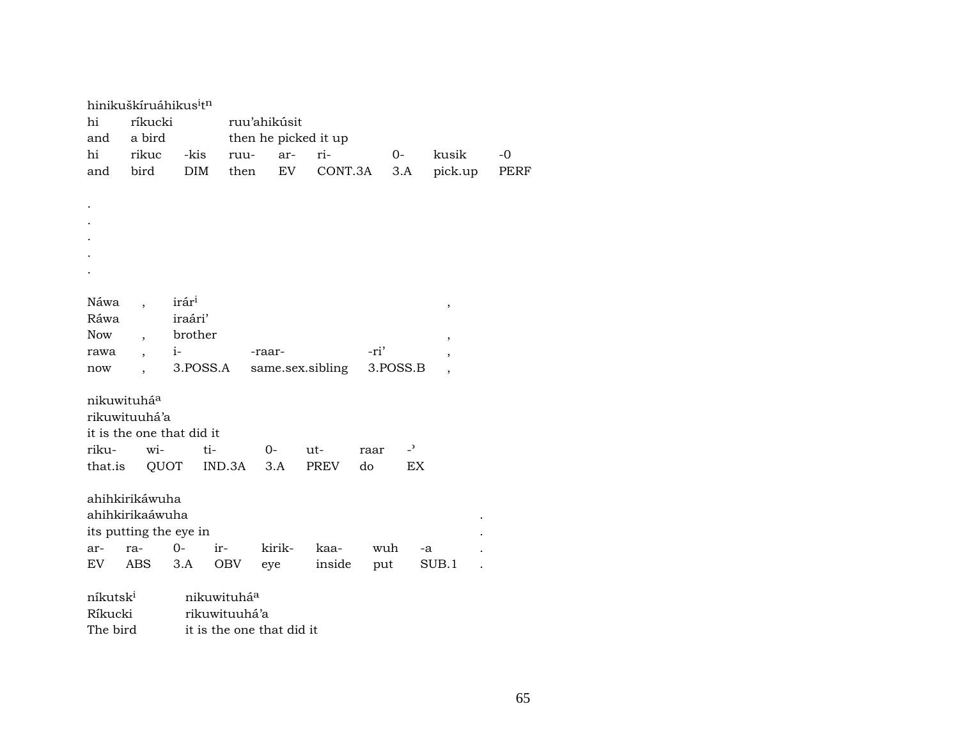|                      |                          | hinikuškíruáhikus <sup>i</sup> t <sup>n</sup> |               |                           |                      |          |                |                          |      |  |  |  |  |
|----------------------|--------------------------|-----------------------------------------------|---------------|---------------------------|----------------------|----------|----------------|--------------------------|------|--|--|--|--|
| hi                   | ríkucki                  |                                               |               | ruu'ahikúsit              |                      |          |                |                          |      |  |  |  |  |
| and                  | a bird                   |                                               |               |                           | then he picked it up |          |                |                          |      |  |  |  |  |
| hi                   | rikuc                    | -kis                                          | ruu-          | ar-                       | ri-                  | 0-       |                | kusik                    | $-0$ |  |  |  |  |
| and                  | bird                     | DIM                                           | then          | EV                        | CONT.3A              |          | 3.A            | pick.up                  | PERF |  |  |  |  |
|                      |                          |                                               |               |                           |                      |          |                |                          |      |  |  |  |  |
|                      |                          |                                               |               |                           |                      |          |                |                          |      |  |  |  |  |
|                      |                          |                                               |               |                           |                      |          |                |                          |      |  |  |  |  |
|                      |                          |                                               |               |                           |                      |          |                |                          |      |  |  |  |  |
|                      |                          |                                               |               |                           |                      |          |                |                          |      |  |  |  |  |
|                      |                          |                                               |               |                           |                      |          |                |                          |      |  |  |  |  |
|                      |                          |                                               |               |                           |                      |          |                |                          |      |  |  |  |  |
| Náwa                 |                          | irár <sup>i</sup>                             |               |                           |                      |          |                | ,                        |      |  |  |  |  |
| Ráwa                 |                          | iraári'                                       |               |                           |                      |          |                |                          |      |  |  |  |  |
| <b>Now</b>           | $\overline{\phantom{a}}$ | brother                                       |               |                           |                      |          |                | ,                        |      |  |  |  |  |
| rawa                 | $\overline{\phantom{a}}$ | $i-$                                          |               | -raar-                    |                      | -ri'     |                | ,                        |      |  |  |  |  |
| now                  | $\ddot{\phantom{0}}$     | 3.POSS.A                                      |               |                           | same.sex.sibling     | 3.POSS.B |                | $\overline{\phantom{a}}$ |      |  |  |  |  |
|                      |                          |                                               |               |                           |                      |          |                |                          |      |  |  |  |  |
| nikuwituháa          |                          |                                               |               |                           |                      |          |                |                          |      |  |  |  |  |
|                      | rikuwituuhá'a            |                                               |               |                           |                      |          |                |                          |      |  |  |  |  |
|                      |                          | it is the one that did it                     |               |                           |                      |          |                |                          |      |  |  |  |  |
| riku-                | wi-                      | ti-                                           |               | $0-$                      | $ut-$                | raar     | $\overline{a}$ |                          |      |  |  |  |  |
| that.is              | QUOT                     |                                               | IND.3A        | 3.A                       | PREV                 | do       | EX             |                          |      |  |  |  |  |
|                      |                          |                                               |               |                           |                      |          |                |                          |      |  |  |  |  |
|                      | ahihkirikáwuha           |                                               |               |                           |                      |          |                |                          |      |  |  |  |  |
|                      | ahihkirikaáwuha          |                                               |               |                           |                      |          |                |                          |      |  |  |  |  |
|                      |                          | its putting the eye in                        |               |                           |                      |          |                |                          |      |  |  |  |  |
| ar-                  | ra-                      | $0-$                                          | ir-           | kirik-                    | kaa-                 | wuh      | -a             |                          |      |  |  |  |  |
| EV                   | ABS                      | 3.A                                           | OBV           | eye                       | inside               | put      |                | SUB.1                    |      |  |  |  |  |
|                      |                          |                                               |               |                           |                      |          |                |                          |      |  |  |  |  |
| níkutsk <sup>i</sup> |                          |                                               | nikuwituháa   |                           |                      |          |                |                          |      |  |  |  |  |
| Ríkucki              |                          |                                               | rikuwituuhá'a |                           |                      |          |                |                          |      |  |  |  |  |
| The bird             |                          |                                               |               | it is the one that did it |                      |          |                |                          |      |  |  |  |  |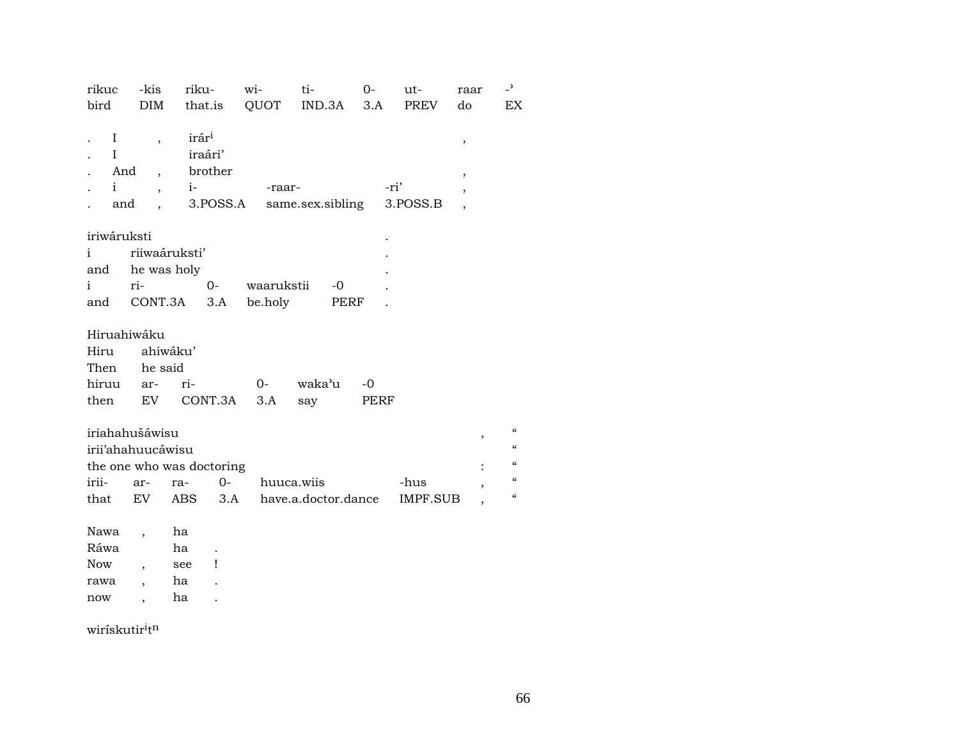| rikuc<br>bird | -kis<br><b>DIM</b>        | riku-             |          | wi-        | ti-<br>that.is QUOT IND.3A | $0-$<br>3.A | ut-<br>PREV | raar<br>do     | $\overline{\phantom{0}}$<br>EX. |
|---------------|---------------------------|-------------------|----------|------------|----------------------------|-------------|-------------|----------------|---------------------------------|
|               |                           |                   |          |            |                            |             |             |                |                                 |
| $\bf{I}$      | $\overline{\phantom{a}}$  | irár <sup>i</sup> |          |            |                            |             |             |                |                                 |
| $\mathbf{I}$  |                           | iraári'           |          |            |                            |             |             | ,              |                                 |
| And           | $\overline{\phantom{a}}$  |                   | brother  |            |                            |             |             | $\, ,$         |                                 |
| $\mathbf{i}$  | $\overline{ }$ ,          | $i-$              |          | -raar-     |                            | -ri'        |             |                |                                 |
| and           | $\overline{\phantom{a}}$  |                   | 3.POSS.A |            | same.sex.sibling           |             | 3.POSS.B    |                |                                 |
|               |                           |                   |          |            |                            |             |             |                |                                 |
| iriwáruksti   |                           |                   |          |            |                            |             |             |                |                                 |
| $\mathbf{i}$  | riiwaáruksti'             |                   |          |            |                            |             |             |                |                                 |
| and           | he was holy               |                   |          |            |                            |             |             |                |                                 |
| i             | ri-                       |                   | $0 -$    | waarukstii | $-0$                       |             |             |                |                                 |
| and           | CONT.3A                   |                   | 3.A      | be.holy    | PERF                       |             |             |                |                                 |
|               |                           |                   |          |            |                            |             |             |                |                                 |
| Hiruahiwáku   |                           |                   |          |            |                            |             |             |                |                                 |
| Hiru          |                           | ahiwáku'          |          |            |                            |             |             |                |                                 |
| Then          | he said                   |                   |          |            |                            |             |             |                |                                 |
| hiruu         | ar-                       | ri-               |          | $O -$      | waka'u                     | $-0$        |             |                |                                 |
| then          |                           | EV CONT.3A        |          | 3.A        | say                        | PERF        |             |                |                                 |
|               |                           |                   |          |            |                            |             |             |                |                                 |
|               | iriahahušáwisu            |                   |          |            |                            |             |             | ,              | $\alpha$                        |
|               | irii'ahahuucáwisu         |                   |          |            |                            |             |             |                | $\epsilon\epsilon$              |
|               | the one who was doctoring |                   |          |            |                            |             |             | $\ddot{\cdot}$ | $\epsilon$                      |
| irii-         | ar-                       | ra-               | $O -$    | huuca.wiis |                            |             | -hus        | ,              | $\epsilon\epsilon$              |
| that          | EV                        | ABS 3.A           |          |            | have.a.doctor.dance        |             | IMPF.SUB    |                | $\epsilon\epsilon$              |
|               |                           |                   |          |            |                            |             |             |                |                                 |
| Nawa          | $\overline{\phantom{a}}$  | ha                |          |            |                            |             |             |                |                                 |
| Ráwa          |                           | ha                |          |            |                            |             |             |                |                                 |
| <b>Now</b>    | $\overline{\phantom{a}}$  | see               | Ţ        |            |                            |             |             |                |                                 |
| rawa          |                           | ha                |          |            |                            |             |             |                |                                 |
| now           | $\overline{\phantom{a}}$  | ha                |          |            |                            |             |             |                |                                 |

 $\text{wirískutir}^{\text{i}} \text{t}^{\text{n}}$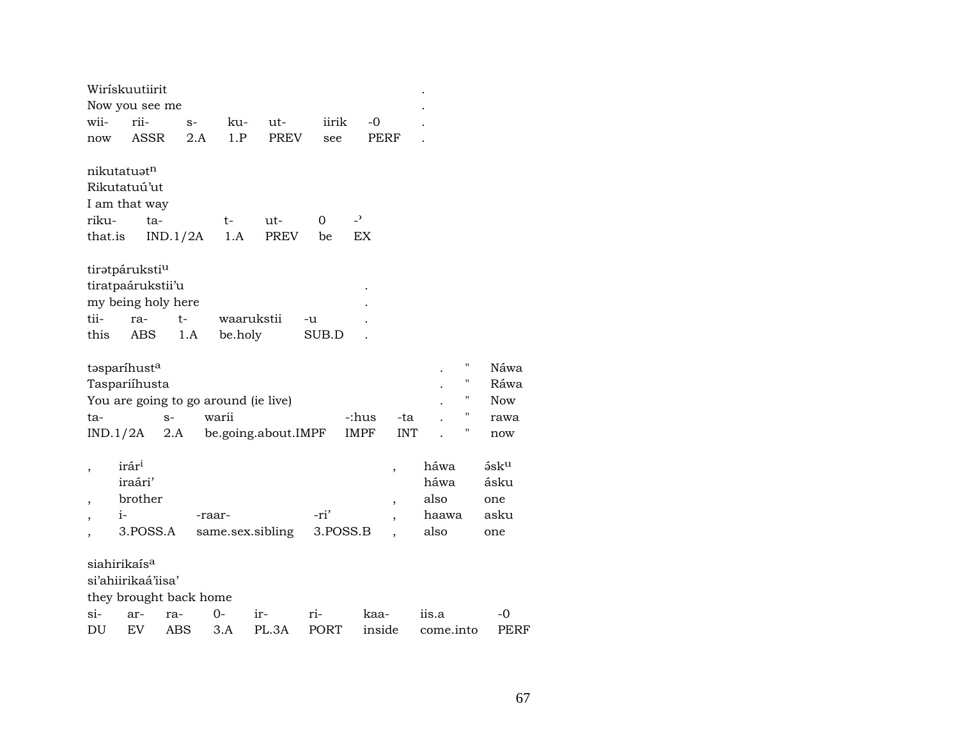|         | Wirískuutiirit             |                    |                        |            |                                      |             |                          |        |            |           |                    |
|---------|----------------------------|--------------------|------------------------|------------|--------------------------------------|-------------|--------------------------|--------|------------|-----------|--------------------|
|         |                            | Now you see me     |                        |            |                                      |             |                          |        |            |           |                    |
| wii-    | rii-                       |                    | $S-$                   | ku-        | ut-                                  | iirik       |                          | $-0$   |            |           |                    |
| now     |                            | ASSR               | 2.A                    | 1.P        | PREV                                 | see         |                          | PERF   |            |           |                    |
|         |                            |                    |                        |            |                                      |             |                          |        |            |           |                    |
|         | nikutatuatn                |                    |                        |            |                                      |             |                          |        |            |           |                    |
|         | Rikutatuú'ut               |                    |                        |            |                                      |             |                          |        |            |           |                    |
|         | I am that way              |                    |                        |            |                                      |             |                          |        |            |           |                    |
| riku-   |                            | ta-                |                        | t-         | ut-                                  | 0           | $\overline{\phantom{a}}$ |        |            |           |                    |
| that.is |                            |                    | IND.1/2A               | 1.A        | PREV                                 | be          | EX                       |        |            |           |                    |
|         |                            |                    |                        |            |                                      |             |                          |        |            |           |                    |
|         | tiratpáruksti <sup>u</sup> |                    |                        |            |                                      |             |                          |        |            |           |                    |
|         |                            | tiratpaárukstii'u  |                        |            |                                      |             |                          |        |            |           |                    |
|         |                            | my being holy here |                        |            |                                      |             |                          |        |            |           |                    |
| tii-    | ra-                        |                    | $t-$                   | waarukstii |                                      | -u          |                          |        |            |           |                    |
| this    | ABS                        |                    | 1.A                    | be.holy    |                                      | SUB.D       |                          |        |            |           |                    |
|         | tasparíhusta               |                    |                        |            |                                      |             |                          |        |            |           | $\pmb{\mathsf{H}}$ |
|         | Taspariíhusta              |                    |                        |            |                                      |             |                          |        |            |           | $\blacksquare$     |
|         |                            |                    |                        |            | You are going to go around (ie live) |             |                          |        |            |           | п                  |
| ta-     |                            | $S-$               |                        | warii      |                                      |             | -:hus                    |        | -ta        |           |                    |
|         | IND.1/2A                   | 2.A                |                        |            | be.going.about.IMPF                  |             | <b>IMPF</b>              |        | <b>INT</b> |           |                    |
|         |                            |                    |                        |            |                                      |             |                          |        |            |           |                    |
| ,       | irár <sup>i</sup>          |                    |                        |            |                                      |             |                          | ,      |            | háwa      |                    |
|         | iraári'                    |                    |                        |            |                                      |             |                          |        |            | háwa      |                    |
|         | brother                    |                    |                        |            |                                      |             |                          | ,      |            | also      |                    |
|         | $i-$                       |                    |                        | -raar-     |                                      | -ri'        |                          |        |            | haawa     |                    |
|         |                            | 3.POSS.A           |                        |            | same.sex.sibling                     |             | 3.POSS.B                 |        |            | also      |                    |
|         |                            |                    |                        |            |                                      |             |                          |        |            |           |                    |
|         | siahirikaís <sup>a</sup>   |                    |                        |            |                                      |             |                          |        |            |           |                    |
|         |                            | si'ahiirikaá'iisa' |                        |            |                                      |             |                          |        |            |           |                    |
|         |                            |                    | they brought back home |            |                                      |             |                          |        |            |           |                    |
| $\sin$  | ar-                        | ra-                |                        | $O -$      | ir-                                  | ri-         |                          | kaa-   |            | iis.a     |                    |
| DU      | EV                         | ABS                |                        | 3.A        | PL.3A                                | <b>PORT</b> |                          | inside |            | come.into |                    |

 $-0$ PERF

Náwa Ráwa Now rawa now

 $5$ s $k<sup>u</sup>$ ásku one asku one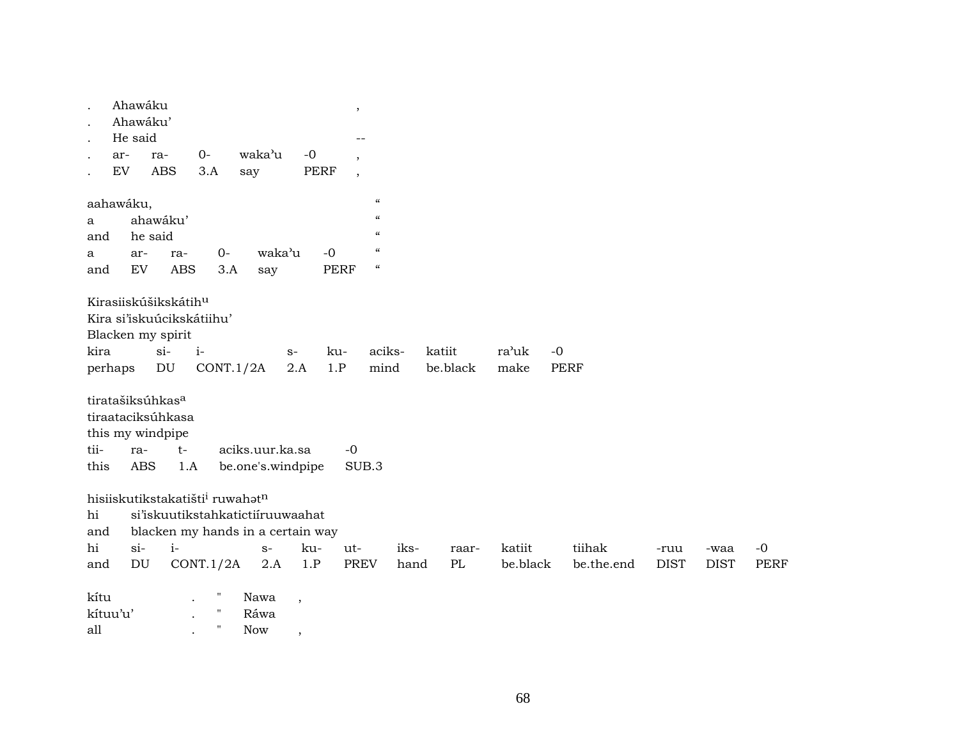|                              | Ahawáku                          |            |                                                         |                                   |                          | $\,$        |                                        |      |          |          |             |            |             |             |             |
|------------------------------|----------------------------------|------------|---------------------------------------------------------|-----------------------------------|--------------------------|-------------|----------------------------------------|------|----------|----------|-------------|------------|-------------|-------------|-------------|
|                              | Ahawáku'                         |            |                                                         |                                   |                          |             |                                        |      |          |          |             |            |             |             |             |
|                              | He said                          |            |                                                         |                                   |                          |             |                                        |      |          |          |             |            |             |             |             |
| ar-                          | ra-                              |            | $0-$                                                    | waka'u                            | $-0$                     | $\cdot$     |                                        |      |          |          |             |            |             |             |             |
| EV                           |                                  | <b>ABS</b> | 3.A                                                     | say                               | PERF                     | $\,$        |                                        |      |          |          |             |            |             |             |             |
|                              |                                  |            |                                                         |                                   |                          |             |                                        |      |          |          |             |            |             |             |             |
| aahawáku,                    |                                  |            |                                                         |                                   |                          |             | $\boldsymbol{\mathcal{C}}$             |      |          |          |             |            |             |             |             |
| a                            | ahawáku'                         |            |                                                         |                                   |                          |             | $\epsilon\epsilon$                     |      |          |          |             |            |             |             |             |
| and                          | he said                          |            |                                                         |                                   |                          |             | $\pmb{\zeta}\pmb{\zeta}$               |      |          |          |             |            |             |             |             |
| a                            | ar-                              | ra-        | $0-$                                                    | waka'u                            |                          | $-0$        | $\pmb{\zeta}\pmb{\zeta}$               |      |          |          |             |            |             |             |             |
| and                          | EV                               | ABS        | 3.A                                                     | say                               |                          | PERF        | $\boldsymbol{\zeta}\boldsymbol{\zeta}$ |      |          |          |             |            |             |             |             |
|                              |                                  |            |                                                         |                                   |                          |             |                                        |      |          |          |             |            |             |             |             |
|                              | Kirasiiskúšikskátih <sup>u</sup> |            |                                                         |                                   |                          |             |                                        |      |          |          |             |            |             |             |             |
|                              |                                  |            | Kira si'iskuúcikskátiihu'                               |                                   |                          |             |                                        |      |          |          |             |            |             |             |             |
| Blacken my spirit            |                                  |            |                                                         |                                   |                          |             |                                        |      |          |          |             |            |             |             |             |
| kira                         |                                  | $si-$      | $i-$                                                    |                                   | $S-$                     | ku-         | aciks-                                 |      | katiit   | ra'uk    | $-0$        |            |             |             |             |
| perhaps                      |                                  | DU         | CONT.1/2A                                               |                                   | 2.A                      | 1.P         | mind                                   |      | be.black | make     | <b>PERF</b> |            |             |             |             |
|                              |                                  |            |                                                         |                                   |                          |             |                                        |      |          |          |             |            |             |             |             |
| tiratašiksúhkas <sup>a</sup> |                                  |            |                                                         |                                   |                          |             |                                        |      |          |          |             |            |             |             |             |
| tiraataciksúhkasa            |                                  |            |                                                         |                                   |                          |             |                                        |      |          |          |             |            |             |             |             |
| this my windpipe             |                                  |            |                                                         |                                   |                          |             |                                        |      |          |          |             |            |             |             |             |
| tii-                         | ra-                              | $t-$       |                                                         | aciks.uur.ka.sa                   |                          | $-0$        |                                        |      |          |          |             |            |             |             |             |
| this                         | <b>ABS</b>                       | 1.A        |                                                         | be.one's.windpipe                 |                          | SUB.3       |                                        |      |          |          |             |            |             |             |             |
|                              |                                  |            |                                                         |                                   |                          |             |                                        |      |          |          |             |            |             |             |             |
|                              |                                  |            | hisiiskutikstakatišti <sup>i</sup> ruwahat <sup>n</sup> |                                   |                          |             |                                        |      |          |          |             |            |             |             |             |
| hi                           |                                  |            |                                                         | si'iskuutikstahkatictiíruuwaahat  |                          |             |                                        |      |          |          |             |            |             |             |             |
| and                          |                                  |            |                                                         | blacken my hands in a certain way |                          |             |                                        |      |          |          |             |            |             |             |             |
| hi                           | $si-$                            | $i-$       |                                                         | $S-$                              | ku-                      | ut-         |                                        | iks- | raar-    | katiit   |             | tiihak     | -ruu        | -waa        | $-0$        |
| and                          | DU                               |            | CONT.1/2A                                               | 2.A                               | 1.P                      | <b>PREV</b> |                                        | hand | PL       | be.black |             | be.the.end | <b>DIST</b> | <b>DIST</b> | <b>PERF</b> |
|                              |                                  |            |                                                         |                                   |                          |             |                                        |      |          |          |             |            |             |             |             |
| kítu                         |                                  |            | $\pmb{\mathsf{H}}$                                      | Nawa                              | $\overline{\phantom{a}}$ |             |                                        |      |          |          |             |            |             |             |             |
| kítuu'u'                     |                                  |            | $\pmb{\shortparallel}$                                  | Ráwa                              |                          |             |                                        |      |          |          |             |            |             |             |             |
| all                          |                                  |            | $^{\prime}$                                             | Now                               |                          |             |                                        |      |          |          |             |            |             |             |             |
|                              |                                  |            |                                                         |                                   | $\overline{\phantom{a}}$ |             |                                        |      |          |          |             |            |             |             |             |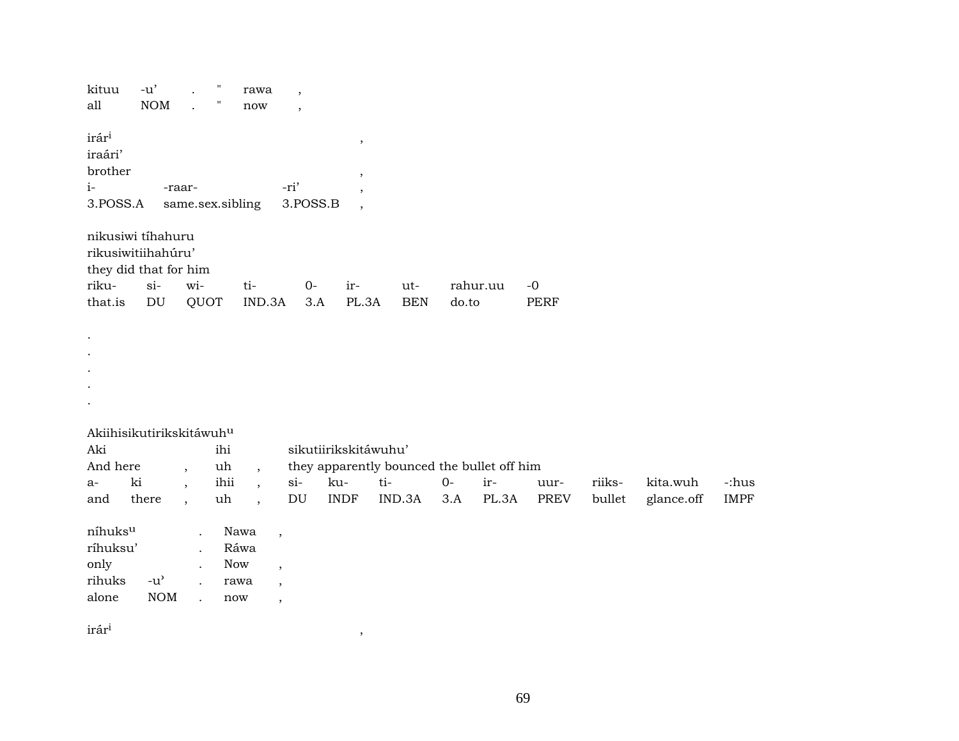| kituu                                | $-u'$                      | $\overline{a}$       | $\pmb{\mathsf{H}}$ | rawa                 | $\overline{\phantom{a}}$   |                          |                                            |       |          |             |        |            |             |
|--------------------------------------|----------------------------|----------------------|--------------------|----------------------|----------------------------|--------------------------|--------------------------------------------|-------|----------|-------------|--------|------------|-------------|
| all                                  | NOM                        | $\mathbf{r}$         | Ħ                  | $\operatorname{now}$ | $\cdot$                    |                          |                                            |       |          |             |        |            |             |
| irár <sup>i</sup>                    |                            |                      |                    |                      |                            | $\,$                     |                                            |       |          |             |        |            |             |
| iraári'                              |                            |                      |                    |                      |                            |                          |                                            |       |          |             |        |            |             |
| brother                              |                            |                      |                    |                      |                            | $^\mathrm{^\mathrm{o}}$  |                                            |       |          |             |        |            |             |
| $i-$                                 |                            | -raar-               |                    |                      | -ri'                       |                          |                                            |       |          |             |        |            |             |
| 3.POSS.A                             |                            |                      | same.sex.sibling   |                      | 3.POSS.B                   | $\overline{\phantom{a}}$ |                                            |       |          |             |        |            |             |
| nikusiwi tihahuru                    |                            |                      |                    |                      |                            |                          |                                            |       |          |             |        |            |             |
| rikusiwitiihahúru'                   |                            |                      |                    |                      |                            |                          |                                            |       |          |             |        |            |             |
| they did that for him                |                            |                      |                    |                      |                            |                          |                                            |       |          |             |        |            |             |
| riku-                                | $si-$                      | wi-                  |                    | ti-                  | $0-$                       | ir-                      | ut-                                        |       | rahur.uu | $-0$        |        |            |             |
| that.is                              | $\mathop{\rm DU}\nolimits$ | QUOT                 |                    | IND.3A               | 3.A                        | PL.3A                    | <b>BEN</b>                                 | do.to |          | PERF        |        |            |             |
|                                      |                            |                      |                    |                      |                            |                          |                                            |       |          |             |        |            |             |
|                                      |                            |                      |                    |                      |                            |                          |                                            |       |          |             |        |            |             |
|                                      |                            |                      |                    |                      |                            |                          |                                            |       |          |             |        |            |             |
|                                      |                            |                      |                    |                      |                            |                          |                                            |       |          |             |        |            |             |
|                                      |                            |                      |                    |                      |                            |                          |                                            |       |          |             |        |            |             |
|                                      |                            |                      |                    |                      |                            |                          |                                            |       |          |             |        |            |             |
| Akiihisikutirikskitáwuh <sup>u</sup> |                            |                      |                    |                      |                            |                          |                                            |       |          |             |        |            |             |
| Aki                                  |                            |                      | ihi                |                      |                            | sikutiirikskitáwuhu'     |                                            |       |          |             |        |            |             |
| And here                             |                            | $\overline{ }$ ,     | uh                 | $\overline{ }$ ,     |                            |                          | they apparently bounced the bullet off him |       |          |             |        |            |             |
| $a-$                                 | ki                         | $\ddot{\phantom{0}}$ | ihii               | $\cdot$              | $si$ -                     | ku-                      | ti-                                        | $0-$  | ir-      | uur-        | riiks- | kita.wuh   | -:hus       |
| and                                  | there                      | $\ddot{\phantom{1}}$ | uh                 | $\cdot$              | $\mathop{\rm DU}\nolimits$ | <b>INDF</b>              | IND.3A                                     | 3.A   | PL.3A    | <b>PREV</b> | bullet | glance.off | <b>IMPF</b> |
|                                      |                            |                      |                    |                      |                            |                          |                                            |       |          |             |        |            |             |
| níhuks <sup>u</sup>                  |                            |                      |                    | Nawa                 | $\overline{\phantom{a}}$   |                          |                                            |       |          |             |        |            |             |
| ríhuksu'                             |                            |                      |                    | Ráwa                 |                            |                          |                                            |       |          |             |        |            |             |
| only                                 |                            |                      |                    | Now                  | $\overline{\phantom{a}}$   |                          |                                            |       |          |             |        |            |             |
| rihuks                               | $-u^{\prime}$              | $\ddot{\phantom{a}}$ |                    | rawa                 | $\overline{\phantom{a}}$   |                          |                                            |       |          |             |        |            |             |
| alone                                | $\rm{NOM}$                 | $\mathbf{r}$         |                    | $\operatorname{now}$ | $\overline{\phantom{a}}$   |                          |                                            |       |          |             |        |            |             |
| and a state                          |                            |                      |                    |                      |                            |                          |                                            |       |          |             |        |            |             |
|                                      |                            |                      |                    |                      |                            |                          |                                            |       |          |             |        |            |             |

 $\hat{\mathbf{r}}$ ár $\hat{\mathbf{r}}$ <sup>1</sup>,  $\hat{\mathbf{r}}$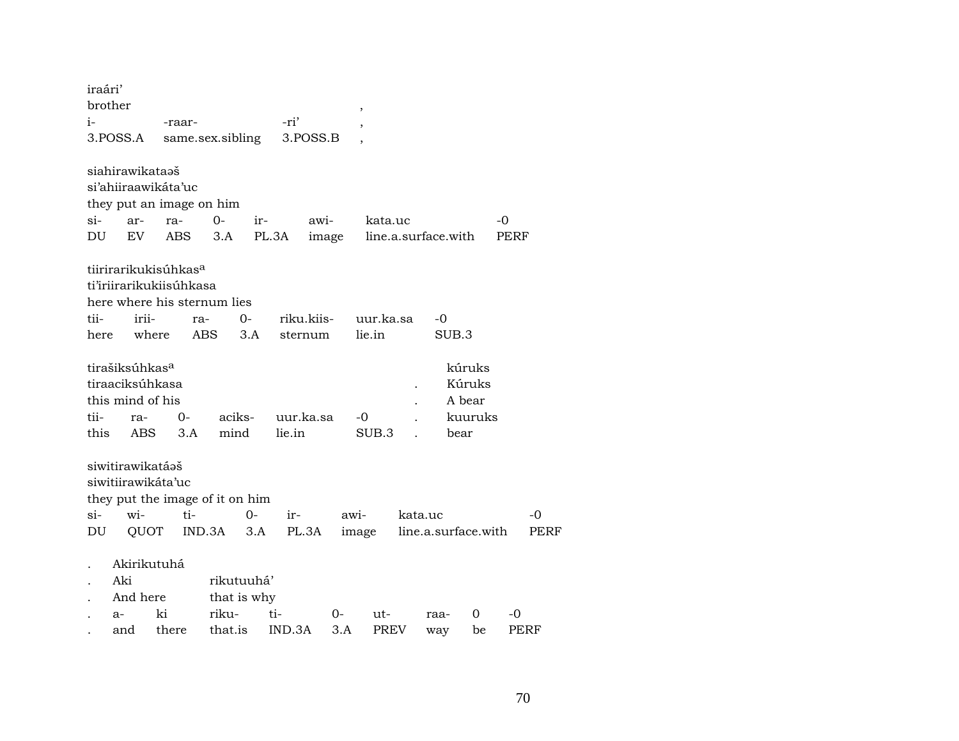| iraári'<br>brother |                                        |            |            |                                 |       |            |       | $\, ,$           |         |                     |         |      |      |
|--------------------|----------------------------------------|------------|------------|---------------------------------|-------|------------|-------|------------------|---------|---------------------|---------|------|------|
| i-                 |                                        | -raar-     |            |                                 |       | -ri'       |       | ,                |         |                     |         |      |      |
|                    | 3.POSS.A                               |            |            | same.sex.sibling                |       | 3.POSS.B   |       |                  |         |                     |         |      |      |
|                    | siahirawikataəš                        |            |            |                                 |       |            |       |                  |         |                     |         |      |      |
|                    | si'ahiiraawikáta'uc                    |            |            |                                 |       |            |       |                  |         |                     |         |      |      |
|                    | they put an image on him               |            |            |                                 |       |            |       |                  |         |                     |         |      |      |
| $si-$              | ar-                                    | ra-        |            | $0-$                            | ir-   | awi-       |       | kata.uc          |         |                     |         | -0   |      |
| DU                 | EV                                     | <b>ABS</b> |            | 3.A                             | PL.3A |            | image |                  |         | line.a.surface.with |         | PERF |      |
|                    | tiirirarikukisúhkas <sup>a</sup>       |            |            |                                 |       |            |       |                  |         |                     |         |      |      |
|                    | ti'iriirarikukiisúhkasa                |            |            |                                 |       |            |       |                  |         |                     |         |      |      |
|                    |                                        |            |            | here where his sternum lies     |       |            |       |                  |         |                     |         |      |      |
| tii-               | irii-                                  |            | ra-        | $O-$                            |       | riku.kiis- |       | uur.ka.sa        |         | -0                  |         |      |      |
| here               |                                        | where      | <b>ABS</b> |                                 | 3.A   | sternum    |       | lie.in           |         | SUB.3               |         |      |      |
|                    |                                        |            |            |                                 |       |            |       |                  |         |                     |         |      |      |
|                    | tirašiksúhkas <sup>a</sup>             |            |            |                                 |       |            |       |                  |         |                     | kúruks  |      |      |
|                    | tiraaciksúhkasa                        |            |            |                                 |       |            |       |                  |         |                     | Kúruks  |      |      |
|                    | this mind of his                       |            |            |                                 |       |            |       |                  |         |                     | A bear  |      |      |
| tii-               | ra-                                    |            | 0-         | aciks-                          |       | uur.ka.sa  |       | -0               |         |                     | kuuruks |      |      |
| this               | ABS.                                   |            | 3.A        | mind                            |       | lie.in     |       | SUB <sub>3</sub> |         | bear                |         |      |      |
|                    | siwitirawikatáaš<br>siwitiirawikáta'uc |            |            |                                 |       |            |       |                  |         |                     |         |      |      |
|                    |                                        |            |            |                                 |       |            |       |                  |         |                     |         |      |      |
| si-                | wi-                                    |            | ti-        | they put the image of it on him | $0-$  |            |       |                  | kata.uc |                     |         |      |      |
|                    |                                        |            |            |                                 |       | ir-        | awi-  |                  |         |                     |         |      | -0   |
| DU                 |                                        | QUOT       |            | IND.3A                          | 3.A   | PL.3A      |       | image            |         | line.a.surface.with |         |      | PERF |
|                    | Akirikutuhá                            |            |            |                                 |       |            |       |                  |         |                     |         |      |      |
|                    | Aki                                    |            |            | rikutuuhá'                      |       |            |       |                  |         |                     |         |      |      |
|                    | And here                               |            |            | that is why                     |       |            |       |                  |         |                     |         |      |      |
|                    | $a-$                                   | ki         |            | riku-                           | ti-   |            | $O -$ | ut-              |         | raa-                | 0       | -0   |      |
|                    | and                                    | there      |            | that.is                         |       | IND.3A     | 3.A   | <b>PREV</b>      |         | way                 | be      | PERF |      |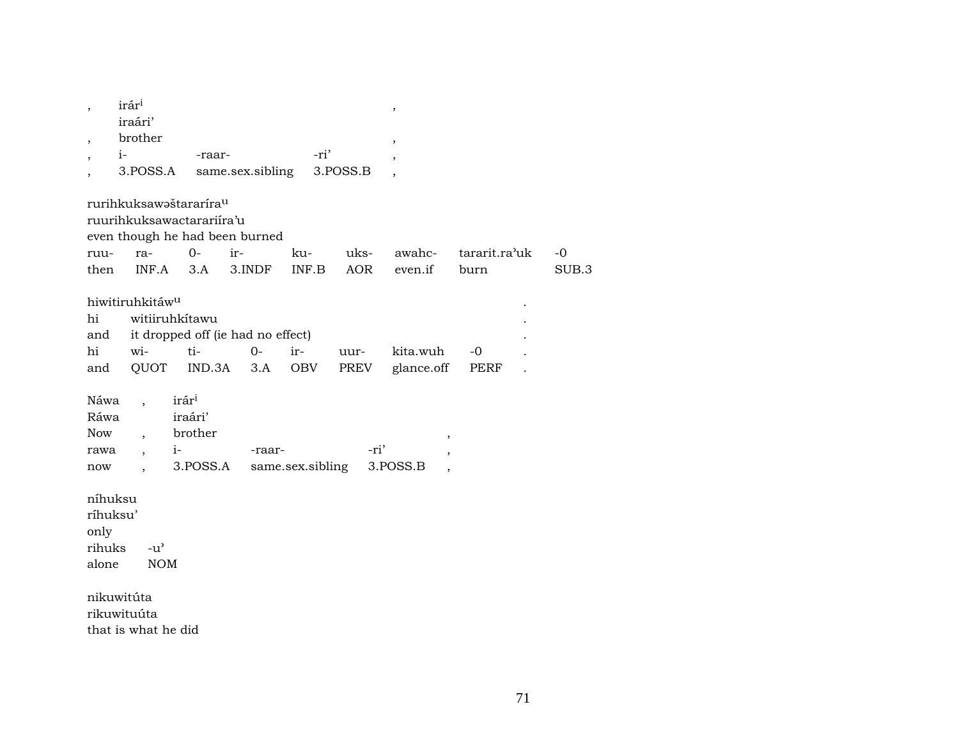| $\overline{\phantom{a}}$ | irár <sup>i</sup>                  |                                   |                  |                  |          | $\, ,$                   |               |       |
|--------------------------|------------------------------------|-----------------------------------|------------------|------------------|----------|--------------------------|---------------|-------|
|                          | iraári'                            |                                   |                  |                  |          |                          |               |       |
|                          | brother                            |                                   |                  |                  |          | $\overline{\phantom{a}}$ |               |       |
| $i-$                     |                                    | -raar-                            |                  | -ri'             |          | $\cdot$                  |               |       |
|                          | 3.POSS.A                           |                                   | same.sex.sibling |                  | 3.POSS.B |                          |               |       |
|                          | rurihkuksawaštararíra <sup>u</sup> |                                   |                  |                  |          |                          |               |       |
|                          | ruurihkuksawactarariira'u          |                                   |                  |                  |          |                          |               |       |
|                          | even though he had been burned     |                                   |                  |                  |          |                          |               |       |
| ruu-                     | ra-                                | $0 -$                             | ir-              | ku-              | uks-     | awahc-                   | tararit.ra'uk | $-0$  |
| then                     | INF.A                              | 3.A                               | 3.INDF           | INF.B            | AOR      | even.if                  | burn          | SUB.3 |
|                          | hiwitiruhkitáw <sup>u</sup>        |                                   |                  |                  |          |                          |               |       |
| hi                       | witiiruhkítawu                     |                                   |                  |                  |          |                          |               |       |
| and                      |                                    | it dropped off (ie had no effect) |                  |                  |          |                          |               |       |
| hi                       | wi-                                | ti-                               | $0-$             | ir-              | uur-     | kita.wuh                 | $-0$          |       |
| and                      | QUOT                               | IND.3A                            | 3.A              | OBV              | PREV     | glance.off               | PERF          |       |
|                          |                                    |                                   |                  |                  |          |                          |               |       |
| Náwa                     | $\ddot{\phantom{0}}$               | irár <sup>i</sup>                 |                  |                  |          |                          |               |       |
| Ráwa                     |                                    | iraári'                           |                  |                  |          |                          |               |       |
| Now                      | $\overline{\phantom{a}}$           | brother                           |                  |                  |          | $^\mathrm{,}$            |               |       |
| rawa                     | $i-$<br>$\cdot$                    |                                   | -raar-           |                  | -ri'     | $\cdot$                  |               |       |
| now                      |                                    | 3.POSS.A                          |                  | same.sex.sibling |          | 3.POSS.B                 |               |       |
| níhuksu                  |                                    |                                   |                  |                  |          |                          |               |       |
| ríhuksu'                 |                                    |                                   |                  |                  |          |                          |               |       |
| only                     |                                    |                                   |                  |                  |          |                          |               |       |
| rihuks                   | $-u^{\prime}$                      |                                   |                  |                  |          |                          |               |       |
| alone                    | <b>NOM</b>                         |                                   |                  |                  |          |                          |               |       |
|                          |                                    |                                   |                  |                  |          |                          |               |       |
| nikuwitúta               |                                    |                                   |                  |                  |          |                          |               |       |
| rikuwituúta              |                                    |                                   |                  |                  |          |                          |               |       |
|                          | that is what he did                |                                   |                  |                  |          |                          |               |       |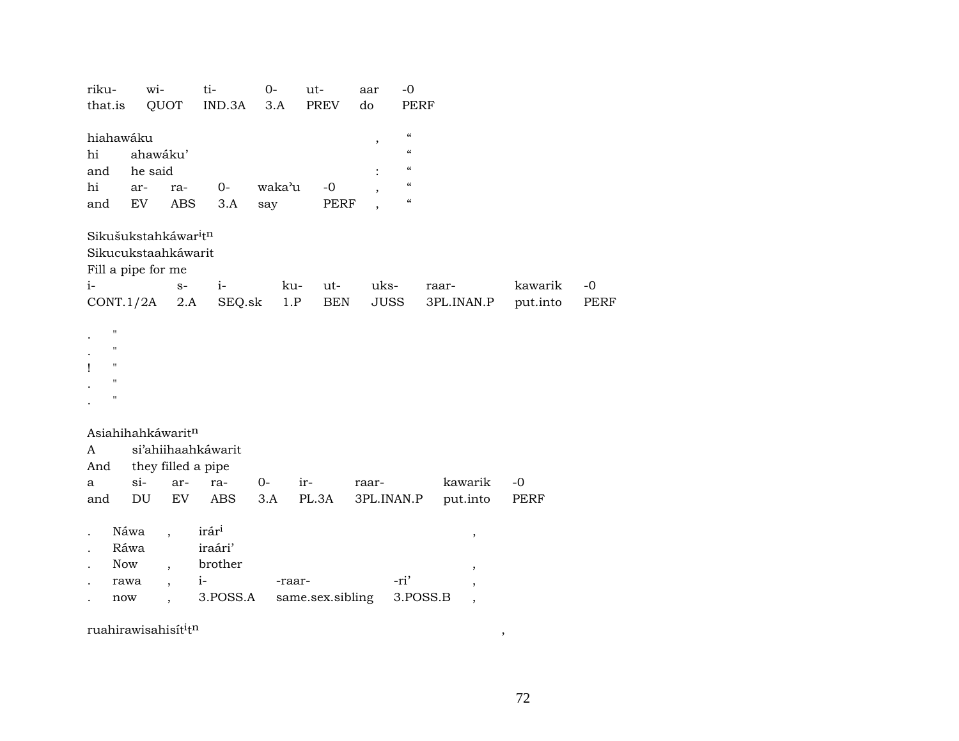| riku-<br>that.is                                                        | wi-                                                                           | QUOT                                                                                                         | ti-<br>IND.3A                                               | $0-$<br>3.A   | ut-<br>PREV         | aar<br>do           | $-0$<br><b>PERF</b>                                                                                          |                     |              |      |
|-------------------------------------------------------------------------|-------------------------------------------------------------------------------|--------------------------------------------------------------------------------------------------------------|-------------------------------------------------------------|---------------|---------------------|---------------------|--------------------------------------------------------------------------------------------------------------|---------------------|--------------|------|
| hiahawáku<br>hi<br>and<br>hi<br>and                                     | ahawáku'<br>he said<br>ar-<br>EV                                              | ra-<br>ABS                                                                                                   | $0-$<br>3.A                                                 | waka'u<br>say | $-0$<br><b>PERF</b> | $\, ,$              | $\epsilon\epsilon$<br>$\alpha$<br>$\epsilon\epsilon$<br>$\epsilon$<br>$\boldsymbol{\zeta}\boldsymbol{\zeta}$ |                     |              |      |
| $i-$                                                                    | Sikušukstahkáwar <sup>i</sup> tn<br>Sikucukstaahkáwarit<br>Fill a pipe for me | $S-$                                                                                                         | $i-$                                                        | ku-           | ut-                 | uks-                |                                                                                                              | raar-               | kawarik      | $-0$ |
|                                                                         | $CONT.1/2A$ 2.A                                                               |                                                                                                              | SEQ.sk                                                      | 1.P           | <b>BEN</b>          | JUSS                |                                                                                                              | 3PL.INAN.P          | put.into     | PERF |
| $\mathbf{H}$<br>п<br>$\pmb{\mathsf{H}}$<br>ı<br>$\bar{\mathbf{H}}$<br>Ħ |                                                                               |                                                                                                              |                                                             |               |                     |                     |                                                                                                              |                     |              |      |
| A<br>And                                                                | Asiahihahkáwaritn                                                             | they filled a pipe                                                                                           | si'ahiihaahkáwarit                                          |               |                     |                     |                                                                                                              |                     |              |      |
| a<br>and                                                                | $si-$<br>$\mathop{\rm DU}\nolimits$                                           | ar-<br>EV                                                                                                    | ra-<br><b>ABS</b>                                           | $0-$<br>3.A   | ir-<br>PL.3A        | raar-<br>3PL.INAN.P |                                                                                                              | kawarik<br>put.into | $-0$<br>PERF |      |
|                                                                         | Náwa<br>Ráwa<br>Now<br>rawa<br>now                                            | $\overline{\phantom{a}}$<br>$\overline{\phantom{a}}$<br>$\overline{\phantom{a}}$<br>$\overline{\phantom{a}}$ | irár <sup>i</sup><br>iraári'<br>brother<br>$i-$<br>3.POSS.A | -raar-        | same.sex.sibling    |                     | -ri'<br>3.POSS.B                                                                                             | $\, ,$<br>,         |              |      |

ruahirawisahisít<sup>i</sup>t<sup>n</sup>

 $\,$  ,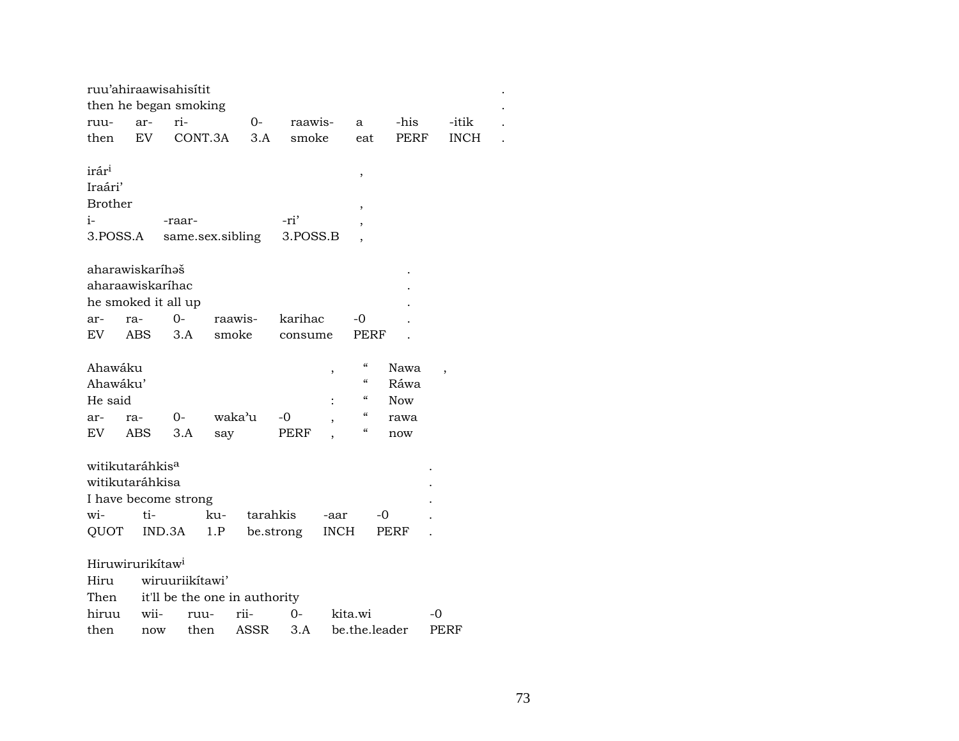|                   |                              | ruu'ahiraawisahisítit         |         |          |           |             |                          |               |             |  |
|-------------------|------------------------------|-------------------------------|---------|----------|-----------|-------------|--------------------------|---------------|-------------|--|
|                   |                              | then he began smoking         |         |          |           |             |                          |               |             |  |
| ruu-              | ar-                          | ri-                           |         | 0-       | raawis-   |             | a                        | -his          | -itik       |  |
| then              | EV                           |                               | CONT.3A | 3.A      | smoke     |             | eat                      | PERF          | <b>INCH</b> |  |
|                   |                              |                               |         |          |           |             |                          |               |             |  |
| irár <sup>i</sup> |                              |                               |         |          |           |             | ,                        |               |             |  |
| Iraári'           |                              |                               |         |          |           |             |                          |               |             |  |
| <b>Brother</b>    |                              |                               |         |          |           |             | ,                        |               |             |  |
| $i-$              |                              | -raar-                        |         |          | -ri'      |             |                          |               |             |  |
| 3.POSS.A          |                              | same.sex.sibling              |         |          | 3.POSS.B  |             |                          |               |             |  |
|                   |                              |                               |         |          |           |             |                          |               |             |  |
|                   | aharawiskaríhəš              |                               |         |          |           |             |                          |               |             |  |
|                   |                              | aharaawiskaríhac              |         |          |           |             |                          |               |             |  |
|                   |                              | he smoked it all up           |         |          |           |             |                          |               |             |  |
| ar-               | ra-                          | 0-                            | raawis- |          | karihac   |             | -0                       |               |             |  |
| EV                | ABS                          | 3.A                           |         | smoke    | consume   |             | PERF                     |               |             |  |
|                   |                              |                               |         |          |           |             |                          |               |             |  |
| Ahawáku           |                              |                               |         |          |           | $\,$        | $\epsilon\epsilon$       | Nawa          |             |  |
| Ahawáku'          |                              |                               |         |          |           |             | $\epsilon\epsilon$       | Ráwa          |             |  |
| He said           |                              |                               |         |          |           |             | $\mathcal{C}\mathcal{C}$ | <b>Now</b>    |             |  |
| ar-               | ra-                          | 0-                            | waka'u  |          | $-0$      |             | $\epsilon\epsilon$       | rawa          |             |  |
| EV                | <b>ABS</b>                   | 3.A                           | say     |          | PERF      |             | $\mathcal{C}$            | now           |             |  |
|                   |                              |                               |         |          |           |             |                          |               |             |  |
|                   | witikutaráhkis <sup>a</sup>  |                               |         |          |           |             |                          |               |             |  |
|                   | witikutaráhkisa              |                               |         |          |           |             |                          |               |             |  |
|                   |                              | I have become strong          |         |          |           |             |                          |               |             |  |
| wi-               | ti-                          |                               | ku-     | tarahkis |           | -aar        |                          | -0            |             |  |
| QUOT              |                              | IND.3A                        | 1.P     |          | be.strong | <b>INCH</b> |                          | PERF          |             |  |
|                   |                              |                               |         |          |           |             |                          |               |             |  |
|                   | Hiruwirurikítaw <sup>i</sup> |                               |         |          |           |             |                          |               |             |  |
| Hiru              |                              | wiruuriikítawi'               |         |          |           |             |                          |               |             |  |
| Then              |                              | it'll be the one in authority |         |          |           |             |                          |               |             |  |
| hiruu             | wii-                         | ruu-                          |         | rii-     | $0-$      |             | kita.wi                  |               | -0          |  |
| then              |                              | now then                      |         |          | ASSR 3.A  |             |                          | be.the.leader | PERF        |  |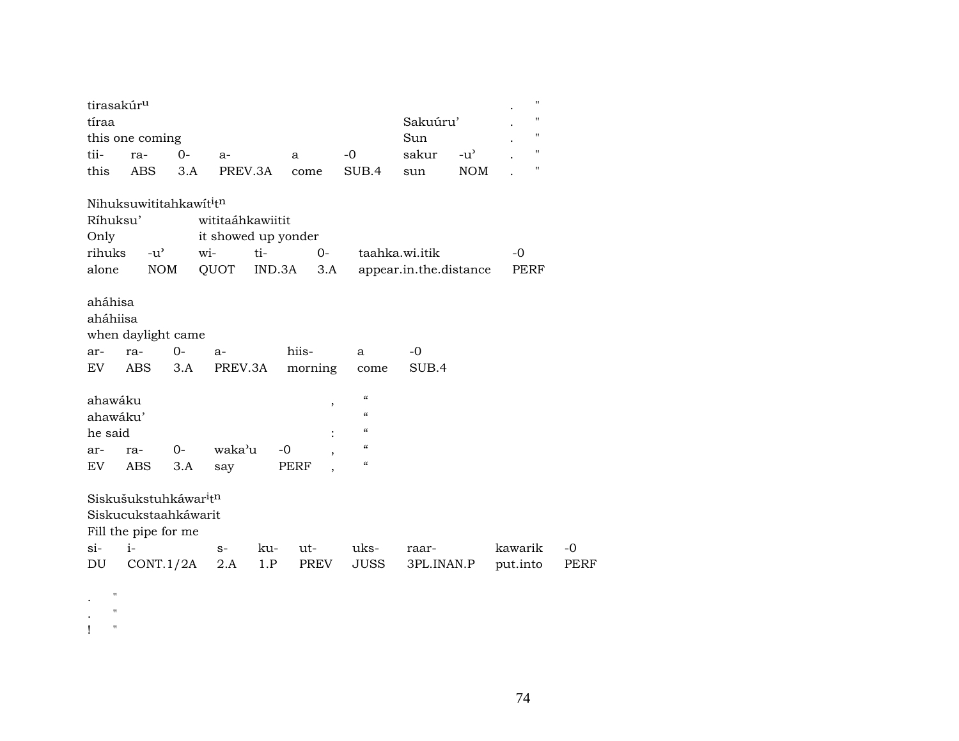| tirasakúr <sup>u</sup><br>tíraa     | this one coming                                                                                                    |              |                                                        |               |                     |                                                                                     | Sakuúru'<br>Sun                          |               | $\pmb{\mathsf{H}}$<br>$\pmb{\mathsf{H}}$<br>$\pmb{\mathsf{H}}$ |                     |
|-------------------------------------|--------------------------------------------------------------------------------------------------------------------|--------------|--------------------------------------------------------|---------------|---------------------|-------------------------------------------------------------------------------------|------------------------------------------|---------------|----------------------------------------------------------------|---------------------|
| tii-                                | ra-                                                                                                                | $0-$         | $a-$                                                   |               | a                   | $-0$                                                                                | sakur                                    | $-u^{\prime}$ | $\pmb{\mathsf{H}}$                                             |                     |
| this                                | <b>ABS</b>                                                                                                         | 3.A          | PREV.3A                                                |               | come                | SUB.4                                                                               | sun                                      | <b>NOM</b>    | $\pmb{\mathsf{H}}$                                             |                     |
| Ríhuksu'<br>Only<br>rihuks<br>alone | Nihuksuwititahkawititn<br>$-u^{\prime}$<br><b>NOM</b>                                                              |              | wititaáhkawiitit<br>it showed up yonder<br>wi-<br>QUOT | ti-<br>IND.3A | $0-$<br>3.A         |                                                                                     | taahka.wi.itik<br>appear.in.the.distance |               | $-0$<br>PERF                                                   |                     |
| aháhisa<br>aháhiisa<br>ar-<br>EV    | when daylight came<br>ra-<br>ABS                                                                                   | $O -$<br>3.A | $a-$<br>PREV.3A                                        |               | hiis-<br>morning    | a<br>come                                                                           | -0<br>SUB.4                              |               |                                                                |                     |
| ahawáku<br>ahawáku'<br>he said      |                                                                                                                    |              |                                                        |               | $\pmb{\mathcal{I}}$ | $\boldsymbol{\zeta}\boldsymbol{\zeta}$<br>$\epsilon\epsilon$<br>$\pmb{\mathcal{U}}$ |                                          |               |                                                                |                     |
| ar-                                 | ra-                                                                                                                | $0-$         | waka'u                                                 | $-0$          |                     | $\boldsymbol{\mathcal{C}}$                                                          |                                          |               |                                                                |                     |
| EV                                  | ABS                                                                                                                | 3.A          | say                                                    |               | PERF                | $\boldsymbol{\zeta}\boldsymbol{\zeta}$                                              |                                          |               |                                                                |                     |
| $\sin$<br>DU                        | Siskušukstuhkáwar <sup>i</sup> t <sup>n</sup><br>Siskucukstaahkáwarit<br>Fill the pipe for me<br>$i-$<br>CONT.1/2A |              | $S-$<br>2.A                                            | ku-<br>1.P    | ut-<br>PREV         | uks-<br><b>JUSS</b>                                                                 | raar-<br>3PL.INAN.P                      |               | kawarik<br>put.into                                            | $-0$<br><b>PERF</b> |
| "<br>11                             |                                                                                                                    |              |                                                        |               |                     |                                                                                     |                                          |               |                                                                |                     |

! "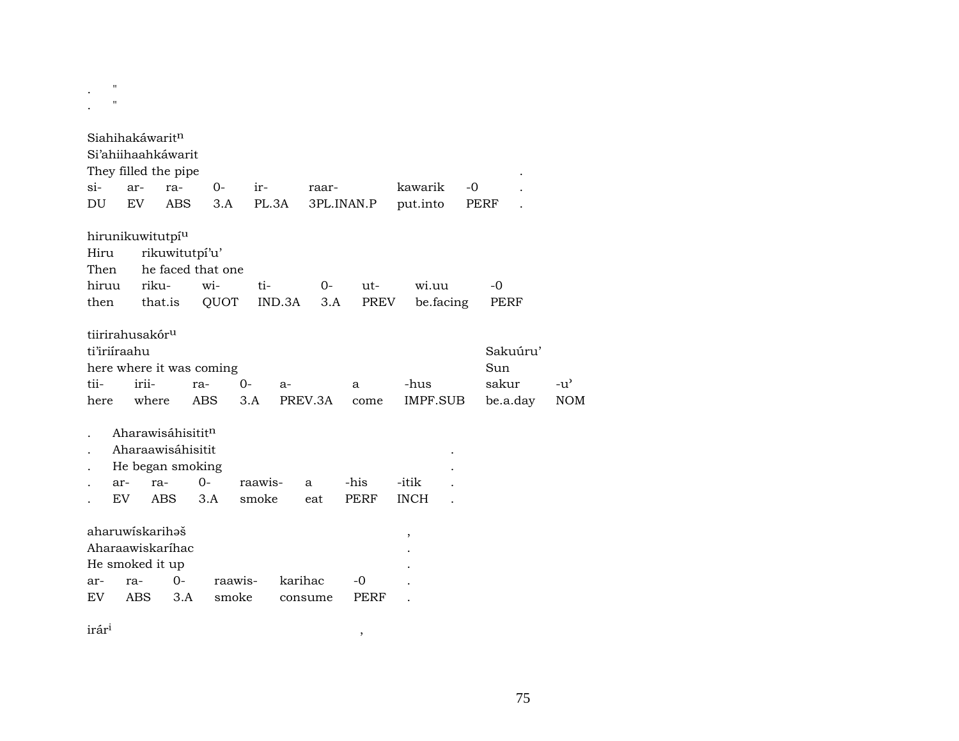. " . "

|              |     | Siahihakáwarit <sup>n</sup>  |                          |         |         |         |            |       |                 |           |          |               |
|--------------|-----|------------------------------|--------------------------|---------|---------|---------|------------|-------|-----------------|-----------|----------|---------------|
|              |     | Si'ahiihaahkáwarit           |                          |         |         |         |            |       |                 |           |          |               |
|              |     | They filled the pipe         |                          |         |         |         |            |       |                 |           |          |               |
| $\sin$       | ar- | ra-                          |                          | 0-      | ir-     |         | raar-      |       | kawarik         | $-0$      |          |               |
| DU           | EV. |                              | ABS                      | 3.A     | PL.3A   |         | 3PL.INAN.P |       | put.into        |           | PERF     |               |
|              |     |                              |                          |         |         |         |            |       |                 |           |          |               |
|              |     | hirunikuwitutpí <sup>u</sup> |                          |         |         |         |            |       |                 |           |          |               |
| Hiru         |     |                              | rikuwitutpí'u'           |         |         |         |            |       |                 |           |          |               |
| Then         |     |                              | he faced that one        |         |         |         |            |       |                 |           |          |               |
| hiruu        |     | riku-                        |                          | wi-     | ti-     |         | $O -$      | $ut-$ | wi.uu           |           | $-0$     |               |
| then         |     | that.is                      |                          | QUOT    |         | IND.3A  | 3.A        | PREV  |                 | be.facing | PERF     |               |
|              |     |                              |                          |         |         |         |            |       |                 |           |          |               |
|              |     | tiirirahusakór <sup>u</sup>  |                          |         |         |         |            |       |                 |           |          |               |
| ti'iriiraahu |     |                              |                          |         |         |         |            |       |                 |           | Sakuúru' |               |
|              |     |                              | here where it was coming |         |         |         |            |       |                 |           | Sun      |               |
| tii-         |     | irii-                        | ra-                      |         | $0-$    | $a-$    |            | a     | -hus            |           | sakur    | $-u^{\prime}$ |
| here         |     | where                        | ABS                      |         | 3.A     |         | PREV.3A    | come  | <b>IMPF.SUB</b> |           | be.a.day | <b>NOM</b>    |
|              |     |                              |                          |         |         |         |            |       |                 |           |          |               |
|              |     |                              | Aharawisáhisititn        |         |         |         |            |       |                 |           |          |               |
|              |     |                              | Aharaawisáhisitit        |         |         |         |            |       |                 |           |          |               |
|              |     |                              | He began smoking         |         |         |         |            |       |                 |           |          |               |
|              | ar- | ra-                          | $0-$                     |         | raawis- |         | a          | -his  | -itik           |           |          |               |
|              | EV  | <b>ABS</b>                   | 3.A                      |         | smoke   |         | eat        | PERF  | <b>INCH</b>     |           |          |               |
|              |     | aharuwiskarihaš              |                          |         |         |         |            |       |                 |           |          |               |
|              |     | Aharaawiskaríhac             |                          |         |         |         |            |       | ,               |           |          |               |
|              |     | He smoked it up              |                          |         |         |         |            |       |                 |           |          |               |
| ar-          | ra- |                              | 0-                       | raawis- |         | karihac |            | -0    |                 |           |          |               |
| EV           | ABS |                              | 3.A                      | smoke   |         |         | consume    | PERF  |                 |           |          |               |
|              |     |                              |                          |         |         |         |            |       |                 |           |          |               |

 $\hat{\mathbf{r}}$ ár $\hat{\mathbf{r}}$ <sup>1</sup>,  $\hat{\mathbf{r}}$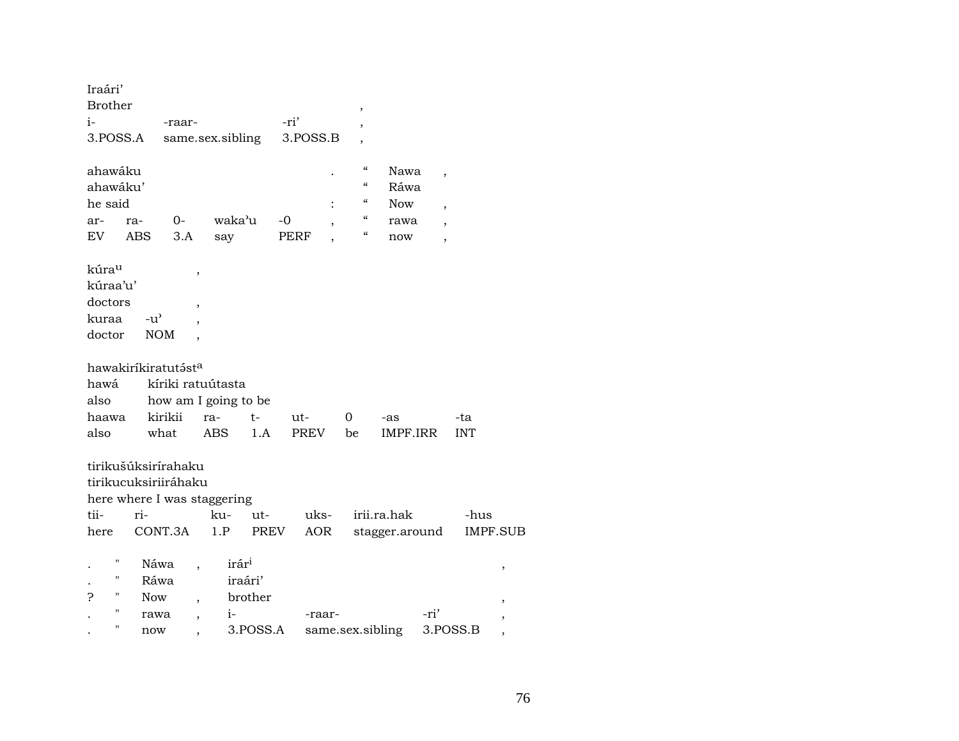| Iraári'<br><b>Brother</b><br>$i-$                                                                                                                          | -raar-                                                                                            |                                         | -ri'        | $\,$<br>,                              |                 |                          |                 |
|------------------------------------------------------------------------------------------------------------------------------------------------------------|---------------------------------------------------------------------------------------------------|-----------------------------------------|-------------|----------------------------------------|-----------------|--------------------------|-----------------|
| 3.POSS.A                                                                                                                                                   | same.sex.sibling                                                                                  |                                         | 3.POSS.B    |                                        |                 |                          |                 |
| ahawáku<br>ahawáku'                                                                                                                                        |                                                                                                   |                                         |             | $\mathcal{C}\mathcal{C}$<br>$\epsilon$ | Nawa<br>Ráwa    | $\overline{\phantom{a}}$ |                 |
| he said                                                                                                                                                    |                                                                                                   |                                         |             | $\epsilon\epsilon$                     | <b>Now</b>      | $\overline{\phantom{a}}$ |                 |
| ra-<br>ar-                                                                                                                                                 | $0-$                                                                                              | waka'u                                  | $-0$        | $\boldsymbol{\zeta}\boldsymbol{\zeta}$ | rawa            | $\overline{\phantom{a}}$ |                 |
| ABS<br>EV                                                                                                                                                  | 3.A                                                                                               | say                                     | PERF        | $\boldsymbol{\mathcal{C}}$             | now             | ,                        |                 |
| kúra <sup>u</sup><br>kúraa'u'<br>doctors<br>$-u$ <sup><math>\prime</math></sup><br>kuraa<br>doctor<br>hawakiríkiratutásta<br>hawá<br>also<br>haawa<br>also | ,<br>$\overline{ }$<br><b>NOM</b><br>kíriki ratuútasta<br>how am I going to be<br>kirikii<br>what | $ra-$<br>$t-$<br><b>ABS</b><br>1.A      | ut-<br>PREV | 0<br>be                                | -as<br>IMPF.IRR | -ta<br><b>INT</b>        |                 |
| tirikušúksirírahaku                                                                                                                                        |                                                                                                   |                                         |             |                                        |                 |                          |                 |
| tirikucuksiriiráhaku                                                                                                                                       |                                                                                                   |                                         |             |                                        |                 |                          |                 |
| here where I was staggering                                                                                                                                |                                                                                                   |                                         |             |                                        |                 |                          |                 |
| tii-<br>ri-                                                                                                                                                |                                                                                                   | ku-<br>ut-                              | uks-        |                                        | irii.ra.hak     | -hus                     |                 |
| here                                                                                                                                                       | CONT.3A                                                                                           | 1.P<br>PREV                             | AOR         |                                        | stagger.around  |                          | <b>IMPF.SUB</b> |
| 11<br>11<br>н<br>ς<br><b>Now</b>                                                                                                                           | Náwa<br>Ráwa                                                                                      | irár <sup>i</sup><br>iraári'<br>brother |             |                                        |                 |                          | ,               |
| $\pmb{\mathsf{H}}$                                                                                                                                         | rawa<br>$\overline{\phantom{a}}$                                                                  | $i-$                                    | -raar-      |                                        | -ri'            |                          |                 |
| 11<br>now                                                                                                                                                  |                                                                                                   | 3.POSS.A                                |             | same.sex.sibling                       |                 | 3.POSS.B                 |                 |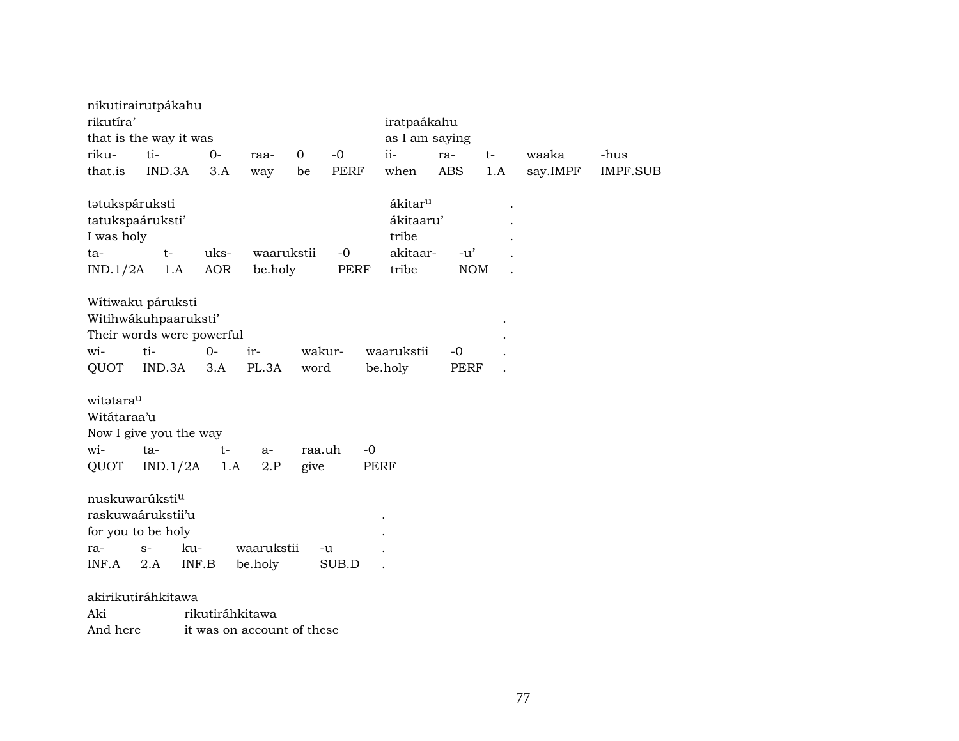|                | nikutirairutpákahu         |                           |                            |             |        |                     |            |      |          |                 |
|----------------|----------------------------|---------------------------|----------------------------|-------------|--------|---------------------|------------|------|----------|-----------------|
| rikutíra'      |                            |                           |                            |             |        | iratpaákahu         |            |      |          |                 |
|                | that is the way it was     |                           |                            |             |        | as I am saying      |            |      |          |                 |
| riku-          | ti-                        | $O -$                     | raa-                       | $\mathbf 0$ | $-0$   | ii-                 | ra-        | $t-$ | waaka    | -hus            |
| that.is        | IND.3A                     | 3.A                       | way                        | be          | PERF   | when                | ABS        | 1.A  | say.IMPF | <b>IMPF.SUB</b> |
| tatukspáruksti |                            |                           |                            |             |        | ákitar <sup>u</sup> |            |      |          |                 |
|                | tatukspaáruksti'           |                           |                            |             |        | ákitaaru'           |            |      |          |                 |
| I was holy     |                            |                           |                            |             |        | tribe               |            |      |          |                 |
| ta-            | $t-$                       | uks-                      | waarukstii                 |             | $-0$   | akitaar-            | $-u'$      |      |          |                 |
| IND.1/2A       | 1.A                        | AOR                       | be.holy                    |             | PERF   | tribe               | <b>NOM</b> |      |          |                 |
|                | Wítiwaku páruksti          |                           |                            |             |        |                     |            |      |          |                 |
|                | Witihwákuhpaaruksti'       |                           |                            |             |        |                     |            |      |          |                 |
|                |                            | Their words were powerful |                            |             |        |                     |            |      |          |                 |
| wi-            | ti-                        | $0-$                      | ir-                        |             | wakur- | waarukstii          | $-0$       |      |          |                 |
| QUOT           | IND.3A                     | 3.A                       | PL.3A                      | word        |        | be.holy             | PERF       |      |          |                 |
| witatarau      |                            |                           |                            |             |        |                     |            |      |          |                 |
| Witátaraa'u    |                            |                           |                            |             |        |                     |            |      |          |                 |
|                | Now I give you the way     |                           |                            |             |        |                     |            |      |          |                 |
| wi-            | ta-                        | $t-$                      | $a-$                       | raa.uh      | $-0$   |                     |            |      |          |                 |
| QUOT           | IND.1/2A                   | 1.A                       | 2.P                        | give        |        | <b>PERF</b>         |            |      |          |                 |
|                | nuskuwarúksti <sup>u</sup> |                           |                            |             |        |                     |            |      |          |                 |
|                | raskuwaárukstii'u          |                           |                            |             |        |                     |            |      |          |                 |
|                | for you to be holy         |                           |                            |             |        |                     |            |      |          |                 |
| ra-            | $S-$                       | ku-                       | waarukstii                 |             | -u     |                     |            |      |          |                 |
| INF.A          | 2.A                        | INF.B                     | be.holy                    |             | SUB.D  |                     |            |      |          |                 |
|                | akirikutiráhkitawa         |                           |                            |             |        |                     |            |      |          |                 |
| Aki            |                            | rikutiráhkitawa           |                            |             |        |                     |            |      |          |                 |
| And here       |                            |                           | it was on account of these |             |        |                     |            |      |          |                 |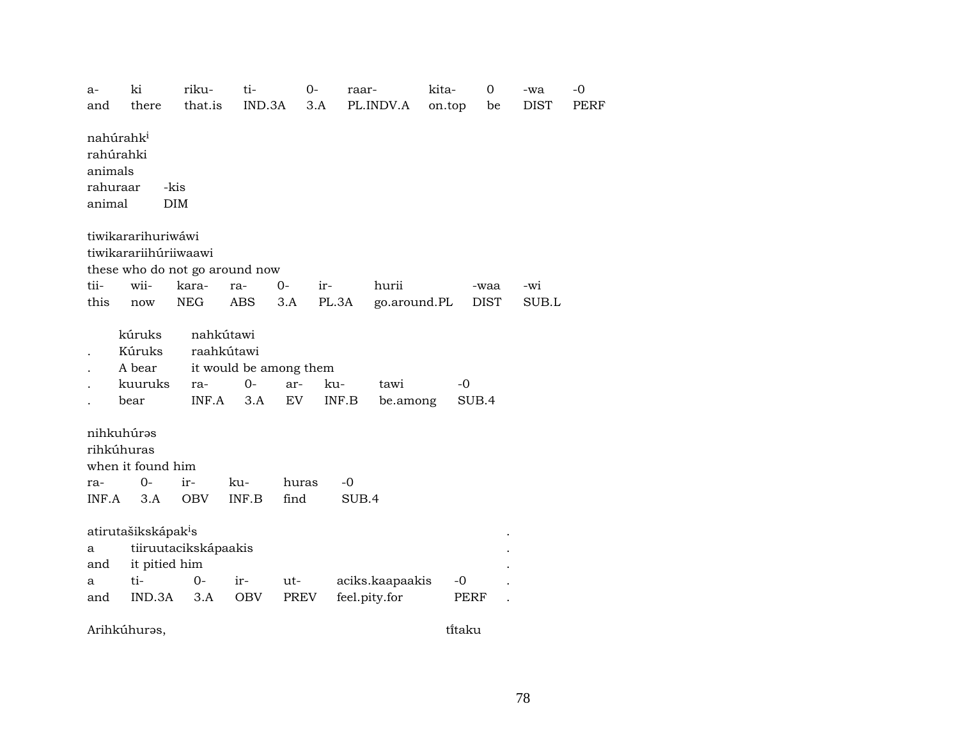a- ki riku- ti- 0- raar- kita- 0 -wa -0 and there that.is IND.3A 3.A PL.INDV.A on.top be DIST PERF  $n$ ahúrah $k^i$ rahúrahki animals rahuraar -kis animal DIM tiwikararihuriwáwi tiwikarariihúriiwaawi these who do not go around now tii- wii- kara- ra- 0- ir- hurii -waa -wi this now NEG ABS 3.A PL.3A go.around.PL DIST SUB.L kúruks nahkútawi . Kúruks raahkútawi . A bear it would be among them . kuuruks ra- 0- ar- ku- tawi -0 . bear INF.A 3.A EV INF.B be.among SUB.4 nihkuhúrəs rihkúhuras when it found him ra- 0- ir- ku- huras -0 INF.A 3.A OBV INF.B find SUB.4 atirutašikskápak<sup>i</sup>s a tiiruutacikskápaakis . and it pitied him . a ti- 0- ir- ut- aciks.kaapaakis -0 . and IND.3A 3.A OBV PREV feel.pity.for PERF .

Arihkúhurəs, türkiyeti bir bir türkiyetinin bir türkiyetinin bir türkiyetinin bir türkiyetinin bir türkiyetini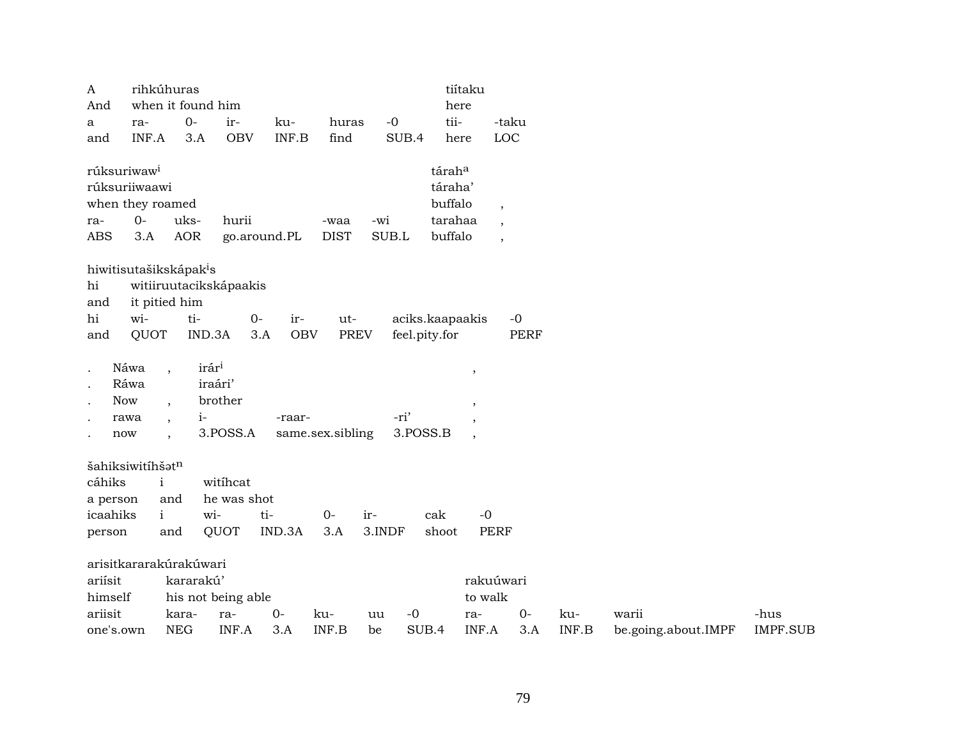| $\mathbf{A}$                       |       | rihkúhuras               |                   |                        |                   |                  |        |                 | tiítaku                  |       |       |                     |                 |
|------------------------------------|-------|--------------------------|-------------------|------------------------|-------------------|------------------|--------|-----------------|--------------------------|-------|-------|---------------------|-----------------|
| And                                |       | when it found him        |                   |                        |                   |                  |        |                 | here                     |       |       |                     |                 |
| a                                  | ra-   |                          | $0-$              | ir-                    | ku-               | huras            | $-0$   | tii-            |                          | -taku |       |                     |                 |
| and                                | INF.A |                          | 3.A               | <b>OBV</b>             | INF.B             | find             | SUB.4  |                 | here                     | LOC   |       |                     |                 |
| rúksuriwaw <sup>i</sup>            |       |                          |                   |                        |                   |                  |        | táraha          |                          |       |       |                     |                 |
| rúksuriiwaawi                      |       |                          |                   |                        |                   |                  |        | táraha'         |                          |       |       |                     |                 |
| when they roamed                   |       |                          |                   |                        |                   |                  |        | buffalo         | $\overline{\phantom{a}}$ |       |       |                     |                 |
| ra-                                | $O -$ | uks-                     |                   | hurii                  |                   | -waa             | -wi    | tarahaa         |                          |       |       |                     |                 |
| <b>ABS</b>                         | 3.A   | <b>AOR</b>               |                   |                        | go.around.PL      | <b>DIST</b>      | SUB.L  | buffalo         |                          |       |       |                     |                 |
| hiwitisutašikskápak <sup>i</sup> s |       |                          |                   |                        |                   |                  |        |                 |                          |       |       |                     |                 |
| hi                                 |       |                          |                   | witiiruutacikskápaakis |                   |                  |        |                 |                          |       |       |                     |                 |
| and                                |       | it pitied him            |                   |                        |                   |                  |        |                 |                          |       |       |                     |                 |
| hi                                 | wi-   |                          | ti-               | $0-$                   | ir-               | ut-              |        | aciks.kaapaakis |                          | $-0$  |       |                     |                 |
| and                                | QUOT  |                          | IND.3A            |                        | <b>OBV</b><br>3.A | <b>PREV</b>      |        | feel.pity.for   |                          | PERF  |       |                     |                 |
| $\ddot{\phantom{a}}$               | Náwa  | $\overline{\phantom{a}}$ | irár <sup>i</sup> |                        |                   |                  |        |                 | $\cdot$                  |       |       |                     |                 |
|                                    | Ráwa  |                          |                   | iraári'                |                   |                  |        |                 |                          |       |       |                     |                 |
| $\ddot{\phantom{a}}$               | Now   | $\cdot$                  |                   | brother                |                   |                  |        |                 |                          |       |       |                     |                 |
| $\ddot{\phantom{a}}$               | rawa  | $\overline{\phantom{a}}$ | $1 -$             |                        | -raar-            |                  | -ri'   |                 |                          |       |       |                     |                 |
| $\ddot{\phantom{0}}$               | now   | $\ddot{\phantom{0}}$     |                   | 3.POSS.A               |                   | same.sex.sibling |        | 3.POSS.B        |                          |       |       |                     |                 |
| šahiksiwitíhšatn                   |       |                          |                   |                        |                   |                  |        |                 |                          |       |       |                     |                 |
| cáhiks                             |       | $\mathbf{i}$             |                   | witihcat               |                   |                  |        |                 |                          |       |       |                     |                 |
| a person                           |       | and                      |                   | he was shot            |                   |                  |        |                 |                          |       |       |                     |                 |
| icaahiks                           |       | $\mathbf{i}$             | wi-               |                        | ti-               | $0-$             | ir-    | cak             | $-0$                     |       |       |                     |                 |
| person                             |       | and                      |                   | QUOT                   | IND.3A            | 3.A              | 3.INDF | shoot           | <b>PERF</b>              |       |       |                     |                 |
| arisitkararakúrakúwari             |       |                          |                   |                        |                   |                  |        |                 |                          |       |       |                     |                 |
| ariísit                            |       |                          | kararakú'         |                        |                   |                  |        |                 | rakuúwari                |       |       |                     |                 |
| himself                            |       |                          |                   | his not being able     |                   |                  |        |                 | to walk                  |       |       |                     |                 |
| ariisit                            |       | kara-                    |                   | ra-                    | $0-$              | ku-              | uu     | $-0$            | ra-                      | $0-$  | ku-   | warii               | -hus            |
| one's.own                          |       | <b>NEG</b>               |                   | INF.A                  | 3.A               | INF.B            | be     | SUB.4           | INF.A                    | 3.A   | INF.B | be.going.about.IMPF | <b>IMPF.SUB</b> |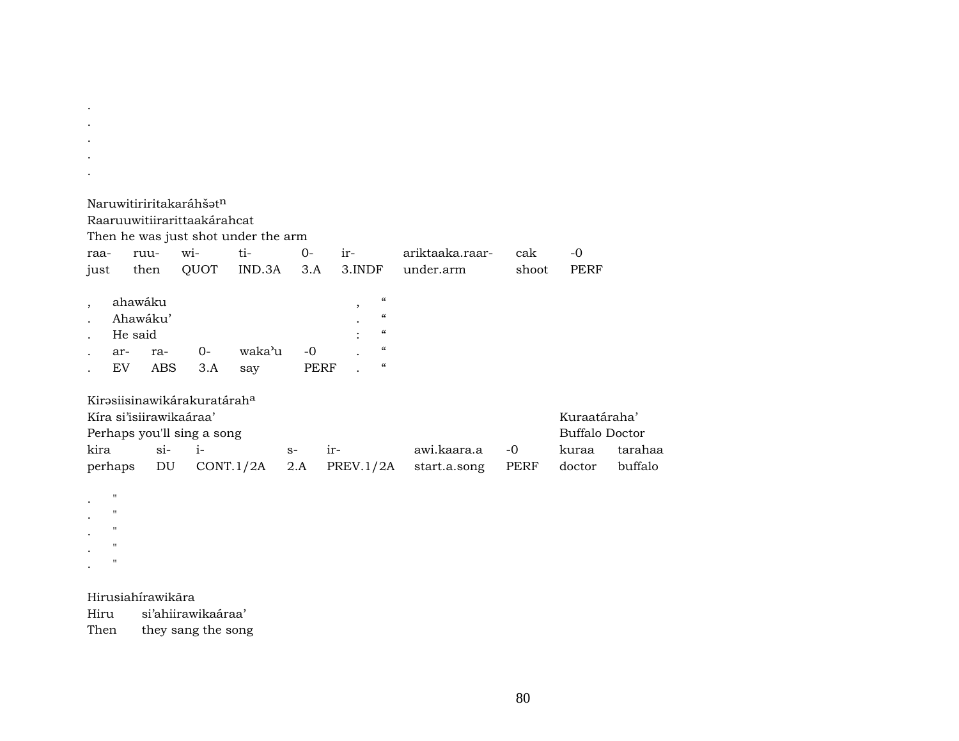|      |         |                         | Naruwitiriritakaráhšat <sup>n</sup>     |                                     |      |           |                          |       |                       |         |
|------|---------|-------------------------|-----------------------------------------|-------------------------------------|------|-----------|--------------------------|-------|-----------------------|---------|
|      |         |                         | Raaruuwitiirarittaakárahcat             |                                     |      |           |                          |       |                       |         |
|      |         |                         |                                         | Then he was just shot under the arm |      |           |                          |       |                       |         |
| raa- |         | ruu-                    | wi-                                     | ti-                                 | 0-   | ir-       | ariktaaka.raar-          | cak   | $-0$                  |         |
| just |         | then                    | QUOT                                    | IND.3A                              | 3.A  | 3.INDF    | under.arm                | shoot | PERF                  |         |
|      |         |                         |                                         |                                     |      |           |                          |       |                       |         |
|      |         | ahawáku                 |                                         |                                     |      | $\cdot$   | $\mathcal{C}\mathcal{C}$ |       |                       |         |
|      |         | Ahawáku'                |                                         |                                     |      |           | $\epsilon$               |       |                       |         |
|      |         | He said                 |                                         |                                     |      |           | $\mathcal{C}$            |       |                       |         |
|      | ar-     | ra-                     | $O -$                                   | waka'u                              | $-0$ |           | $\epsilon\epsilon$       |       |                       |         |
|      | EV.     | <b>ABS</b>              | 3.A                                     | say                                 |      | PERF      | $\epsilon\epsilon$       |       |                       |         |
|      |         |                         |                                         |                                     |      |           |                          |       |                       |         |
|      |         |                         | Kirəsiisinawikarakuratarah <sup>a</sup> |                                     |      |           |                          |       |                       |         |
|      |         | Kíra si'isiirawikaáraa' |                                         |                                     |      |           |                          |       | Kuraatáraha'          |         |
|      |         |                         | Perhaps you'll sing a song              |                                     |      |           |                          |       | <b>Buffalo Doctor</b> |         |
| kira |         | $\sin$                  | $i-$                                    |                                     | $S-$ | ir-       | awi.kaara.a              | -0    | kuraa                 | tarahaa |
|      | perhaps | DU                      |                                         | CONT.1/2A                           | 2.A  | PREV.1/2A | start.a.song             | PERF  | doctor                | buffalo |
|      |         |                         |                                         |                                     |      |           |                          |       |                       |         |

 $\mathbf{.}$  "  $\mathbf{.}$  "  $\mathbf{.}$  "  $\mathbf{.}$  " .  $"$  "

. . . .

Hirusiahírawikãra

si'ahiirawikaáraa' Then they sang the song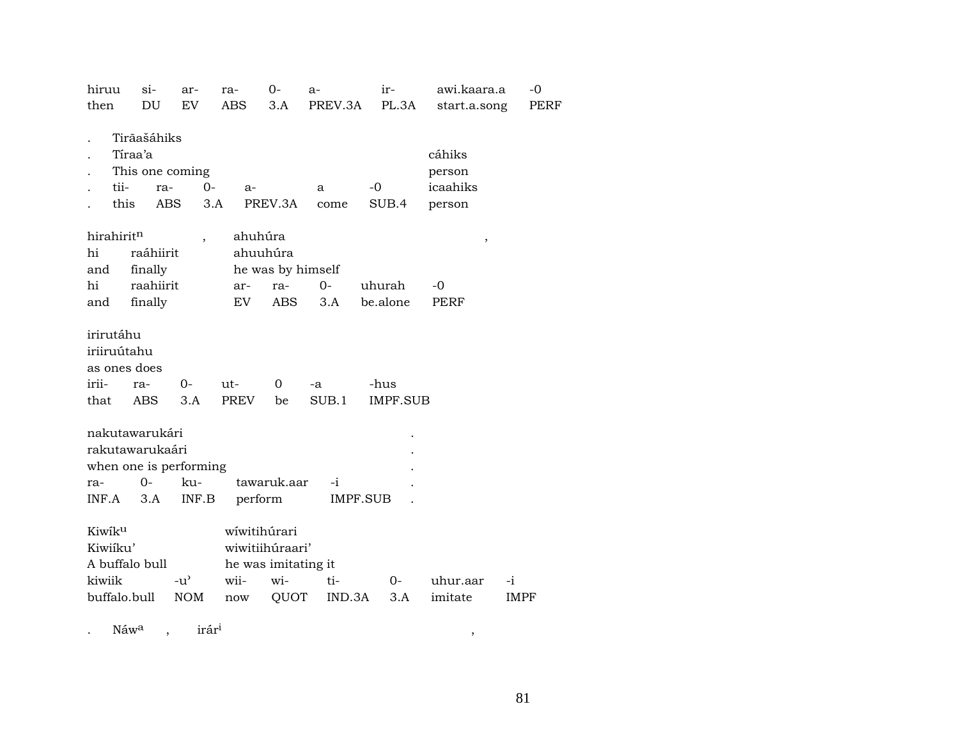| DU<br>EV<br>then<br>ABS<br>3.A<br>PREV.3A<br>PL.3A<br>start.a.song<br>Tirãašáhiks<br>Tíraa'a<br>cáhiks<br>This one coming<br>person<br>tii-<br>icaahiks<br>$0-$<br>$-0$<br>ra-<br>$a-$<br>a<br>this<br><b>ABS</b><br>3.A<br>PREV.3A<br>SUB.4<br>come<br>person<br>hirahiritn<br>ahuhúra<br>,<br>hi<br>ahuuhúra<br>raáhiirit<br>he was by himself<br>finally<br>and<br>hi<br>raahiirit<br>$0-$<br>uhurah<br>-0<br>ar-<br>ra-<br>finally<br>EV.<br><b>ABS</b><br>3.A<br>be.alone<br>PERF<br>and<br>irirutáhu<br>iriiruútahu<br>as ones does<br>irii-<br>$0-$<br>ut-<br>0<br>-hus<br>ra-<br>$-a$<br><b>PREV</b><br>ABS<br>3.A<br>SUB.1<br><b>IMPF.SUB</b><br>that<br>be<br>nakutawarukári<br>rakutawarukaári<br>when one is performing<br>$O -$<br>tawaruk.aar<br>ku-<br>$-i$<br>ra-<br>perform<br>3.A<br>INF.B<br>IMPF.SUB<br>INF.A<br>wíwitihúrari<br>Kiwiku<br>Kiwiíku'<br>wiwitiihúraari'<br>A buffalo bull<br>he was imitating it | hiruu  | $si-$ | ar-                                 | ra-  | 0-  | a-  | ir-   | awi.kaara.a | -0          |
|-------------------------------------------------------------------------------------------------------------------------------------------------------------------------------------------------------------------------------------------------------------------------------------------------------------------------------------------------------------------------------------------------------------------------------------------------------------------------------------------------------------------------------------------------------------------------------------------------------------------------------------------------------------------------------------------------------------------------------------------------------------------------------------------------------------------------------------------------------------------------------------------------------------------------------------|--------|-------|-------------------------------------|------|-----|-----|-------|-------------|-------------|
|                                                                                                                                                                                                                                                                                                                                                                                                                                                                                                                                                                                                                                                                                                                                                                                                                                                                                                                                     |        |       |                                     |      |     |     |       |             | <b>PERF</b> |
|                                                                                                                                                                                                                                                                                                                                                                                                                                                                                                                                                                                                                                                                                                                                                                                                                                                                                                                                     |        |       |                                     |      |     |     |       |             |             |
|                                                                                                                                                                                                                                                                                                                                                                                                                                                                                                                                                                                                                                                                                                                                                                                                                                                                                                                                     |        |       |                                     |      |     |     |       |             |             |
|                                                                                                                                                                                                                                                                                                                                                                                                                                                                                                                                                                                                                                                                                                                                                                                                                                                                                                                                     |        |       |                                     |      |     |     |       |             |             |
|                                                                                                                                                                                                                                                                                                                                                                                                                                                                                                                                                                                                                                                                                                                                                                                                                                                                                                                                     |        |       |                                     |      |     |     |       |             |             |
|                                                                                                                                                                                                                                                                                                                                                                                                                                                                                                                                                                                                                                                                                                                                                                                                                                                                                                                                     |        |       |                                     |      |     |     |       |             |             |
|                                                                                                                                                                                                                                                                                                                                                                                                                                                                                                                                                                                                                                                                                                                                                                                                                                                                                                                                     |        |       |                                     |      |     |     |       |             |             |
|                                                                                                                                                                                                                                                                                                                                                                                                                                                                                                                                                                                                                                                                                                                                                                                                                                                                                                                                     |        |       |                                     |      |     |     |       |             |             |
|                                                                                                                                                                                                                                                                                                                                                                                                                                                                                                                                                                                                                                                                                                                                                                                                                                                                                                                                     |        |       |                                     |      |     |     |       |             |             |
| buffalo.bull<br>imitate<br><b>NOM</b><br>QUOT<br>IND.3A<br>3.A<br><b>IMPF</b><br>now                                                                                                                                                                                                                                                                                                                                                                                                                                                                                                                                                                                                                                                                                                                                                                                                                                                | kiwiik |       | $-u$ <sup><math>\prime</math></sup> | wii- | wi- | ti- | $O -$ | uhur.aar    | -i          |

. Náw° , irár³ ,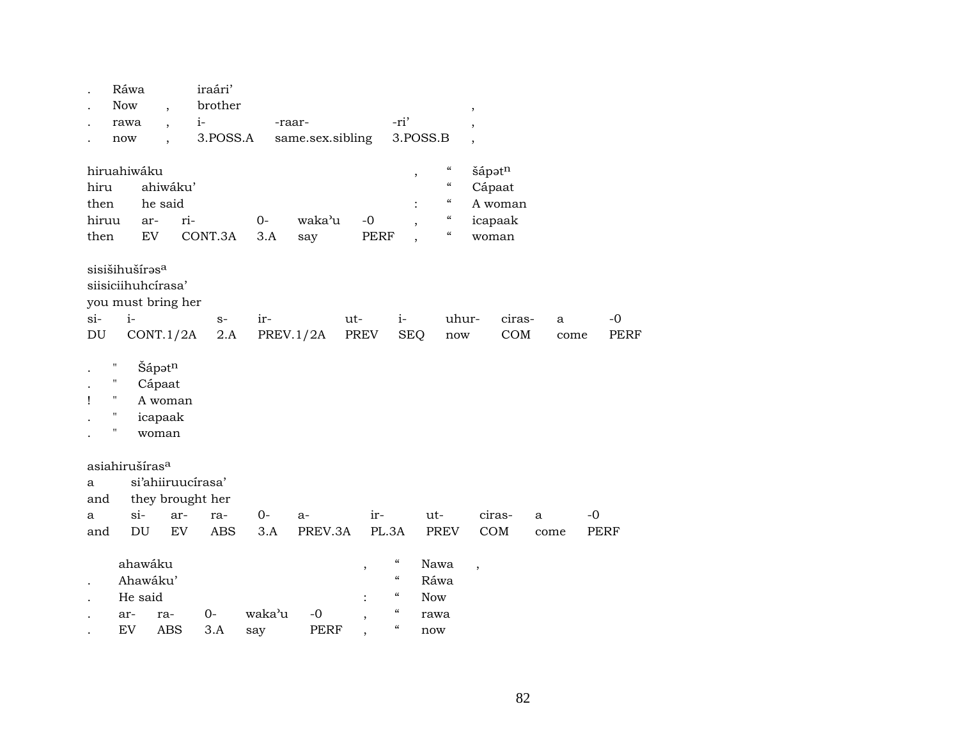| brother<br><b>Now</b>                                                                                                                                                                                                                   |             |
|-----------------------------------------------------------------------------------------------------------------------------------------------------------------------------------------------------------------------------------------|-------------|
| $\overline{ }$<br>$^\mathrm{,}$                                                                                                                                                                                                         |             |
| -ri'<br>$i-$<br>rawa<br>-raar-<br>$\overline{\phantom{a}}$<br>$\overline{\phantom{a}}$                                                                                                                                                  |             |
| 3.POSS.A<br>3.POSS.B<br>same.sex.sibling<br>now<br>$\overline{\phantom{a}}$                                                                                                                                                             |             |
|                                                                                                                                                                                                                                         |             |
| $\epsilon\epsilon$<br>hiruahiwáku<br>šápatn<br>$^\mathrm{^{^\circ}}$                                                                                                                                                                    |             |
| $\boldsymbol{\mathcal{C}}$<br>ahiwáku'<br>hiru<br>Cápaat                                                                                                                                                                                |             |
| $\epsilon\epsilon$<br>he said<br>A woman<br>then                                                                                                                                                                                        |             |
| $\boldsymbol{\mathcal{C}}$<br>hiruu<br>ri-<br>waka'u<br>$0-$<br>$-0$<br>icapaak<br>ar-<br>$\overline{\phantom{a}}$                                                                                                                      |             |
| $\boldsymbol{\mathcal{C}}$<br>${\rm EV}$<br>CONT.3A<br><b>PERF</b><br>then<br>3.A<br>say<br>woman                                                                                                                                       |             |
| sisišihušíras <sup>a</sup><br>siisiciihuhcírasa'<br>you must bring her                                                                                                                                                                  |             |
| $i-$<br>$si-$<br>ir-<br>ut-<br>$i-$<br>uhur-<br>ciras-<br>$S-$<br>a                                                                                                                                                                     | $-0$        |
| <b>SEQ</b><br>$\mathop{\mathrm{COM}}$<br>$\mathop{\rm DU}\nolimits$<br>CONT.1/2A<br>2.A<br>PREV.1/2A<br>PREV<br>now<br>come                                                                                                             | <b>PERF</b> |
| Šápatn<br>Ħ<br>п<br>Cápaat<br>п<br>A woman<br>Ţ<br>$\pmb{\mathsf{H}}$<br>icapaak<br>$\pmb{\mathsf{H}}$<br>woman                                                                                                                         |             |
| asiahirušíras <sup>a</sup>                                                                                                                                                                                                              |             |
| si'ahiiruucírasa'<br>a                                                                                                                                                                                                                  |             |
| they brought her<br>and                                                                                                                                                                                                                 |             |
| $si-$<br>ciras-<br>$0-$<br>ir-<br>ut-<br>ar-<br>ra-<br>a-<br>a<br>a                                                                                                                                                                     | $-0$        |
| DU<br>$\mathop{\rm EV}\nolimits$<br>PREV.3A<br>PL.3A<br>COM<br><b>ABS</b><br>3.A<br><b>PREV</b><br>and<br>come                                                                                                                          | <b>PERF</b> |
| $\boldsymbol{\zeta}\boldsymbol{\zeta}$<br>ahawáku<br>Nawa<br>$\cdot$<br>$\, ,$                                                                                                                                                          |             |
| $\boldsymbol{\mathcal{C}}$<br>Ahawáku'<br>Ráwa<br>$\boldsymbol{\zeta}\boldsymbol{\zeta}$<br>He said<br><b>Now</b><br>$\boldsymbol{\zeta}\boldsymbol{\zeta}$<br>waka'u<br>$0-$<br>$-0$<br>ar-<br>ra-<br>rawa<br>$\overline{\phantom{a}}$ |             |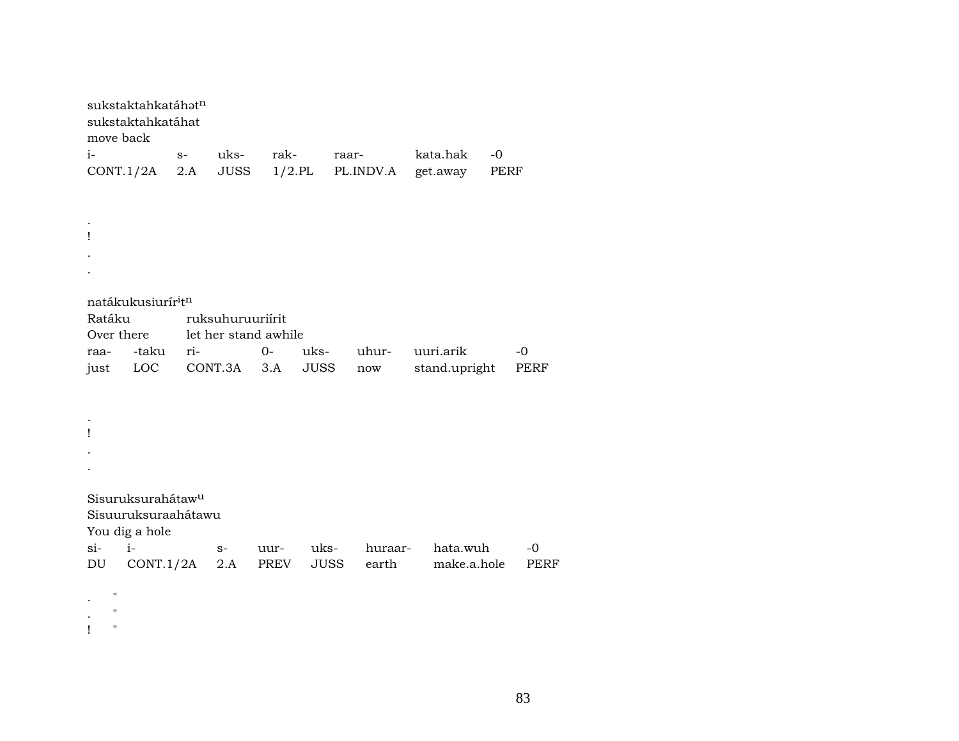| move back         | sukstaktahkatáhatn<br>sukstaktahkatáhat    |             |                      |                   |             |                    |                      |              |
|-------------------|--------------------------------------------|-------------|----------------------|-------------------|-------------|--------------------|----------------------|--------------|
| i-<br>CONT.1/2A   |                                            | $S-$<br>2.A | uks-<br><b>JUSS</b>  | rak-<br>$1/2$ .PL |             | raar-<br>PL.INDV.A | kata.hak<br>get.away | $-0$<br>PERF |
|                   |                                            |             |                      |                   |             |                    |                      |              |
|                   |                                            |             |                      |                   |             |                    |                      |              |
| ı                 |                                            |             |                      |                   |             |                    |                      |              |
|                   |                                            |             |                      |                   |             |                    |                      |              |
|                   |                                            |             |                      |                   |             |                    |                      |              |
|                   | natákukusiurír <sup>i</sup> t <sup>n</sup> |             |                      |                   |             |                    |                      |              |
| Ratáku            |                                            |             | ruksuhuruuriírit     |                   |             |                    |                      |              |
| Over there        |                                            |             | let her stand awhile |                   |             |                    |                      |              |
| raa-              | -taku                                      | ri-         |                      | $0-$              | uks-        | uhur-              | uuri.arik            | $-0$         |
| just              | LOC                                        |             | CONT.3A              | 3.A               | <b>JUSS</b> | now                | stand.upright        | PERF         |
|                   |                                            |             |                      |                   |             |                    |                      |              |
|                   |                                            |             |                      |                   |             |                    |                      |              |
| Ţ                 |                                            |             |                      |                   |             |                    |                      |              |
|                   |                                            |             |                      |                   |             |                    |                      |              |
|                   |                                            |             |                      |                   |             |                    |                      |              |
|                   | Sisuruksurahátaw <sup>u</sup>              |             |                      |                   |             |                    |                      |              |
|                   | Sisuuruksuraahátawu<br>You dig a hole      |             |                      |                   |             |                    |                      |              |
| $si-$             | $i-$                                       |             | $S-$                 | uur-              | uks-        | huraar-            | hata.wuh             | -0           |
| DU                | CONT.1/2A                                  |             | 2.A                  | PREV              | <b>JUSS</b> | earth              | make.a.hole          | <b>PERF</b>  |
| н                 |                                            |             |                      |                   |             |                    |                      |              |
| п                 |                                            |             |                      |                   |             |                    |                      |              |
| $\mathbf{H}$<br>ı |                                            |             |                      |                   |             |                    |                      |              |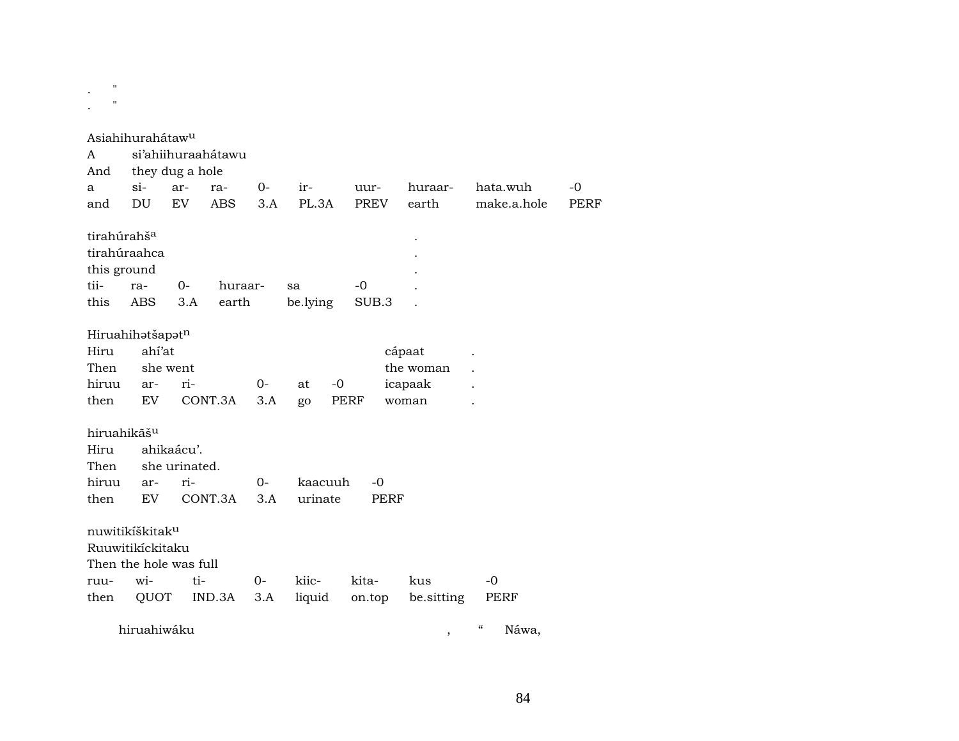.  $\sim$  $\mathbf{r} = \mathbf{r}$ 

|                             | Asiahihurahátaw <sup>u</sup> |                 |                    |      |          |      |        |      |            |             |             |
|-----------------------------|------------------------------|-----------------|--------------------|------|----------|------|--------|------|------------|-------------|-------------|
| A                           |                              |                 | si'ahiihuraahátawu |      |          |      |        |      |            |             |             |
| And                         |                              | they dug a hole |                    |      |          |      |        |      |            |             |             |
| a                           | $\sin$                       | ar-             | ra-                | $0-$ | ir-      |      | uur-   |      | huraar-    | hata.wuh    | $-0$        |
| and                         | DU                           | EV              | ABS                | 3.A  | PL.3A    |      | PREV   |      | earth      | make.a.hole | <b>PERF</b> |
| tirahúrahš <sup>a</sup>     |                              |                 |                    |      |          |      |        |      |            |             |             |
| tirahúraahca                |                              |                 |                    |      |          |      |        |      |            |             |             |
| this ground                 |                              |                 |                    |      |          |      |        |      |            |             |             |
| tii-                        | ra-                          | 0-              | huraar-            |      | sa       |      | -0     |      |            |             |             |
| this                        | ABS                          | 3.A             | earth              |      | be.lying |      | SUB.3  |      |            |             |             |
| Hiruahihatšapatn            |                              |                 |                    |      |          |      |        |      |            |             |             |
| Hiru                        | ahí'at                       |                 |                    |      |          |      |        |      | cápaat     |             |             |
| Then                        |                              | she went        |                    |      |          |      |        |      | the woman  |             |             |
| hiruu                       | ar-                          | ri-             |                    | $0-$ | at       | $-0$ |        |      | icapaak    |             |             |
| then                        | EV.                          |                 | CONT.3A            | 3.A  | go       | PERF |        |      | woman      |             |             |
| hiruahikãš <sup>u</sup>     |                              |                 |                    |      |          |      |        |      |            |             |             |
| Hiru                        |                              | ahikaácu'.      |                    |      |          |      |        |      |            |             |             |
| Then                        |                              | she urinated.   |                    |      |          |      |        |      |            |             |             |
| hiruu                       | ar-                          | ri-             |                    | $0-$ | kaacuuh  |      | $-0$   |      |            |             |             |
| then                        | EV                           |                 | CONT.3A            | 3.A  | urinate  |      |        | PERF |            |             |             |
| nuwitikíškitak <sup>u</sup> |                              |                 |                    |      |          |      |        |      |            |             |             |
| Ruuwitikíckitaku            |                              |                 |                    |      |          |      |        |      |            |             |             |
| Then the hole was full      |                              |                 |                    |      |          |      |        |      |            |             |             |
| ruu-                        | wi-                          | ti-             |                    | $0-$ | kiic-    |      | kita-  |      | kus        | $-0$        |             |
| then                        | QUOT                         |                 | IND.3A             | 3.A  | liquid   |      | on.top |      | be.sitting | PERF        |             |
|                             |                              |                 |                    |      |          |      |        |      |            |             |             |

hiruahiwáku , " Náwa,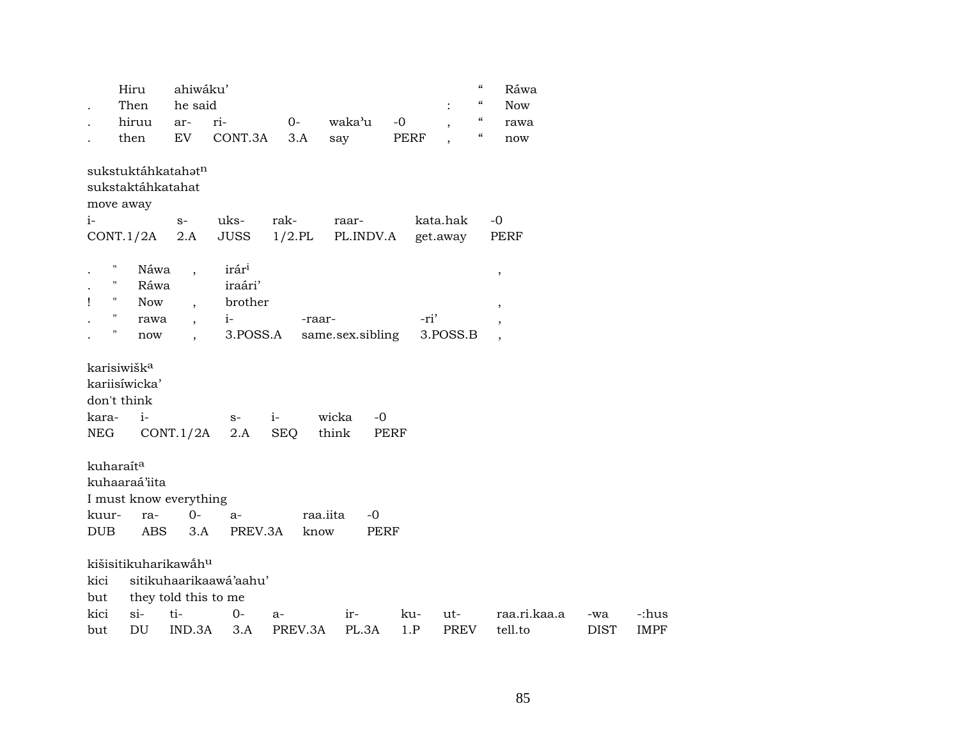|            | Hiru                    |                    | ahiwáku'                                             |                        |           |                  |             |                          | $\boldsymbol{\mathcal{C}}$<br>Ráwa                 |             |             |
|------------|-------------------------|--------------------|------------------------------------------------------|------------------------|-----------|------------------|-------------|--------------------------|----------------------------------------------------|-------------|-------------|
|            | Then                    |                    | he said                                              |                        |           |                  |             |                          | $\mathcal{C}\mathcal{C}$<br><b>Now</b>             |             |             |
|            | hiruu                   |                    | ar-                                                  | ri-                    | $0-$      | waka'u           | $-0$        | $\overline{\phantom{a}}$ | $\boldsymbol{\mathcal{U}}$<br>rawa                 |             |             |
|            | then                    |                    | EV                                                   | CONT.3A                | 3.A       | say              | PERF        | $\overline{\phantom{a}}$ | $\boldsymbol{\mathcal{C}}$<br>$\operatorname{now}$ |             |             |
|            |                         |                    | sukstuktáhkatahatn                                   |                        |           |                  |             |                          |                                                    |             |             |
|            |                         | sukstaktáhkatahat  |                                                      |                        |           |                  |             |                          |                                                    |             |             |
| $i-$       | move away               |                    | $S-$                                                 | uks-                   | rak-      | raar-            |             | kata.hak                 | $-0$                                               |             |             |
|            | CONT.1/2A               |                    | 2.A                                                  | <b>JUSS</b>            | $1/2$ .PL | PL.INDV.A        |             | get.away                 | PERF                                               |             |             |
|            |                         |                    |                                                      |                        |           |                  |             |                          |                                                    |             |             |
|            | н.                      | Náwa               | $\ddot{\phantom{0}}$                                 | irár <sup>i</sup>      |           |                  |             |                          | $\,$                                               |             |             |
| Ţ          | Π.                      | Ráwa<br><b>Now</b> |                                                      | iraári'<br>brother     |           |                  |             |                          |                                                    |             |             |
|            | $\mathbf H$             | rawa               | $\overline{\phantom{a}}$<br>$\overline{\phantom{a}}$ | $i-$                   | -raar-    |                  | -ri'        |                          | $\, ,$                                             |             |             |
|            | $\pmb{\mathsf{H}}$      | now                | $\overline{\phantom{a}}$                             | 3.POSS.A               |           | same.sex.sibling |             | 3.POSS.B                 | $\overline{\phantom{a}}$                           |             |             |
|            |                         |                    |                                                      |                        |           |                  |             |                          |                                                    |             |             |
|            | karisiwišk <sup>a</sup> |                    |                                                      |                        |           |                  |             |                          |                                                    |             |             |
|            | kariisíwicka'           |                    |                                                      |                        |           |                  |             |                          |                                                    |             |             |
|            | don't think             |                    |                                                      |                        |           |                  |             |                          |                                                    |             |             |
| kara-      |                         | $i-$               |                                                      | $S-$                   | $i-$      | wicka<br>$-0$    |             |                          |                                                    |             |             |
| NEG        |                         |                    | CONT.1/2A                                            | 2.A                    | SEQ       | think            | <b>PERF</b> |                          |                                                    |             |             |
|            | kuharaít <sup>a</sup>   |                    |                                                      |                        |           |                  |             |                          |                                                    |             |             |
|            | kuhaaraá'iita           |                    |                                                      |                        |           |                  |             |                          |                                                    |             |             |
|            |                         |                    | I must know everything                               |                        |           |                  |             |                          |                                                    |             |             |
| kuur-      |                         | ra-                | $0 -$                                                | a-                     |           | raa.iita<br>$-0$ |             |                          |                                                    |             |             |
| <b>DUB</b> |                         | ABS                | 3.A                                                  | PREV.3A                | know      |                  | <b>PERF</b> |                          |                                                    |             |             |
|            |                         |                    | kišisitikuharikawahu                                 |                        |           |                  |             |                          |                                                    |             |             |
| kici       |                         |                    |                                                      | sitikuhaarikaawá'aahu' |           |                  |             |                          |                                                    |             |             |
| but        |                         |                    |                                                      | they told this to me   |           |                  |             |                          |                                                    |             |             |
| kici       | $si$ -                  |                    | ti-                                                  | $O -$                  | $a-$      | ir-              | ku-         | ut-                      | raa.ri.kaa.a                                       | -wa         | -:hus       |
| but        |                         | DU                 | IND.3A                                               | 3.A                    | PREV.3A   | PL.3A            | 1.P         | <b>PREV</b>              | tell.to                                            | <b>DIST</b> | <b>IMPF</b> |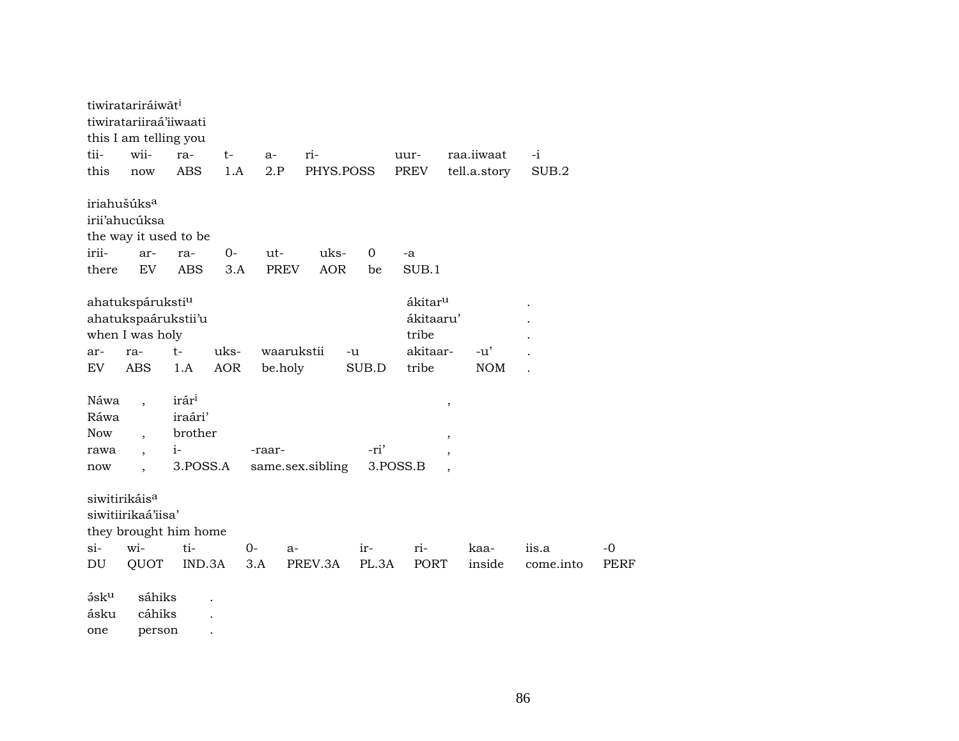|            | tiwiratariráiwāt <sup>i</sup><br>tiwiratariiraá'iiwaati<br>this I am telling you |                       |            |             |                  |             |                     |                     |           |             |
|------------|----------------------------------------------------------------------------------|-----------------------|------------|-------------|------------------|-------------|---------------------|---------------------|-----------|-------------|
| tii-       | wii-                                                                             | ra-                   | $t-$       | $a-$        | ri-              |             | uur-                | raa.iiwaat          | -i        |             |
| this       | now                                                                              | <b>ABS</b>            | 1.A        | 2.P         | PHYS.POSS        |             | PREV                | tell.a.story        | SUB.2     |             |
|            | iriahušúks <sup>a</sup>                                                          |                       |            |             |                  |             |                     |                     |           |             |
|            | irii'ahucúksa                                                                    |                       |            |             |                  |             |                     |                     |           |             |
|            | the way it used to be                                                            |                       |            |             |                  |             |                     |                     |           |             |
| irii-      | ar-                                                                              | ra-                   | $0-$       | ut-         | uks-             | $\mathbf 0$ | -a                  |                     |           |             |
| there      | EV                                                                               | <b>ABS</b>            | 3.A        | <b>PREV</b> | <b>AOR</b>       | be          | SUB.1               |                     |           |             |
|            | ahatukspáruksti <sup>u</sup>                                                     |                       |            |             |                  |             | ákitar <sup>u</sup> |                     |           |             |
|            | ahatukspaárukstii'u                                                              |                       |            |             |                  |             | ákitaaru'           |                     |           |             |
|            | when I was holy                                                                  |                       |            |             |                  |             | tribe               |                     |           |             |
| ar-        | ra-                                                                              | $t-$                  | uks-       | waarukstii  |                  | -u          | akitaar-            | $-u'$               |           |             |
| EV         | <b>ABS</b>                                                                       | 1.A                   | <b>AOR</b> | be.holy     |                  | SUB.D       | tribe               | <b>NOM</b>          |           |             |
| Náwa       | $\overline{\phantom{a}}$                                                         | irár <sup>i</sup>     |            |             |                  |             |                     | $\pmb{\mathcal{E}}$ |           |             |
| Ráwa       |                                                                                  | iraári'               |            |             |                  |             |                     |                     |           |             |
| Now        | $\overline{\phantom{a}}$                                                         | brother               |            |             |                  |             |                     | $\, ,$              |           |             |
| rawa       | $\overline{\phantom{a}}$                                                         | $i-$                  |            | -raar-      |                  | -ri'        |                     | $\cdot$             |           |             |
| now        |                                                                                  | 3.POSS.A              |            |             | same.sex.sibling |             | 3.POSS.B            |                     |           |             |
|            | siwitirikáis <sup>a</sup>                                                        |                       |            |             |                  |             |                     |                     |           |             |
|            | siwitiirikaá'iisa'                                                               |                       |            |             |                  |             |                     |                     |           |             |
|            |                                                                                  | they brought him home |            |             |                  |             |                     |                     |           |             |
| $si-$      | wi-                                                                              | ti-                   | $0-$       | a-          |                  | ir-         | ri-                 | kaa-                | iis.a     | $-0$        |
| DU         | QUOT                                                                             | IND.3A                | 3.A        |             | PREV.3A          | PL.3A       | PORT                | inside              | come.into | <b>PERF</b> |
| $5$ s $ku$ | sáhiks                                                                           |                       |            |             |                  |             |                     |                     |           |             |
| ásku       | cáhiks                                                                           |                       |            |             |                  |             |                     |                     |           |             |
| one        | person                                                                           | $\cdot$               |            |             |                  |             |                     |                     |           |             |
|            |                                                                                  |                       |            |             |                  |             |                     |                     |           |             |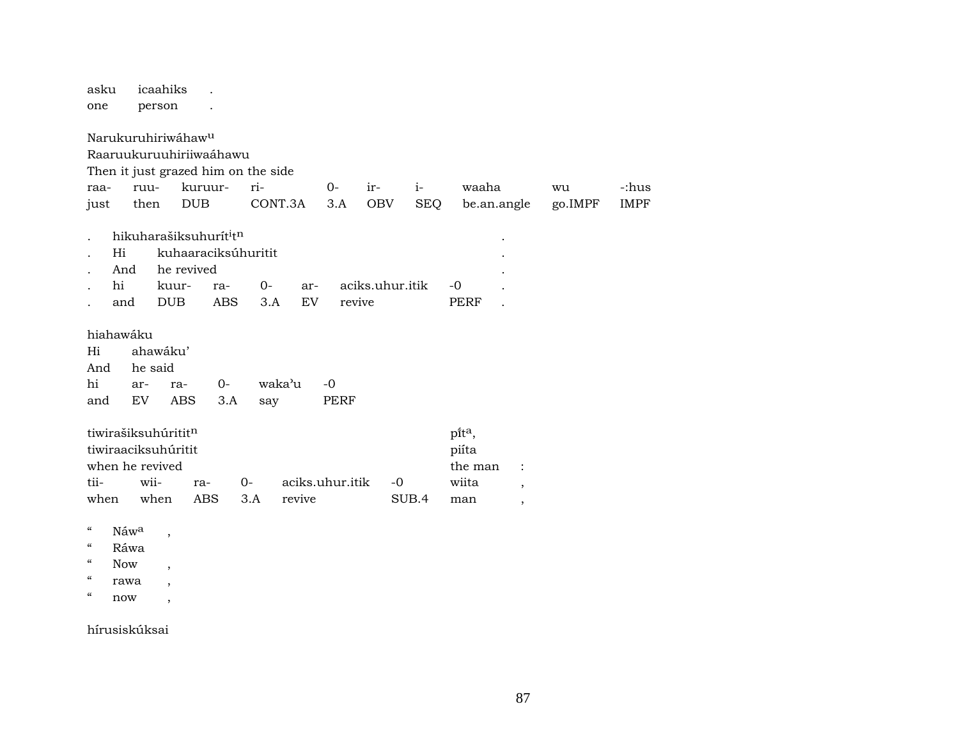| asku<br>one                                                                           | icaahiks<br>person                                                               |                                                                                                                     |                     |                     |                           |                    |                                                                                                                 |               |                      |
|---------------------------------------------------------------------------------------|----------------------------------------------------------------------------------|---------------------------------------------------------------------------------------------------------------------|---------------------|---------------------|---------------------------|--------------------|-----------------------------------------------------------------------------------------------------------------|---------------|----------------------|
| raa-<br>just                                                                          | Narukuruhiriwáhaw <sup>u</sup><br>ruu-<br>then                                   | Raaruukuruuhiriiwaáhawu<br>Then it just grazed him on the side<br>kuruur-<br><b>DUB</b>                             | ri-<br>CONT.3A      | $O -$<br>3.A        | ir-<br><b>OBV</b>         | $i-$<br><b>SEQ</b> | waaha<br>be.an.angle                                                                                            | wu<br>go.IMPF | -:hus<br><b>IMPF</b> |
| Hi<br>And<br>hi<br>and                                                                |                                                                                  | hikuharašiksuhurít <sup>i</sup> tn<br>kuhaaraciksúhuritit<br>he revived<br>kuur-<br>ra-<br><b>DUB</b><br><b>ABS</b> | $0-$<br>3.A         | ar-<br>EV           | aciks.uhur.itik<br>revive |                    | $-0$<br>PERF                                                                                                    |               |                      |
| hiahawáku<br>Hi<br>And<br>hi<br>and                                                   | ahawáku'<br>he said<br>ar-<br>EV.                                                | 0-<br>ra-<br><b>ABS</b><br>3.A                                                                                      | waka'u<br>say       | $-0$<br><b>PERF</b> |                           |                    |                                                                                                                 |               |                      |
| tii-<br>when                                                                          | tiwirašiksuhúrititn<br>tiwiraaciksuhúritit<br>when he revived<br>wii-<br>when    | ra-<br><b>ABS</b>                                                                                                   | 0-<br>revive<br>3.A | aciks.uhur.itik     | $-0$                      | SUB.4              | pita,<br>piíta<br>the man<br>$\ddot{\phantom{a}}$<br>wiita<br>$\overline{ }$<br>man<br>$\overline{\phantom{a}}$ |               |                      |
| $\mathcal{C}\mathcal{C}$<br>$\mathcal{C}$<br>$\boldsymbol{\mathcal{C}}$<br><b>Now</b> | Náw <sup>a</sup><br>$\overline{\phantom{a}}$<br>Ráwa<br>$\overline{\phantom{a}}$ |                                                                                                                     |                     |                     |                           |                    |                                                                                                                 |               |                      |

- $\hspace{0.1cm} \texttt{``} \hspace{0.1cm} \texttt{rawa} \hspace{0.1cm} ,$
- $\hspace{0.1cm}\raisebox{0.5cm}{\hspace{-0.5cm}\raisebox{0.5cm}{\hspace{-0.5cm}\raisebox{0.5cm}{\hspace{-0.5cm}\raisebox{0.5cm}{\hspace{-0.5cm}\raisebox{0.5cm}{\hspace{-0.5cm}\raisebox{0.5cm}{\hspace{-0.5cm}\raisebox{0.5cm}{\hspace{-0.5cm}\raisebox{0.5cm}{\hspace{-0.5cm}\raisebox{0.5cm}{\hspace{-0.5cm}}}}}}$

hírusiskúksai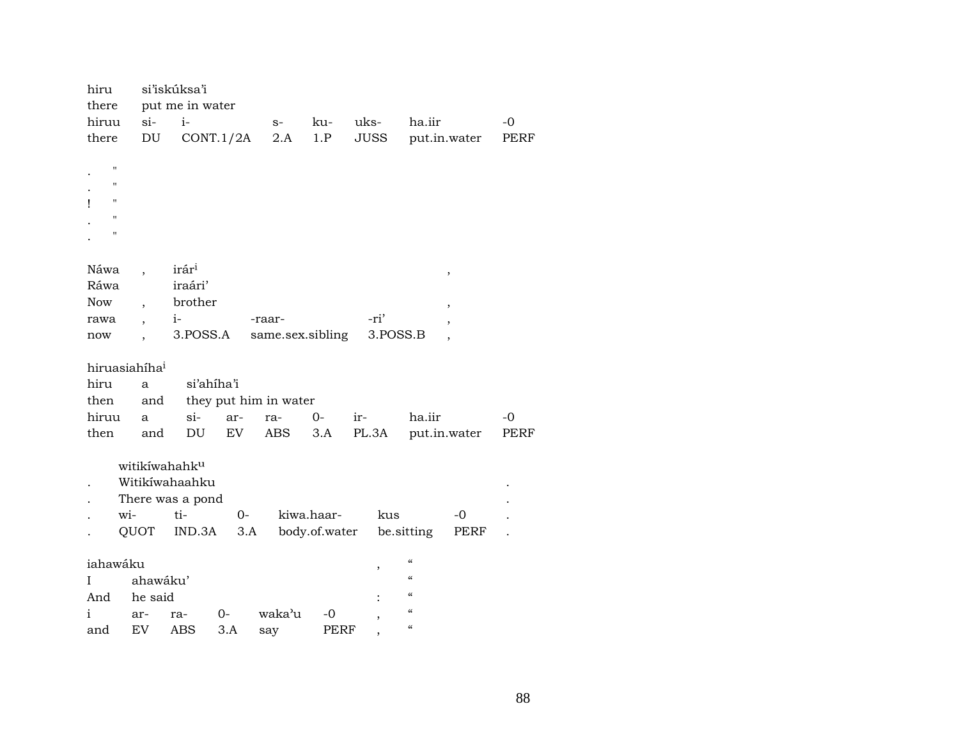| hiru                      |                          | si'iskúksa'i      |            |                       |               |          |                          |              |      |
|---------------------------|--------------------------|-------------------|------------|-----------------------|---------------|----------|--------------------------|--------------|------|
| there                     |                          | put me in water   |            |                       |               |          |                          |              |      |
| hiruu                     | $\sin$                   | $i-$              |            | $S-$                  | ku-           | uks-     | ha.iir                   |              | $-0$ |
| there                     | DU                       |                   | CONT.1/2A  | 2.A                   | 1.P           | JUSS     |                          | put.in.water | PERF |
|                           |                          |                   |            |                       |               |          |                          |              |      |
| $\pmb{\mathsf{H}}$        |                          |                   |            |                       |               |          |                          |              |      |
| $\pmb{\mathsf{H}}$        |                          |                   |            |                       |               |          |                          |              |      |
| $\pmb{\mathsf{H}}$<br>Ţ   |                          |                   |            |                       |               |          |                          |              |      |
| $\pmb{\mathsf{H}}$        |                          |                   |            |                       |               |          |                          |              |      |
| $^{\prime\prime}$         |                          |                   |            |                       |               |          |                          |              |      |
|                           |                          |                   |            |                       |               |          |                          |              |      |
| Náwa                      |                          | irár <sup>i</sup> |            |                       |               |          |                          | $\, ,$       |      |
| Ráwa                      |                          | iraári'           |            |                       |               |          |                          |              |      |
| Now                       | $\overline{\phantom{a}}$ | brother           |            |                       |               |          |                          |              |      |
| rawa                      |                          | $i-$              |            | -raar-                |               | -ri'     |                          |              |      |
| now                       |                          | 3.POSS.A          |            | same.sex.sibling      |               | 3.POSS.B |                          |              |      |
|                           |                          |                   |            |                       |               |          |                          |              |      |
| hiruasiahíha <sup>i</sup> |                          |                   |            |                       |               |          |                          |              |      |
| hiru                      | $\mathbf{a}$             |                   | si'ahiha'i |                       |               |          |                          |              |      |
| then                      | and                      |                   |            | they put him in water |               |          |                          |              |      |
| hiruu                     | a                        | $si-$             | ar-        | ra-                   | $0-$          | ir-      | ha.iir                   |              | $-0$ |
| then                      | and                      | DU                | EV         | ABS                   | 3.A           | PL.3A    |                          | put.in.water | PERF |
|                           |                          |                   |            |                       |               |          |                          |              |      |
|                           |                          | witikíwahahku     |            |                       |               |          |                          |              |      |
|                           |                          | Witikíwahaahku    |            |                       |               |          |                          |              |      |
|                           |                          | There was a pond  |            |                       |               |          |                          |              |      |
| wi-                       |                          | ti-               | $O -$      |                       | kiwa.haar-    | kus      |                          | -0           |      |
|                           | QUOT                     | IND.3A            | 3.A        |                       | body.of.water |          | be sitting               | PERF         |      |
|                           |                          |                   |            |                       |               |          |                          |              |      |
| iahawáku                  |                          |                   |            |                       |               | ,        | $\mathcal{C}$            |              |      |
| Ι                         | ahawáku'                 |                   |            |                       |               |          | $\pmb{\zeta}\pmb{\zeta}$ |              |      |
| And                       | he said                  |                   |            |                       |               |          | $\pmb{\zeta}\pmb{\zeta}$ |              |      |
| i                         | ar-                      | ra-               | 0-         | waka'u                | -0            |          | $\mathcal{C}$            |              |      |
| and                       | EV                       | <b>ABS</b>        | 3.A        | say                   | PERF          |          | $\mathcal{C}$            |              |      |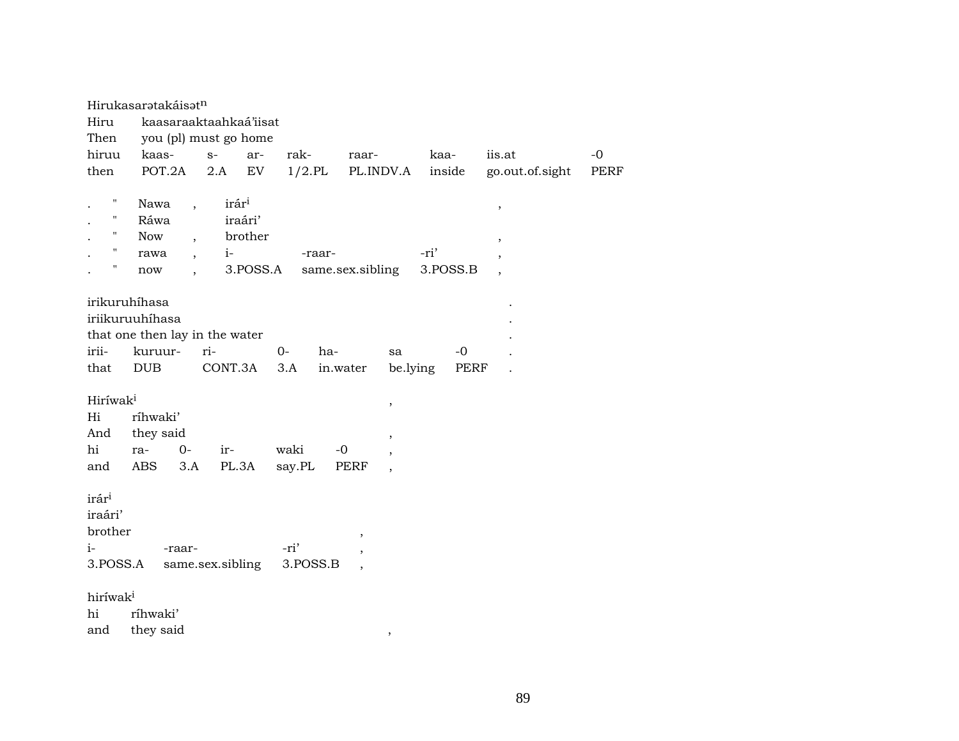|                      | Hirukasaratakáisatn            |                                           |            |                  |                       |          |                          |      |
|----------------------|--------------------------------|-------------------------------------------|------------|------------------|-----------------------|----------|--------------------------|------|
| Hiru                 | kaasaraaktaahkaá'iisat         |                                           |            |                  |                       |          |                          |      |
| Then                 | you (pl) must go home          |                                           |            |                  |                       |          |                          |      |
| hiruu                | kaas-                          | $S-$                                      | ar-        | rak-<br>raar-    |                       | kaa-     | iis.at                   | $-0$ |
| then                 | POT.2A                         | 2.A                                       | ${\rm EV}$ | $1/2$ .PL        | PL.INDV.A             | inside   | go.out.of.sight          | PERF |
| Ħ                    |                                |                                           |            |                  |                       |          |                          |      |
|                      | Nawa                           | irár <sup>i</sup><br>$\ddot{\phantom{0}}$ |            |                  |                       |          | $\, ,$                   |      |
| $\pmb{\mathsf{H}}$   | Ráwa                           | iraári'                                   |            |                  |                       |          |                          |      |
| н.                   | Now                            |                                           | brother    |                  |                       |          | $\overline{\phantom{a}}$ |      |
| $\mathbf{H}$         | rawa                           | $i-$<br>$\ddot{\phantom{0}}$              |            | -raar-           |                       | -ri'     |                          |      |
| $\pmb{\mathsf{H}}$   | now                            |                                           | 3.POSS.A   | same.sex.sibling |                       | 3.POSS.B |                          |      |
|                      | irikuruhíhasa                  |                                           |            |                  |                       |          |                          |      |
|                      |                                |                                           |            |                  |                       |          |                          |      |
|                      | iriikuruuhíhasa                |                                           |            |                  |                       |          |                          |      |
|                      | that one then lay in the water |                                           |            |                  |                       |          |                          |      |
| irii-                | kuruur-                        | ri-                                       | $0 -$      | ha-              | sa                    | $-0$     |                          |      |
| that                 | <b>DUB</b>                     | CONT.3A                                   | 3.A        | in.water         | be.lying              | PERF     |                          |      |
| Hiríwak <sup>i</sup> |                                |                                           |            |                  |                       |          |                          |      |
| Hi                   | ríhwaki'                       |                                           |            |                  | $\, ,$                |          |                          |      |
| And                  | they said                      |                                           |            |                  |                       |          |                          |      |
| hi                   | $O -$<br>ra-                   | ir-                                       | waki       | $-0$             | $^\mathrm{,}$         |          |                          |      |
| and                  | ABS<br>3.A                     | PL.3A                                     | say.PL     | PERF             |                       |          |                          |      |
|                      |                                |                                           |            |                  |                       |          |                          |      |
| irár <sup>i</sup>    |                                |                                           |            |                  |                       |          |                          |      |
| iraári'              |                                |                                           |            |                  |                       |          |                          |      |
| brother              |                                |                                           |            | ,                |                       |          |                          |      |
| $i-$                 | -raar-                         |                                           | -ri'       |                  |                       |          |                          |      |
| 3.POSS.A             |                                | same.sex.sibling                          |            | 3.POSS.B         |                       |          |                          |      |
|                      |                                |                                           |            |                  |                       |          |                          |      |
| hiríwak <sup>i</sup> |                                |                                           |            |                  |                       |          |                          |      |
| hi                   | ríhwaki'                       |                                           |            |                  |                       |          |                          |      |
| and                  | they said                      |                                           |            |                  | $^\mathrm{^{^\circ}}$ |          |                          |      |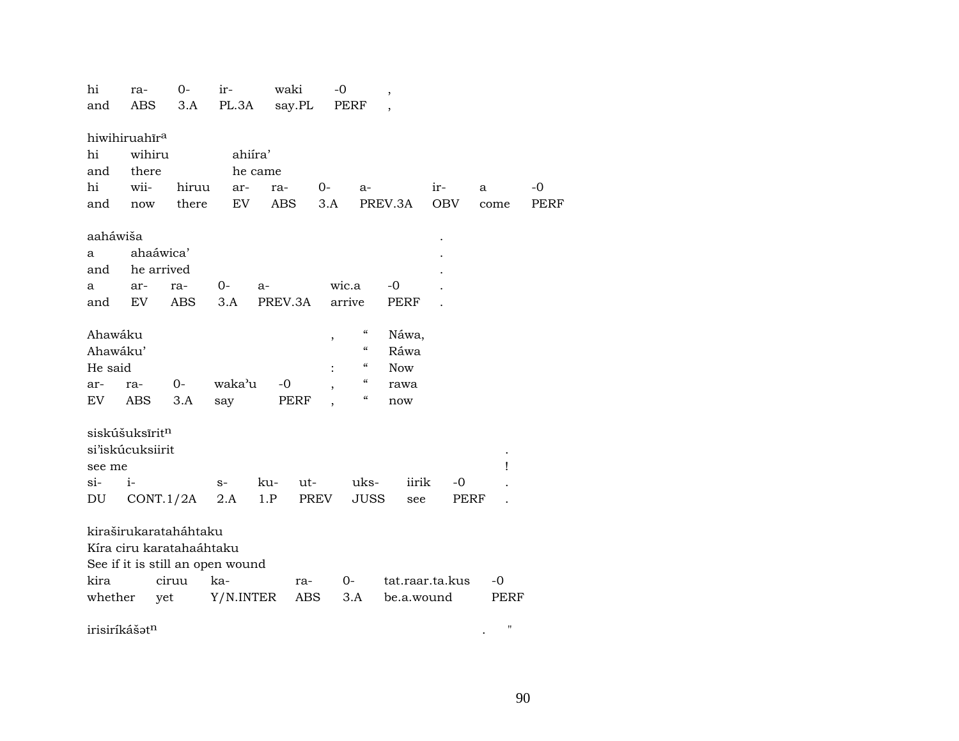| hi            | ra-                  | $0 -$                            | ir-       | waki    |        |      | -0                         | $\overline{\phantom{a}}$ |                 |            |      |                    |             |
|---------------|----------------------|----------------------------------|-----------|---------|--------|------|----------------------------|--------------------------|-----------------|------------|------|--------------------|-------------|
| and           | ABS                  | 3.A                              | PL.3A     |         | say.PL |      | PERF                       |                          |                 |            |      |                    |             |
|               |                      |                                  |           |         |        |      |                            |                          |                 |            |      |                    |             |
|               | hiwihiruahira        |                                  |           |         |        |      |                            |                          |                 |            |      |                    |             |
| hi            | wihiru               |                                  | ahiíra'   |         |        |      |                            |                          |                 |            |      |                    |             |
| and           | there                |                                  |           | he came |        |      |                            |                          |                 |            |      |                    |             |
| hi            | wii-                 | hiruu                            | ar-       | ra-     |        | $O-$ | $a-$                       |                          |                 | ir-        | a    |                    | $-0$        |
| and           | $\operatorname{now}$ | there                            | EV        | ABS     |        | 3.A  |                            |                          | PREV.3A         | <b>OBV</b> |      | come               | <b>PERF</b> |
|               |                      |                                  |           |         |        |      |                            |                          |                 |            |      |                    |             |
| aaháwiša      |                      |                                  |           |         |        |      |                            |                          |                 |            |      |                    |             |
| a             | ahaáwica'            |                                  |           |         |        |      |                            |                          |                 |            |      |                    |             |
| and           | he arrived           |                                  |           |         |        |      |                            |                          |                 |            |      |                    |             |
| a             | ar-                  | ra-                              | $0-$      | a-      |        |      | wic.a                      |                          | $-0$            |            |      |                    |             |
| and           | EV                   | ABS                              | 3.A       | PREV.3A |        |      | arrive                     |                          | PERF            |            |      |                    |             |
|               |                      |                                  |           |         |        |      |                            |                          |                 |            |      |                    |             |
| Ahawáku       |                      |                                  |           |         |        | ,    | $\epsilon\epsilon$         |                          | Náwa,           |            |      |                    |             |
| Ahawáku'      |                      |                                  |           |         |        |      | $\mathcal{C}\mathcal{C}$   |                          | Ráwa            |            |      |                    |             |
| He said       |                      |                                  |           |         |        |      | $\epsilon\epsilon$         |                          | <b>Now</b>      |            |      |                    |             |
| ar-           | ra-                  | 0-                               | waka'u    | $-0$    |        |      | $\epsilon\epsilon$         |                          | rawa            |            |      |                    |             |
| EV            | ABS                  | 3.A                              | say       |         | PERF   |      | $\boldsymbol{\mathcal{C}}$ |                          | now             |            |      |                    |             |
|               |                      |                                  |           |         |        |      |                            |                          |                 |            |      |                    |             |
|               | siskúšuksīritn       |                                  |           |         |        |      |                            |                          |                 |            |      |                    |             |
|               | si'iskúcuksiirit     |                                  |           |         |        |      |                            |                          |                 |            |      |                    |             |
| see me        |                      |                                  |           |         |        |      |                            |                          |                 |            |      | Ţ                  |             |
| $\sin$        | $i-$                 |                                  | $S-$      | ku-     | ut-    |      | uks-                       |                          | iirik           |            | -0   |                    |             |
| DU            |                      | CONT.1/2A                        | 2.A       | 1.P     |        | PREV | <b>JUSS</b>                |                          | see             |            | PERF |                    |             |
|               |                      |                                  |           |         |        |      |                            |                          |                 |            |      |                    |             |
|               |                      | kiraširukarataháhtaku            |           |         |        |      |                            |                          |                 |            |      |                    |             |
|               |                      | Kíra ciru karatahaáhtaku         |           |         |        |      |                            |                          |                 |            |      |                    |             |
|               |                      | See if it is still an open wound |           |         |        |      |                            |                          |                 |            |      |                    |             |
| kira          |                      | ciruu                            | ka-       |         | ra-    |      | 0-                         |                          | tat.raar.ta.kus |            |      | -0                 |             |
| whether       | yet                  |                                  | Y/N.INTER |         | ABS    |      | 3.A                        |                          | be.a.wound      |            |      | PERF               |             |
|               |                      |                                  |           |         |        |      |                            |                          |                 |            |      |                    |             |
| irisiríkášatn |                      |                                  |           |         |        |      |                            |                          |                 |            |      | $\pmb{\mathsf{H}}$ |             |

90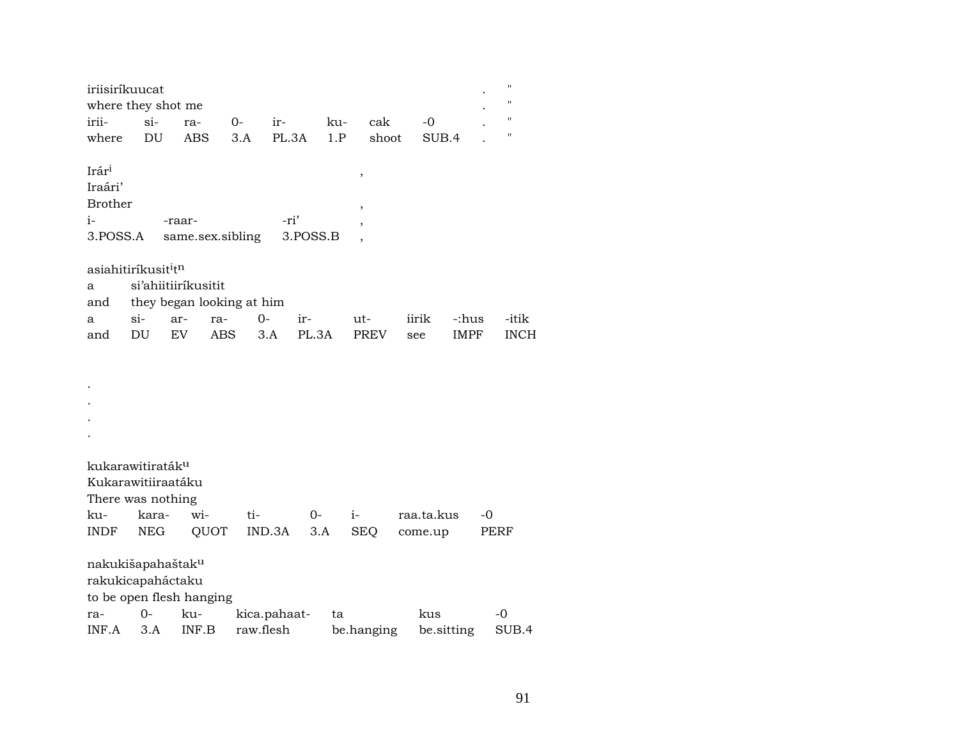| iriisiríkuucat                              |            |                     |                           |              |          |      |                          |            |            |             |      | $\pmb{\mathsf{H}}$ |
|---------------------------------------------|------------|---------------------|---------------------------|--------------|----------|------|--------------------------|------------|------------|-------------|------|--------------------|
| where they shot me                          |            |                     |                           |              |          |      |                          |            |            |             |      | 11                 |
| irii-                                       | si-        | ra-                 | $0-$                      | ir-          |          | ku-  | cak                      |            | $-0$       |             |      | 11                 |
| where                                       | DU         | <b>ABS</b>          | 3.A                       | PL.3A        |          | 1.P  | shoot                    |            | SUB.4      |             |      | 11                 |
|                                             |            |                     |                           |              |          |      |                          |            |            |             |      |                    |
| Irár <sup>i</sup>                           |            |                     |                           |              |          |      | ,                        |            |            |             |      |                    |
| Iraári'                                     |            |                     |                           |              |          |      |                          |            |            |             |      |                    |
| <b>Brother</b>                              |            |                     |                           |              |          |      | $\overline{\phantom{a}}$ |            |            |             |      |                    |
| $i-$                                        |            | -raar-              |                           | -ri'         |          |      |                          |            |            |             |      |                    |
| 3.POSS.A                                    |            |                     | same.sex.sibling          |              | 3.POSS.B |      |                          |            |            |             |      |                    |
|                                             |            |                     |                           |              |          |      |                          |            |            |             |      |                    |
| asiahitiríkusit <sup>i</sup> t <sup>n</sup> |            |                     |                           |              |          |      |                          |            |            |             |      |                    |
| a                                           |            | si'ahiitiiríkusitit |                           |              |          |      |                          |            |            |             |      |                    |
| and                                         |            |                     | they began looking at him |              |          |      |                          |            |            |             |      |                    |
| a                                           | $si-$      | ar-                 | ra-                       | $0-$         | ir-      |      | ut-                      | iirik      |            | -:hus       |      | -itik              |
| and                                         | DU         | EV                  | <b>ABS</b>                | 3.A          | PL.3A    |      | <b>PREV</b>              | see        |            | <b>IMPF</b> |      | <b>INCH</b>        |
|                                             |            |                     |                           |              |          |      |                          |            |            |             |      |                    |
|                                             |            |                     |                           |              |          |      |                          |            |            |             |      |                    |
|                                             |            |                     |                           |              |          |      |                          |            |            |             |      |                    |
|                                             |            |                     |                           |              |          |      |                          |            |            |             |      |                    |
|                                             |            |                     |                           |              |          |      |                          |            |            |             |      |                    |
|                                             |            |                     |                           |              |          |      |                          |            |            |             |      |                    |
|                                             |            |                     |                           |              |          |      |                          |            |            |             |      |                    |
| kukarawitiraták <sup>u</sup>                |            |                     |                           |              |          |      |                          |            |            |             |      |                    |
| Kukarawitiiraatáku                          |            |                     |                           |              |          |      |                          |            |            |             |      |                    |
| There was nothing                           |            |                     |                           |              |          |      |                          |            |            |             |      |                    |
| ku-                                         | kara-      | wi-                 |                           | ti-          | $0-$     | $i-$ |                          | raa.ta.kus |            |             | $-0$ |                    |
| <b>INDF</b>                                 | <b>NEG</b> |                     | QUOT                      | IND.3A       | 3.A      |      | <b>SEQ</b>               | come.up    |            |             | PERF |                    |
|                                             |            |                     |                           |              |          |      |                          |            |            |             |      |                    |
| nakukišapahaštak <sup>u</sup>               |            |                     |                           |              |          |      |                          |            |            |             |      |                    |
| rakukicapaháctaku                           |            |                     |                           |              |          |      |                          |            |            |             |      |                    |
| to be open flesh hanging                    |            |                     |                           |              |          |      |                          |            |            |             |      |                    |
| ra-                                         | $0-$       | ku-                 |                           | kica.pahaat- |          | ta   |                          |            | kus        |             | -0   |                    |
| INF.A                                       | 3.A        | INF.B               |                           | raw.flesh    |          |      | be.hanging               |            | be.sitting |             |      | SUB.4              |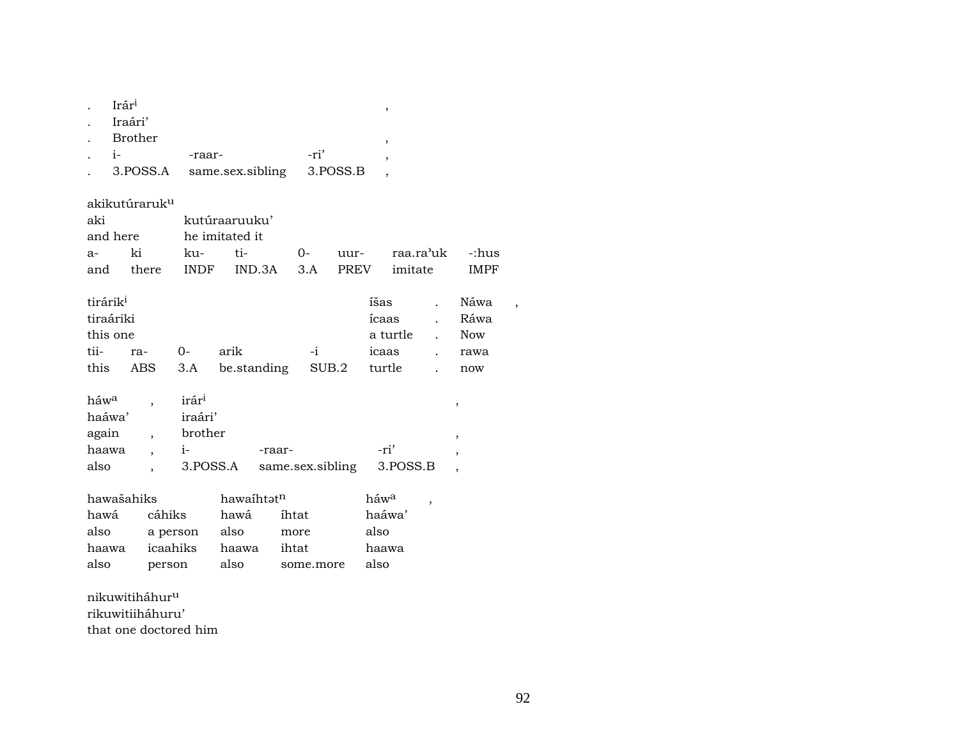|      | Irár <sup>i</sup>         |                |                  |      |          | ,              |             |
|------|---------------------------|----------------|------------------|------|----------|----------------|-------------|
|      | Iraári'                   |                |                  |      |          |                |             |
|      | Brother                   |                |                  |      |          | ,              |             |
|      | $i-$                      | -raar-         |                  | -ri' |          | $\overline{ }$ |             |
|      | 3.POSS.A                  |                | same.sex.sibling |      | 3.POSS.B |                |             |
|      |                           |                |                  |      |          |                |             |
|      | akikutúraruk <sup>u</sup> |                |                  |      |          |                |             |
| aki  |                           |                | kutúraaruuku'    |      |          |                |             |
|      | and here                  | he imitated it |                  |      |          |                |             |
| $a-$ | ki                        | ku-            | ti-              | $0-$ | uur-     | raa.ra'uk      | -:hus       |
| and  | there                     | <b>INDF</b>    | IND.3A           | 3.A  | PREV     | imitate        | <b>IMPF</b> |

| tirárik <sup>i</sup> |      |                                         | íšas . Náwa    |     |  |
|----------------------|------|-----------------------------------------|----------------|-----|--|
| tiraáriki            |      |                                         | ícaas . Ráwa   |     |  |
| this one             |      |                                         | a turtle . Now |     |  |
| tii- ra-             | $O-$ | arik -i                                 | icaas . rawa   |     |  |
|                      |      | this ABS 3.A be.standing SUB.2 turtle . |                | now |  |
|                      |      |                                         |                |     |  |
|                      |      |                                         |                |     |  |

| háw <sup>a</sup> | irár <sup>1</sup> |                  |          |  |
|------------------|-------------------|------------------|----------|--|
| haáwa'           | iraári'           |                  |          |  |
| again            | brother           |                  |          |  |
| haawa            |                   | -raar-           | -ri'     |  |
| also             | 3.POSS.A          | same.sex.sibling | 3.POSS.B |  |

| hawašahiks |          | hawaihtət <sup>n</sup> |            | háw <sup>a</sup> |  |
|------------|----------|------------------------|------------|------------------|--|
| hawá       | cáhiks   | hawá                   | íhtat      | haáwa'           |  |
| also       | a person | also                   | more       | also             |  |
| haawa      | icaahiks | haawa                  | ihtat      | haawa            |  |
| also       | person   | also                   | some, more | also             |  |

nikuwitiháhur $^{\rm u}$ rikuwitiiháhuru' that one doctored him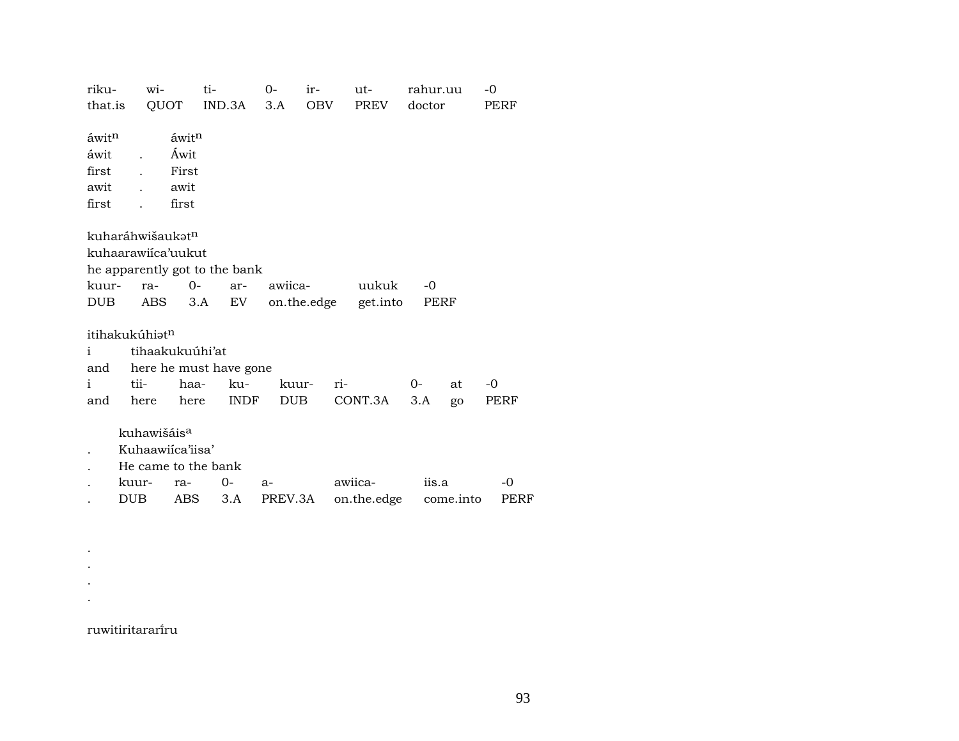| riku-             | wi-                           | ti-                          |        | $0-$        | ir- | ut-         |       | rahur.uu |           | -0   |
|-------------------|-------------------------------|------------------------------|--------|-------------|-----|-------------|-------|----------|-----------|------|
| that.is           |                               | QUOT                         | IND.3A | 3.A         | OBV | PREV        |       | doctor   |           | PERF |
|                   |                               |                              |        |             |     |             |       |          |           |      |
| áwit <sup>n</sup> |                               | $\tilde{a}$ wit <sup>n</sup> |        |             |     |             |       |          |           |      |
| áwit              | $\ddot{\phantom{a}}$          | Áwit                         |        |             |     |             |       |          |           |      |
| first             |                               | First                        |        |             |     |             |       |          |           |      |
| awit              | $\mathbf{r}$                  | awit                         |        |             |     |             |       |          |           |      |
| first             | $\ddot{\phantom{a}}$          | first                        |        |             |     |             |       |          |           |      |
|                   |                               |                              |        |             |     |             |       |          |           |      |
|                   | kuharáhwišaukət <sup>n</sup>  |                              |        |             |     |             |       |          |           |      |
|                   | kuhaarawiica'uukut            |                              |        |             |     |             |       |          |           |      |
|                   | he apparently got to the bank |                              |        |             |     |             |       |          |           |      |
| kuur-             | ra-                           | $O-$                         | ar-    | awiica-     |     | uukuk       |       | $-0$     |           |      |
| <b>DUB</b>        | ABS                           | 3.A                          | EV     | on.the.edge |     | get.into    |       | PERF     |           |      |
|                   |                               |                              |        |             |     |             |       |          |           |      |
|                   | itihakukúhiat <sup>n</sup>    |                              |        |             |     |             |       |          |           |      |
| i                 |                               | tihaakukuúhi'at              |        |             |     |             |       |          |           |      |
| and               |                               | here he must have gone       |        |             |     |             |       |          |           |      |
| $\mathbf{i}$      | tii-                          | haa-                         | ku-    | kuur-       |     | ri-         | $O -$ |          | at        | $-0$ |
| and               | here                          | here                         | INDF   | DUB         |     | CONT.3A     |       | 3.A      | go        | PERF |
|                   |                               |                              |        |             |     |             |       |          |           |      |
|                   | kuhawišáis <sup>a</sup>       |                              |        |             |     |             |       |          |           |      |
|                   | Kuhaawiica'iisa'              |                              |        |             |     |             |       |          |           |      |
|                   | He came to the bank           |                              |        |             |     |             |       |          |           |      |
|                   | kuur-                         | ra-                          | 0-     | a-          |     | awiica-     |       | iis.a    |           | -0   |
|                   | DUB.                          | ABS                          | 3.A    | PREV.3A     |     | on.the.edge |       |          | come.into | PERF |

ruwitiritararïru

. . . .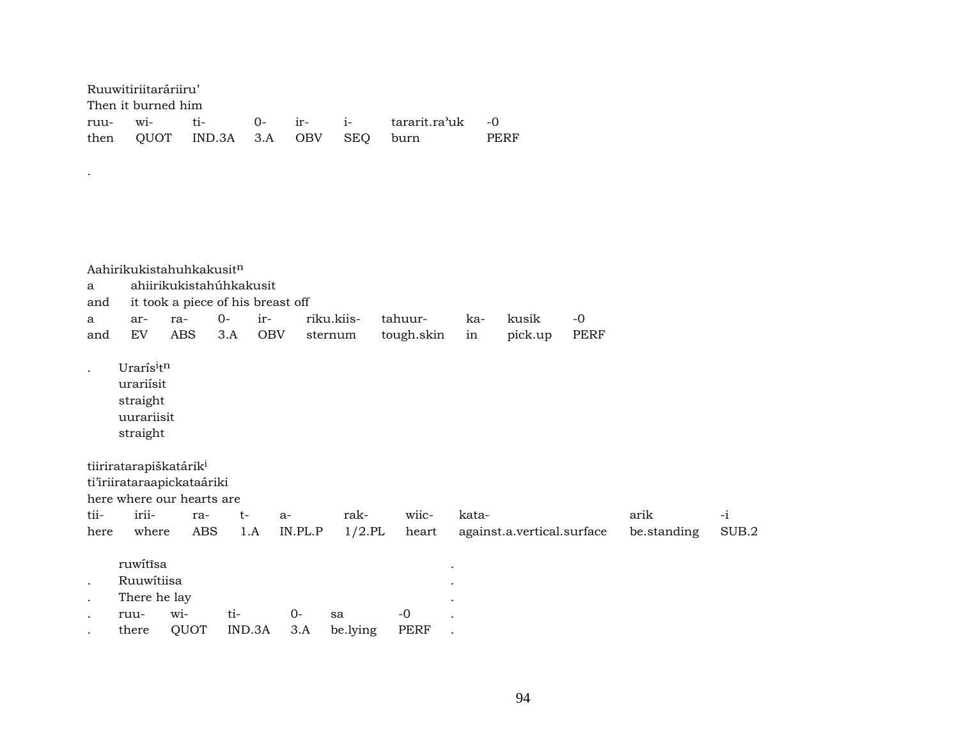| Ruuwitiriitaráriiru' |                                   |  |                                         |      |
|----------------------|-----------------------------------|--|-----------------------------------------|------|
| Then it burned him   |                                   |  |                                         |      |
|                      |                                   |  | ruu- wi- ti- 0- ir- i- tararit.ra'uk -0 |      |
|                      | then OUOT IND.3A 3.A OBV SEO burn |  |                                         | PERF |

.

|                      |                                                              | Aahirikukistahuhkakusitn          |              |            |            |             |       |                            |      |             |       |
|----------------------|--------------------------------------------------------------|-----------------------------------|--------------|------------|------------|-------------|-------|----------------------------|------|-------------|-------|
| $\mathbf{a}$         |                                                              | ahiirikukistahúhkakusit           |              |            |            |             |       |                            |      |             |       |
| and                  |                                                              | it took a piece of his breast off |              |            |            |             |       |                            |      |             |       |
| a                    | ar-                                                          | ra-                               | $O -$<br>ir- |            | riku.kiis- | tahuur-     | ka-   | kusik                      | $-0$ |             |       |
| and                  | EV                                                           | <b>ABS</b>                        | 3.A          | <b>OBV</b> | sternum    | tough.skin  | in    | pick.up                    | PERF |             |       |
| $\ddot{\phantom{a}}$ | Urarísitn<br>urariísit<br>straight<br>uurariisit<br>straight |                                   |              |            |            |             |       |                            |      |             |       |
|                      | tiiriratarapiškatárik <sup>i</sup>                           | ti'iriirataraapickataáriki        |              |            |            |             |       |                            |      |             |       |
|                      |                                                              | here where our hearts are         |              |            |            |             |       |                            |      |             |       |
| tii-                 | irii-                                                        | ra-                               | $t-$         | a-         | rak-       | wiic-       | kata- |                            |      | arik        | $-i$  |
| here                 | where                                                        | <b>ABS</b>                        | 1.A          | IN.PL.P    | $1/2$ .PL  | heart       |       | against.a.vertical.surface |      | be.standing | SUB.2 |
|                      | ruwitīsa                                                     |                                   |              |            |            |             |       |                            |      |             |       |
| $\bullet$            | Ruuwítiisa                                                   |                                   |              |            |            |             |       |                            |      |             |       |
| $\bullet$            | There he lay                                                 |                                   |              |            |            |             |       |                            |      |             |       |
|                      | ruu-                                                         | wi-                               | ti-          | $0-$       | sa         | $-0$        |       |                            |      |             |       |
|                      | there                                                        | QUOT                              | IND.3A       | 3.A        | be.lying   | <b>PERF</b> |       |                            |      |             |       |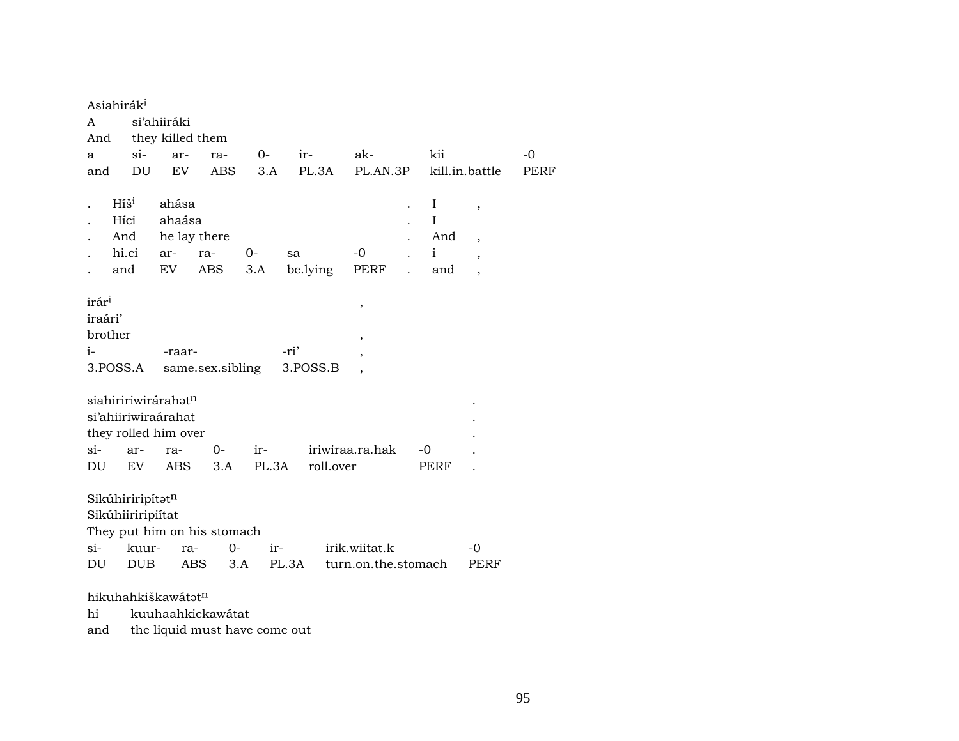| A                 | Asiahirák <sup>i</sup><br>si'ahiiráki<br>they killed them<br>And |            |                   |       |           |                          |  |              |                          |      |  |  |  |
|-------------------|------------------------------------------------------------------|------------|-------------------|-------|-----------|--------------------------|--|--------------|--------------------------|------|--|--|--|
| a                 | $\sin$                                                           | ar-        | ra-               | $O-$  | ir-       | ak-                      |  | kii          |                          | $-0$ |  |  |  |
| and               | DU                                                               | EV         | ABS               | 3.A   | PL.3A     | PL.AN.3P                 |  |              | kill.in.battle           | PERF |  |  |  |
|                   |                                                                  |            |                   |       |           |                          |  |              |                          |      |  |  |  |
|                   | $Hi\check{s}^i$                                                  | ahása      |                   |       |           |                          |  | I            | $\overline{\phantom{a}}$ |      |  |  |  |
|                   | Híci                                                             | ahaása     |                   |       |           |                          |  | $\mathbf I$  |                          |      |  |  |  |
|                   | And                                                              |            | he lay there      |       |           |                          |  | And          | $\overline{\phantom{a}}$ |      |  |  |  |
|                   | hi.ci                                                            | ar-        | ra-               | $0-$  | sa        | $-0$                     |  | $\mathbf{i}$ | $\overline{\phantom{a}}$ |      |  |  |  |
|                   | and                                                              | EV         | ABS               | 3.A   | be.lying  | PERF                     |  | and          |                          |      |  |  |  |
|                   |                                                                  |            |                   |       |           |                          |  |              |                          |      |  |  |  |
| irár <sup>i</sup> |                                                                  |            |                   |       |           | $\,$                     |  |              |                          |      |  |  |  |
| iraári'           |                                                                  |            |                   |       |           |                          |  |              |                          |      |  |  |  |
|                   | brother                                                          |            |                   |       |           | $\overline{\phantom{a}}$ |  |              |                          |      |  |  |  |
| $i-$              |                                                                  | -raar-     |                   |       | -ri'      | ,                        |  |              |                          |      |  |  |  |
|                   | 3.POSS.A                                                         |            | same.sex.sibling  |       | 3.POSS.B  |                          |  |              |                          |      |  |  |  |
|                   |                                                                  |            |                   |       |           |                          |  |              |                          |      |  |  |  |
|                   | siahiririwirárahatn                                              |            |                   |       |           |                          |  |              |                          |      |  |  |  |
|                   | si'ahiiriwiraárahat                                              |            |                   |       |           |                          |  |              |                          |      |  |  |  |
|                   | they rolled him over                                             |            |                   |       |           |                          |  |              |                          |      |  |  |  |
| si-               | ar-                                                              | ra-        | $0-$              | ir-   |           | iriwiraa.ra.hak          |  | -0           |                          |      |  |  |  |
| DU                | EV                                                               | <b>ABS</b> | 3.A               | PL.3A | roll.over |                          |  | PERF         |                          |      |  |  |  |
|                   | Sikúhiriripítatn                                                 |            |                   |       |           |                          |  |              |                          |      |  |  |  |
|                   | Sikúhiiriripiítat                                                |            |                   |       |           |                          |  |              |                          |      |  |  |  |
|                   | They put him on his stomach                                      |            |                   |       |           |                          |  |              |                          |      |  |  |  |
| si-               | kuur-                                                            | ra-        | $O -$             | ir-   |           | irik.wiitat.k            |  |              | $-0$                     |      |  |  |  |
| DU                | <b>DUB</b>                                                       |            | <b>ABS</b><br>3.A | PL.3A |           | turn.on.the.stomach      |  |              | PERF                     |      |  |  |  |
|                   |                                                                  |            |                   |       |           |                          |  |              |                          |      |  |  |  |
|                   |                                                                  |            |                   |       |           |                          |  |              |                          |      |  |  |  |

## hikuhahkiškawát $\mathfrak{t}^n$

hi kuuhaahkickawátat

and the liquid must have come out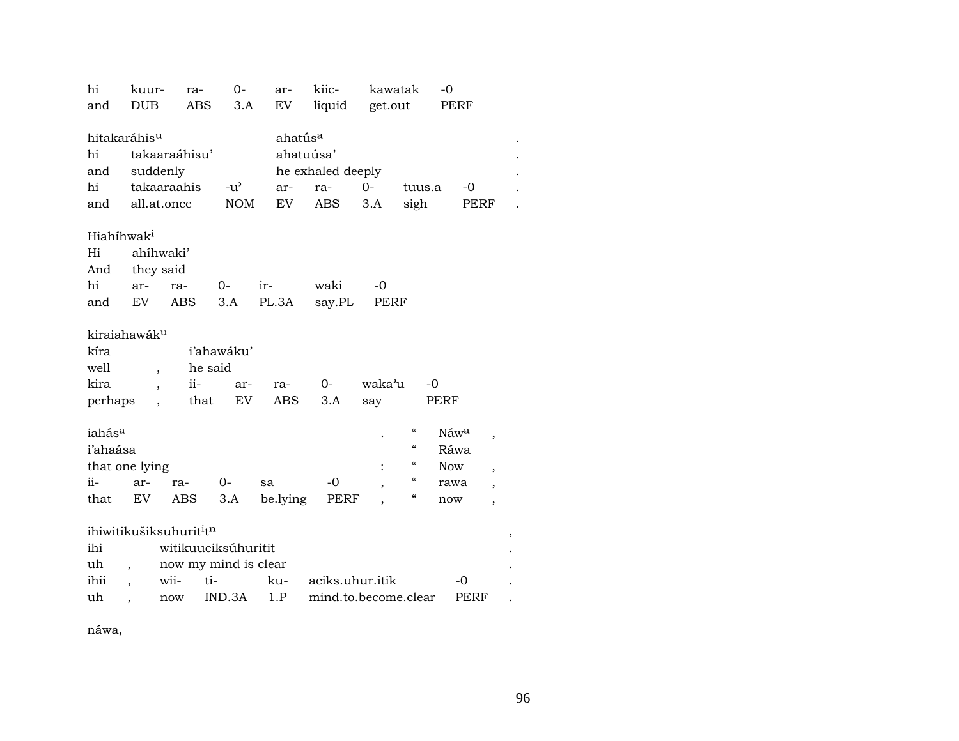| hi                       | kuur-                    | ra-                                 | $O -$                | ar-                  | kiic-                | kawatak |                            | -0         |                          |
|--------------------------|--------------------------|-------------------------------------|----------------------|----------------------|----------------------|---------|----------------------------|------------|--------------------------|
| and                      | <b>DUB</b>               | <b>ABS</b>                          | 3.A                  | <b>EV</b>            | liquid               | get.out |                            | PERF       |                          |
|                          |                          |                                     |                      |                      |                      |         |                            |            |                          |
| hitakaráhis <sup>u</sup> |                          |                                     |                      | ahatū́s <sup>a</sup> |                      |         |                            |            |                          |
| hi                       |                          | takaaraáhisu'                       |                      | ahatuúsa'            |                      |         |                            |            |                          |
| and                      | suddenly                 |                                     |                      |                      | he exhaled deeply    |         |                            |            |                          |
| hi                       |                          | takaaraahis                         | $-u^{\prime}$        | ar-                  | ra-                  | $0 -$   | tuus.a                     | $-0$       |                          |
| and                      |                          | all.at.once                         | <b>NOM</b>           | <b>EV</b>            | ABS                  | 3.A     | sigh                       |            | PERF                     |
|                          |                          |                                     |                      |                      |                      |         |                            |            |                          |
| Hiahíhwak <sup>i</sup>   |                          |                                     |                      |                      |                      |         |                            |            |                          |
| Hi                       |                          | ahíhwaki'                           |                      |                      |                      |         |                            |            |                          |
| And                      | they said                |                                     |                      |                      |                      |         |                            |            |                          |
| hi                       | ar-                      | ra-                                 | $0-$                 | ir-                  | waki                 | $-0$    |                            |            |                          |
| and                      | EV                       | <b>ABS</b>                          | 3.A                  | PL.3A                | say.PL               | PERF    |                            |            |                          |
|                          |                          |                                     |                      |                      |                      |         |                            |            |                          |
| kiraiahawák <sup>u</sup> |                          |                                     |                      |                      |                      |         |                            |            |                          |
| kíra                     |                          |                                     | i'ahawáku'           |                      |                      |         |                            |            |                          |
| well                     | $\overline{\phantom{a}}$ |                                     | he said              |                      |                      |         |                            |            |                          |
| kira                     | $\overline{\phantom{a}}$ | ii-                                 | ar-                  | ra-                  | $O -$                | waka'u  | $-0$                       |            |                          |
| perhaps                  |                          | that                                | EV                   | ABS                  | 3.A                  | say     |                            | PERF       |                          |
|                          |                          |                                     |                      |                      |                      |         |                            |            |                          |
| iahás <sup>a</sup>       |                          |                                     |                      |                      |                      |         | $\epsilon\epsilon$         | Náwa       | ,                        |
| i'ahaása                 |                          |                                     |                      |                      |                      |         | $\epsilon\epsilon$         | Ráwa       |                          |
| that one lying           |                          |                                     |                      |                      |                      |         | $\boldsymbol{\mathcal{C}}$ | <b>Now</b> | $\overline{\phantom{a}}$ |
| ii-                      | ar-                      | ra-                                 | $0-$                 | sa                   | $-0$                 |         | $\boldsymbol{\mathcal{C}}$ | rawa       | $\overline{\phantom{a}}$ |
| that                     | EV                       | <b>ABS</b>                          | 3.A                  | be.lying             | PERF                 |         | $\epsilon\epsilon$         | now        | $\overline{\phantom{a}}$ |
|                          |                          |                                     |                      |                      |                      |         |                            |            |                          |
|                          |                          | ihiwitikušiksuhurit <sup>i</sup> tn |                      |                      |                      |         |                            |            | ,                        |
| ihi                      |                          |                                     | witikuuciksúhuritit  |                      |                      |         |                            |            |                          |
| uh                       |                          |                                     | now my mind is clear |                      |                      |         |                            |            |                          |
| ihii                     |                          | wii-                                | ti-                  | ku-                  | aciks.uhur.itik      |         |                            | $-0$       |                          |
| uh                       |                          | $\operatorname{now}$                | IND.3A               | 1.P                  | mind.to.become.clear |         |                            | PERF       |                          |
|                          |                          |                                     |                      |                      |                      |         |                            |            |                          |

náwa,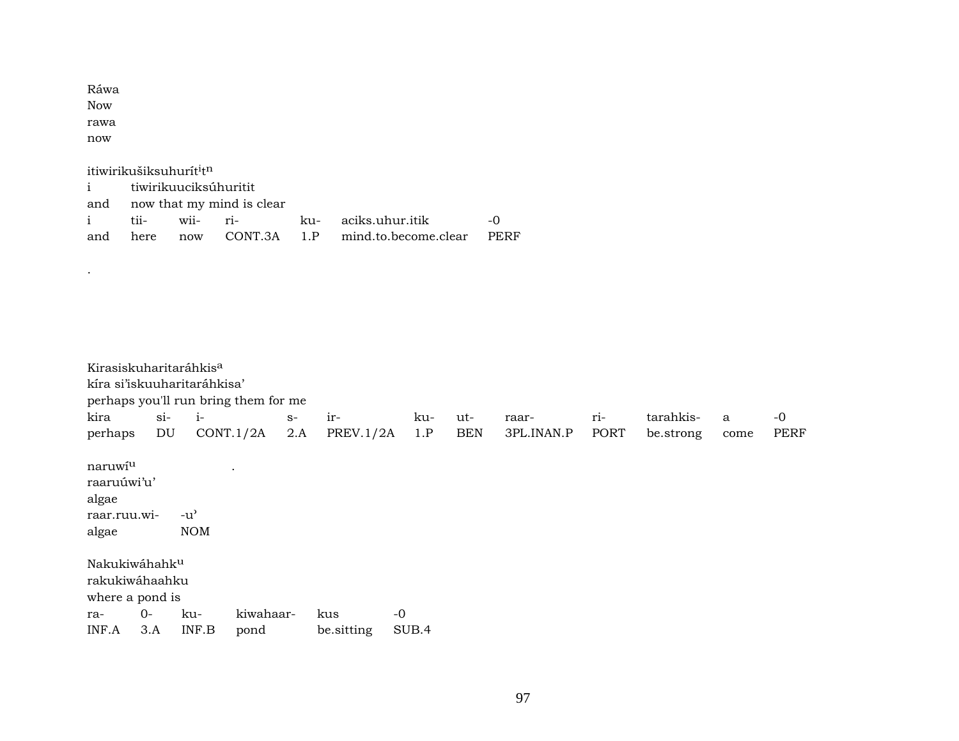| Ráwa |  |
|------|--|
| Now  |  |
| rawa |  |
| now  |  |

.

itiwirikušiksuhurít<sup>i</sup>t<sup>n</sup>

| i tiwirikuuciksúhuritit |                               |  |  |                                                    |  |  |  |  |  |  |  |  |
|-------------------------|-------------------------------|--|--|----------------------------------------------------|--|--|--|--|--|--|--|--|
|                         | and now that my mind is clear |  |  |                                                    |  |  |  |  |  |  |  |  |
|                         |                               |  |  | i tii- wii- ri-   ku- aciks.uhur.itik   -0         |  |  |  |  |  |  |  |  |
|                         |                               |  |  | and here now CONT.3A 1.P mind.to.become.clear PERF |  |  |  |  |  |  |  |  |

| Kirasiskuharitaráhkis <sup>a</sup><br>kíra si'iskuuharitaráhkisa'<br>perhaps you'll run bring them for me |        |                                                 |           |      |           |      |            |            |      |           |      |             |
|-----------------------------------------------------------------------------------------------------------|--------|-------------------------------------------------|-----------|------|-----------|------|------------|------------|------|-----------|------|-------------|
| kira                                                                                                      | $\sin$ | $i-$                                            |           | $S-$ | ir-       | ku-  | ut-        | raar-      | ri-  | tarahkis- | a    | $-0$        |
| perhaps                                                                                                   | DU     |                                                 | CONT.1/2A | 2.A  | PREV.1/2A | 1.P  | <b>BEN</b> | 3PL.INAN.P | PORT | be.strong | come | <b>PERF</b> |
| naruwiu<br>raaruúwi'u'<br>algae<br>raar.ruu.wi-<br>algae                                                  |        | $-u$ <sup><math>\sim</math></sup><br><b>NOM</b> | $\bullet$ |      |           |      |            |            |      |           |      |             |
| Nakukiwáhahk <sup>u</sup><br>rakukiwáhaahku<br>where a pond is<br>$0-$<br>ra-                             |        | ku-                                             | kiwahaar- |      | kus       | $-0$ |            |            |      |           |      |             |

INF.A 3.A INF.B pond be.sitting SUB.4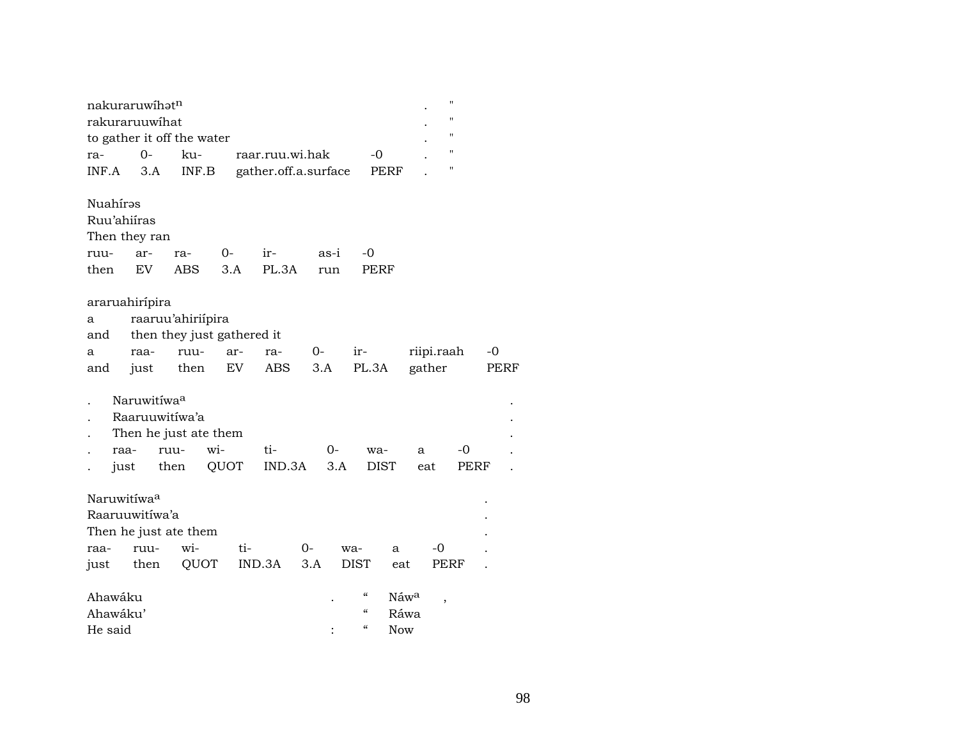| ra-<br>INF.A                            | nakuraruwíhat <sup>n</sup><br>rakuraruuwihat<br>$O -$<br>3.A | to gather it off the water<br>ku-<br>INF.B                      |                   | raar.ruu.wi.hak | gather.off.a.surface | -0<br>PERF                                |                                            | $\blacksquare$<br>$\blacksquare$<br>$\blacksquare$<br>"<br>н |              |
|-----------------------------------------|--------------------------------------------------------------|-----------------------------------------------------------------|-------------------|-----------------|----------------------|-------------------------------------------|--------------------------------------------|--------------------------------------------------------------|--------------|
| Nuahírəs<br>Ruu'ahiíras<br>ruu-<br>then | Then they ran<br>ar-<br>EV                                   | ra-<br>ABS                                                      | 0-<br>3.A         | ir-<br>PL.3A    | as-i<br>run          | -0<br>PERF                                |                                            |                                                              |              |
| a<br>and<br>a<br>and                    | araruahirípira<br>raa-<br>just                               | raaruu'ahiriípira<br>then they just gathered it<br>ruu-<br>then | ar-<br>${\rm EV}$ | ra-<br>ABS      | 0-<br>3.A            | ir-<br>PL.3A                              | riipi.raah<br>gather                       |                                                              | $-0$<br>PERF |
| raa-<br>just                            | Naruwitíwa <sup>a</sup><br>Raaruuwitíwa'a                    | Then he just ate them<br>wi-<br>ruu-<br>then                    | QUOT              | ti-<br>IND.3A   | $0-$<br>3.A          | wa-<br><b>DIST</b>                        | a<br>eat                                   | -0<br>PERF                                                   |              |
| Naruwitíwa <sup>a</sup><br>raa-<br>just | Raaruuwitíwa'a<br>ruu-<br>then                               | Then he just ate them<br>wi-<br>QUOT                            | ti-               | IND.3A          | 0-<br>3.A            | wa-<br>a<br><b>DIST</b><br>eat            | -0                                         | PERF                                                         |              |
| Ahawáku<br>Ahawáku'<br>He said          |                                                              |                                                                 |                   |                 |                      | "<br>$\alpha$<br>$\epsilon$<br><b>Now</b> | Náw <sup>a</sup><br>$\overline{ }$<br>Ráwa |                                                              |              |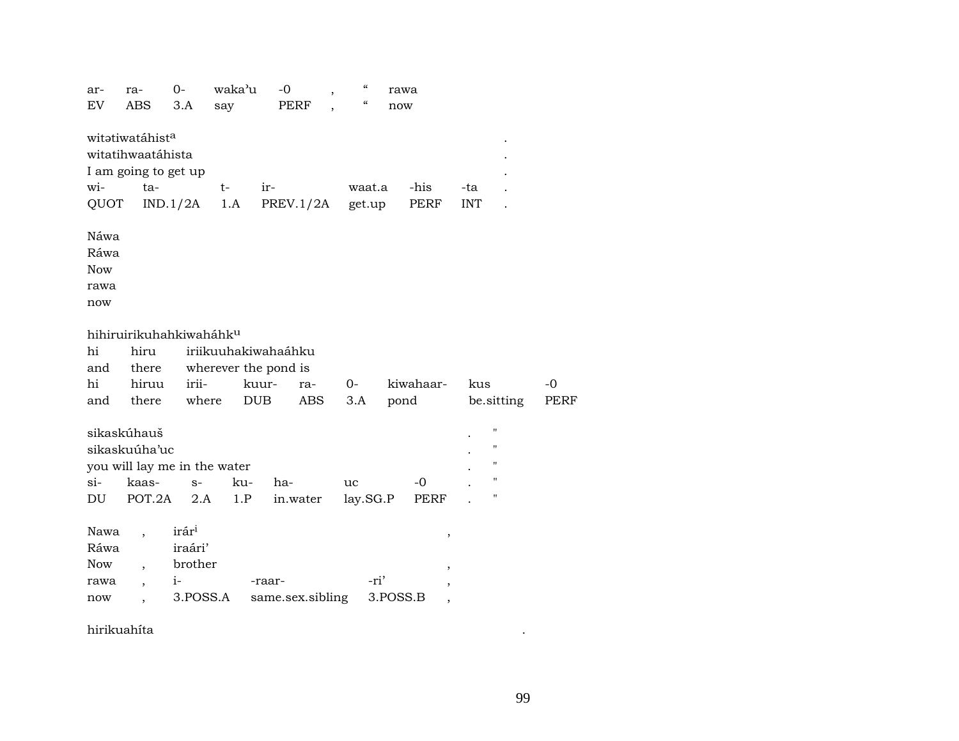| ar-<br>EV                                 | ra-<br><b>ABS</b>                                                               | 0-<br>3.A                                                   | waka'u<br>say | $-0$<br><b>PERF</b>                                                                     | $\boldsymbol{\zeta}\boldsymbol{\zeta}$<br>,<br>$\boldsymbol{\mathcal{G}}$ | rawa<br>now         |                                              |                         |                     |
|-------------------------------------------|---------------------------------------------------------------------------------|-------------------------------------------------------------|---------------|-----------------------------------------------------------------------------------------|---------------------------------------------------------------------------|---------------------|----------------------------------------------|-------------------------|---------------------|
| wi-<br>QUOT                               | witatiwatáhist <sup>a</sup><br>witatihwaatáhista<br>I am going to get up<br>ta- | IND.1/2A                                                    | $t-$<br>1.A   | ir-<br>PREV.1/2A                                                                        | waat.a<br>get.up                                                          | -his<br>PERF        | -ta<br><b>INT</b>                            |                         |                     |
| Náwa<br>Ráwa<br><b>Now</b><br>rawa<br>now |                                                                                 |                                                             |               |                                                                                         |                                                                           |                     |                                              |                         |                     |
| hi<br>and<br>hi<br>and                    | hihiruirikuhahkiwaháhku<br>hiru<br>there<br>hiruu<br>there                      | irii-<br>where                                              |               | iriikuuhakiwahaáhku<br>wherever the pond is<br>kuur-<br>ra-<br><b>DUB</b><br><b>ABS</b> | $0-$<br>3.A                                                               | kiwahaar-<br>pond   | kus                                          | be.sitting              | $-0$<br><b>PERF</b> |
| $\sin$<br>DU                              | sikaskúhauš<br>sikaskuúha'uc<br>you will lay me in the water<br>kaas-<br>POT.2A | $S-$<br>2.A                                                 | ku-<br>1.P    | ha-<br>in.water                                                                         | uc<br>lay.SG.P                                                            | $-0$<br><b>PERF</b> |                                              | 11<br>"<br>11<br>П<br>Ħ |                     |
| Nawa<br>Ráwa<br><b>Now</b><br>rawa<br>now | $\overline{\phantom{a}}$<br>$\overline{\phantom{a}}$<br>$\ddot{\phantom{0}}$    | irár <sup>i</sup><br>iraári'<br>brother<br>$i-$<br>3.POSS.A |               | -raar-<br>same.sex.sibling                                                              | -ri'                                                                      | 3.POSS.B            | ,<br>$\, ,$<br>,<br>$\overline{\phantom{a}}$ |                         |                     |

hirikuahíta .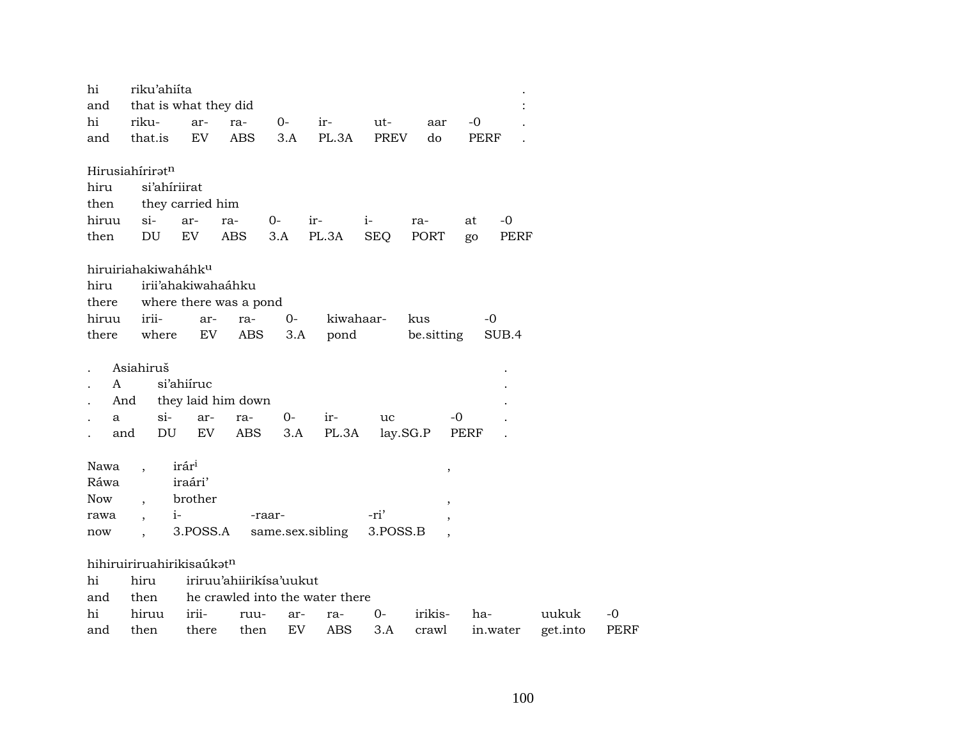| hi    | riku'ahiíta               |                    |                         |        |                                 |             |                          |                   |          |      |
|-------|---------------------------|--------------------|-------------------------|--------|---------------------------------|-------------|--------------------------|-------------------|----------|------|
| and   | that is what they did     |                    |                         |        |                                 |             |                          |                   |          |      |
| hi    | riku-                     | ar-                | ra-                     | 0-     | ir-                             | ut-         | aar                      | $-0$              |          |      |
| and   | that.is                   | EV                 | <b>ABS</b>              | 3.A    | PL.3A                           | <b>PREV</b> | do                       | PERF              |          |      |
|       | Hirusiahíriratn           |                    |                         |        |                                 |             |                          |                   |          |      |
| hiru  | si'ahiriirat              |                    |                         |        |                                 |             |                          |                   |          |      |
| then  |                           | they carried him   |                         |        |                                 |             |                          |                   |          |      |
| hiruu | $si-$                     | ar-                | ra-                     | $0 -$  | ir-                             | $i-$        | ra-                      | $-0$<br>at        |          |      |
| then  | DU                        | EV                 | <b>ABS</b>              | 3.A    | PL.3A                           | <b>SEQ</b>  | PORT                     | <b>PERF</b><br>go |          |      |
|       | hiruiriahakiwaháhku       |                    |                         |        |                                 |             |                          |                   |          |      |
| hiru  |                           | irii'ahakiwahaáhku |                         |        |                                 |             |                          |                   |          |      |
| there |                           |                    | where there was a pond  |        |                                 |             |                          |                   |          |      |
| hiruu | irii-                     | ar-                | ra-                     | $O -$  | kiwahaar-                       |             | kus                      | $-0$              |          |      |
| there | where                     | EV                 | <b>ABS</b>              | 3.A    | pond                            |             | be.sitting               | SUB.4             |          |      |
|       | Asiahiruš                 |                    |                         |        |                                 |             |                          |                   |          |      |
| A     |                           | si'ahiíruc         |                         |        |                                 |             |                          |                   |          |      |
| And   |                           |                    | they laid him down      |        |                                 |             |                          |                   |          |      |
| a     | si-                       | ar-                | ra-                     | 0-     | ir-                             | uc          | -0                       |                   |          |      |
| and   | DU                        | EV                 | ABS                     | 3.A    | PL.3A                           | lay.SG.P    |                          | PERF              |          |      |
|       |                           |                    |                         |        |                                 |             |                          |                   |          |      |
| Nawa  | $\ddot{\phantom{0}}$      | irár <sup>i</sup>  |                         |        |                                 |             | $\, ,$                   |                   |          |      |
| Ráwa  |                           | iraári'            |                         |        |                                 |             |                          |                   |          |      |
| Now   | $\overline{\phantom{a}}$  | brother            |                         |        |                                 |             | $\overline{\phantom{a}}$ |                   |          |      |
| rawa  | $\overline{\phantom{a}}$  | $i-$               |                         | -raar- |                                 | -ri'        |                          |                   |          |      |
| now   |                           | 3.POSS.A           |                         |        | same.sex.sibling                | 3.POSS.B    |                          |                   |          |      |
|       | hihiruiriruahirikisaúkatn |                    |                         |        |                                 |             |                          |                   |          |      |
| hi    | hiru                      |                    | iriruu'ahiirikisa'uukut |        |                                 |             |                          |                   |          |      |
| and   | then                      |                    |                         |        | he crawled into the water there |             |                          |                   |          |      |
| hi    | hiruu                     | irii-              | ruu-                    | ar-    | ra-                             | $0-$        | irikis-                  | ha-               | uukuk    | -0   |
| and   | then                      | there              | then                    | EV     | ABS                             | 3.A         | crawl                    | in.water          | get.into | PERF |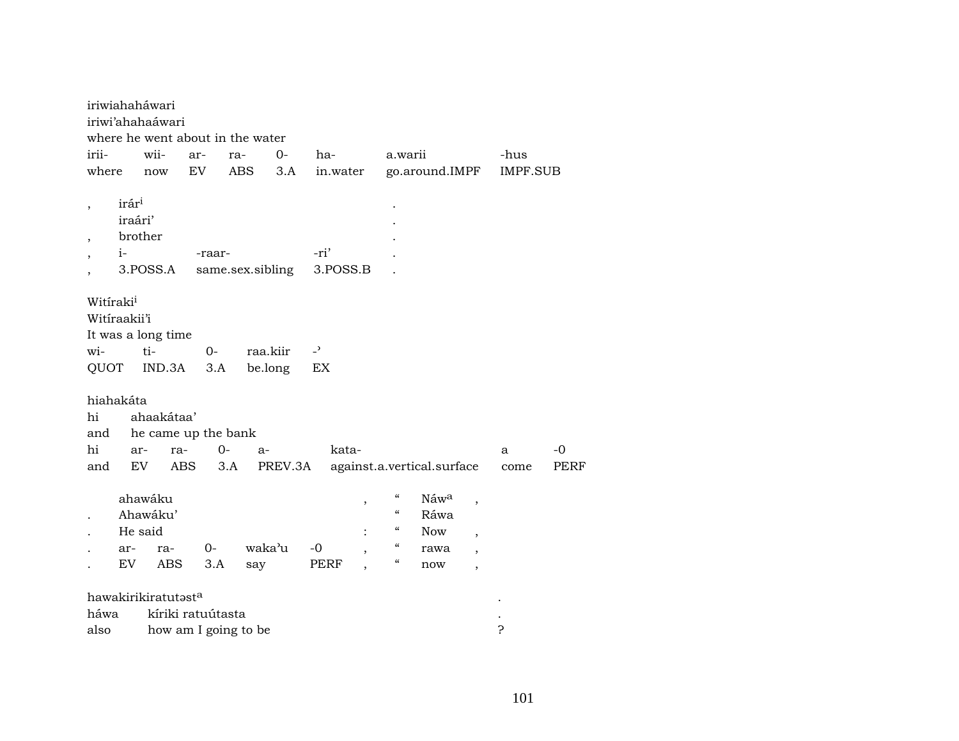|                                                    |                   | iriwiahaháwari      |                   |                                  |          |                |   |                                        |                            |                          |          |             |  |  |
|----------------------------------------------------|-------------------|---------------------|-------------------|----------------------------------|----------|----------------|---|----------------------------------------|----------------------------|--------------------------|----------|-------------|--|--|
|                                                    |                   | iriwi'ahahaáwari    |                   |                                  |          |                |   |                                        |                            |                          |          |             |  |  |
|                                                    |                   |                     |                   | where he went about in the water |          |                |   |                                        |                            |                          |          |             |  |  |
| irii-                                              |                   | wii-                | ar-               | ra-                              | 0-       | ha-            |   | a.warii                                |                            |                          | -hus     |             |  |  |
| where                                              |                   | now                 | EV                | <b>ABS</b>                       | 3.A      | in.water       |   |                                        | go.around.IMPF             |                          | IMPF.SUB |             |  |  |
|                                                    | irár <sup>i</sup> |                     |                   |                                  |          |                |   |                                        |                            |                          |          |             |  |  |
|                                                    | iraári'           |                     |                   |                                  |          |                |   |                                        |                            |                          |          |             |  |  |
|                                                    | brother           |                     |                   |                                  |          |                |   |                                        |                            |                          |          |             |  |  |
|                                                    | $i-$              |                     |                   |                                  |          | -ri'           |   |                                        |                            |                          |          |             |  |  |
| -raar-<br>same.sex.sibling<br>3.POSS.B<br>3.POSS.A |                   |                     |                   |                                  |          |                |   |                                        |                            |                          |          |             |  |  |
|                                                    |                   |                     |                   |                                  |          |                |   |                                        |                            |                          |          |             |  |  |
| Witíraki <sup>i</sup><br>Witiraakii'i              |                   |                     |                   |                                  |          |                |   |                                        |                            |                          |          |             |  |  |
|                                                    |                   | It was a long time  |                   |                                  |          |                |   |                                        |                            |                          |          |             |  |  |
| wi-                                                |                   | ti-                 | $0-$              |                                  | raa.kiir | $\overline{a}$ |   |                                        |                            |                          |          |             |  |  |
| QUOT                                               |                   | IND.3A              | 3.A               |                                  | be.long  | EX             |   |                                        |                            |                          |          |             |  |  |
| hiahakáta                                          |                   |                     |                   |                                  |          |                |   |                                        |                            |                          |          |             |  |  |
| hi                                                 |                   | ahaakátaa'          |                   |                                  |          |                |   |                                        |                            |                          |          |             |  |  |
| and                                                |                   | he came up the bank |                   |                                  |          |                |   |                                        |                            |                          |          |             |  |  |
| hi                                                 | ar-               | ra-                 |                   | $0-$<br>$a-$                     |          | kata-          |   |                                        |                            |                          | a        | $-0$        |  |  |
| and                                                | EV                |                     | <b>ABS</b>        | 3.A                              | PREV.3A  |                |   |                                        | against.a.vertical.surface |                          | come     | <b>PERF</b> |  |  |
|                                                    |                   |                     |                   |                                  |          |                |   |                                        |                            |                          |          |             |  |  |
|                                                    |                   | ahawáku             |                   |                                  |          |                | , | $\boldsymbol{\zeta}\boldsymbol{\zeta}$ | Náwa                       | $\overline{\phantom{a}}$ |          |             |  |  |
|                                                    |                   | Ahawáku'            |                   |                                  |          |                |   | $\boldsymbol{\zeta}\boldsymbol{\zeta}$ | Ráwa                       |                          |          |             |  |  |
|                                                    | He said           |                     |                   |                                  |          |                |   | $\boldsymbol{\zeta}\boldsymbol{\zeta}$ | <b>Now</b>                 | $\overline{\phantom{a}}$ |          |             |  |  |
|                                                    | ar-               | ra-                 | $0-$              |                                  | waka'u   | $-0$           | , | $\epsilon$                             | rawa                       | $\overline{\phantom{a}}$ |          |             |  |  |
|                                                    | EV.               | <b>ABS</b>          | 3.A               | say                              |          | PERF           |   | $\boldsymbol{\zeta}\boldsymbol{\zeta}$ | now                        | $\overline{ }$           |          |             |  |  |
|                                                    |                   |                     |                   |                                  |          |                |   |                                        |                            |                          |          |             |  |  |
|                                                    |                   | hawakirikiratutasta |                   |                                  |          |                |   |                                        |                            |                          |          |             |  |  |
| háwa                                               |                   |                     | kíriki ratuútasta |                                  |          |                |   |                                        |                            |                          |          |             |  |  |
| also                                               |                   |                     |                   | how am I going to be             |          |                |   |                                        |                            |                          | ?        |             |  |  |

101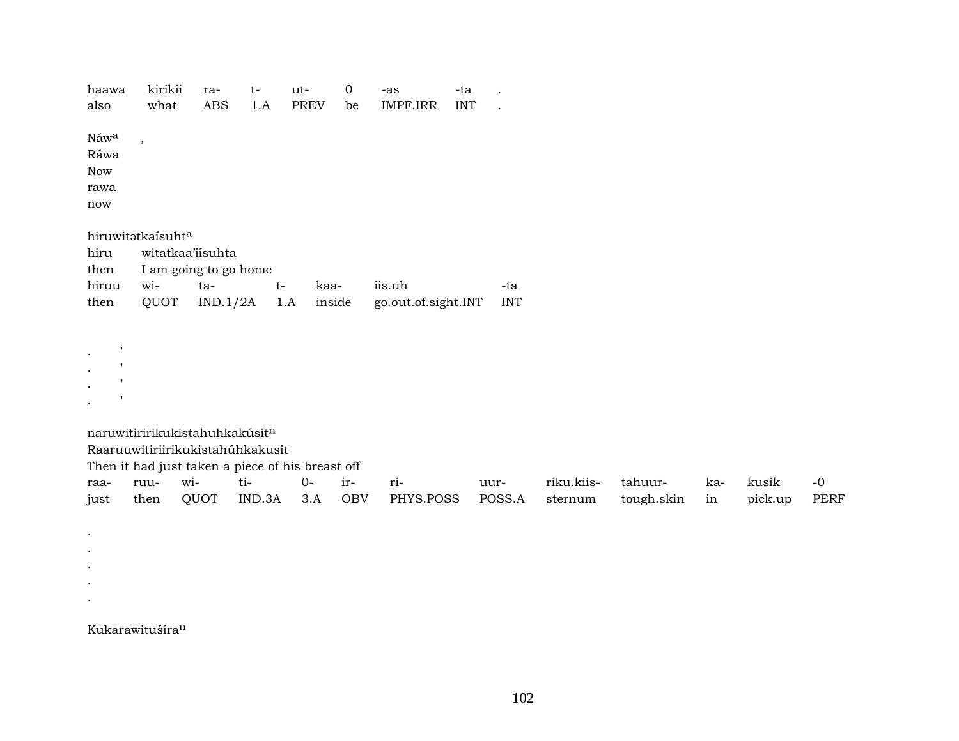| haawa<br>also                                                          | kirikii<br>what             | ra-<br>ABS       | $t-$<br>1.A                      | ut-         | $\mathbf 0$<br><b>PREV</b><br>be                                                  | -as    | $\ensuremath{\mathsf{IMPF}}\xspace.\ensuremath{\mathsf{IRR}}\xspace$ | -ta<br><b>INT</b> | $\cdot$           |            |            |           |         |              |
|------------------------------------------------------------------------|-----------------------------|------------------|----------------------------------|-------------|-----------------------------------------------------------------------------------|--------|----------------------------------------------------------------------|-------------------|-------------------|------------|------------|-----------|---------|--------------|
| Náwa<br>Ráwa<br><b>Now</b><br>rawa<br>$\operatorname{now}$             | $\overline{\phantom{a}}$    |                  |                                  |             |                                                                                   |        |                                                                      |                   |                   |            |            |           |         |              |
|                                                                        | hiruwitatkaísuhta           |                  |                                  |             |                                                                                   |        |                                                                      |                   |                   |            |            |           |         |              |
| hiru                                                                   |                             | witatkaa'iisuhta |                                  |             |                                                                                   |        |                                                                      |                   |                   |            |            |           |         |              |
| then                                                                   |                             |                  | I am going to go home            |             |                                                                                   |        |                                                                      |                   |                   |            |            |           |         |              |
| hiruu<br>then                                                          | wi-<br>QUOT                 | ta-              | IND.1/2A                         | $t-$<br>1.A | kaa-<br>inside                                                                    | iis.uh | go.out.of.sight.INT                                                  |                   | -ta<br><b>INT</b> |            |            |           |         |              |
|                                                                        |                             |                  |                                  |             |                                                                                   |        |                                                                      |                   |                   |            |            |           |         |              |
| $\boldsymbol{\mathsf{H}}$<br>$^{\prime}$<br>$^{\prime}$<br>$^{\prime}$ |                             |                  |                                  |             |                                                                                   |        |                                                                      |                   |                   |            |            |           |         |              |
|                                                                        |                             |                  | naruwitiririkukistahuhkakúsitn   |             |                                                                                   |        |                                                                      |                   |                   |            |            |           |         |              |
|                                                                        |                             |                  | Raaruuwitiriirikukistahúhkakusit |             |                                                                                   |        |                                                                      |                   |                   |            |            |           |         |              |
|                                                                        |                             | wi-              | ti-                              |             | Then it had just taken a piece of his breast off<br>$0-$<br>$\operatorname{ir}$ - |        |                                                                      |                   |                   | riku.kiis- | tahuur-    |           | kusik   |              |
| raa-<br>just                                                           | ruu-<br>then                | QUOT             | IND.3A                           |             | 3.A<br>OBV                                                                        | ri-    | PHYS.POSS                                                            |                   | uur-<br>POSS.A    | sternum    | tough.skin | ka-<br>in | pick.up | $-0$<br>PERF |
|                                                                        |                             |                  |                                  |             |                                                                                   |        |                                                                      |                   |                   |            |            |           |         |              |
| $\bullet$                                                              |                             |                  |                                  |             |                                                                                   |        |                                                                      |                   |                   |            |            |           |         |              |
| $\bullet$                                                              |                             |                  |                                  |             |                                                                                   |        |                                                                      |                   |                   |            |            |           |         |              |
| $\bullet$                                                              |                             |                  |                                  |             |                                                                                   |        |                                                                      |                   |                   |            |            |           |         |              |
|                                                                        |                             |                  |                                  |             |                                                                                   |        |                                                                      |                   |                   |            |            |           |         |              |
|                                                                        | Kukarawitušíra <sup>u</sup> |                  |                                  |             |                                                                                   |        |                                                                      |                   |                   |            |            |           |         |              |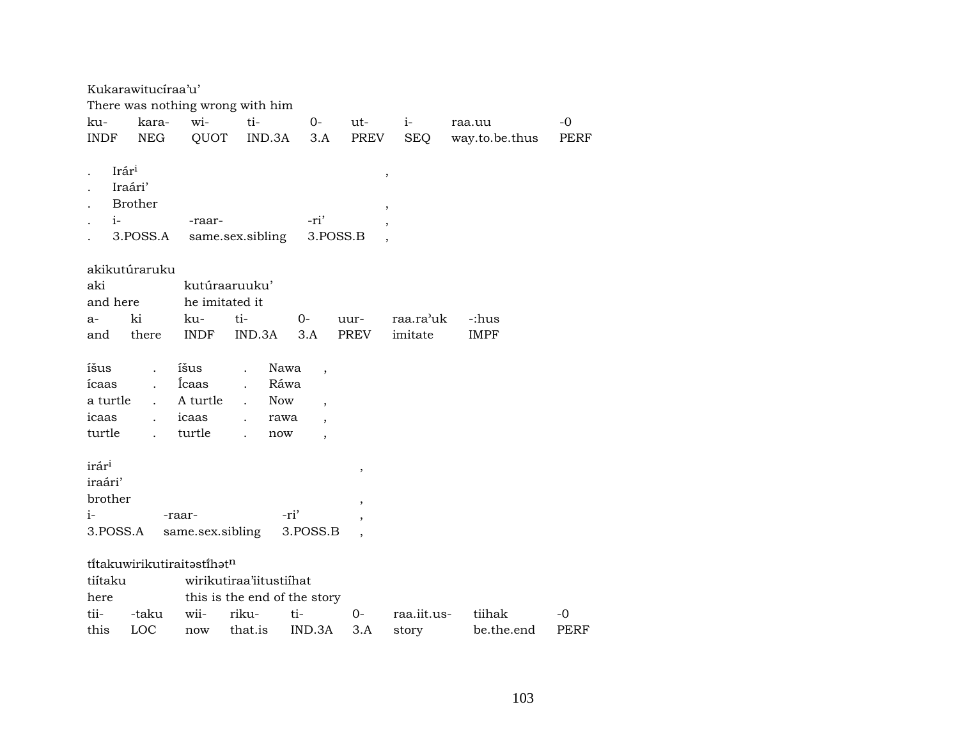| Kukarawitucíraa'u' |                                  |                            |                              |                          |                          |              |                |             |  |  |  |  |
|--------------------|----------------------------------|----------------------------|------------------------------|--------------------------|--------------------------|--------------|----------------|-------------|--|--|--|--|
|                    | There was nothing wrong with him |                            |                              |                          |                          |              |                |             |  |  |  |  |
| ku-                | kara-                            | wi-                        | ti-                          | $O -$                    | ut-                      | $i$ - $\sim$ | raa.uu         | $-0$        |  |  |  |  |
| <b>INDF</b>        | <b>NEG</b>                       | QUOT                       | IND.3A                       | 3.A                      | PREV                     | <b>SEQ</b>   | way.to.be.thus | PERF        |  |  |  |  |
|                    |                                  |                            |                              |                          |                          |              |                |             |  |  |  |  |
| Irár <sup>i</sup>  |                                  |                            |                              |                          | $\, ,$                   |              |                |             |  |  |  |  |
|                    | Iraári'                          |                            |                              |                          |                          |              |                |             |  |  |  |  |
|                    | <b>Brother</b>                   |                            |                              |                          | $\, ,$                   |              |                |             |  |  |  |  |
| $i-$               |                                  | -raar-                     |                              | -ri'                     | $\, ,$                   |              |                |             |  |  |  |  |
|                    | 3.POSS.A                         |                            | same.sex.sibling             | 3.POSS.B                 |                          |              |                |             |  |  |  |  |
|                    |                                  |                            |                              |                          |                          |              |                |             |  |  |  |  |
|                    | akikutúraruku                    |                            |                              |                          |                          |              |                |             |  |  |  |  |
| aki                |                                  | kutúraaruuku'              |                              |                          |                          |              |                |             |  |  |  |  |
| and here           |                                  | he imitated it             |                              |                          |                          |              |                |             |  |  |  |  |
| a-                 | ki                               | ku-                        | ti-                          | 0-                       | uur-                     | raa.ra'uk    | -:hus          |             |  |  |  |  |
| and                | there                            | <b>INDF</b>                | IND.3A                       | 3.A                      | PREV                     | imitate      | <b>IMPF</b>    |             |  |  |  |  |
|                    |                                  |                            |                              |                          |                          |              |                |             |  |  |  |  |
| íšus               | $\ddot{\phantom{0}}$             | íšus                       | Nawa<br>$\ddot{\phantom{a}}$ | $\overline{\phantom{a}}$ |                          |              |                |             |  |  |  |  |
| ícaas              |                                  | Icaas                      | Ráwa<br>$\ddot{\phantom{a}}$ |                          |                          |              |                |             |  |  |  |  |
| a turtle           |                                  | A turtle                   | <b>Now</b>                   | $\cdot$                  |                          |              |                |             |  |  |  |  |
| icaas              |                                  | icaas                      | rawa                         |                          |                          |              |                |             |  |  |  |  |
| turtle             |                                  | turtle                     | now                          |                          |                          |              |                |             |  |  |  |  |
|                    |                                  |                            |                              |                          |                          |              |                |             |  |  |  |  |
| irár <sup>i</sup>  |                                  |                            |                              |                          | $\overline{\phantom{a}}$ |              |                |             |  |  |  |  |
| iraári'            |                                  |                            |                              |                          |                          |              |                |             |  |  |  |  |
| brother            |                                  |                            |                              |                          | $\overline{ }$           |              |                |             |  |  |  |  |
| $i-$               |                                  | -raar-                     |                              | -ri'                     |                          |              |                |             |  |  |  |  |
| 3.POSS.A           |                                  | same.sex.sibling           |                              | 3.POSS.B                 |                          |              |                |             |  |  |  |  |
|                    |                                  |                            |                              |                          |                          |              |                |             |  |  |  |  |
|                    |                                  | títakuwirikutiraitastíhatn |                              |                          |                          |              |                |             |  |  |  |  |
| tiítaku            | wirikutiraa'iitustiihat          |                            |                              |                          |                          |              |                |             |  |  |  |  |
| here               | this is the end of the story     |                            |                              |                          |                          |              |                |             |  |  |  |  |
| tii-               | -taku                            | wii-                       | riku-                        | ti-                      | $O -$                    | raa.iit.us-  | tiihak         | -0          |  |  |  |  |
| this               | LOC                              | now                        | that.is                      | IND.3A                   | 3.A                      | story        | be.the.end     | <b>PERF</b> |  |  |  |  |